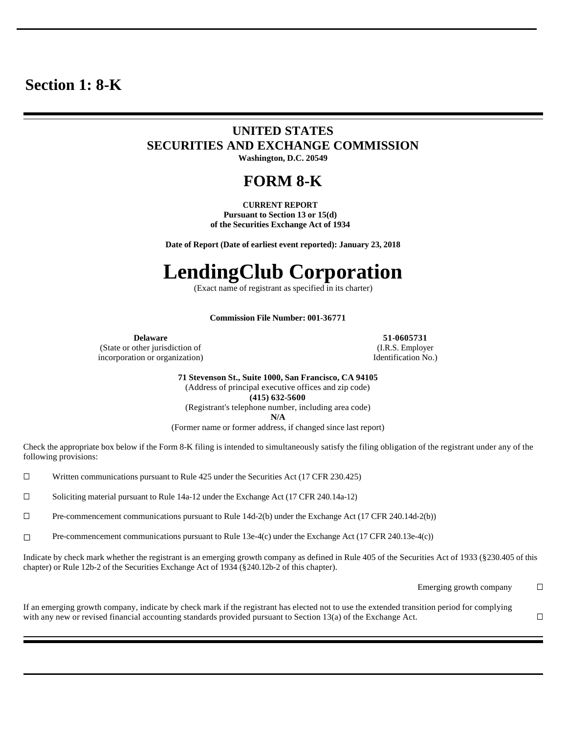# **Section 1: 8-K**

# **UNITED STATES SECURITIES AND EXCHANGE COMMISSION Washington, D.C. 20549**

# **FORM 8-K**

**CURRENT REPORT Pursuant to Section 13 or 15(d) of the Securities Exchange Act of 1934**

**Date of Report (Date of earliest event reported): January 23, 2018**

# **LendingClub Corporation**

(Exact name of registrant as specified in its charter)

### **Commission File Number: 001-36771**

(State or other jurisdiction of incorporation or organization)

**Delaware 51-0605731** (I.R.S. Employer Identification No.)

> **71 Stevenson St., Suite 1000, San Francisco, CA 94105** (Address of principal executive offices and zip code) **(415) 632-5600** (Registrant's telephone number, including area code) **N/A**

(Former name or former address, if changed since last report)

Check the appropriate box below if the Form 8-K filing is intended to simultaneously satisfy the filing obligation of the registrant under any of the following provisions:

☐ Written communications pursuant to Rule 425 under the Securities Act (17 CFR 230.425)

☐ Soliciting material pursuant to Rule 14a-12 under the Exchange Act (17 CFR 240.14a-12)

☐ Pre-commencement communications pursuant to Rule 14d-2(b) under the Exchange Act (17 CFR 240.14d-2(b))

☐ Pre-commencement communications pursuant to Rule 13e-4(c) under the Exchange Act (17 CFR 240.13e-4(c))

Indicate by check mark whether the registrant is an emerging growth company as defined in Rule 405 of the Securities Act of 1933 (§230.405 of this chapter) or Rule 12b-2 of the Securities Exchange Act of 1934 (§240.12b-2 of this chapter).

Emerging growth company  $\Box$ 

If an emerging growth company, indicate by check mark if the registrant has elected not to use the extended transition period for complying with any new or revised financial accounting standards provided pursuant to Section 13(a) of the Exchange Act.  $□$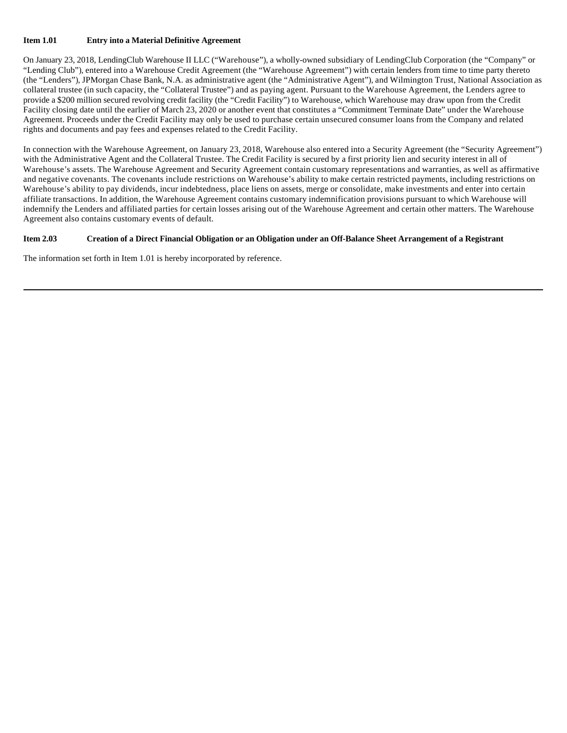# **Item 1.01 Entry into a Material Definitive Agreement**

On January 23, 2018, LendingClub Warehouse II LLC ("Warehouse"), a wholly-owned subsidiary of LendingClub Corporation (the "Company" or "Lending Club"), entered into a Warehouse Credit Agreement (the "Warehouse Agreement") with certain lenders from time to time party thereto (the "Lenders"), JPMorgan Chase Bank, N.A. as administrative agent (the "Administrative Agent"), and Wilmington Trust, National Association as collateral trustee (in such capacity, the "Collateral Trustee") and as paying agent. Pursuant to the Warehouse Agreement, the Lenders agree to provide a \$200 million secured revolving credit facility (the "Credit Facility") to Warehouse, which Warehouse may draw upon from the Credit Facility closing date until the earlier of March 23, 2020 or another event that constitutes a "Commitment Terminate Date" under the Warehouse Agreement. Proceeds under the Credit Facility may only be used to purchase certain unsecured consumer loans from the Company and related rights and documents and pay fees and expenses related to the Credit Facility.

In connection with the Warehouse Agreement, on January 23, 2018, Warehouse also entered into a Security Agreement (the "Security Agreement") with the Administrative Agent and the Collateral Trustee. The Credit Facility is secured by a first priority lien and security interest in all of Warehouse's assets. The Warehouse Agreement and Security Agreement contain customary representations and warranties, as well as affirmative and negative covenants. The covenants include restrictions on Warehouse's ability to make certain restricted payments, including restrictions on Warehouse's ability to pay dividends, incur indebtedness, place liens on assets, merge or consolidate, make investments and enter into certain affiliate transactions. In addition, the Warehouse Agreement contains customary indemnification provisions pursuant to which Warehouse will indemnify the Lenders and affiliated parties for certain losses arising out of the Warehouse Agreement and certain other matters. The Warehouse Agreement also contains customary events of default.

# **Item 2.03 Creation of a Direct Financial Obligation or an Obligation under an Off-Balance Sheet Arrangement of a Registrant**

The information set forth in Item 1.01 is hereby incorporated by reference.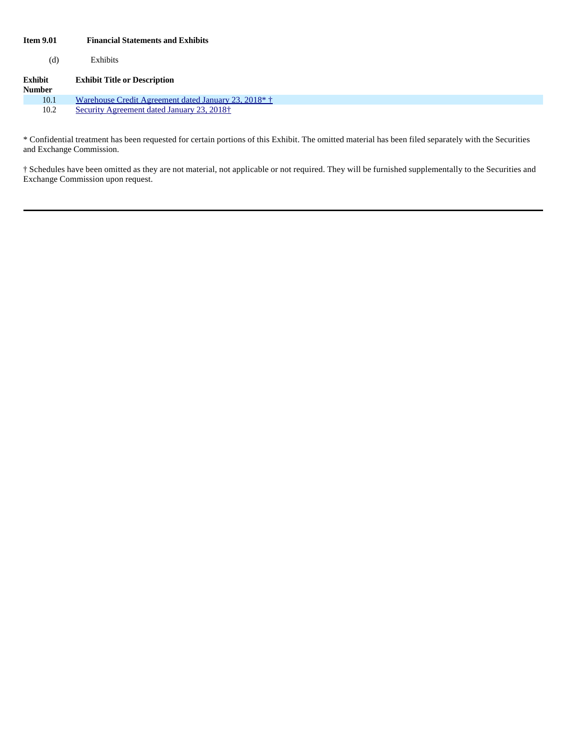# **Item 9.01 Financial Statements and Exhibits**

(d) Exhibits

| <b>Exhibit</b><br><b>Number</b> | <b>Exhibit Title or Description</b>                              |
|---------------------------------|------------------------------------------------------------------|
| 10.1                            | Warehouse Credit Agreement dated January 23, 2018 <sup>*</sup> † |
| 10.2                            | Security Agreement dated January 23, 2018 <sup>+</sup>           |

\* Confidential treatment has been requested for certain portions of this Exhibit. The omitted material has been filed separately with the Securities and Exchange Commission.

† Schedules have been omitted as they are not material, not applicable or not required. They will be furnished supplementally to the Securities and Exchange Commission upon request.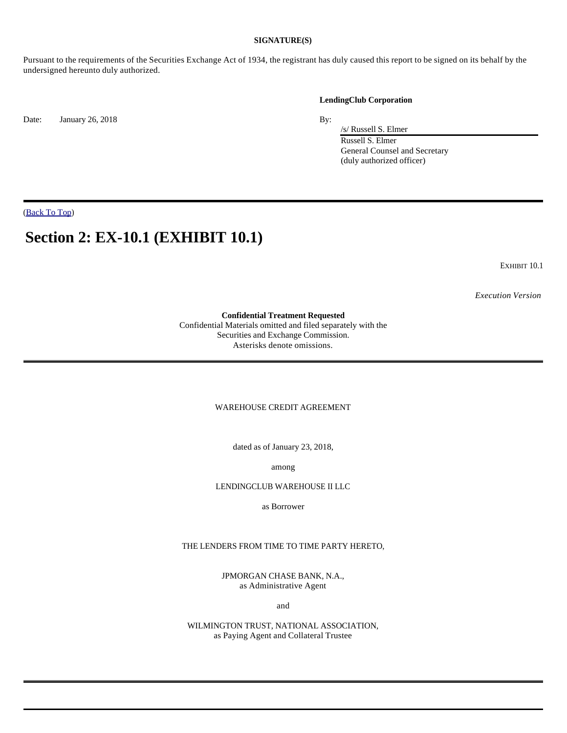# **SIGNATURE(S)**

Pursuant to the requirements of the Securities Exchange Act of 1934, the registrant has duly caused this report to be signed on its behalf by the undersigned hereunto duly authorized.

Date: January 26, 2018 By:

#### **LendingClub Corporation**

/s/ Russell S. Elmer Russell S. Elmer General Counsel and Secretary (duly authorized officer)

(Back To Top)

# **Section 2: EX-10.1 (EXHIBIT 10.1)**

EXHIBIT 10.1

*Execution Version*

# **Confidential Treatment Requested**

Confidential Materials omitted and filed separately with the Securities and Exchange Commission. Asterisks denote omissions.

WAREHOUSE CREDIT AGREEMENT

dated as of January 23, 2018,

among

LENDINGCLUB WAREHOUSE II LLC

as Borrower

THE LENDERS FROM TIME TO TIME PARTY HERETO,

JPMORGAN CHASE BANK, N.A., as Administrative Agent

and

WILMINGTON TRUST, NATIONAL ASSOCIATION, as Paying Agent and Collateral Trustee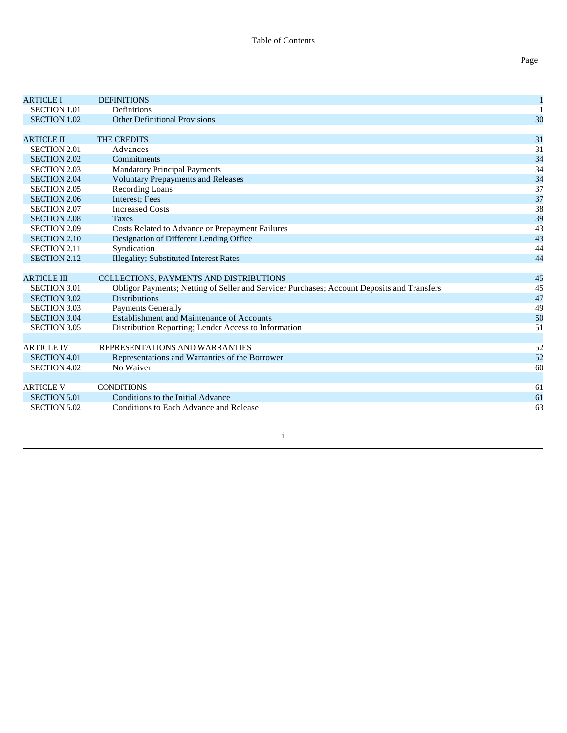| <b>ARTICLE I</b>    | <b>DEFINITIONS</b>                                                                         | 1  |
|---------------------|--------------------------------------------------------------------------------------------|----|
| <b>SECTION 1.01</b> | Definitions                                                                                |    |
| <b>SECTION 1.02</b> | <b>Other Definitional Provisions</b>                                                       | 30 |
|                     |                                                                                            |    |
| <b>ARTICLE II</b>   | <b>THE CREDITS</b>                                                                         | 31 |
| <b>SECTION 2.01</b> | Advances                                                                                   | 31 |
| <b>SECTION 2.02</b> | Commitments                                                                                | 34 |
| <b>SECTION 2.03</b> | <b>Mandatory Principal Payments</b>                                                        | 34 |
| <b>SECTION 2.04</b> | <b>Voluntary Prepayments and Releases</b>                                                  | 34 |
| <b>SECTION 2.05</b> | Recording Loans                                                                            | 37 |
| <b>SECTION 2.06</b> | Interest; Fees                                                                             | 37 |
| <b>SECTION 2.07</b> | <b>Increased Costs</b>                                                                     | 38 |
| <b>SECTION 2.08</b> | <b>Taxes</b>                                                                               | 39 |
| <b>SECTION 2.09</b> | Costs Related to Advance or Prepayment Failures                                            | 43 |
| <b>SECTION 2.10</b> | Designation of Different Lending Office                                                    | 43 |
| <b>SECTION 2.11</b> | Syndication                                                                                | 44 |
| <b>SECTION 2.12</b> | <b>Illegality; Substituted Interest Rates</b>                                              | 44 |
|                     |                                                                                            |    |
| <b>ARTICLE III</b>  | <b>COLLECTIONS, PAYMENTS AND DISTRIBUTIONS</b>                                             | 45 |
| <b>SECTION 3.01</b> | Obligor Payments; Netting of Seller and Servicer Purchases; Account Deposits and Transfers | 45 |
| <b>SECTION 3.02</b> | <b>Distributions</b>                                                                       | 47 |
| <b>SECTION 3.03</b> | <b>Payments Generally</b>                                                                  | 49 |
| <b>SECTION 3.04</b> | Establishment and Maintenance of Accounts                                                  | 50 |
| <b>SECTION 3.05</b> | Distribution Reporting; Lender Access to Information                                       | 51 |
|                     |                                                                                            |    |
| <b>ARTICLE IV</b>   | REPRESENTATIONS AND WARRANTIES                                                             | 52 |
| <b>SECTION 4.01</b> | Representations and Warranties of the Borrower                                             | 52 |
| <b>SECTION 4.02</b> | No Waiver                                                                                  | 60 |
|                     |                                                                                            |    |
| <b>ARTICLE V</b>    | <b>CONDITIONS</b>                                                                          | 61 |
| <b>SECTION 5.01</b> | Conditions to the Initial Advance                                                          | 61 |
| <b>SECTION 5.02</b> | Conditions to Each Advance and Release                                                     | 63 |
|                     |                                                                                            |    |

Page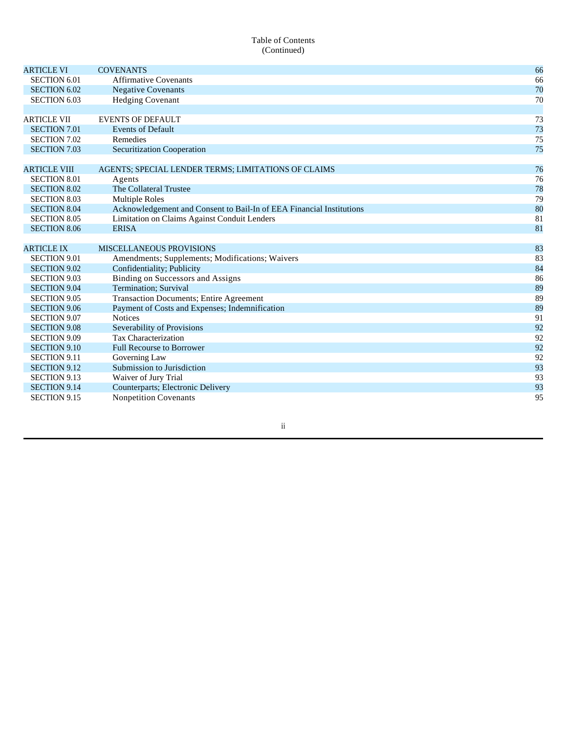# Table of Contents (Continued)

| <b>ARTICLE VI</b>   | <b>COVENANTS</b>                                                     | 66 |
|---------------------|----------------------------------------------------------------------|----|
| <b>SECTION 6.01</b> | <b>Affirmative Covenants</b>                                         | 66 |
| <b>SECTION 6.02</b> | <b>Negative Covenants</b>                                            | 70 |
| <b>SECTION 6.03</b> | <b>Hedging Covenant</b>                                              | 70 |
|                     |                                                                      |    |
| <b>ARTICLE VII</b>  | <b>EVENTS OF DEFAULT</b>                                             | 73 |
| <b>SECTION 7.01</b> | <b>Events of Default</b>                                             | 73 |
| <b>SECTION 7.02</b> | Remedies                                                             | 75 |
| <b>SECTION 7.03</b> | <b>Securitization Cooperation</b>                                    | 75 |
|                     |                                                                      |    |
| <b>ARTICLE VIII</b> | AGENTS; SPECIAL LENDER TERMS; LIMITATIONS OF CLAIMS                  | 76 |
| <b>SECTION 8.01</b> | Agents                                                               | 76 |
| <b>SECTION 8.02</b> | The Collateral Trustee                                               | 78 |
| <b>SECTION 8.03</b> | <b>Multiple Roles</b>                                                | 79 |
| <b>SECTION 8.04</b> | Acknowledgement and Consent to Bail-In of EEA Financial Institutions | 80 |
| <b>SECTION 8.05</b> | Limitation on Claims Against Conduit Lenders                         | 81 |
| <b>SECTION 8.06</b> | <b>ERISA</b>                                                         | 81 |
|                     |                                                                      |    |
| <b>ARTICLE IX</b>   | <b>MISCELLANEOUS PROVISIONS</b>                                      | 83 |
| <b>SECTION 9.01</b> | Amendments; Supplements; Modifications; Waivers                      | 83 |
| <b>SECTION 9.02</b> | Confidentiality; Publicity                                           | 84 |
| <b>SECTION 9.03</b> | <b>Binding on Successors and Assigns</b>                             | 86 |
| <b>SECTION 9.04</b> | Termination; Survival                                                | 89 |
| <b>SECTION 9.05</b> | <b>Transaction Documents; Entire Agreement</b>                       | 89 |
| <b>SECTION 9.06</b> | Payment of Costs and Expenses; Indemnification                       | 89 |
| <b>SECTION 9.07</b> | <b>Notices</b>                                                       | 91 |
| <b>SECTION 9.08</b> | Severability of Provisions                                           | 92 |
| <b>SECTION 9.09</b> | <b>Tax Characterization</b>                                          | 92 |
| <b>SECTION 9.10</b> | <b>Full Recourse to Borrower</b>                                     | 92 |
| <b>SECTION 9.11</b> | Governing Law                                                        | 92 |
| <b>SECTION 9.12</b> | Submission to Jurisdiction                                           | 93 |
| <b>SECTION 9.13</b> | Waiver of Jury Trial                                                 | 93 |
| <b>SECTION 9.14</b> | Counterparts; Electronic Delivery                                    | 93 |
| <b>SECTION 9.15</b> | <b>Nonpetition Covenants</b>                                         | 95 |
|                     |                                                                      |    |

# ii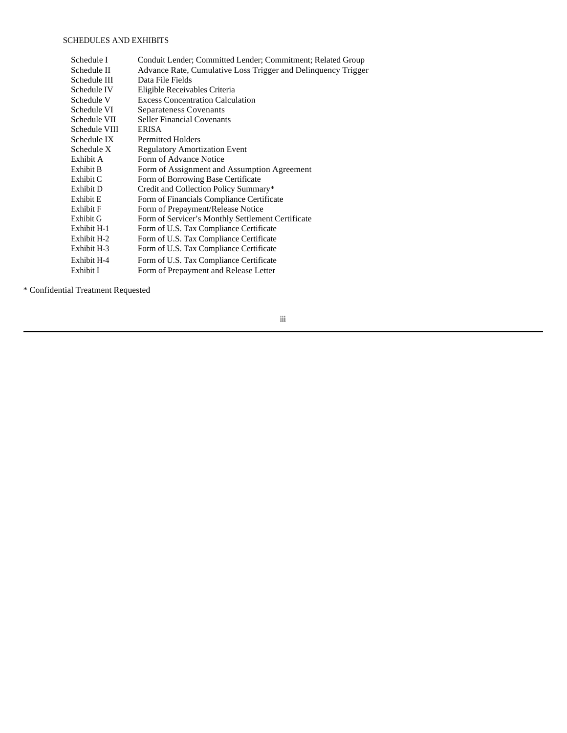# SCHEDULES AND EXHIBITS

| Schedule I    | Conduit Lender; Committed Lender; Commitment; Related Group   |
|---------------|---------------------------------------------------------------|
| Schedule II   | Advance Rate, Cumulative Loss Trigger and Delinquency Trigger |
| Schedule III  | Data File Fields                                              |
| Schedule IV   | Eligible Receivables Criteria                                 |
| Schedule V    | <b>Excess Concentration Calculation</b>                       |
| Schedule VI   | Separateness Covenants                                        |
| Schedule VII  | <b>Seller Financial Covenants</b>                             |
| Schedule VIII | <b>ERISA</b>                                                  |
| Schedule IX   | <b>Permitted Holders</b>                                      |
| Schedule X    | <b>Regulatory Amortization Event</b>                          |
| Exhibit A     | Form of Advance Notice                                        |
| Exhibit B     | Form of Assignment and Assumption Agreement                   |
| Exhibit C     | Form of Borrowing Base Certificate                            |
| Exhibit D     | Credit and Collection Policy Summary*                         |
| Exhibit E     | Form of Financials Compliance Certificate                     |
| Exhibit F     | Form of Prepayment/Release Notice                             |
| Exhibit G     | Form of Servicer's Monthly Settlement Certificate             |
| Exhibit H-1   | Form of U.S. Tax Compliance Certificate                       |
| Exhibit H-2   | Form of U.S. Tax Compliance Certificate                       |
| Exhibit H-3   | Form of U.S. Tax Compliance Certificate                       |
| Exhibit H-4   | Form of U.S. Tax Compliance Certificate                       |
| Exhibit I     | Form of Prepayment and Release Letter                         |

\* Confidential Treatment Requested

iii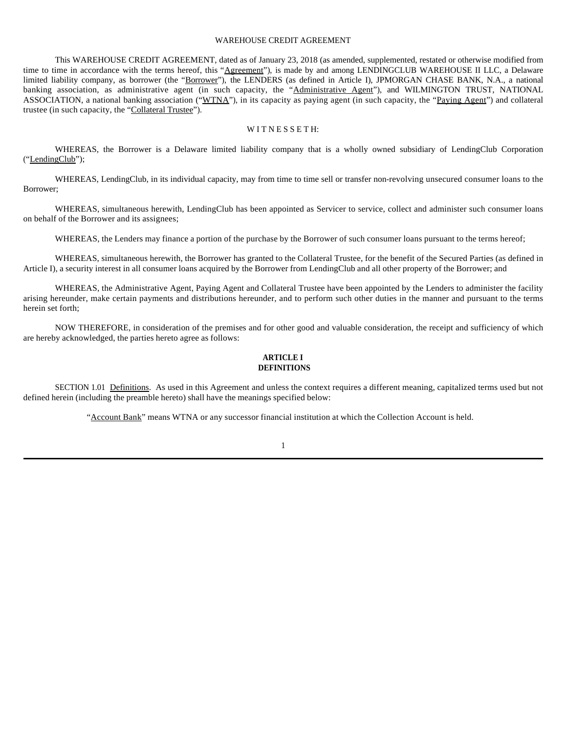### WAREHOUSE CREDIT AGREEMENT

This WAREHOUSE CREDIT AGREEMENT, dated as of January 23, 2018 (as amended, supplemented, restated or otherwise modified from time to time in accordance with the terms hereof, this "Agreement"), is made by and among LENDINGCLUB WAREHOUSE II LLC, a Delaware limited liability company, as borrower (the "Borrower"), the LENDERS (as defined in Article I), JPMORGAN CHASE BANK, N.A., a national banking association, as administrative agent (in such capacity, the "Administrative Agent"), and WILMINGTON TRUST, NATIONAL ASSOCIATION, a national banking association ("WTNA"), in its capacity as paying agent (in such capacity, the "Paying Agent") and collateral trustee (in such capacity, the "Collateral Trustee").

#### WITNESSETH:

WHEREAS, the Borrower is a Delaware limited liability company that is a wholly owned subsidiary of LendingClub Corporation ("LendingClub");

WHEREAS, LendingClub, in its individual capacity, may from time to time sell or transfer non-revolving unsecured consumer loans to the Borrower;

WHEREAS, simultaneous herewith, LendingClub has been appointed as Servicer to service, collect and administer such consumer loans on behalf of the Borrower and its assignees;

WHEREAS, the Lenders may finance a portion of the purchase by the Borrower of such consumer loans pursuant to the terms hereof;

WHEREAS, simultaneous herewith, the Borrower has granted to the Collateral Trustee, for the benefit of the Secured Parties (as defined in Article I), a security interest in all consumer loans acquired by the Borrower from LendingClub and all other property of the Borrower; and

WHEREAS, the Administrative Agent, Paying Agent and Collateral Trustee have been appointed by the Lenders to administer the facility arising hereunder, make certain payments and distributions hereunder, and to perform such other duties in the manner and pursuant to the terms herein set forth;

NOW THEREFORE, in consideration of the premises and for other good and valuable consideration, the receipt and sufficiency of which are hereby acknowledged, the parties hereto agree as follows:

# **ARTICLE I DEFINITIONS**

SECTION 1.01 Definitions. As used in this Agreement and unless the context requires a different meaning, capitalized terms used but not defined herein (including the preamble hereto) shall have the meanings specified below:

"Account Bank" means WTNA or any successor financial institution at which the Collection Account is held.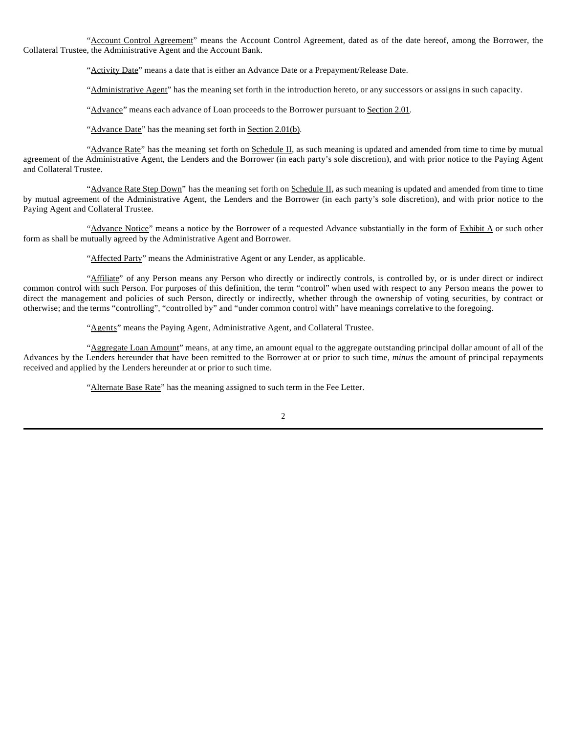"Account Control Agreement" means the Account Control Agreement, dated as of the date hereof, among the Borrower, the Collateral Trustee, the Administrative Agent and the Account Bank.

"Activity Date" means a date that is either an Advance Date or a Prepayment/Release Date.

"Administrative Agent" has the meaning set forth in the introduction hereto, or any successors or assigns in such capacity.

"Advance" means each advance of Loan proceeds to the Borrower pursuant to Section 2.01.

"Advance Date" has the meaning set forth in Section 2.01(b).

"Advance Rate" has the meaning set forth on Schedule II, as such meaning is updated and amended from time to time by mutual agreement of the Administrative Agent, the Lenders and the Borrower (in each party's sole discretion), and with prior notice to the Paying Agent and Collateral Trustee.

"Advance Rate Step Down" has the meaning set forth on Schedule II, as such meaning is updated and amended from time to time by mutual agreement of the Administrative Agent, the Lenders and the Borrower (in each party's sole discretion), and with prior notice to the Paying Agent and Collateral Trustee.

"Advance Notice" means a notice by the Borrower of a requested Advance substantially in the form of Exhibit A or such other form as shall be mutually agreed by the Administrative Agent and Borrower.

"Affected Party" means the Administrative Agent or any Lender, as applicable.

"Affiliate" of any Person means any Person who directly or indirectly controls, is controlled by, or is under direct or indirect common control with such Person. For purposes of this definition, the term "control" when used with respect to any Person means the power to direct the management and policies of such Person, directly or indirectly, whether through the ownership of voting securities, by contract or otherwise; and the terms "controlling", "controlled by" and "under common control with" have meanings correlative to the foregoing.

"Agents" means the Paying Agent, Administrative Agent, and Collateral Trustee.

"Aggregate Loan Amount" means, at any time, an amount equal to the aggregate outstanding principal dollar amount of all of the Advances by the Lenders hereunder that have been remitted to the Borrower at or prior to such time, *minus* the amount of principal repayments received and applied by the Lenders hereunder at or prior to such time.

"Alternate Base Rate" has the meaning assigned to such term in the Fee Letter.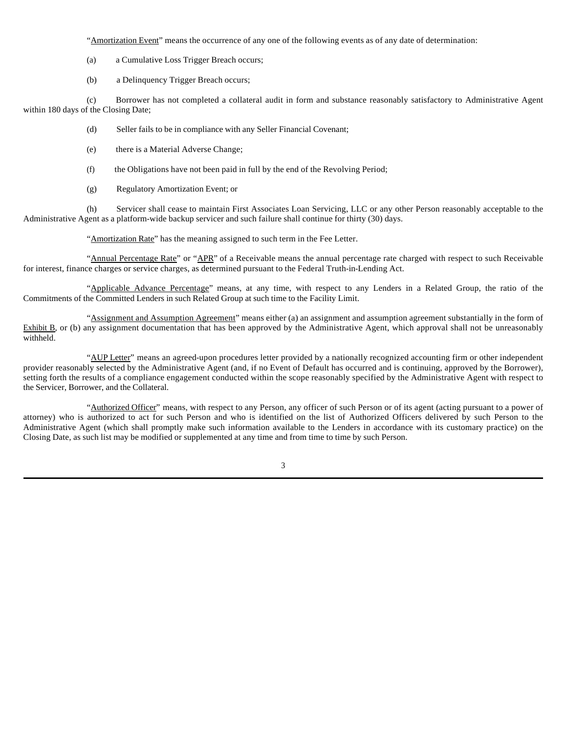"Amortization Event" means the occurrence of any one of the following events as of any date of determination:

- (a) a Cumulative Loss Trigger Breach occurs;
- (b) a Delinquency Trigger Breach occurs;

(c) Borrower has not completed a collateral audit in form and substance reasonably satisfactory to Administrative Agent within 180 days of the Closing Date;

- (d) Seller fails to be in compliance with any Seller Financial Covenant;
- (e) there is a Material Adverse Change;
- (f) the Obligations have not been paid in full by the end of the Revolving Period;
- (g) Regulatory Amortization Event; or

(h) Servicer shall cease to maintain First Associates Loan Servicing, LLC or any other Person reasonably acceptable to the Administrative Agent as a platform-wide backup servicer and such failure shall continue for thirty (30) days.

"Amortization Rate" has the meaning assigned to such term in the Fee Letter.

"Annual Percentage Rate" or "APR" of a Receivable means the annual percentage rate charged with respect to such Receivable for interest, finance charges or service charges, as determined pursuant to the Federal Truth-in-Lending Act.

"Applicable Advance Percentage" means, at any time, with respect to any Lenders in a Related Group, the ratio of the Commitments of the Committed Lenders in such Related Group at such time to the Facility Limit.

"Assignment and Assumption Agreement" means either (a) an assignment and assumption agreement substantially in the form of Exhibit B, or (b) any assignment documentation that has been approved by the Administrative Agent, which approval shall not be unreasonably withheld.

"AUP Letter" means an agreed-upon procedures letter provided by a nationally recognized accounting firm or other independent provider reasonably selected by the Administrative Agent (and, if no Event of Default has occurred and is continuing, approved by the Borrower), setting forth the results of a compliance engagement conducted within the scope reasonably specified by the Administrative Agent with respect to the Servicer, Borrower, and the Collateral.

"Authorized Officer" means, with respect to any Person, any officer of such Person or of its agent (acting pursuant to a power of attorney) who is authorized to act for such Person and who is identified on the list of Authorized Officers delivered by such Person to the Administrative Agent (which shall promptly make such information available to the Lenders in accordance with its customary practice) on the Closing Date, as such list may be modified or supplemented at any time and from time to time by such Person.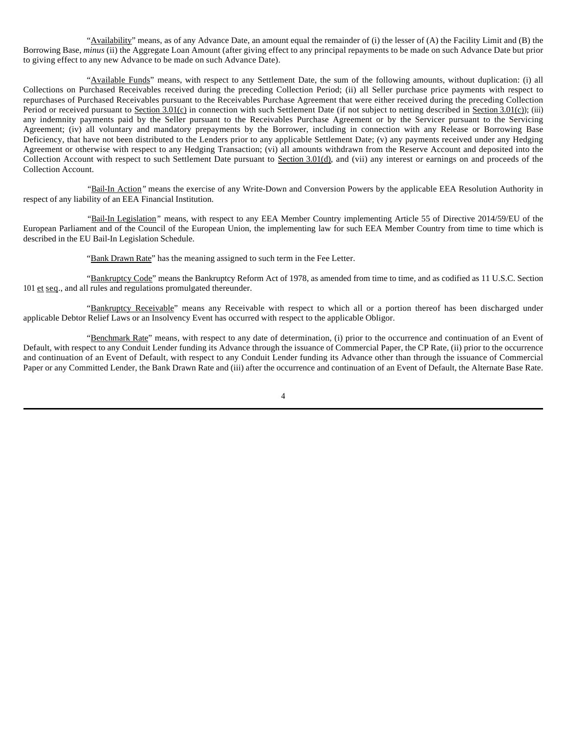"Availability" means, as of any Advance Date, an amount equal the remainder of (i) the lesser of (A) the Facility Limit and (B) the Borrowing Base, *minus* (ii) the Aggregate Loan Amount (after giving effect to any principal repayments to be made on such Advance Date but prior to giving effect to any new Advance to be made on such Advance Date).

"Available Funds" means, with respect to any Settlement Date, the sum of the following amounts, without duplication: (i) all Collections on Purchased Receivables received during the preceding Collection Period; (ii) all Seller purchase price payments with respect to repurchases of Purchased Receivables pursuant to the Receivables Purchase Agreement that were either received during the preceding Collection Period or received pursuant to Section 3.01(c) in connection with such Settlement Date (if not subject to netting described in Section 3.01(c)); (iii) any indemnity payments paid by the Seller pursuant to the Receivables Purchase Agreement or by the Servicer pursuant to the Servicing Agreement; (iv) all voluntary and mandatory prepayments by the Borrower, including in connection with any Release or Borrowing Base Deficiency, that have not been distributed to the Lenders prior to any applicable Settlement Date; (v) any payments received under any Hedging Agreement or otherwise with respect to any Hedging Transaction; (vi) all amounts withdrawn from the Reserve Account and deposited into the Collection Account with respect to such Settlement Date pursuant to Section 3.01(d), and (vii) any interest or earnings on and proceeds of the Collection Account.

*"*Bail-In Action*"* means the exercise of any Write-Down and Conversion Powers by the applicable EEA Resolution Authority in respect of any liability of an EEA Financial Institution.

*"*Bail-In Legislation*"* means, with respect to any EEA Member Country implementing Article 55 of Directive 2014/59/EU of the European Parliament and of the Council of the European Union, the implementing law for such EEA Member Country from time to time which is described in the EU Bail-In Legislation Schedule.

"Bank Drawn Rate" has the meaning assigned to such term in the Fee Letter.

"Bankruptcy Code" means the Bankruptcy Reform Act of 1978, as amended from time to time, and as codified as 11 U.S.C. Section 101 et seq., and all rules and regulations promulgated thereunder.

"Bankruptcy Receivable" means any Receivable with respect to which all or a portion thereof has been discharged under applicable Debtor Relief Laws or an Insolvency Event has occurred with respect to the applicable Obligor.

"Benchmark Rate" means, with respect to any date of determination, (i) prior to the occurrence and continuation of an Event of Default, with respect to any Conduit Lender funding its Advance through the issuance of Commercial Paper, the CP Rate, (ii) prior to the occurrence and continuation of an Event of Default, with respect to any Conduit Lender funding its Advance other than through the issuance of Commercial Paper or any Committed Lender, the Bank Drawn Rate and (iii) after the occurrence and continuation of an Event of Default, the Alternate Base Rate.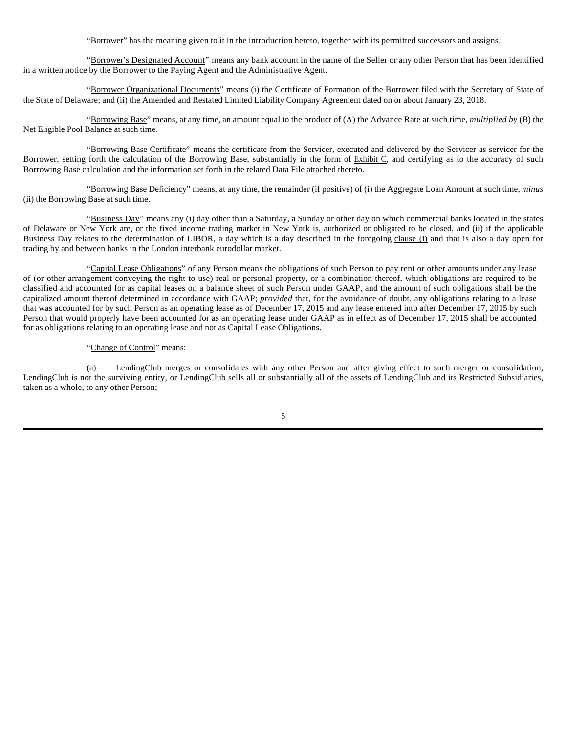"Borrower" has the meaning given to it in the introduction hereto, together with its permitted successors and assigns.

"Borrower's Designated Account" means any bank account in the name of the Seller or any other Person that has been identified in a written notice by the Borrower to the Paying Agent and the Administrative Agent.

"Borrower Organizational Documents" means (i) the Certificate of Formation of the Borrower filed with the Secretary of State of the State of Delaware; and (ii) the Amended and Restated Limited Liability Company Agreement dated on or about January 23, 2018.

"Borrowing Base" means, at any time, an amount equal to the product of (A) the Advance Rate at such time, *multiplied by* (B) the Net Eligible Pool Balance at such time.

"Borrowing Base Certificate" means the certificate from the Servicer, executed and delivered by the Servicer as servicer for the Borrower, setting forth the calculation of the Borrowing Base, substantially in the form of Exhibit C, and certifying as to the accuracy of such Borrowing Base calculation and the information set forth in the related Data File attached thereto.

"Borrowing Base Deficiency" means, at any time, the remainder (if positive) of (i) the Aggregate Loan Amount at such time, *minus* (ii) the Borrowing Base at such time.

"Business Day" means any (i) day other than a Saturday, a Sunday or other day on which commercial banks located in the states of Delaware or New York are, or the fixed income trading market in New York is, authorized or obligated to be closed, and (ii) if the applicable Business Day relates to the determination of LIBOR, a day which is a day described in the foregoing clause (i) and that is also a day open for trading by and between banks in the London interbank eurodollar market.

"Capital Lease Obligations" of any Person means the obligations of such Person to pay rent or other amounts under any lease of (or other arrangement conveying the right to use) real or personal property, or a combination thereof, which obligations are required to be classified and accounted for as capital leases on a balance sheet of such Person under GAAP, and the amount of such obligations shall be the capitalized amount thereof determined in accordance with GAAP; *provided* that, for the avoidance of doubt, any obligations relating to a lease that was accounted for by such Person as an operating lease as of December 17, 2015 and any lease entered into after December 17, 2015 by such Person that would properly have been accounted for as an operating lease under GAAP as in effect as of December 17, 2015 shall be accounted for as obligations relating to an operating lease and not as Capital Lease Obligations.

# "Change of Control" means:

(a) LendingClub merges or consolidates with any other Person and after giving effect to such merger or consolidation, LendingClub is not the surviving entity, or LendingClub sells all or substantially all of the assets of LendingClub and its Restricted Subsidiaries, taken as a whole, to any other Person;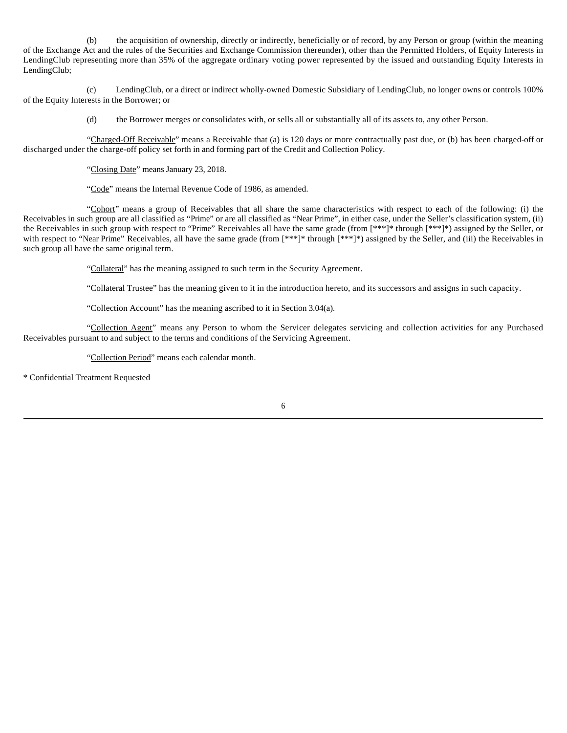(b) the acquisition of ownership, directly or indirectly, beneficially or of record, by any Person or group (within the meaning of the Exchange Act and the rules of the Securities and Exchange Commission thereunder), other than the Permitted Holders, of Equity Interests in LendingClub representing more than 35% of the aggregate ordinary voting power represented by the issued and outstanding Equity Interests in LendingClub;

(c) LendingClub, or a direct or indirect wholly-owned Domestic Subsidiary of LendingClub, no longer owns or controls 100% of the Equity Interests in the Borrower; or

(d) the Borrower merges or consolidates with, or sells all or substantially all of its assets to, any other Person.

"Charged-Off Receivable" means a Receivable that (a) is 120 days or more contractually past due, or (b) has been charged-off or discharged under the charge-off policy set forth in and forming part of the Credit and Collection Policy.

"Closing Date" means January 23, 2018.

"Code" means the Internal Revenue Code of 1986, as amended.

"Cohort" means a group of Receivables that all share the same characteristics with respect to each of the following: (i) the Receivables in such group are all classified as "Prime" or are all classified as "Near Prime", in either case, under the Seller's classification system, (ii) the Receivables in such group with respect to "Prime" Receivables all have the same grade (from [\*\*\*]\* through [\*\*\*]\*) assigned by the Seller, or with respect to "Near Prime" Receivables, all have the same grade (from [\*\*\*]\* through [\*\*\*]\*) assigned by the Seller, and (iii) the Receivables in such group all have the same original term.

"Collateral" has the meaning assigned to such term in the Security Agreement.

"Collateral Trustee" has the meaning given to it in the introduction hereto, and its successors and assigns in such capacity.

"Collection Account" has the meaning ascribed to it in Section 3.04(a).

"Collection Agent" means any Person to whom the Servicer delegates servicing and collection activities for any Purchased Receivables pursuant to and subject to the terms and conditions of the Servicing Agreement.

"Collection Period" means each calendar month.

\* Confidential Treatment Requested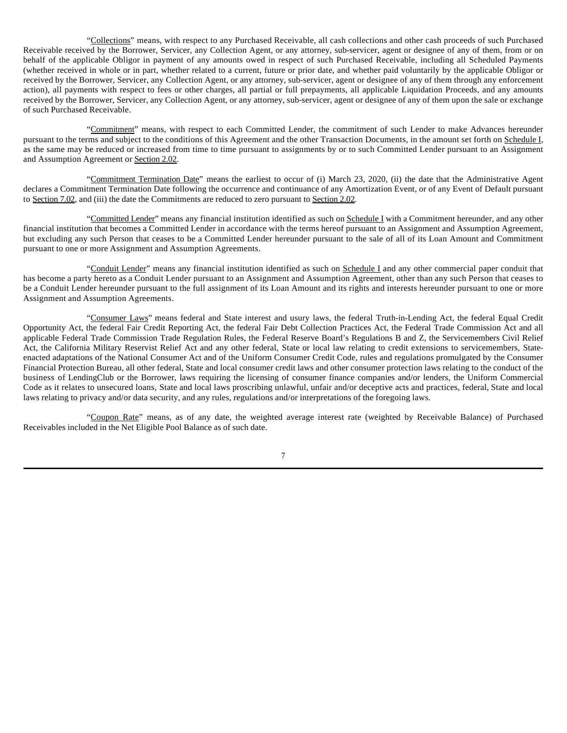"Collections" means, with respect to any Purchased Receivable, all cash collections and other cash proceeds of such Purchased Receivable received by the Borrower, Servicer, any Collection Agent, or any attorney, sub-servicer, agent or designee of any of them, from or on behalf of the applicable Obligor in payment of any amounts owed in respect of such Purchased Receivable, including all Scheduled Payments (whether received in whole or in part, whether related to a current, future or prior date, and whether paid voluntarily by the applicable Obligor or received by the Borrower, Servicer, any Collection Agent, or any attorney, sub-servicer, agent or designee of any of them through any enforcement action), all payments with respect to fees or other charges, all partial or full prepayments, all applicable Liquidation Proceeds, and any amounts received by the Borrower, Servicer, any Collection Agent, or any attorney, sub-servicer, agent or designee of any of them upon the sale or exchange of such Purchased Receivable.

"Commitment" means, with respect to each Committed Lender, the commitment of such Lender to make Advances hereunder pursuant to the terms and subject to the conditions of this Agreement and the other Transaction Documents, in the amount set forth on Schedule I, as the same may be reduced or increased from time to time pursuant to assignments by or to such Committed Lender pursuant to an Assignment and Assumption Agreement or Section 2.02.

"Commitment Termination Date" means the earliest to occur of (i) March 23, 2020, (ii) the date that the Administrative Agent declares a Commitment Termination Date following the occurrence and continuance of any Amortization Event, or of any Event of Default pursuant to Section 7.02, and (iii) the date the Commitments are reduced to zero pursuant to Section 2.02.

"Committed Lender" means any financial institution identified as such on Schedule I with a Commitment hereunder, and any other financial institution that becomes a Committed Lender in accordance with the terms hereof pursuant to an Assignment and Assumption Agreement, but excluding any such Person that ceases to be a Committed Lender hereunder pursuant to the sale of all of its Loan Amount and Commitment pursuant to one or more Assignment and Assumption Agreements.

"Conduit Lender" means any financial institution identified as such on Schedule I and any other commercial paper conduit that has become a party hereto as a Conduit Lender pursuant to an Assignment and Assumption Agreement, other than any such Person that ceases to be a Conduit Lender hereunder pursuant to the full assignment of its Loan Amount and its rights and interests hereunder pursuant to one or more Assignment and Assumption Agreements.

"Consumer Laws" means federal and State interest and usury laws, the federal Truth-in-Lending Act, the federal Equal Credit Opportunity Act, the federal Fair Credit Reporting Act, the federal Fair Debt Collection Practices Act, the Federal Trade Commission Act and all applicable Federal Trade Commission Trade Regulation Rules, the Federal Reserve Board's Regulations B and Z, the Servicemembers Civil Relief Act, the California Military Reservist Relief Act and any other federal, State or local law relating to credit extensions to servicemembers, Stateenacted adaptations of the National Consumer Act and of the Uniform Consumer Credit Code, rules and regulations promulgated by the Consumer Financial Protection Bureau, all other federal, State and local consumer credit laws and other consumer protection laws relating to the conduct of the business of LendingClub or the Borrower, laws requiring the licensing of consumer finance companies and/or lenders, the Uniform Commercial Code as it relates to unsecured loans, State and local laws proscribing unlawful, unfair and/or deceptive acts and practices, federal, State and local laws relating to privacy and/or data security, and any rules, regulations and/or interpretations of the foregoing laws.

"Coupon Rate" means, as of any date, the weighted average interest rate (weighted by Receivable Balance) of Purchased Receivables included in the Net Eligible Pool Balance as of such date.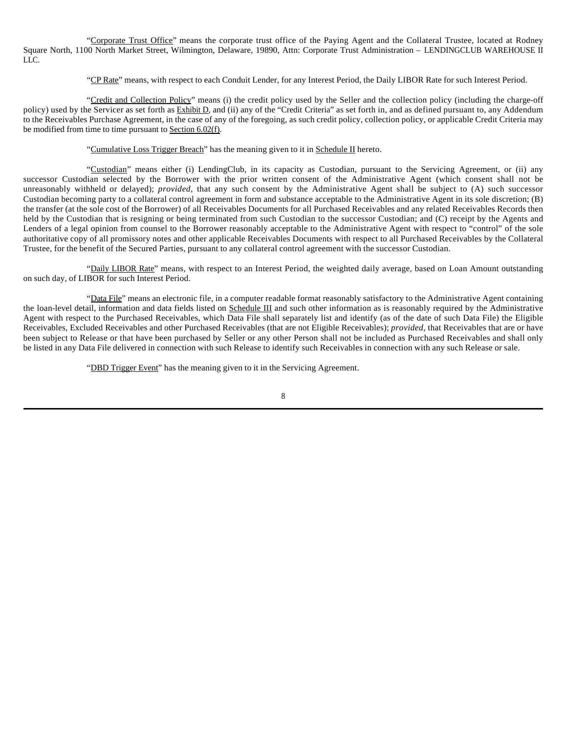"Corporate Trust Office" means the corporate trust office of the Paying Agent and the Collateral Trustee, located at Rodney Square North, 1100 North Market Street, Wilmington, Delaware, 19890, Attn: Corporate Trust Administration – LENDINGCLUB WAREHOUSE II LLC.

"CP Rate" means, with respect to each Conduit Lender, for any Interest Period, the Daily LIBOR Rate for such Interest Period.

"Credit and Collection Policy" means (i) the credit policy used by the Seller and the collection policy (including the charge-off policy) used by the Servicer as set forth as Exhibit D, and (ii) any of the "Credit Criteria" as set forth in, and as defined pursuant to, any Addendum to the Receivables Purchase Agreement, in the case of any of the foregoing, as such credit policy, collection policy, or applicable Credit Criteria may be modified from time to time pursuant to Section 6.02(f).

"Cumulative Loss Trigger Breach" has the meaning given to it in Schedule II hereto.

"Custodian" means either (i) LendingClub, in its capacity as Custodian, pursuant to the Servicing Agreement, or (ii) any successor Custodian selected by the Borrower with the prior written consent of the Administrative Agent (which consent shall not be unreasonably withheld or delayed); *provided*, that any such consent by the Administrative Agent shall be subject to (A) such successor Custodian becoming party to a collateral control agreement in form and substance acceptable to the Administrative Agent in its sole discretion; (B) the transfer (at the sole cost of the Borrower) of all Receivables Documents for all Purchased Receivables and any related Receivables Records then held by the Custodian that is resigning or being terminated from such Custodian to the successor Custodian; and (C) receipt by the Agents and Lenders of a legal opinion from counsel to the Borrower reasonably acceptable to the Administrative Agent with respect to "control" of the sole authoritative copy of all promissory notes and other applicable Receivables Documents with respect to all Purchased Receivables by the Collateral Trustee, for the benefit of the Secured Parties, pursuant to any collateral control agreement with the successor Custodian.

"Daily LIBOR Rate" means, with respect to an Interest Period, the weighted daily average, based on Loan Amount outstanding on such day, of LIBOR for such Interest Period.

"Data File" means an electronic file, in a computer readable format reasonably satisfactory to the Administrative Agent containing the loan-level detail, information and data fields listed on Schedule III and such other information as is reasonably required by the Administrative Agent with respect to the Purchased Receivables, which Data File shall separately list and identify (as of the date of such Data File) the Eligible Receivables, Excluded Receivables and other Purchased Receivables (that are not Eligible Receivables); *provided*, that Receivables that are or have been subject to Release or that have been purchased by Seller or any other Person shall not be included as Purchased Receivables and shall only be listed in any Data File delivered in connection with such Release to identify such Receivables in connection with any such Release or sale.

"DBD Trigger Event" has the meaning given to it in the Servicing Agreement.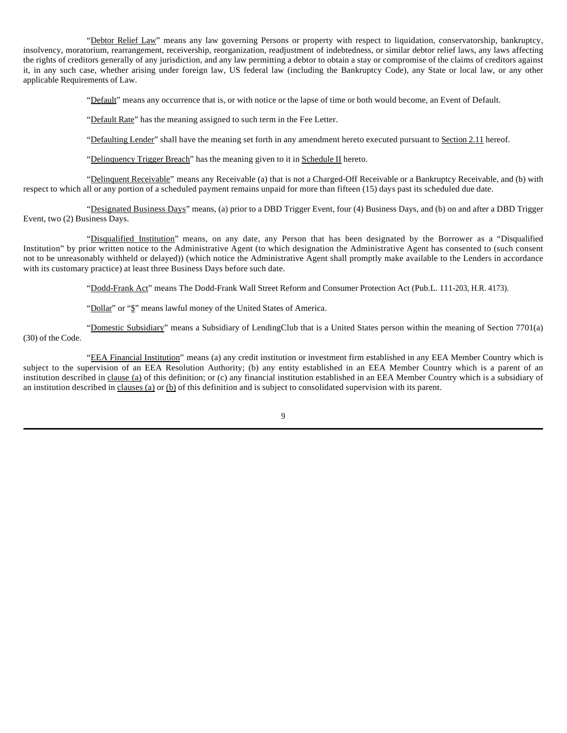"Debtor Relief Law" means any law governing Persons or property with respect to liquidation, conservatorship, bankruptcy, insolvency, moratorium, rearrangement, receivership, reorganization, readjustment of indebtedness, or similar debtor relief laws, any laws affecting the rights of creditors generally of any jurisdiction, and any law permitting a debtor to obtain a stay or compromise of the claims of creditors against it, in any such case, whether arising under foreign law, US federal law (including the Bankruptcy Code), any State or local law, or any other applicable Requirements of Law.

"Default" means any occurrence that is, or with notice or the lapse of time or both would become, an Event of Default.

"Default Rate" has the meaning assigned to such term in the Fee Letter.

"Defaulting Lender" shall have the meaning set forth in any amendment hereto executed pursuant to Section 2.11 hereof.

"Delinquency Trigger Breach" has the meaning given to it in Schedule II hereto.

"Delinquent Receivable" means any Receivable (a) that is not a Charged-Off Receivable or a Bankruptcy Receivable, and (b) with respect to which all or any portion of a scheduled payment remains unpaid for more than fifteen (15) days past its scheduled due date.

"Designated Business Days" means, (a) prior to a DBD Trigger Event, four (4) Business Days, and (b) on and after a DBD Trigger Event, two (2) Business Days.

"Disqualified Institution" means, on any date, any Person that has been designated by the Borrower as a "Disqualified Institution" by prior written notice to the Administrative Agent (to which designation the Administrative Agent has consented to (such consent not to be unreasonably withheld or delayed)) (which notice the Administrative Agent shall promptly make available to the Lenders in accordance with its customary practice) at least three Business Days before such date.

"Dodd-Frank Act" means The Dodd-Frank Wall Street Reform and Consumer Protection Act (Pub.L. 111-203, H.R. 4173).

"Dollar" or "\$" means lawful money of the United States of America.

"Domestic Subsidiary" means a Subsidiary of LendingClub that is a United States person within the meaning of Section 7701(a) (30) of the Code.

"EEA Financial Institution" means (a) any credit institution or investment firm established in any EEA Member Country which is subject to the supervision of an EEA Resolution Authority; (b) any entity established in an EEA Member Country which is a parent of an institution described in clause (a) of this definition; or (c) any financial institution established in an EEA Member Country which is a subsidiary of an institution described in clauses (a) or (b) of this definition and is subject to consolidated supervision with its parent.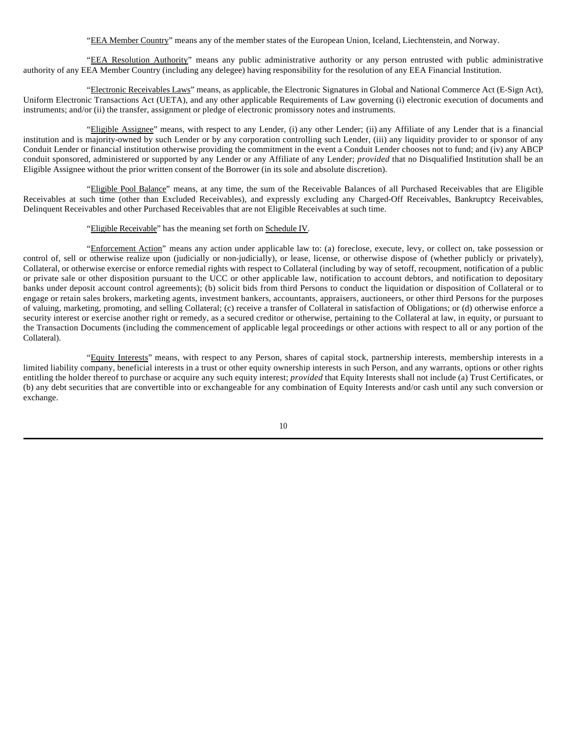"EEA Member Country" means any of the member states of the European Union, Iceland, Liechtenstein, and Norway.

"EEA Resolution Authority" means any public administrative authority or any person entrusted with public administrative authority of any EEA Member Country (including any delegee) having responsibility for the resolution of any EEA Financial Institution.

"Electronic Receivables Laws" means, as applicable, the Electronic Signatures in Global and National Commerce Act (E-Sign Act), Uniform Electronic Transactions Act (UETA), and any other applicable Requirements of Law governing (i) electronic execution of documents and instruments; and/or (ii) the transfer, assignment or pledge of electronic promissory notes and instruments.

"Eligible Assignee" means, with respect to any Lender, (i) any other Lender; (ii) any Affiliate of any Lender that is a financial institution and is majority-owned by such Lender or by any corporation controlling such Lender, (iii) any liquidity provider to or sponsor of any Conduit Lender or financial institution otherwise providing the commitment in the event a Conduit Lender chooses not to fund; and (iv) any ABCP conduit sponsored, administered or supported by any Lender or any Affiliate of any Lender; *provided* that no Disqualified Institution shall be an Eligible Assignee without the prior written consent of the Borrower (in its sole and absolute discretion).

"Eligible Pool Balance" means, at any time, the sum of the Receivable Balances of all Purchased Receivables that are Eligible Receivables at such time (other than Excluded Receivables), and expressly excluding any Charged-Off Receivables, Bankruptcy Receivables, Delinquent Receivables and other Purchased Receivables that are not Eligible Receivables at such time.

# "Eligible Receivable" has the meaning set forth on Schedule IV.

"Enforcement Action" means any action under applicable law to: (a) foreclose, execute, levy, or collect on, take possession or control of, sell or otherwise realize upon (judicially or non-judicially), or lease, license, or otherwise dispose of (whether publicly or privately), Collateral, or otherwise exercise or enforce remedial rights with respect to Collateral (including by way of setoff, recoupment, notification of a public or private sale or other disposition pursuant to the UCC or other applicable law, notification to account debtors, and notification to depositary banks under deposit account control agreements); (b) solicit bids from third Persons to conduct the liquidation or disposition of Collateral or to engage or retain sales brokers, marketing agents, investment bankers, accountants, appraisers, auctioneers, or other third Persons for the purposes of valuing, marketing, promoting, and selling Collateral; (c) receive a transfer of Collateral in satisfaction of Obligations; or (d) otherwise enforce a security interest or exercise another right or remedy, as a secured creditor or otherwise, pertaining to the Collateral at law, in equity, or pursuant to the Transaction Documents (including the commencement of applicable legal proceedings or other actions with respect to all or any portion of the Collateral).

"Equity Interests" means, with respect to any Person, shares of capital stock, partnership interests, membership interests in a limited liability company, beneficial interests in a trust or other equity ownership interests in such Person, and any warrants, options or other rights entitling the holder thereof to purchase or acquire any such equity interest; *provided* that Equity Interests shall not include (a) Trust Certificates, or (b) any debt securities that are convertible into or exchangeable for any combination of Equity Interests and/or cash until any such conversion or exchange.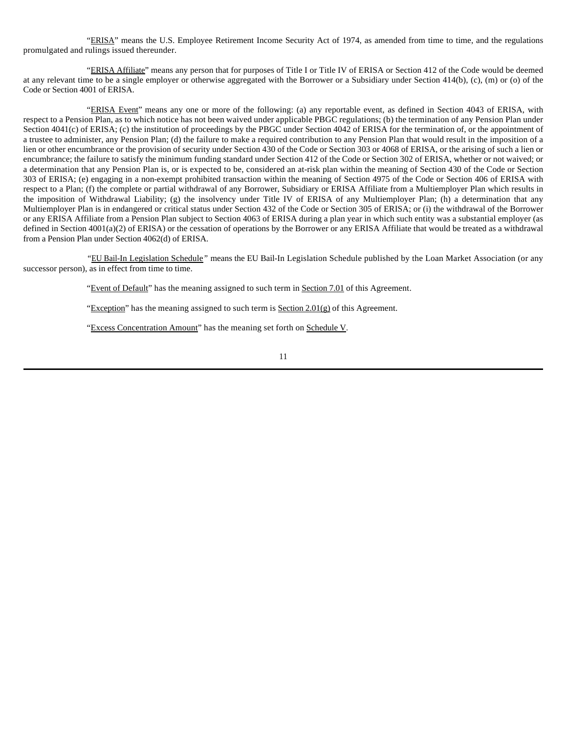"ERISA" means the U.S. Employee Retirement Income Security Act of 1974, as amended from time to time, and the regulations promulgated and rulings issued thereunder.

"ERISA Affiliate" means any person that for purposes of Title I or Title IV of ERISA or Section 412 of the Code would be deemed at any relevant time to be a single employer or otherwise aggregated with the Borrower or a Subsidiary under Section 414(b), (c), (m) or (o) of the Code or Section 4001 of ERISA.

"ERISA Event" means any one or more of the following: (a) any reportable event, as defined in Section 4043 of ERISA, with respect to a Pension Plan, as to which notice has not been waived under applicable PBGC regulations; (b) the termination of any Pension Plan under Section 4041(c) of ERISA; (c) the institution of proceedings by the PBGC under Section 4042 of ERISA for the termination of, or the appointment of a trustee to administer, any Pension Plan; (d) the failure to make a required contribution to any Pension Plan that would result in the imposition of a lien or other encumbrance or the provision of security under Section 430 of the Code or Section 303 or 4068 of ERISA, or the arising of such a lien or encumbrance; the failure to satisfy the minimum funding standard under Section 412 of the Code or Section 302 of ERISA, whether or not waived; or a determination that any Pension Plan is, or is expected to be, considered an at-risk plan within the meaning of Section 430 of the Code or Section 303 of ERISA; (e) engaging in a non-exempt prohibited transaction within the meaning of Section 4975 of the Code or Section 406 of ERISA with respect to a Plan; (f) the complete or partial withdrawal of any Borrower, Subsidiary or ERISA Affiliate from a Multiemployer Plan which results in the imposition of Withdrawal Liability; (g) the insolvency under Title IV of ERISA of any Multiemployer Plan; (h) a determination that any Multiemployer Plan is in endangered or critical status under Section 432 of the Code or Section 305 of ERISA; or (i) the withdrawal of the Borrower or any ERISA Affiliate from a Pension Plan subject to Section 4063 of ERISA during a plan year in which such entity was a substantial employer (as defined in Section 4001(a)(2) of ERISA) or the cessation of operations by the Borrower or any ERISA Affiliate that would be treated as a withdrawal from a Pension Plan under Section 4062(d) of ERISA.

*"*EU Bail-In Legislation Schedule*"* means the EU Bail-In Legislation Schedule published by the Loan Market Association (or any successor person), as in effect from time to time.

"Event of Default" has the meaning assigned to such term in Section 7.01 of this Agreement.

"Exception" has the meaning assigned to such term is Section  $2.01(g)$  of this Agreement.

"Excess Concentration Amount" has the meaning set forth on Schedule V.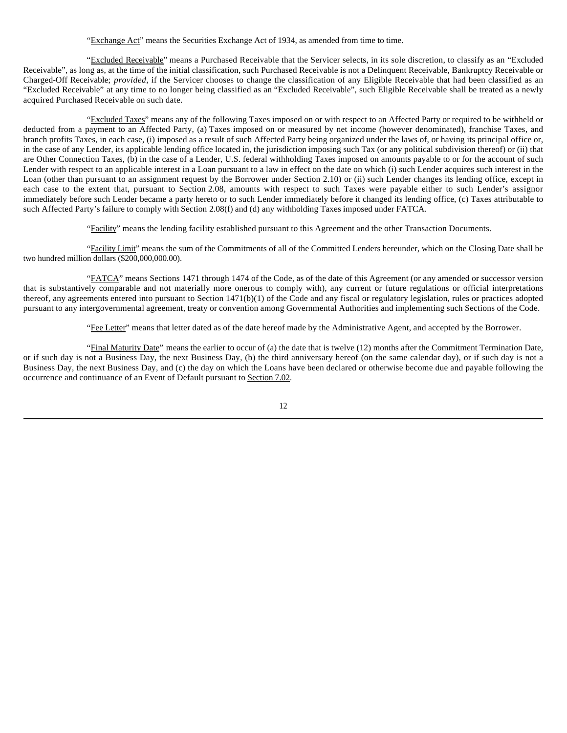"Exchange Act" means the Securities Exchange Act of 1934, as amended from time to time.

"Excluded Receivable" means a Purchased Receivable that the Servicer selects, in its sole discretion, to classify as an "Excluded Receivable", as long as, at the time of the initial classification, such Purchased Receivable is not a Delinquent Receivable, Bankruptcy Receivable or Charged-Off Receivable; *provided*, if the Servicer chooses to change the classification of any Eligible Receivable that had been classified as an "Excluded Receivable" at any time to no longer being classified as an "Excluded Receivable", such Eligible Receivable shall be treated as a newly acquired Purchased Receivable on such date.

"Excluded Taxes" means any of the following Taxes imposed on or with respect to an Affected Party or required to be withheld or deducted from a payment to an Affected Party, (a) Taxes imposed on or measured by net income (however denominated), franchise Taxes, and branch profits Taxes, in each case, (i) imposed as a result of such Affected Party being organized under the laws of, or having its principal office or, in the case of any Lender, its applicable lending office located in, the jurisdiction imposing such Tax (or any political subdivision thereof) or (ii) that are Other Connection Taxes, (b) in the case of a Lender, U.S. federal withholding Taxes imposed on amounts payable to or for the account of such Lender with respect to an applicable interest in a Loan pursuant to a law in effect on the date on which (i) such Lender acquires such interest in the Loan (other than pursuant to an assignment request by the Borrower under Section 2.10) or (ii) such Lender changes its lending office, except in each case to the extent that, pursuant to Section 2.08, amounts with respect to such Taxes were payable either to such Lender's assignor immediately before such Lender became a party hereto or to such Lender immediately before it changed its lending office, (c) Taxes attributable to such Affected Party's failure to comply with Section 2.08(f) and (d) any withholding Taxes imposed under FATCA.

"Facility" means the lending facility established pursuant to this Agreement and the other Transaction Documents.

"Facility Limit" means the sum of the Commitments of all of the Committed Lenders hereunder, which on the Closing Date shall be two hundred million dollars (\$200,000,000.00).

"FATCA" means Sections 1471 through 1474 of the Code, as of the date of this Agreement (or any amended or successor version that is substantively comparable and not materially more onerous to comply with), any current or future regulations or official interpretations thereof, any agreements entered into pursuant to Section 1471(b)(1) of the Code and any fiscal or regulatory legislation, rules or practices adopted pursuant to any intergovernmental agreement, treaty or convention among Governmental Authorities and implementing such Sections of the Code.

"Fee Letter" means that letter dated as of the date hereof made by the Administrative Agent, and accepted by the Borrower.

"Final Maturity Date" means the earlier to occur of (a) the date that is twelve (12) months after the Commitment Termination Date, or if such day is not a Business Day, the next Business Day, (b) the third anniversary hereof (on the same calendar day), or if such day is not a Business Day, the next Business Day, and (c) the day on which the Loans have been declared or otherwise become due and payable following the occurrence and continuance of an Event of Default pursuant to Section 7.02.

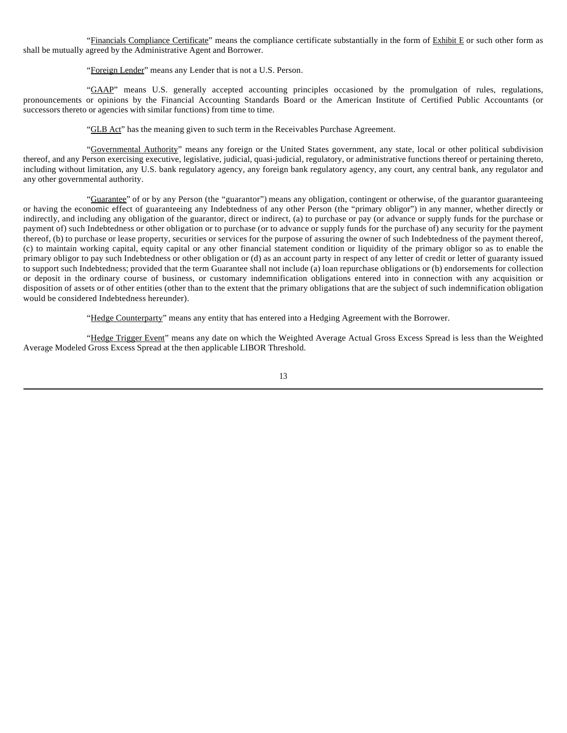"Financials Compliance Certificate" means the compliance certificate substantially in the form of Exhibit E or such other form as shall be mutually agreed by the Administrative Agent and Borrower.

"Foreign Lender" means any Lender that is not a U.S. Person.

"GAAP" means U.S. generally accepted accounting principles occasioned by the promulgation of rules, regulations, pronouncements or opinions by the Financial Accounting Standards Board or the American Institute of Certified Public Accountants (or successors thereto or agencies with similar functions) from time to time.

"GLB Act" has the meaning given to such term in the Receivables Purchase Agreement.

"Governmental Authority" means any foreign or the United States government, any state, local or other political subdivision thereof, and any Person exercising executive, legislative, judicial, quasi-judicial, regulatory, or administrative functions thereof or pertaining thereto, including without limitation, any U.S. bank regulatory agency, any foreign bank regulatory agency, any court, any central bank, any regulator and any other governmental authority.

"Guarantee" of or by any Person (the "guarantor") means any obligation, contingent or otherwise, of the guarantor guaranteeing or having the economic effect of guaranteeing any Indebtedness of any other Person (the "primary obligor") in any manner, whether directly or indirectly, and including any obligation of the guarantor, direct or indirect, (a) to purchase or pay (or advance or supply funds for the purchase or payment of) such Indebtedness or other obligation or to purchase (or to advance or supply funds for the purchase of) any security for the payment thereof, (b) to purchase or lease property, securities or services for the purpose of assuring the owner of such Indebtedness of the payment thereof, (c) to maintain working capital, equity capital or any other financial statement condition or liquidity of the primary obligor so as to enable the primary obligor to pay such Indebtedness or other obligation or (d) as an account party in respect of any letter of credit or letter of guaranty issued to support such Indebtedness; provided that the term Guarantee shall not include (a) loan repurchase obligations or (b) endorsements for collection or deposit in the ordinary course of business, or customary indemnification obligations entered into in connection with any acquisition or disposition of assets or of other entities (other than to the extent that the primary obligations that are the subject of such indemnification obligation would be considered Indebtedness hereunder).

"Hedge Counterparty" means any entity that has entered into a Hedging Agreement with the Borrower.

"Hedge Trigger Event" means any date on which the Weighted Average Actual Gross Excess Spread is less than the Weighted Average Modeled Gross Excess Spread at the then applicable LIBOR Threshold.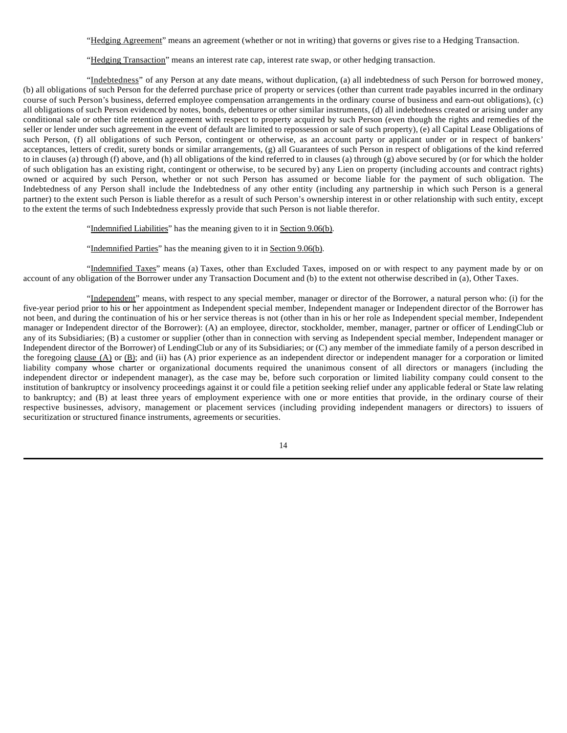"Hedging Agreement" means an agreement (whether or not in writing) that governs or gives rise to a Hedging Transaction.

"Hedging Transaction" means an interest rate cap, interest rate swap, or other hedging transaction.

"Indebtedness" of any Person at any date means, without duplication, (a) all indebtedness of such Person for borrowed money, (b) all obligations of such Person for the deferred purchase price of property or services (other than current trade payables incurred in the ordinary course of such Person's business, deferred employee compensation arrangements in the ordinary course of business and earn-out obligations), (c) all obligations of such Person evidenced by notes, bonds, debentures or other similar instruments, (d) all indebtedness created or arising under any conditional sale or other title retention agreement with respect to property acquired by such Person (even though the rights and remedies of the seller or lender under such agreement in the event of default are limited to repossession or sale of such property), (e) all Capital Lease Obligations of such Person, (f) all obligations of such Person, contingent or otherwise, as an account party or applicant under or in respect of bankers' acceptances, letters of credit, surety bonds or similar arrangements, (g) all Guarantees of such Person in respect of obligations of the kind referred to in clauses (a) through (f) above, and (h) all obligations of the kind referred to in clauses (a) through (g) above secured by (or for which the holder of such obligation has an existing right, contingent or otherwise, to be secured by) any Lien on property (including accounts and contract rights) owned or acquired by such Person, whether or not such Person has assumed or become liable for the payment of such obligation. The Indebtedness of any Person shall include the Indebtedness of any other entity (including any partnership in which such Person is a general partner) to the extent such Person is liable therefor as a result of such Person's ownership interest in or other relationship with such entity, except to the extent the terms of such Indebtedness expressly provide that such Person is not liable therefor.

"Indemnified Liabilities" has the meaning given to it in Section 9.06(b).

"Indemnified Parties" has the meaning given to it in Section 9.06(b).

"Indemnified Taxes" means (a) Taxes, other than Excluded Taxes, imposed on or with respect to any payment made by or on account of any obligation of the Borrower under any Transaction Document and (b) to the extent not otherwise described in (a), Other Taxes.

"Independent" means, with respect to any special member, manager or director of the Borrower, a natural person who: (i) for the five-year period prior to his or her appointment as Independent special member, Independent manager or Independent director of the Borrower has not been, and during the continuation of his or her service thereas is not (other than in his or her role as Independent special member, Independent manager or Independent director of the Borrower): (A) an employee, director, stockholder, member, manager, partner or officer of LendingClub or any of its Subsidiaries; (B) a customer or supplier (other than in connection with serving as Independent special member, Independent manager or Independent director of the Borrower) of LendingClub or any of its Subsidiaries; or (C) any member of the immediate family of a person described in the foregoing clause (A) or (B); and (ii) has (A) prior experience as an independent director or independent manager for a corporation or limited liability company whose charter or organizational documents required the unanimous consent of all directors or managers (including the independent director or independent manager), as the case may be, before such corporation or limited liability company could consent to the institution of bankruptcy or insolvency proceedings against it or could file a petition seeking relief under any applicable federal or State law relating to bankruptcy; and (B) at least three years of employment experience with one or more entities that provide, in the ordinary course of their respective businesses, advisory, management or placement services (including providing independent managers or directors) to issuers of securitization or structured finance instruments, agreements or securities.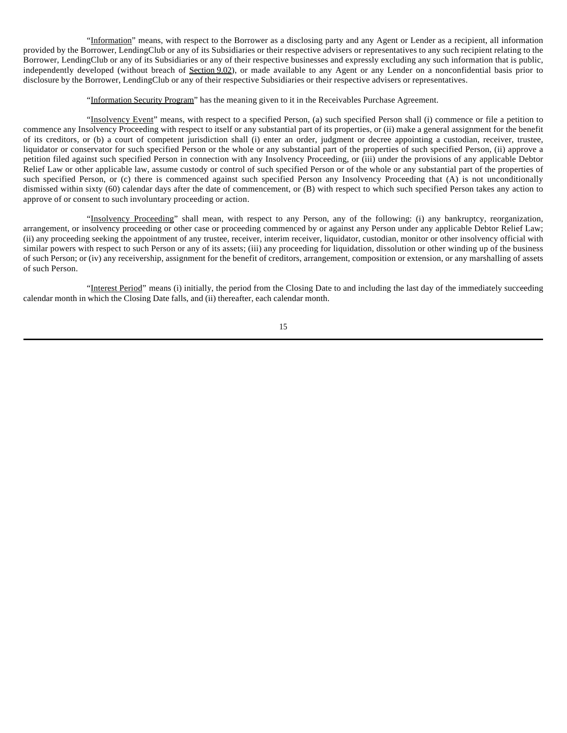"Information" means, with respect to the Borrower as a disclosing party and any Agent or Lender as a recipient, all information provided by the Borrower, LendingClub or any of its Subsidiaries or their respective advisers or representatives to any such recipient relating to the Borrower, LendingClub or any of its Subsidiaries or any of their respective businesses and expressly excluding any such information that is public, independently developed (without breach of Section 9.02), or made available to any Agent or any Lender on a nonconfidential basis prior to disclosure by the Borrower, LendingClub or any of their respective Subsidiaries or their respective advisers or representatives.

"Information Security Program" has the meaning given to it in the Receivables Purchase Agreement.

"Insolvency Event" means, with respect to a specified Person, (a) such specified Person shall (i) commence or file a petition to commence any Insolvency Proceeding with respect to itself or any substantial part of its properties, or (ii) make a general assignment for the benefit of its creditors, or (b) a court of competent jurisdiction shall (i) enter an order, judgment or decree appointing a custodian, receiver, trustee, liquidator or conservator for such specified Person or the whole or any substantial part of the properties of such specified Person, (ii) approve a petition filed against such specified Person in connection with any Insolvency Proceeding, or (iii) under the provisions of any applicable Debtor Relief Law or other applicable law, assume custody or control of such specified Person or of the whole or any substantial part of the properties of such specified Person, or (c) there is commenced against such specified Person any Insolvency Proceeding that (A) is not unconditionally dismissed within sixty (60) calendar days after the date of commencement, or (B) with respect to which such specified Person takes any action to approve of or consent to such involuntary proceeding or action.

"Insolvency Proceeding" shall mean, with respect to any Person, any of the following: (i) any bankruptcy, reorganization, arrangement, or insolvency proceeding or other case or proceeding commenced by or against any Person under any applicable Debtor Relief Law; (ii) any proceeding seeking the appointment of any trustee, receiver, interim receiver, liquidator, custodian, monitor or other insolvency official with similar powers with respect to such Person or any of its assets; (iii) any proceeding for liquidation, dissolution or other winding up of the business of such Person; or (iv) any receivership, assignment for the benefit of creditors, arrangement, composition or extension, or any marshalling of assets of such Person.

"Interest Period" means (i) initially, the period from the Closing Date to and including the last day of the immediately succeeding calendar month in which the Closing Date falls, and (ii) thereafter, each calendar month.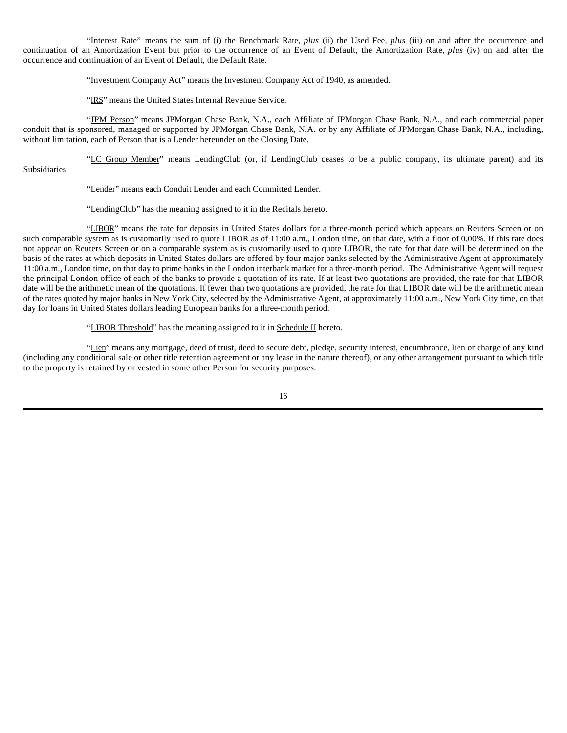"Interest Rate" means the sum of (i) the Benchmark Rate, *plus* (ii) the Used Fee, *plus* (iii) on and after the occurrence and continuation of an Amortization Event but prior to the occurrence of an Event of Default, the Amortization Rate, *plus* (iv) on and after the occurrence and continuation of an Event of Default, the Default Rate.

"Investment Company Act" means the Investment Company Act of 1940, as amended.

"IRS" means the United States Internal Revenue Service.

"JPM Person" means JPMorgan Chase Bank, N.A., each Affiliate of JPMorgan Chase Bank, N.A., and each commercial paper conduit that is sponsored, managed or supported by JPMorgan Chase Bank, N.A. or by any Affiliate of JPMorgan Chase Bank, N.A., including, without limitation, each of Person that is a Lender hereunder on the Closing Date.

"LC Group Member" means LendingClub (or, if LendingClub ceases to be a public company, its ultimate parent) and its Subsidiaries

"Lender" means each Conduit Lender and each Committed Lender.

"LendingClub" has the meaning assigned to it in the Recitals hereto.

"LIBOR" means the rate for deposits in United States dollars for a three-month period which appears on Reuters Screen or on such comparable system as is customarily used to quote LIBOR as of 11:00 a.m., London time, on that date, with a floor of 0.00%. If this rate does not appear on Reuters Screen or on a comparable system as is customarily used to quote LIBOR, the rate for that date will be determined on the basis of the rates at which deposits in United States dollars are offered by four major banks selected by the Administrative Agent at approximately 11:00 a.m., London time, on that day to prime banks in the London interbank market for a three-month period. The Administrative Agent will request the principal London office of each of the banks to provide a quotation of its rate. If at least two quotations are provided, the rate for that LIBOR date will be the arithmetic mean of the quotations. If fewer than two quotations are provided, the rate for that LIBOR date will be the arithmetic mean of the rates quoted by major banks in New York City, selected by the Administrative Agent, at approximately 11:00 a.m., New York City time, on that day for loans in United States dollars leading European banks for a three-month period.

"LIBOR Threshold" has the meaning assigned to it in Schedule II hereto.

"Lien" means any mortgage, deed of trust, deed to secure debt, pledge, security interest, encumbrance, lien or charge of any kind (including any conditional sale or other title retention agreement or any lease in the nature thereof), or any other arrangement pursuant to which title to the property is retained by or vested in some other Person for security purposes.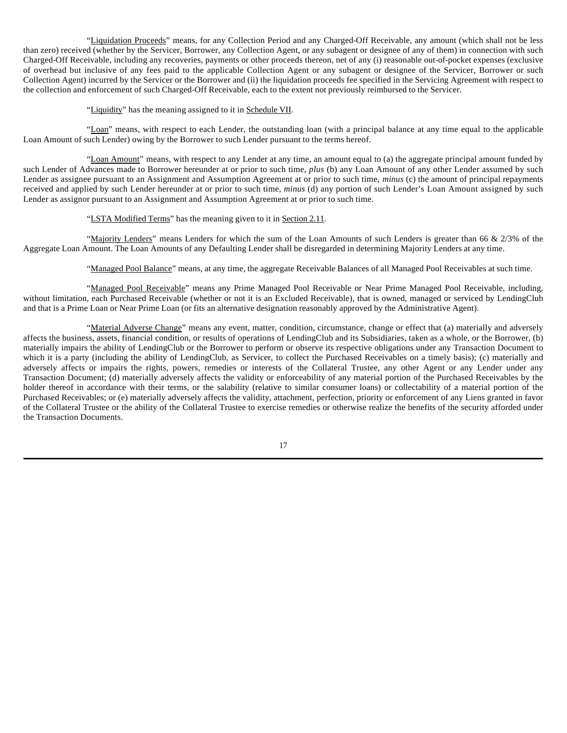"Liquidation Proceeds" means, for any Collection Period and any Charged-Off Receivable, any amount (which shall not be less than zero) received (whether by the Servicer, Borrower, any Collection Agent, or any subagent or designee of any of them) in connection with such Charged-Off Receivable, including any recoveries, payments or other proceeds thereon, net of any (i) reasonable out-of-pocket expenses (exclusive of overhead but inclusive of any fees paid to the applicable Collection Agent or any subagent or designee of the Servicer, Borrower or such Collection Agent) incurred by the Servicer or the Borrower and (ii) the liquidation proceeds fee specified in the Servicing Agreement with respect to the collection and enforcement of such Charged-Off Receivable, each to the extent not previously reimbursed to the Servicer.

"Liquidity" has the meaning assigned to it in Schedule VII.

"Loan" means, with respect to each Lender, the outstanding loan (with a principal balance at any time equal to the applicable Loan Amount of such Lender) owing by the Borrower to such Lender pursuant to the terms hereof.

"Loan Amount" means, with respect to any Lender at any time, an amount equal to (a) the aggregate principal amount funded by such Lender of Advances made to Borrower hereunder at or prior to such time, *plus* (b) any Loan Amount of any other Lender assumed by such Lender as assignee pursuant to an Assignment and Assumption Agreement at or prior to such time, *minus* (c) the amount of principal repayments received and applied by such Lender hereunder at or prior to such time, *minus* (d) any portion of such Lender's Loan Amount assigned by such Lender as assignor pursuant to an Assignment and Assumption Agreement at or prior to such time.

# "LSTA Modified Terms" has the meaning given to it in Section 2.11.

"Majority Lenders" means Lenders for which the sum of the Loan Amounts of such Lenders is greater than 66 & 2/3% of the Aggregate Loan Amount. The Loan Amounts of any Defaulting Lender shall be disregarded in determining Majority Lenders at any time.

"Managed Pool Balance" means, at any time, the aggregate Receivable Balances of all Managed Pool Receivables at such time.

"Managed Pool Receivable" means any Prime Managed Pool Receivable or Near Prime Managed Pool Receivable, including, without limitation, each Purchased Receivable (whether or not it is an Excluded Receivable), that is owned, managed or serviced by LendingClub and that is a Prime Loan or Near Prime Loan (or fits an alternative designation reasonably approved by the Administrative Agent).

"Material Adverse Change" means any event, matter, condition, circumstance, change or effect that (a) materially and adversely affects the business, assets, financial condition, or results of operations of LendingClub and its Subsidiaries, taken as a whole, or the Borrower, (b) materially impairs the ability of LendingClub or the Borrower to perform or observe its respective obligations under any Transaction Document to which it is a party (including the ability of LendingClub, as Servicer, to collect the Purchased Receivables on a timely basis); (c) materially and adversely affects or impairs the rights, powers, remedies or interests of the Collateral Trustee, any other Agent or any Lender under any Transaction Document; (d) materially adversely affects the validity or enforceability of any material portion of the Purchased Receivables by the holder thereof in accordance with their terms, or the salability (relative to similar consumer loans) or collectability of a material portion of the Purchased Receivables; or (e) materially adversely affects the validity, attachment, perfection, priority or enforcement of any Liens granted in favor of the Collateral Trustee or the ability of the Collateral Trustee to exercise remedies or otherwise realize the benefits of the security afforded under the Transaction Documents.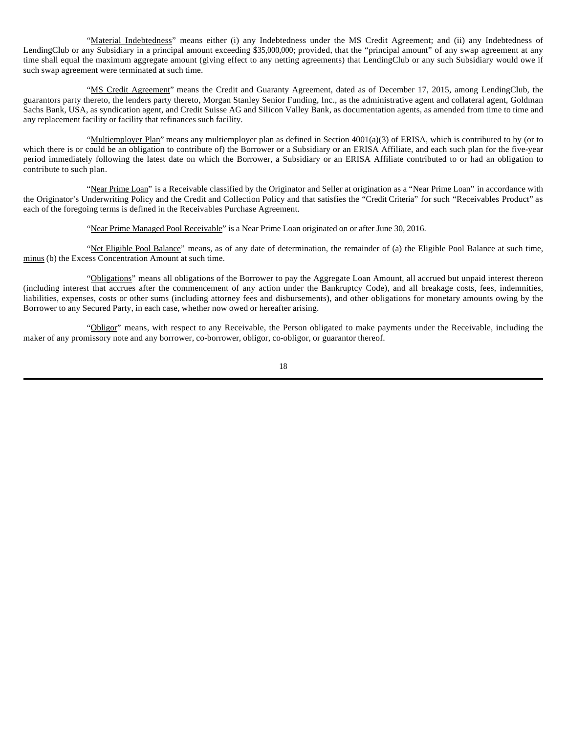"Material Indebtedness" means either (i) any Indebtedness under the MS Credit Agreement; and (ii) any Indebtedness of LendingClub or any Subsidiary in a principal amount exceeding \$35,000,000; provided, that the "principal amount" of any swap agreement at any time shall equal the maximum aggregate amount (giving effect to any netting agreements) that LendingClub or any such Subsidiary would owe if such swap agreement were terminated at such time.

"MS Credit Agreement" means the Credit and Guaranty Agreement, dated as of December 17, 2015, among LendingClub, the guarantors party thereto, the lenders party thereto, Morgan Stanley Senior Funding, Inc., as the administrative agent and collateral agent, Goldman Sachs Bank, USA, as syndication agent, and Credit Suisse AG and Silicon Valley Bank, as documentation agents, as amended from time to time and any replacement facility or facility that refinances such facility.

"Multiemployer Plan" means any multiemployer plan as defined in Section 4001(a)(3) of ERISA, which is contributed to by (or to which there is or could be an obligation to contribute of) the Borrower or a Subsidiary or an ERISA Affiliate, and each such plan for the five-year period immediately following the latest date on which the Borrower, a Subsidiary or an ERISA Affiliate contributed to or had an obligation to contribute to such plan.

"Near Prime Loan" is a Receivable classified by the Originator and Seller at origination as a "Near Prime Loan" in accordance with the Originator's Underwriting Policy and the Credit and Collection Policy and that satisfies the "Credit Criteria" for such "Receivables Product" as each of the foregoing terms is defined in the Receivables Purchase Agreement.

"Near Prime Managed Pool Receivable" is a Near Prime Loan originated on or after June 30, 2016.

"Net Eligible Pool Balance" means, as of any date of determination, the remainder of (a) the Eligible Pool Balance at such time, minus (b) the Excess Concentration Amount at such time.

"Obligations" means all obligations of the Borrower to pay the Aggregate Loan Amount, all accrued but unpaid interest thereon (including interest that accrues after the commencement of any action under the Bankruptcy Code), and all breakage costs, fees, indemnities, liabilities, expenses, costs or other sums (including attorney fees and disbursements), and other obligations for monetary amounts owing by the Borrower to any Secured Party, in each case, whether now owed or hereafter arising.

"Obligor" means, with respect to any Receivable, the Person obligated to make payments under the Receivable, including the maker of any promissory note and any borrower, co-borrower, obligor, co-obligor, or guarantor thereof.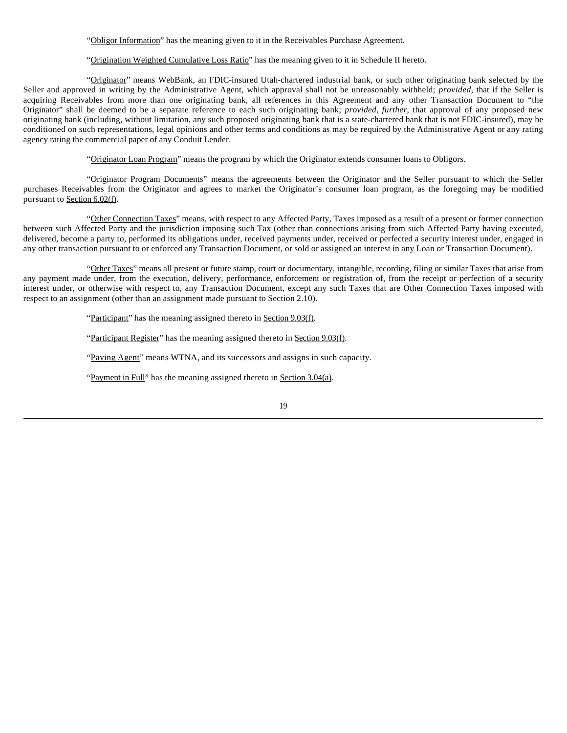"Obligor Information" has the meaning given to it in the Receivables Purchase Agreement.

"Origination Weighted Cumulative Loss Ratio" has the meaning given to it in Schedule II hereto.

"Originator" means WebBank, an FDIC-insured Utah-chartered industrial bank, or such other originating bank selected by the Seller and approved in writing by the Administrative Agent, which approval shall not be unreasonably withheld; *provided*, that if the Seller is acquiring Receivables from more than one originating bank, all references in this Agreement and any other Transaction Document to "the Originator" shall be deemed to be a separate reference to each such originating bank; *provided, further*, that approval of any proposed new originating bank (including, without limitation, any such proposed originating bank that is a state-chartered bank that is not FDIC-insured), may be conditioned on such representations, legal opinions and other terms and conditions as may be required by the Administrative Agent or any rating agency rating the commercial paper of any Conduit Lender.

"Originator Loan Program" means the program by which the Originator extends consumer loans to Obligors.

"Originator Program Documents" means the agreements between the Originator and the Seller pursuant to which the Seller purchases Receivables from the Originator and agrees to market the Originator's consumer loan program, as the foregoing may be modified pursuant to Section 6.02(f).

"Other Connection Taxes" means, with respect to any Affected Party, Taxes imposed as a result of a present or former connection between such Affected Party and the jurisdiction imposing such Tax (other than connections arising from such Affected Party having executed, delivered, become a party to, performed its obligations under, received payments under, received or perfected a security interest under, engaged in any other transaction pursuant to or enforced any Transaction Document, or sold or assigned an interest in any Loan or Transaction Document).

"Other Taxes" means all present or future stamp, court or documentary, intangible, recording, filing or similar Taxes that arise from any payment made under, from the execution, delivery, performance, enforcement or registration of, from the receipt or perfection of a security interest under, or otherwise with respect to, any Transaction Document, except any such Taxes that are Other Connection Taxes imposed with respect to an assignment (other than an assignment made pursuant to Section 2.10).

"Participant" has the meaning assigned thereto in Section 9.03(f).

"Participant Register" has the meaning assigned thereto in Section 9.03(f).

"Paying Agent" means WTNA, and its successors and assigns in such capacity.

"Payment in Full" has the meaning assigned thereto in Section 3.04(a).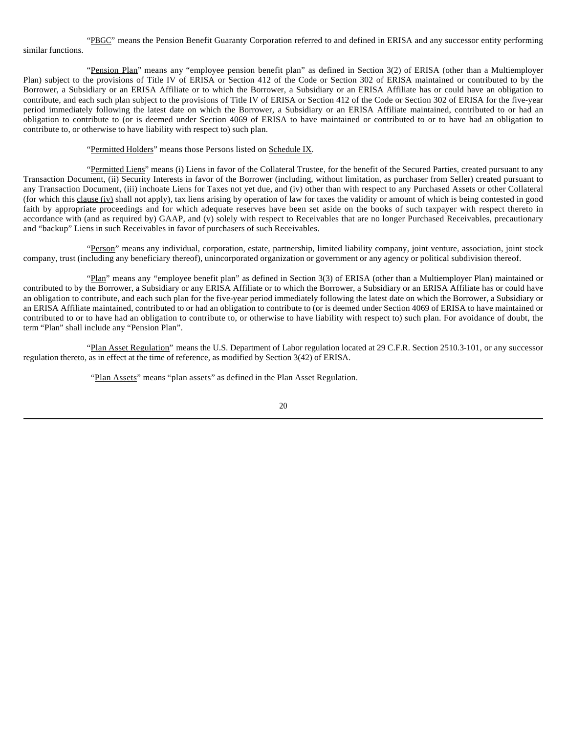"PBGC" means the Pension Benefit Guaranty Corporation referred to and defined in ERISA and any successor entity performing similar functions.

"Pension Plan" means any "employee pension benefit plan" as defined in Section 3(2) of ERISA (other than a Multiemployer Plan) subject to the provisions of Title IV of ERISA or Section 412 of the Code or Section 302 of ERISA maintained or contributed to by the Borrower, a Subsidiary or an ERISA Affiliate or to which the Borrower, a Subsidiary or an ERISA Affiliate has or could have an obligation to contribute, and each such plan subject to the provisions of Title IV of ERISA or Section 412 of the Code or Section 302 of ERISA for the five-year period immediately following the latest date on which the Borrower, a Subsidiary or an ERISA Affiliate maintained, contributed to or had an obligation to contribute to (or is deemed under Section 4069 of ERISA to have maintained or contributed to or to have had an obligation to contribute to, or otherwise to have liability with respect to) such plan.

"Permitted Holders" means those Persons listed on Schedule IX.

"Permitted Liens" means (i) Liens in favor of the Collateral Trustee, for the benefit of the Secured Parties, created pursuant to any Transaction Document, (ii) Security Interests in favor of the Borrower (including, without limitation, as purchaser from Seller) created pursuant to any Transaction Document, (iii) inchoate Liens for Taxes not yet due, and (iv) other than with respect to any Purchased Assets or other Collateral (for which this clause (iv) shall not apply), tax liens arising by operation of law for taxes the validity or amount of which is being contested in good faith by appropriate proceedings and for which adequate reserves have been set aside on the books of such taxpayer with respect thereto in accordance with (and as required by) GAAP, and (v) solely with respect to Receivables that are no longer Purchased Receivables, precautionary and "backup" Liens in such Receivables in favor of purchasers of such Receivables.

"Person" means any individual, corporation, estate, partnership, limited liability company, joint venture, association, joint stock company, trust (including any beneficiary thereof), unincorporated organization or government or any agency or political subdivision thereof.

"Plan" means any "employee benefit plan" as defined in Section 3(3) of ERISA (other than a Multiemployer Plan) maintained or contributed to by the Borrower, a Subsidiary or any ERISA Affiliate or to which the Borrower, a Subsidiary or an ERISA Affiliate has or could have an obligation to contribute, and each such plan for the five-year period immediately following the latest date on which the Borrower, a Subsidiary or an ERISA Affiliate maintained, contributed to or had an obligation to contribute to (or is deemed under Section 4069 of ERISA to have maintained or contributed to or to have had an obligation to contribute to, or otherwise to have liability with respect to) such plan. For avoidance of doubt, the term "Plan" shall include any "Pension Plan".

"Plan Asset Regulation" means the U.S. Department of Labor regulation located at 29 C.F.R. Section 2510.3-101, or any successor regulation thereto, as in effect at the time of reference, as modified by Section 3(42) of ERISA.

"Plan Assets" means "plan assets" as defined in the Plan Asset Regulation.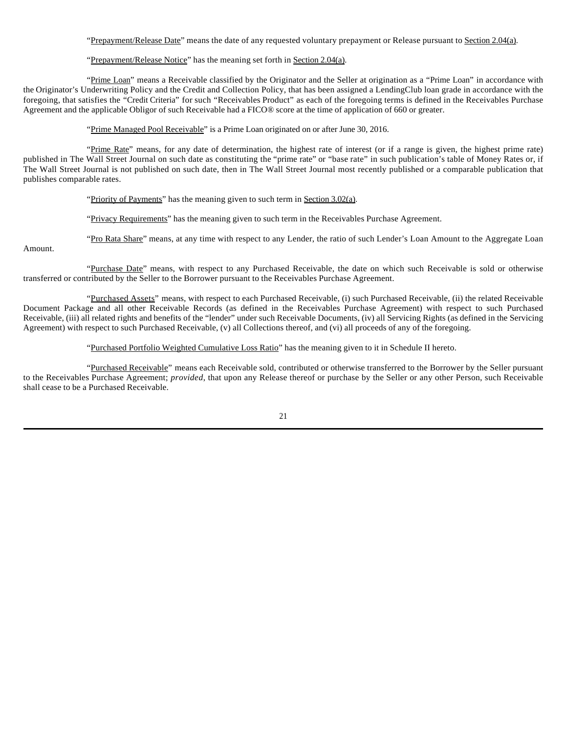"Prepayment/Release Date" means the date of any requested voluntary prepayment or Release pursuant to Section 2.04(a).

### "Prepayment/Release Notice" has the meaning set forth in Section 2.04(a).

"Prime Loan" means a Receivable classified by the Originator and the Seller at origination as a "Prime Loan" in accordance with the Originator's Underwriting Policy and the Credit and Collection Policy, that has been assigned a LendingClub loan grade in accordance with the foregoing, that satisfies the "Credit Criteria" for such "Receivables Product" as each of the foregoing terms is defined in the Receivables Purchase Agreement and the applicable Obligor of such Receivable had a FICO® score at the time of application of 660 or greater.

"Prime Managed Pool Receivable" is a Prime Loan originated on or after June 30, 2016.

"Prime Rate" means, for any date of determination, the highest rate of interest (or if a range is given, the highest prime rate) published in The Wall Street Journal on such date as constituting the "prime rate" or "base rate" in such publication's table of Money Rates or, if The Wall Street Journal is not published on such date, then in The Wall Street Journal most recently published or a comparable publication that publishes comparable rates.

"Priority of Payments" has the meaning given to such term in Section 3.02(a).

"Privacy Requirements" has the meaning given to such term in the Receivables Purchase Agreement.

"Pro Rata Share" means, at any time with respect to any Lender, the ratio of such Lender's Loan Amount to the Aggregate Loan

Amount.

"Purchase Date" means, with respect to any Purchased Receivable, the date on which such Receivable is sold or otherwise transferred or contributed by the Seller to the Borrower pursuant to the Receivables Purchase Agreement.

"Purchased Assets" means, with respect to each Purchased Receivable, (i) such Purchased Receivable, (ii) the related Receivable Document Package and all other Receivable Records (as defined in the Receivables Purchase Agreement) with respect to such Purchased Receivable, (iii) all related rights and benefits of the "lender" under such Receivable Documents, (iv) all Servicing Rights (as defined in the Servicing Agreement) with respect to such Purchased Receivable, (v) all Collections thereof, and (vi) all proceeds of any of the foregoing.

"Purchased Portfolio Weighted Cumulative Loss Ratio" has the meaning given to it in Schedule II hereto.

"Purchased Receivable" means each Receivable sold, contributed or otherwise transferred to the Borrower by the Seller pursuant to the Receivables Purchase Agreement; *provided*, that upon any Release thereof or purchase by the Seller or any other Person, such Receivable shall cease to be a Purchased Receivable.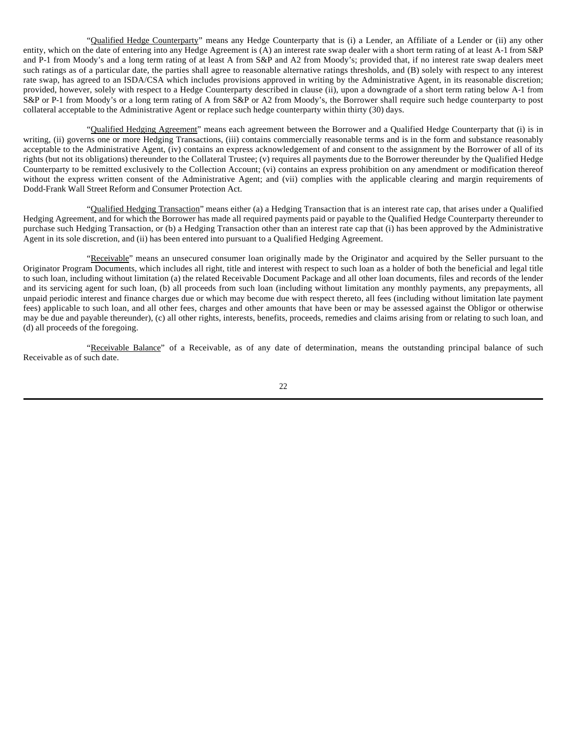"Qualified Hedge Counterparty" means any Hedge Counterparty that is (i) a Lender, an Affiliate of a Lender or (ii) any other entity, which on the date of entering into any Hedge Agreement is (A) an interest rate swap dealer with a short term rating of at least A-1 from S&P and P-1 from Moody's and a long term rating of at least A from S&P and A2 from Moody's; provided that, if no interest rate swap dealers meet such ratings as of a particular date, the parties shall agree to reasonable alternative ratings thresholds, and (B) solely with respect to any interest rate swap, has agreed to an ISDA/CSA which includes provisions approved in writing by the Administrative Agent, in its reasonable discretion; provided, however, solely with respect to a Hedge Counterparty described in clause (ii), upon a downgrade of a short term rating below A-1 from S&P or P-1 from Moody's or a long term rating of A from S&P or A2 from Moody's, the Borrower shall require such hedge counterparty to post collateral acceptable to the Administrative Agent or replace such hedge counterparty within thirty (30) days.

"Qualified Hedging Agreement" means each agreement between the Borrower and a Qualified Hedge Counterparty that (i) is in writing, (ii) governs one or more Hedging Transactions, (iii) contains commercially reasonable terms and is in the form and substance reasonably acceptable to the Administrative Agent, (iv) contains an express acknowledgement of and consent to the assignment by the Borrower of all of its rights (but not its obligations) thereunder to the Collateral Trustee; (v) requires all payments due to the Borrower thereunder by the Qualified Hedge Counterparty to be remitted exclusively to the Collection Account; (vi) contains an express prohibition on any amendment or modification thereof without the express written consent of the Administrative Agent; and (vii) complies with the applicable clearing and margin requirements of Dodd-Frank Wall Street Reform and Consumer Protection Act.

"Qualified Hedging Transaction" means either (a) a Hedging Transaction that is an interest rate cap, that arises under a Qualified Hedging Agreement, and for which the Borrower has made all required payments paid or payable to the Qualified Hedge Counterparty thereunder to purchase such Hedging Transaction, or (b) a Hedging Transaction other than an interest rate cap that (i) has been approved by the Administrative Agent in its sole discretion, and (ii) has been entered into pursuant to a Qualified Hedging Agreement.

"Receivable" means an unsecured consumer loan originally made by the Originator and acquired by the Seller pursuant to the Originator Program Documents, which includes all right, title and interest with respect to such loan as a holder of both the beneficial and legal title to such loan, including without limitation (a) the related Receivable Document Package and all other loan documents, files and records of the lender and its servicing agent for such loan, (b) all proceeds from such loan (including without limitation any monthly payments, any prepayments, all unpaid periodic interest and finance charges due or which may become due with respect thereto, all fees (including without limitation late payment fees) applicable to such loan, and all other fees, charges and other amounts that have been or may be assessed against the Obligor or otherwise may be due and payable thereunder), (c) all other rights, interests, benefits, proceeds, remedies and claims arising from or relating to such loan, and (d) all proceeds of the foregoing.

"Receivable Balance" of a Receivable, as of any date of determination, means the outstanding principal balance of such Receivable as of such date.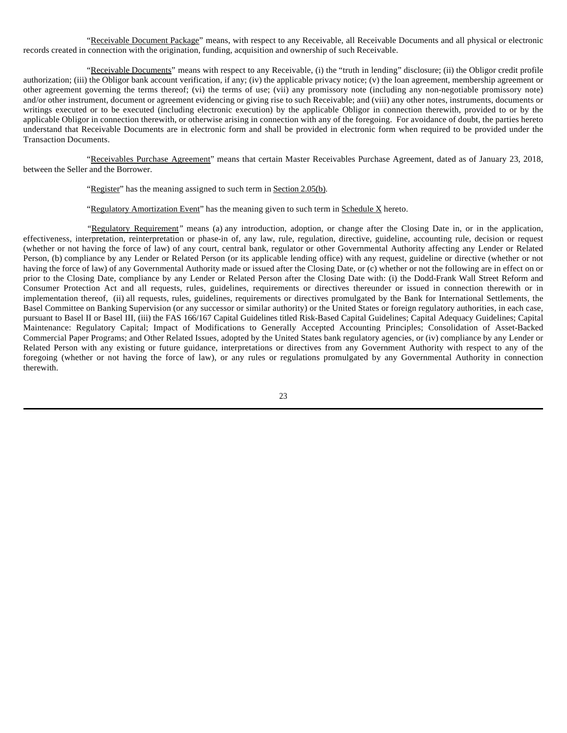"Receivable Document Package" means, with respect to any Receivable, all Receivable Documents and all physical or electronic records created in connection with the origination, funding, acquisition and ownership of such Receivable.

"Receivable Documents" means with respect to any Receivable, (i) the "truth in lending" disclosure; (ii) the Obligor credit profile authorization; (iii) the Obligor bank account verification, if any; (iv) the applicable privacy notice; (v) the loan agreement, membership agreement or other agreement governing the terms thereof; (vi) the terms of use; (vii) any promissory note (including any non-negotiable promissory note) and/or other instrument, document or agreement evidencing or giving rise to such Receivable; and (viii) any other notes, instruments, documents or writings executed or to be executed (including electronic execution) by the applicable Obligor in connection therewith, provided to or by the applicable Obligor in connection therewith, or otherwise arising in connection with any of the foregoing. For avoidance of doubt, the parties hereto understand that Receivable Documents are in electronic form and shall be provided in electronic form when required to be provided under the Transaction Documents.

"Receivables Purchase Agreement" means that certain Master Receivables Purchase Agreement, dated as of January 23, 2018, between the Seller and the Borrower.

"Register" has the meaning assigned to such term in Section 2.05(b).

"Regulatory Amortization Event" has the meaning given to such term in  $S$ chedule  $X$  hereto.

*"*Regulatory Requirement*"* means (a) any introduction, adoption, or change after the Closing Date in, or in the application, effectiveness, interpretation, reinterpretation or phase-in of, any law, rule, regulation, directive, guideline, accounting rule, decision or request (whether or not having the force of law) of any court, central bank, regulator or other Governmental Authority affecting any Lender or Related Person, (b) compliance by any Lender or Related Person (or its applicable lending office) with any request, guideline or directive (whether or not having the force of law) of any Governmental Authority made or issued after the Closing Date, or (c) whether or not the following are in effect on or prior to the Closing Date, compliance by any Lender or Related Person after the Closing Date with: (i) the Dodd-Frank Wall Street Reform and Consumer Protection Act and all requests, rules, guidelines, requirements or directives thereunder or issued in connection therewith or in implementation thereof, (ii) all requests, rules, guidelines, requirements or directives promulgated by the Bank for International Settlements, the Basel Committee on Banking Supervision (or any successor or similar authority) or the United States or foreign regulatory authorities, in each case, pursuant to Basel II or Basel III, (iii) the FAS 166/167 Capital Guidelines titled Risk-Based Capital Guidelines; Capital Adequacy Guidelines; Capital Maintenance: Regulatory Capital; Impact of Modifications to Generally Accepted Accounting Principles; Consolidation of Asset-Backed Commercial Paper Programs; and Other Related Issues, adopted by the United States bank regulatory agencies, or (iv) compliance by any Lender or Related Person with any existing or future guidance, interpretations or directives from any Government Authority with respect to any of the foregoing (whether or not having the force of law), or any rules or regulations promulgated by any Governmental Authority in connection therewith.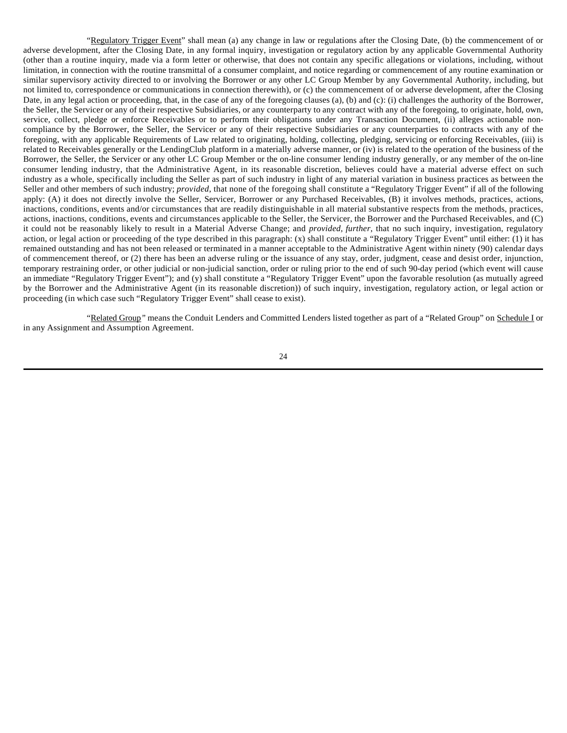"Regulatory Trigger Event" shall mean (a) any change in law or regulations after the Closing Date, (b) the commencement of or adverse development, after the Closing Date, in any formal inquiry, investigation or regulatory action by any applicable Governmental Authority (other than a routine inquiry, made via a form letter or otherwise, that does not contain any specific allegations or violations, including, without limitation, in connection with the routine transmittal of a consumer complaint, and notice regarding or commencement of any routine examination or similar supervisory activity directed to or involving the Borrower or any other LC Group Member by any Governmental Authority, including, but not limited to, correspondence or communications in connection therewith), or (c) the commencement of or adverse development, after the Closing Date, in any legal action or proceeding, that, in the case of any of the foregoing clauses (a), (b) and (c): (i) challenges the authority of the Borrower, the Seller, the Servicer or any of their respective Subsidiaries, or any counterparty to any contract with any of the foregoing, to originate, hold, own, service, collect, pledge or enforce Receivables or to perform their obligations under any Transaction Document, (ii) alleges actionable noncompliance by the Borrower, the Seller, the Servicer or any of their respective Subsidiaries or any counterparties to contracts with any of the foregoing, with any applicable Requirements of Law related to originating, holding, collecting, pledging, servicing or enforcing Receivables, (iii) is related to Receivables generally or the LendingClub platform in a materially adverse manner, or (iv) is related to the operation of the business of the Borrower, the Seller, the Servicer or any other LC Group Member or the on-line consumer lending industry generally, or any member of the on-line consumer lending industry, that the Administrative Agent, in its reasonable discretion, believes could have a material adverse effect on such industry as a whole, specifically including the Seller as part of such industry in light of any material variation in business practices as between the Seller and other members of such industry; *provided*, that none of the foregoing shall constitute a "Regulatory Trigger Event" if all of the following apply: (A) it does not directly involve the Seller, Servicer, Borrower or any Purchased Receivables, (B) it involves methods, practices, actions, inactions, conditions, events and/or circumstances that are readily distinguishable in all material substantive respects from the methods, practices, actions, inactions, conditions, events and circumstances applicable to the Seller, the Servicer, the Borrower and the Purchased Receivables, and (C) it could not be reasonably likely to result in a Material Adverse Change; and *provided, further*, that no such inquiry, investigation, regulatory action, or legal action or proceeding of the type described in this paragraph: (x) shall constitute a "Regulatory Trigger Event" until either: (1) it has remained outstanding and has not been released or terminated in a manner acceptable to the Administrative Agent within ninety (90) calendar days of commencement thereof, or (2) there has been an adverse ruling or the issuance of any stay, order, judgment, cease and desist order, injunction, temporary restraining order, or other judicial or non-judicial sanction, order or ruling prior to the end of such 90-day period (which event will cause an immediate "Regulatory Trigger Event"); and (y) shall constitute a "Regulatory Trigger Event" upon the favorable resolution (as mutually agreed by the Borrower and the Administrative Agent (in its reasonable discretion)) of such inquiry, investigation, regulatory action, or legal action or proceeding (in which case such "Regulatory Trigger Event" shall cease to exist).

"Related Group*"* means the Conduit Lenders and Committed Lenders listed together as part of a "Related Group" on Schedule I or in any Assignment and Assumption Agreement.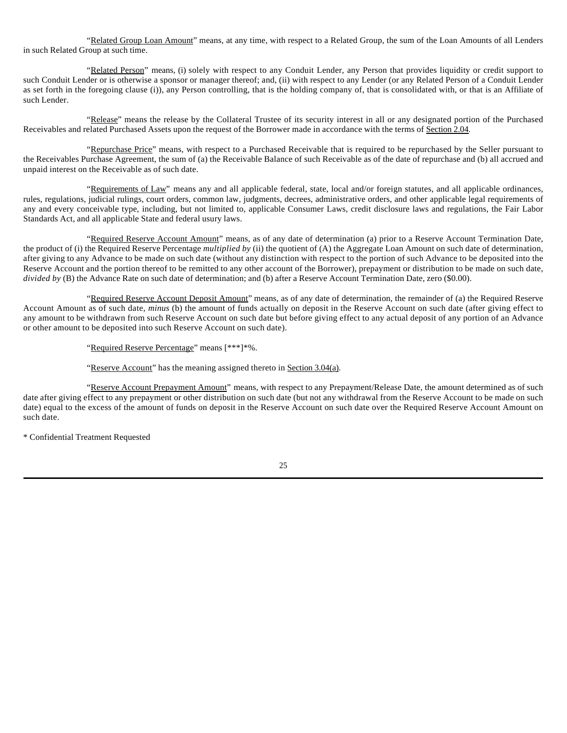"Related Group Loan Amount" means, at any time, with respect to a Related Group, the sum of the Loan Amounts of all Lenders in such Related Group at such time.

"Related Person" means, (i) solely with respect to any Conduit Lender, any Person that provides liquidity or credit support to such Conduit Lender or is otherwise a sponsor or manager thereof; and, (ii) with respect to any Lender (or any Related Person of a Conduit Lender as set forth in the foregoing clause (i)), any Person controlling, that is the holding company of, that is consolidated with, or that is an Affiliate of such Lender.

"Release" means the release by the Collateral Trustee of its security interest in all or any designated portion of the Purchased Receivables and related Purchased Assets upon the request of the Borrower made in accordance with the terms of Section 2.04.

"Repurchase Price" means, with respect to a Purchased Receivable that is required to be repurchased by the Seller pursuant to the Receivables Purchase Agreement, the sum of (a) the Receivable Balance of such Receivable as of the date of repurchase and (b) all accrued and unpaid interest on the Receivable as of such date.

"Requirements of Law" means any and all applicable federal, state, local and/or foreign statutes, and all applicable ordinances, rules, regulations, judicial rulings, court orders, common law, judgments, decrees, administrative orders, and other applicable legal requirements of any and every conceivable type, including, but not limited to, applicable Consumer Laws, credit disclosure laws and regulations, the Fair Labor Standards Act, and all applicable State and federal usury laws.

"Required Reserve Account Amount" means, as of any date of determination (a) prior to a Reserve Account Termination Date, the product of (i) the Required Reserve Percentage *multiplied by* (ii) the quotient of (A) the Aggregate Loan Amount on such date of determination, after giving to any Advance to be made on such date (without any distinction with respect to the portion of such Advance to be deposited into the Reserve Account and the portion thereof to be remitted to any other account of the Borrower), prepayment or distribution to be made on such date, *divided by* (B) the Advance Rate on such date of determination; and (b) after a Reserve Account Termination Date, zero (\$0.00).

"Required Reserve Account Deposit Amount" means, as of any date of determination, the remainder of (a) the Required Reserve Account Amount as of such date, *minus* (b) the amount of funds actually on deposit in the Reserve Account on such date (after giving effect to any amount to be withdrawn from such Reserve Account on such date but before giving effect to any actual deposit of any portion of an Advance or other amount to be deposited into such Reserve Account on such date).

"Required Reserve Percentage" means [\*\*\*]\*%.

"Reserve Account" has the meaning assigned thereto in Section 3.04(a).

"Reserve Account Prepayment Amount" means, with respect to any Prepayment/Release Date, the amount determined as of such date after giving effect to any prepayment or other distribution on such date (but not any withdrawal from the Reserve Account to be made on such date) equal to the excess of the amount of funds on deposit in the Reserve Account on such date over the Required Reserve Account Amount on such date.

\* Confidential Treatment Requested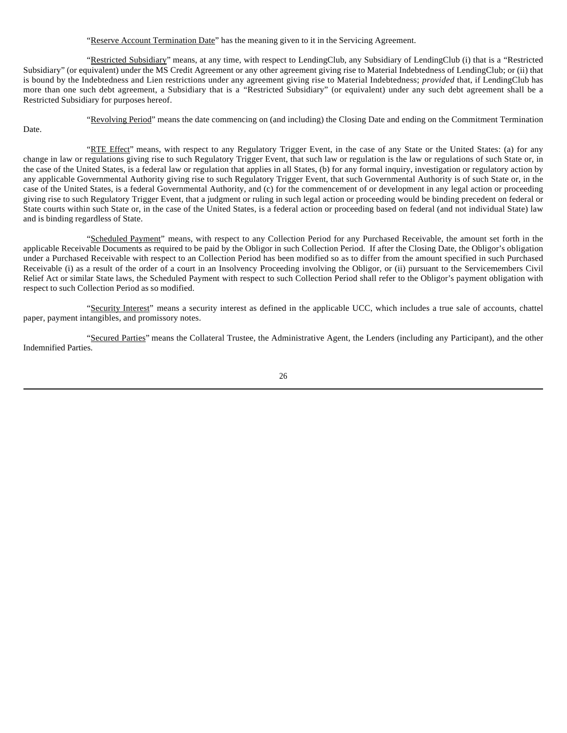# "Reserve Account Termination Date" has the meaning given to it in the Servicing Agreement.

"Restricted Subsidiary" means, at any time, with respect to LendingClub, any Subsidiary of LendingClub (i) that is a "Restricted Subsidiary" (or equivalent) under the MS Credit Agreement or any other agreement giving rise to Material Indebtedness of LendingClub; or (ii) that is bound by the Indebtedness and Lien restrictions under any agreement giving rise to Material Indebtedness; *provided* that, if LendingClub has more than one such debt agreement, a Subsidiary that is a "Restricted Subsidiary" (or equivalent) under any such debt agreement shall be a Restricted Subsidiary for purposes hereof.

Date.

"Revolving Period" means the date commencing on (and including) the Closing Date and ending on the Commitment Termination

"RTE Effect" means, with respect to any Regulatory Trigger Event, in the case of any State or the United States: (a) for any change in law or regulations giving rise to such Regulatory Trigger Event, that such law or regulation is the law or regulations of such State or, in the case of the United States, is a federal law or regulation that applies in all States, (b) for any formal inquiry, investigation or regulatory action by any applicable Governmental Authority giving rise to such Regulatory Trigger Event, that such Governmental Authority is of such State or, in the case of the United States, is a federal Governmental Authority, and (c) for the commencement of or development in any legal action or proceeding giving rise to such Regulatory Trigger Event, that a judgment or ruling in such legal action or proceeding would be binding precedent on federal or State courts within such State or, in the case of the United States, is a federal action or proceeding based on federal (and not individual State) law and is binding regardless of State.

"Scheduled Payment" means, with respect to any Collection Period for any Purchased Receivable, the amount set forth in the applicable Receivable Documents as required to be paid by the Obligor in such Collection Period. If after the Closing Date, the Obligor's obligation under a Purchased Receivable with respect to an Collection Period has been modified so as to differ from the amount specified in such Purchased Receivable (i) as a result of the order of a court in an Insolvency Proceeding involving the Obligor, or (ii) pursuant to the Servicemembers Civil Relief Act or similar State laws, the Scheduled Payment with respect to such Collection Period shall refer to the Obligor's payment obligation with respect to such Collection Period as so modified.

"Security Interest" means a security interest as defined in the applicable UCC, which includes a true sale of accounts, chattel paper, payment intangibles, and promissory notes.

"Secured Parties" means the Collateral Trustee, the Administrative Agent, the Lenders (including any Participant), and the other Indemnified Parties.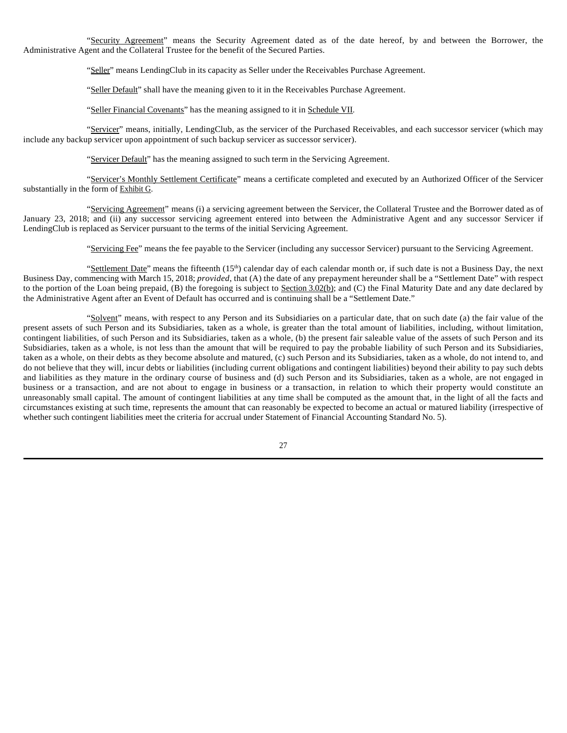"Security Agreement" means the Security Agreement dated as of the date hereof, by and between the Borrower, the Administrative Agent and the Collateral Trustee for the benefit of the Secured Parties.

"Seller" means LendingClub in its capacity as Seller under the Receivables Purchase Agreement.

"Seller Default" shall have the meaning given to it in the Receivables Purchase Agreement.

"Seller Financial Covenants" has the meaning assigned to it in Schedule VII.

"Servicer" means, initially, LendingClub, as the servicer of the Purchased Receivables, and each successor servicer (which may include any backup servicer upon appointment of such backup servicer as successor servicer).

"Servicer Default" has the meaning assigned to such term in the Servicing Agreement.

"Servicer's Monthly Settlement Certificate" means a certificate completed and executed by an Authorized Officer of the Servicer substantially in the form of Exhibit G.

"Servicing Agreement" means (i) a servicing agreement between the Servicer, the Collateral Trustee and the Borrower dated as of January 23, 2018; and (ii) any successor servicing agreement entered into between the Administrative Agent and any successor Servicer if LendingClub is replaced as Servicer pursuant to the terms of the initial Servicing Agreement.

"Servicing Fee" means the fee payable to the Servicer (including any successor Servicer) pursuant to the Servicing Agreement.

"Settlement Date" means the fifteenth  $(15<sup>th</sup>)$  calendar day of each calendar month or, if such date is not a Business Day, the next Business Day, commencing with March 15, 2018; *provided*, that (A) the date of any prepayment hereunder shall be a "Settlement Date" with respect to the portion of the Loan being prepaid, (B) the foregoing is subject to Section 3.02(b); and (C) the Final Maturity Date and any date declared by the Administrative Agent after an Event of Default has occurred and is continuing shall be a "Settlement Date."

"Solvent" means, with respect to any Person and its Subsidiaries on a particular date, that on such date (a) the fair value of the present assets of such Person and its Subsidiaries, taken as a whole, is greater than the total amount of liabilities, including, without limitation, contingent liabilities, of such Person and its Subsidiaries, taken as a whole, (b) the present fair saleable value of the assets of such Person and its Subsidiaries, taken as a whole, is not less than the amount that will be required to pay the probable liability of such Person and its Subsidiaries, taken as a whole, on their debts as they become absolute and matured, (c) such Person and its Subsidiaries, taken as a whole, do not intend to, and do not believe that they will, incur debts or liabilities (including current obligations and contingent liabilities) beyond their ability to pay such debts and liabilities as they mature in the ordinary course of business and (d) such Person and its Subsidiaries, taken as a whole, are not engaged in business or a transaction, and are not about to engage in business or a transaction, in relation to which their property would constitute an unreasonably small capital. The amount of contingent liabilities at any time shall be computed as the amount that, in the light of all the facts and circumstances existing at such time, represents the amount that can reasonably be expected to become an actual or matured liability (irrespective of whether such contingent liabilities meet the criteria for accrual under Statement of Financial Accounting Standard No. 5).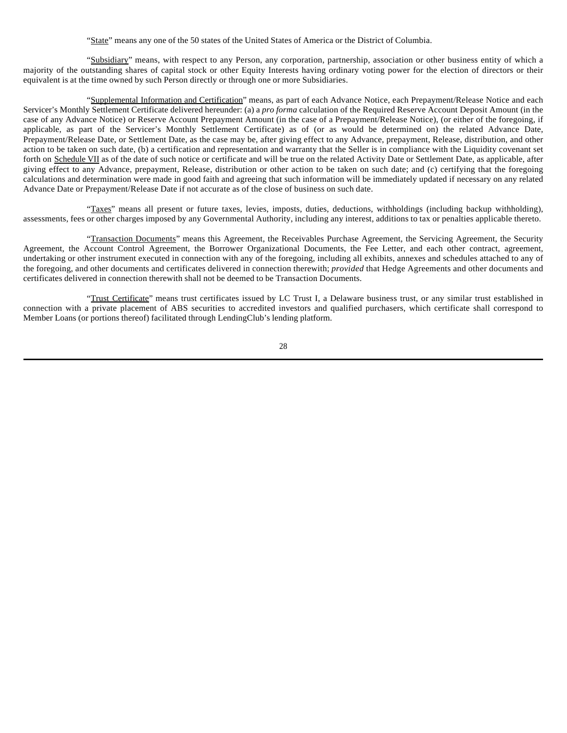"State" means any one of the 50 states of the United States of America or the District of Columbia.

"Subsidiary" means, with respect to any Person, any corporation, partnership, association or other business entity of which a majority of the outstanding shares of capital stock or other Equity Interests having ordinary voting power for the election of directors or their equivalent is at the time owned by such Person directly or through one or more Subsidiaries.

"Supplemental Information and Certification" means, as part of each Advance Notice, each Prepayment/Release Notice and each Servicer's Monthly Settlement Certificate delivered hereunder: (a) a *pro forma* calculation of the Required Reserve Account Deposit Amount (in the case of any Advance Notice) or Reserve Account Prepayment Amount (in the case of a Prepayment/Release Notice), (or either of the foregoing, if applicable, as part of the Servicer's Monthly Settlement Certificate) as of (or as would be determined on) the related Advance Date, Prepayment/Release Date, or Settlement Date, as the case may be, after giving effect to any Advance, prepayment, Release, distribution, and other action to be taken on such date, (b) a certification and representation and warranty that the Seller is in compliance with the Liquidity covenant set forth on Schedule VII as of the date of such notice or certificate and will be true on the related Activity Date or Settlement Date, as applicable, after giving effect to any Advance, prepayment, Release, distribution or other action to be taken on such date; and (c) certifying that the foregoing calculations and determination were made in good faith and agreeing that such information will be immediately updated if necessary on any related Advance Date or Prepayment/Release Date if not accurate as of the close of business on such date.

"Taxes" means all present or future taxes, levies, imposts, duties, deductions, withholdings (including backup withholding), assessments, fees or other charges imposed by any Governmental Authority, including any interest, additions to tax or penalties applicable thereto.

"Transaction Documents" means this Agreement, the Receivables Purchase Agreement, the Servicing Agreement, the Security Agreement, the Account Control Agreement, the Borrower Organizational Documents, the Fee Letter, and each other contract, agreement, undertaking or other instrument executed in connection with any of the foregoing, including all exhibits, annexes and schedules attached to any of the foregoing, and other documents and certificates delivered in connection therewith; *provided* that Hedge Agreements and other documents and certificates delivered in connection therewith shall not be deemed to be Transaction Documents.

"Trust Certificate" means trust certificates issued by LC Trust I, a Delaware business trust, or any similar trust established in connection with a private placement of ABS securities to accredited investors and qualified purchasers, which certificate shall correspond to Member Loans (or portions thereof) facilitated through LendingClub's lending platform.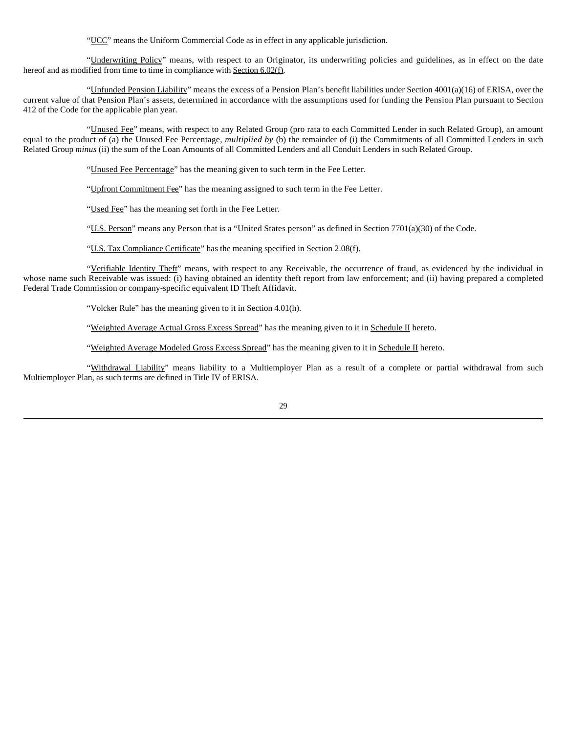"UCC" means the Uniform Commercial Code as in effect in any applicable jurisdiction.

"Underwriting Policy" means, with respect to an Originator, its underwriting policies and guidelines, as in effect on the date hereof and as modified from time to time in compliance with Section 6.02(f).

"Unfunded Pension Liability" means the excess of a Pension Plan's benefit liabilities under Section  $4001(a)(16)$  of ERISA, over the current value of that Pension Plan's assets, determined in accordance with the assumptions used for funding the Pension Plan pursuant to Section 412 of the Code for the applicable plan year.

"Unused Fee" means, with respect to any Related Group (pro rata to each Committed Lender in such Related Group), an amount equal to the product of (a) the Unused Fee Percentage, *multiplied by* (b) the remainder of (i) the Commitments of all Committed Lenders in such Related Group *minus* (ii) the sum of the Loan Amounts of all Committed Lenders and all Conduit Lenders in such Related Group.

"Unused Fee Percentage" has the meaning given to such term in the Fee Letter.

"Upfront Commitment Fee" has the meaning assigned to such term in the Fee Letter.

"Used Fee" has the meaning set forth in the Fee Letter.

"U.S. Person" means any Person that is a "United States person" as defined in Section 7701(a)(30) of the Code.

"U.S. Tax Compliance Certificate" has the meaning specified in Section 2.08(f).

"Verifiable Identity Theft" means, with respect to any Receivable, the occurrence of fraud, as evidenced by the individual in whose name such Receivable was issued: (i) having obtained an identity theft report from law enforcement; and (ii) having prepared a completed Federal Trade Commission or company-specific equivalent ID Theft Affidavit.

"Volcker Rule" has the meaning given to it in Section 4.01(h).

"Weighted Average Actual Gross Excess Spread" has the meaning given to it in Schedule II hereto.

"Weighted Average Modeled Gross Excess Spread" has the meaning given to it in Schedule II hereto.

"Withdrawal Liability" means liability to a Multiemployer Plan as a result of a complete or partial withdrawal from such Multiemployer Plan, as such terms are defined in Title IV of ERISA.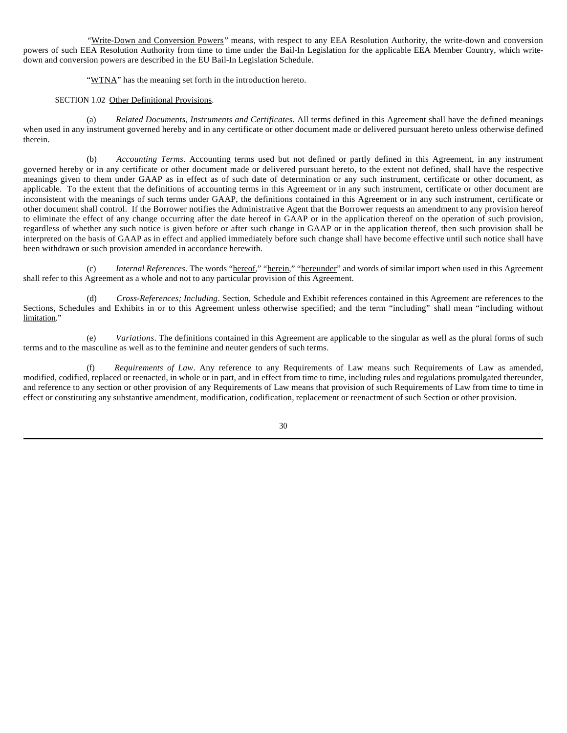*"*Write-Down and Conversion Powers*"* means, with respect to any EEA Resolution Authority, the write-down and conversion powers of such EEA Resolution Authority from time to time under the Bail-In Legislation for the applicable EEA Member Country, which writedown and conversion powers are described in the EU Bail-In Legislation Schedule.

"WTNA" has the meaning set forth in the introduction hereto.

### SECTION 1.02 Other Definitional Provisions.

(a) *Related Documents, Instruments and Certificates*. All terms defined in this Agreement shall have the defined meanings when used in any instrument governed hereby and in any certificate or other document made or delivered pursuant hereto unless otherwise defined therein.

(b) *Accounting Terms*. Accounting terms used but not defined or partly defined in this Agreement, in any instrument governed hereby or in any certificate or other document made or delivered pursuant hereto, to the extent not defined, shall have the respective meanings given to them under GAAP as in effect as of such date of determination or any such instrument, certificate or other document, as applicable. To the extent that the definitions of accounting terms in this Agreement or in any such instrument, certificate or other document are inconsistent with the meanings of such terms under GAAP, the definitions contained in this Agreement or in any such instrument, certificate or other document shall control. If the Borrower notifies the Administrative Agent that the Borrower requests an amendment to any provision hereof to eliminate the effect of any change occurring after the date hereof in GAAP or in the application thereof on the operation of such provision, regardless of whether any such notice is given before or after such change in GAAP or in the application thereof, then such provision shall be interpreted on the basis of GAAP as in effect and applied immediately before such change shall have become effective until such notice shall have been withdrawn or such provision amended in accordance herewith.

(c) *Internal References*. The words "hereof," "herein," "hereunder" and words of similar import when used in this Agreement shall refer to this Agreement as a whole and not to any particular provision of this Agreement.

(d) *Cross-References; Including*. Section, Schedule and Exhibit references contained in this Agreement are references to the Sections, Schedules and Exhibits in or to this Agreement unless otherwise specified; and the term "including" shall mean "including without limitation."

(e) *Variations*. The definitions contained in this Agreement are applicable to the singular as well as the plural forms of such terms and to the masculine as well as to the feminine and neuter genders of such terms.

(f) *Requirements of Law*. Any reference to any Requirements of Law means such Requirements of Law as amended, modified, codified, replaced or reenacted, in whole or in part, and in effect from time to time, including rules and regulations promulgated thereunder, and reference to any section or other provision of any Requirements of Law means that provision of such Requirements of Law from time to time in effect or constituting any substantive amendment, modification, codification, replacement or reenactment of such Section or other provision.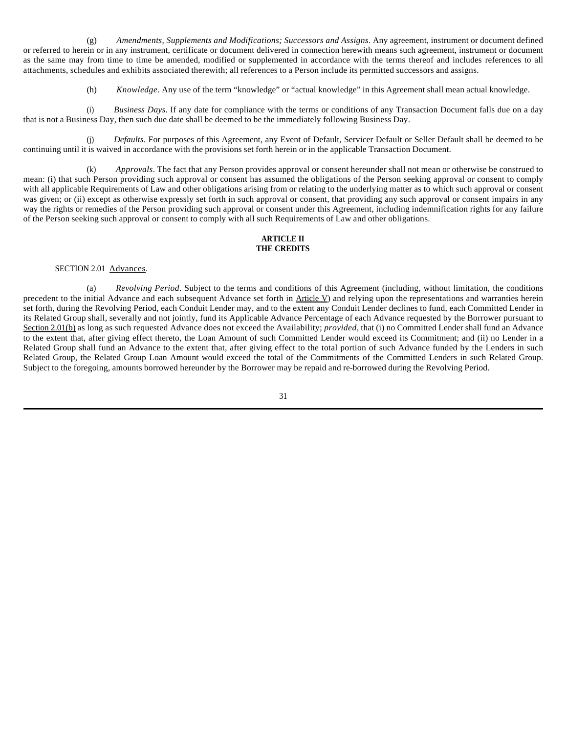(g) *Amendments, Supplements and Modifications; Successors and Assigns*. Any agreement, instrument or document defined or referred to herein or in any instrument, certificate or document delivered in connection herewith means such agreement, instrument or document as the same may from time to time be amended, modified or supplemented in accordance with the terms thereof and includes references to all attachments, schedules and exhibits associated therewith; all references to a Person include its permitted successors and assigns.

(h) *Knowledge*. Any use of the term "knowledge" or "actual knowledge" in this Agreement shall mean actual knowledge.

(i) *Business Days*. If any date for compliance with the terms or conditions of any Transaction Document falls due on a day that is not a Business Day, then such due date shall be deemed to be the immediately following Business Day.

(j) *Defaults*. For purposes of this Agreement, any Event of Default, Servicer Default or Seller Default shall be deemed to be continuing until it is waived in accordance with the provisions set forth herein or in the applicable Transaction Document.

(k) *Approvals*. The fact that any Person provides approval or consent hereunder shall not mean or otherwise be construed to mean: (i) that such Person providing such approval or consent has assumed the obligations of the Person seeking approval or consent to comply with all applicable Requirements of Law and other obligations arising from or relating to the underlying matter as to which such approval or consent was given; or (ii) except as otherwise expressly set forth in such approval or consent, that providing any such approval or consent impairs in any way the rights or remedies of the Person providing such approval or consent under this Agreement, including indemnification rights for any failure of the Person seeking such approval or consent to comply with all such Requirements of Law and other obligations.

# **ARTICLE II THE CREDITS**

SECTION 2.01 Advances.

(a) *Revolving Period*. Subject to the terms and conditions of this Agreement (including, without limitation, the conditions precedent to the initial Advance and each subsequent Advance set forth in Article V) and relying upon the representations and warranties herein set forth, during the Revolving Period, each Conduit Lender may, and to the extent any Conduit Lender declines to fund, each Committed Lender in its Related Group shall, severally and not jointly, fund its Applicable Advance Percentage of each Advance requested by the Borrower pursuant to Section 2.01(b) as long as such requested Advance does not exceed the Availability; *provided*, that (i) no Committed Lender shall fund an Advance to the extent that, after giving effect thereto, the Loan Amount of such Committed Lender would exceed its Commitment; and (ii) no Lender in a Related Group shall fund an Advance to the extent that, after giving effect to the total portion of such Advance funded by the Lenders in such Related Group, the Related Group Loan Amount would exceed the total of the Commitments of the Committed Lenders in such Related Group. Subject to the foregoing, amounts borrowed hereunder by the Borrower may be repaid and re-borrowed during the Revolving Period.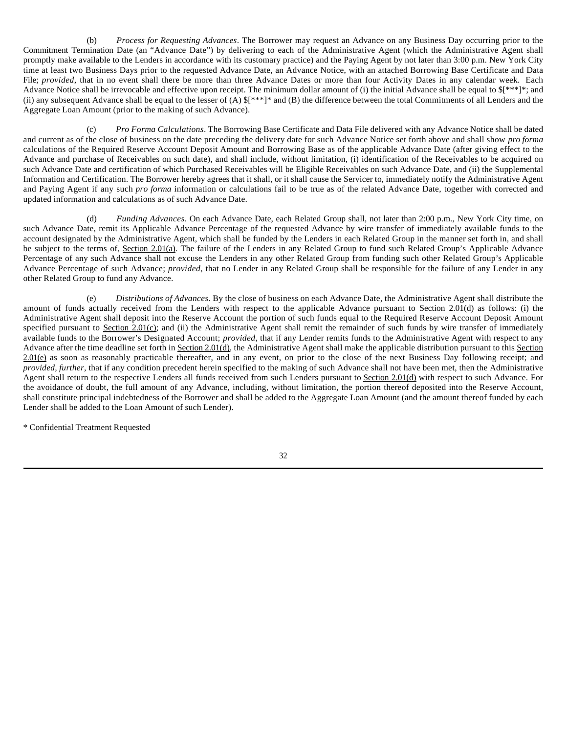(b) *Process for Requesting Advances*. The Borrower may request an Advance on any Business Day occurring prior to the Commitment Termination Date (an "Advance Date") by delivering to each of the Administrative Agent (which the Administrative Agent shall promptly make available to the Lenders in accordance with its customary practice) and the Paying Agent by not later than 3:00 p.m. New York City time at least two Business Days prior to the requested Advance Date, an Advance Notice, with an attached Borrowing Base Certificate and Data File; *provided*, that in no event shall there be more than three Advance Dates or more than four Activity Dates in any calendar week. Each Advance Notice shall be irrevocable and effective upon receipt. The minimum dollar amount of (i) the initial Advance shall be equal to  $\frac{1}{8}$ ; and (ii) any subsequent Advance shall be equal to the lesser of (A)  $\frac{1}{2}$ <sup>\*\*\*</sup>]\* and (B) the difference between the total Commitments of all Lenders and the Aggregate Loan Amount (prior to the making of such Advance).

(c) *Pro Forma Calculations*. The Borrowing Base Certificate and Data File delivered with any Advance Notice shall be dated and current as of the close of business on the date preceding the delivery date for such Advance Notice set forth above and shall show *pro forma* calculations of the Required Reserve Account Deposit Amount and Borrowing Base as of the applicable Advance Date (after giving effect to the Advance and purchase of Receivables on such date), and shall include, without limitation, (i) identification of the Receivables to be acquired on such Advance Date and certification of which Purchased Receivables will be Eligible Receivables on such Advance Date, and (ii) the Supplemental Information and Certification. The Borrower hereby agrees that it shall, or it shall cause the Servicer to, immediately notify the Administrative Agent and Paying Agent if any such *pro forma* information or calculations fail to be true as of the related Advance Date, together with corrected and updated information and calculations as of such Advance Date.

(d) *Funding Advances*. On each Advance Date, each Related Group shall, not later than 2:00 p.m., New York City time, on such Advance Date, remit its Applicable Advance Percentage of the requested Advance by wire transfer of immediately available funds to the account designated by the Administrative Agent, which shall be funded by the Lenders in each Related Group in the manner set forth in, and shall be subject to the terms of, Section 2.01(a). The failure of the Lenders in any Related Group to fund such Related Group's Applicable Advance Percentage of any such Advance shall not excuse the Lenders in any other Related Group from funding such other Related Group's Applicable Advance Percentage of such Advance; *provided*, that no Lender in any Related Group shall be responsible for the failure of any Lender in any other Related Group to fund any Advance.

(e) *Distributions of Advances*. By the close of business on each Advance Date, the Administrative Agent shall distribute the amount of funds actually received from the Lenders with respect to the applicable Advance pursuant to Section 2.01(d) as follows: (i) the Administrative Agent shall deposit into the Reserve Account the portion of such funds equal to the Required Reserve Account Deposit Amount specified pursuant to Section 2.01(c); and (ii) the Administrative Agent shall remit the remainder of such funds by wire transfer of immediately available funds to the Borrower's Designated Account; *provided*, that if any Lender remits funds to the Administrative Agent with respect to any Advance after the time deadline set forth in Section 2.01(d), the Administrative Agent shall make the applicable distribution pursuant to this Section 2.01(e) as soon as reasonably practicable thereafter, and in any event, on prior to the close of the next Business Day following receipt; and *provided, further*, that if any condition precedent herein specified to the making of such Advance shall not have been met, then the Administrative Agent shall return to the respective Lenders all funds received from such Lenders pursuant to Section 2.01(d) with respect to such Advance. For the avoidance of doubt, the full amount of any Advance, including, without limitation, the portion thereof deposited into the Reserve Account, shall constitute principal indebtedness of the Borrower and shall be added to the Aggregate Loan Amount (and the amount thereof funded by each Lender shall be added to the Loan Amount of such Lender).

\* Confidential Treatment Requested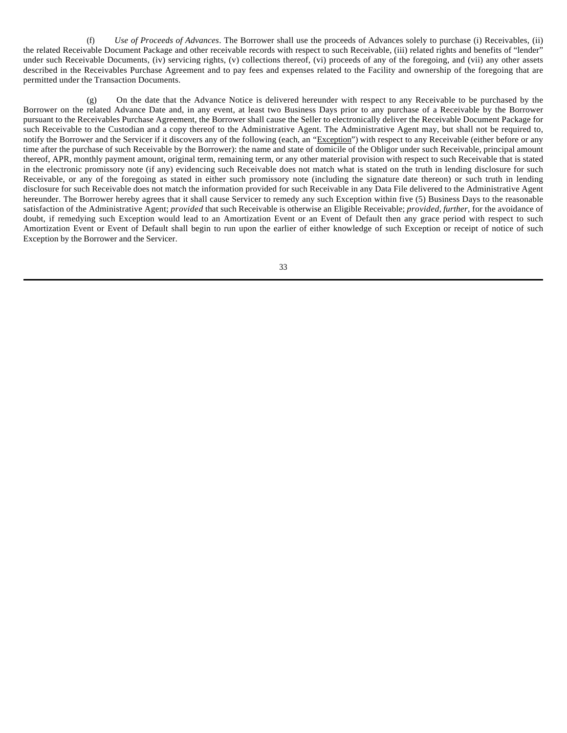(f) *Use of Proceeds of Advances*. The Borrower shall use the proceeds of Advances solely to purchase (i) Receivables, (ii) the related Receivable Document Package and other receivable records with respect to such Receivable, (iii) related rights and benefits of "lender" under such Receivable Documents, (iv) servicing rights, (v) collections thereof, (vi) proceeds of any of the foregoing, and (vii) any other assets described in the Receivables Purchase Agreement and to pay fees and expenses related to the Facility and ownership of the foregoing that are permitted under the Transaction Documents.

(g) On the date that the Advance Notice is delivered hereunder with respect to any Receivable to be purchased by the Borrower on the related Advance Date and, in any event, at least two Business Days prior to any purchase of a Receivable by the Borrower pursuant to the Receivables Purchase Agreement, the Borrower shall cause the Seller to electronically deliver the Receivable Document Package for such Receivable to the Custodian and a copy thereof to the Administrative Agent. The Administrative Agent may, but shall not be required to, notify the Borrower and the Servicer if it discovers any of the following (each, an "Exception") with respect to any Receivable (either before or any time after the purchase of such Receivable by the Borrower): the name and state of domicile of the Obligor under such Receivable, principal amount thereof, APR, monthly payment amount, original term, remaining term, or any other material provision with respect to such Receivable that is stated in the electronic promissory note (if any) evidencing such Receivable does not match what is stated on the truth in lending disclosure for such Receivable, or any of the foregoing as stated in either such promissory note (including the signature date thereon) or such truth in lending disclosure for such Receivable does not match the information provided for such Receivable in any Data File delivered to the Administrative Agent hereunder. The Borrower hereby agrees that it shall cause Servicer to remedy any such Exception within five (5) Business Days to the reasonable satisfaction of the Administrative Agent; *provided* that such Receivable is otherwise an Eligible Receivable; *provided*, *further*, for the avoidance of doubt, if remedying such Exception would lead to an Amortization Event or an Event of Default then any grace period with respect to such Amortization Event or Event of Default shall begin to run upon the earlier of either knowledge of such Exception or receipt of notice of such Exception by the Borrower and the Servicer.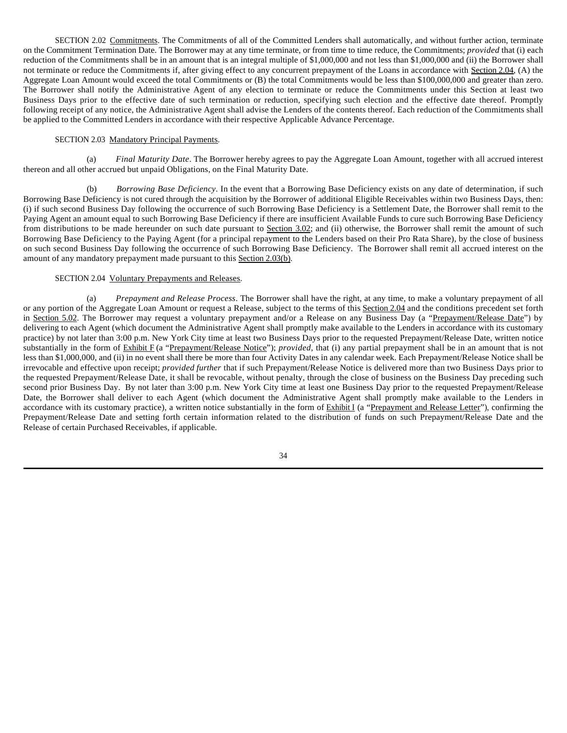SECTION 2.02 Commitments. The Commitments of all of the Committed Lenders shall automatically, and without further action, terminate on the Commitment Termination Date. The Borrower may at any time terminate, or from time to time reduce, the Commitments; *provided* that (i) each reduction of the Commitments shall be in an amount that is an integral multiple of \$1,000,000 and not less than \$1,000,000 and (ii) the Borrower shall not terminate or reduce the Commitments if, after giving effect to any concurrent prepayment of the Loans in accordance with Section 2.04, (A) the Aggregate Loan Amount would exceed the total Commitments or (B) the total Commitments would be less than \$100,000,000 and greater than zero. The Borrower shall notify the Administrative Agent of any election to terminate or reduce the Commitments under this Section at least two Business Days prior to the effective date of such termination or reduction, specifying such election and the effective date thereof. Promptly following receipt of any notice, the Administrative Agent shall advise the Lenders of the contents thereof. Each reduction of the Commitments shall be applied to the Committed Lenders in accordance with their respective Applicable Advance Percentage.

### SECTION 2.03 Mandatory Principal Payments.

(a) *Final Maturity Date*. The Borrower hereby agrees to pay the Aggregate Loan Amount, together with all accrued interest thereon and all other accrued but unpaid Obligations, on the Final Maturity Date.

(b) *Borrowing Base Deficiency*. In the event that a Borrowing Base Deficiency exists on any date of determination, if such Borrowing Base Deficiency is not cured through the acquisition by the Borrower of additional Eligible Receivables within two Business Days, then: (i) if such second Business Day following the occurrence of such Borrowing Base Deficiency is a Settlement Date, the Borrower shall remit to the Paying Agent an amount equal to such Borrowing Base Deficiency if there are insufficient Available Funds to cure such Borrowing Base Deficiency from distributions to be made hereunder on such date pursuant to Section 3.02; and (ii) otherwise, the Borrower shall remit the amount of such Borrowing Base Deficiency to the Paying Agent (for a principal repayment to the Lenders based on their Pro Rata Share), by the close of business on such second Business Day following the occurrence of such Borrowing Base Deficiency. The Borrower shall remit all accrued interest on the amount of any mandatory prepayment made pursuant to this Section 2.03(b).

#### SECTION 2.04 Voluntary Prepayments and Releases.

(a) *Prepayment and Release Process*. The Borrower shall have the right, at any time, to make a voluntary prepayment of all or any portion of the Aggregate Loan Amount or request a Release, subject to the terms of this Section 2.04 and the conditions precedent set forth in Section 5.02. The Borrower may request a voluntary prepayment and/or a Release on any Business Day (a "Prepayment/Release Date") by delivering to each Agent (which document the Administrative Agent shall promptly make available to the Lenders in accordance with its customary practice) by not later than 3:00 p.m. New York City time at least two Business Days prior to the requested Prepayment/Release Date, written notice substantially in the form of Exhibit F (a "Prepayment/Release Notice"); *provided*, that (i) any partial prepayment shall be in an amount that is not less than \$1,000,000, and (ii) in no event shall there be more than four Activity Dates in any calendar week. Each Prepayment/Release Notice shall be irrevocable and effective upon receipt; *provided further* that if such Prepayment/Release Notice is delivered more than two Business Days prior to the requested Prepayment/Release Date, it shall be revocable, without penalty, through the close of business on the Business Day preceding such second prior Business Day. By not later than 3:00 p.m. New York City time at least one Business Day prior to the requested Prepayment/Release Date, the Borrower shall deliver to each Agent (which document the Administrative Agent shall promptly make available to the Lenders in accordance with its customary practice), a written notice substantially in the form of Exhibit I (a "Prepayment and Release Letter"), confirming the Prepayment/Release Date and setting forth certain information related to the distribution of funds on such Prepayment/Release Date and the Release of certain Purchased Receivables, if applicable.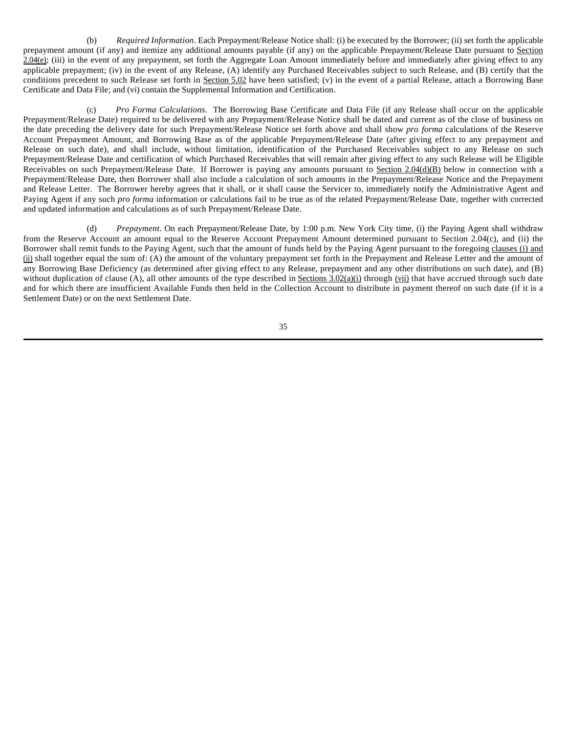(b) *Required Information*. Each Prepayment/Release Notice shall: (i) be executed by the Borrower; (ii) set forth the applicable prepayment amount (if any) and itemize any additional amounts payable (if any) on the applicable Prepayment/Release Date pursuant to Section 2.04(e); (iii) in the event of any prepayment, set forth the Aggregate Loan Amount immediately before and immediately after giving effect to any applicable prepayment; (iv) in the event of any Release, (A) identify any Purchased Receivables subject to such Release, and (B) certify that the conditions precedent to such Release set forth in Section 5.02 have been satisfied; (v) in the event of a partial Release, attach a Borrowing Base Certificate and Data File; and (vi) contain the Supplemental Information and Certification.

(c) *Pro Forma Calculations.* The Borrowing Base Certificate and Data File (if any Release shall occur on the applicable Prepayment/Release Date) required to be delivered with any Prepayment/Release Notice shall be dated and current as of the close of business on the date preceding the delivery date for such Prepayment/Release Notice set forth above and shall show *pro forma* calculations of the Reserve Account Prepayment Amount, and Borrowing Base as of the applicable Prepayment/Release Date (after giving effect to any prepayment and Release on such date), and shall include, without limitation, identification of the Purchased Receivables subject to any Release on such Prepayment/Release Date and certification of which Purchased Receivables that will remain after giving effect to any such Release will be Eligible Receivables on such Prepayment/Release Date. If Borrower is paying any amounts pursuant to Section 2.04(d)(B) below in connection with a Prepayment/Release Date, then Borrower shall also include a calculation of such amounts in the Prepayment/Release Notice and the Prepayment and Release Letter. The Borrower hereby agrees that it shall, or it shall cause the Servicer to, immediately notify the Administrative Agent and Paying Agent if any such *pro forma* information or calculations fail to be true as of the related Prepayment/Release Date, together with corrected and updated information and calculations as of such Prepayment/Release Date.

(d) *Prepayment*. On each Prepayment/Release Date, by 1:00 p.m. New York City time, (i) the Paying Agent shall withdraw from the Reserve Account an amount equal to the Reserve Account Prepayment Amount determined pursuant to Section 2.04(c), and (ii) the Borrower shall remit funds to the Paying Agent, such that the amount of funds held by the Paying Agent pursuant to the foregoing clauses (i) and (ii) shall together equal the sum of: (A) the amount of the voluntary prepayment set forth in the Prepayment and Release Letter and the amount of any Borrowing Base Deficiency (as determined after giving effect to any Release, prepayment and any other distributions on such date), and (B) without duplication of clause (A), all other amounts of the type described in Sections  $3.02(a)(i)$  through (vii) that have accrued through such date and for which there are insufficient Available Funds then held in the Collection Account to distribute in payment thereof on such date (if it is a Settlement Date) or on the next Settlement Date.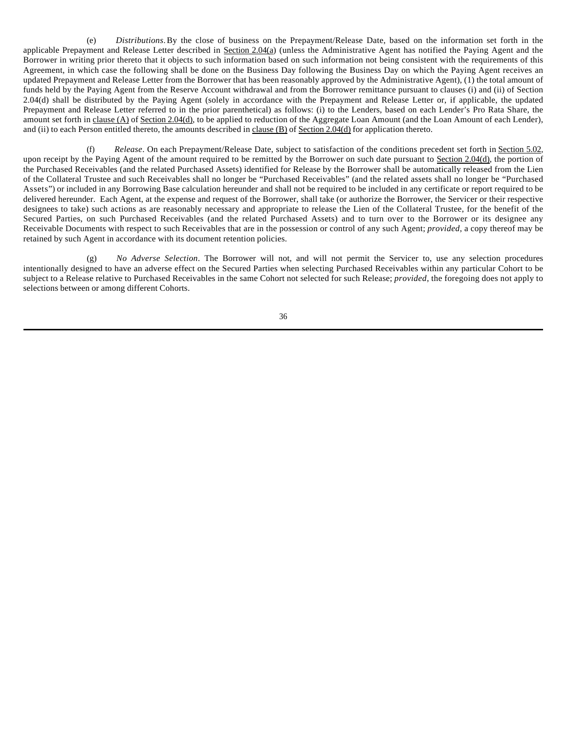(e) *Distributions*.By the close of business on the Prepayment/Release Date, based on the information set forth in the applicable Prepayment and Release Letter described in Section 2.04(a) (unless the Administrative Agent has notified the Paying Agent and the Borrower in writing prior thereto that it objects to such information based on such information not being consistent with the requirements of this Agreement, in which case the following shall be done on the Business Day following the Business Day on which the Paying Agent receives an updated Prepayment and Release Letter from the Borrower that has been reasonably approved by the Administrative Agent), (1) the total amount of funds held by the Paying Agent from the Reserve Account withdrawal and from the Borrower remittance pursuant to clauses (i) and (ii) of Section 2.04(d) shall be distributed by the Paying Agent (solely in accordance with the Prepayment and Release Letter or, if applicable, the updated Prepayment and Release Letter referred to in the prior parenthetical) as follows: (i) to the Lenders, based on each Lender's Pro Rata Share, the amount set forth in clause (A) of Section 2.04(d), to be applied to reduction of the Aggregate Loan Amount (and the Loan Amount of each Lender), and (ii) to each Person entitled thereto, the amounts described in clause (B) of Section 2.04(d) for application thereto.

(f) *Release*. On each Prepayment/Release Date, subject to satisfaction of the conditions precedent set forth in Section 5.02, upon receipt by the Paying Agent of the amount required to be remitted by the Borrower on such date pursuant to Section 2.04(d), the portion of the Purchased Receivables (and the related Purchased Assets) identified for Release by the Borrower shall be automatically released from the Lien of the Collateral Trustee and such Receivables shall no longer be "Purchased Receivables" (and the related assets shall no longer be "Purchased Assets") or included in any Borrowing Base calculation hereunder and shall not be required to be included in any certificate or report required to be delivered hereunder. Each Agent, at the expense and request of the Borrower, shall take (or authorize the Borrower, the Servicer or their respective designees to take) such actions as are reasonably necessary and appropriate to release the Lien of the Collateral Trustee, for the benefit of the Secured Parties, on such Purchased Receivables (and the related Purchased Assets) and to turn over to the Borrower or its designee any Receivable Documents with respect to such Receivables that are in the possession or control of any such Agent; *provided*, a copy thereof may be retained by such Agent in accordance with its document retention policies.

(g) *No Adverse Selection*. The Borrower will not, and will not permit the Servicer to, use any selection procedures intentionally designed to have an adverse effect on the Secured Parties when selecting Purchased Receivables within any particular Cohort to be subject to a Release relative to Purchased Receivables in the same Cohort not selected for such Release; *provided*, the foregoing does not apply to selections between or among different Cohorts.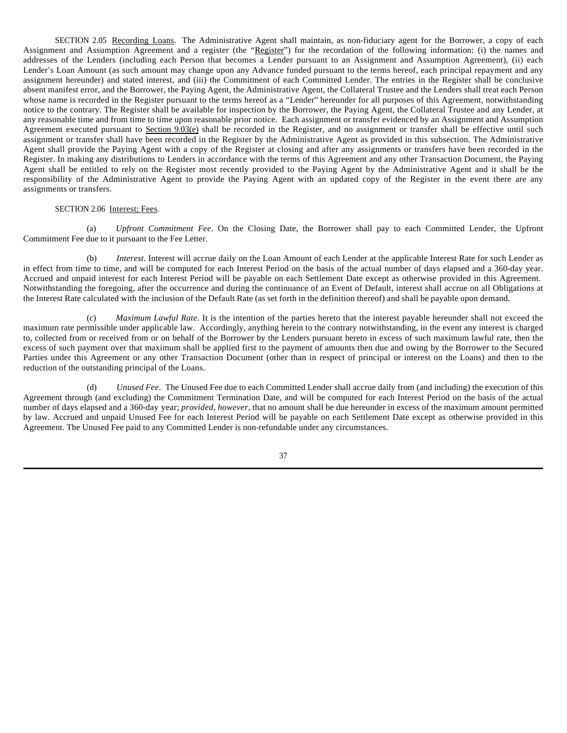SECTION 2.05 Recording Loans. The Administrative Agent shall maintain, as non-fiduciary agent for the Borrower, a copy of each Assignment and Assumption Agreement and a register (the "Register") for the recordation of the following information: (i) the names and addresses of the Lenders (including each Person that becomes a Lender pursuant to an Assignment and Assumption Agreement), (ii) each Lender's Loan Amount (as such amount may change upon any Advance funded pursuant to the terms hereof, each principal repayment and any assignment hereunder) and stated interest, and (iii) the Commitment of each Committed Lender. The entries in the Register shall be conclusive absent manifest error, and the Borrower, the Paying Agent, the Administrative Agent, the Collateral Trustee and the Lenders shall treat each Person whose name is recorded in the Register pursuant to the terms hereof as a "Lender" hereunder for all purposes of this Agreement, notwithstanding notice to the contrary. The Register shall be available for inspection by the Borrower, the Paying Agent, the Collateral Trustee and any Lender, at any reasonable time and from time to time upon reasonable prior notice. Each assignment or transfer evidenced by an Assignment and Assumption Agreement executed pursuant to Section 9.03(e) shall be recorded in the Register, and no assignment or transfer shall be effective until such assignment or transfer shall have been recorded in the Register by the Administrative Agent as provided in this subsection. The Administrative Agent shall provide the Paying Agent with a copy of the Register at closing and after any assignments or transfers have been recorded in the Register. In making any distributions to Lenders in accordance with the terms of this Agreement and any other Transaction Document, the Paying Agent shall be entitled to rely on the Register most recently provided to the Paying Agent by the Administrative Agent and it shall be the responsibility of the Administrative Agent to provide the Paying Agent with an updated copy of the Register in the event there are any assignments or transfers.

# SECTION 2.06 Interest; Fees.

(a) *Upfront Commitment Fee*. On the Closing Date, the Borrower shall pay to each Committed Lender, the Upfront Commitment Fee due to it pursuant to the Fee Letter.

(b) *Interest*. Interest will accrue daily on the Loan Amount of each Lender at the applicable Interest Rate for such Lender as in effect from time to time, and will be computed for each Interest Period on the basis of the actual number of days elapsed and a 360-day year. Accrued and unpaid interest for each Interest Period will be payable on each Settlement Date except as otherwise provided in this Agreement. Notwithstanding the foregoing, after the occurrence and during the continuance of an Event of Default, interest shall accrue on all Obligations at the Interest Rate calculated with the inclusion of the Default Rate (as set forth in the definition thereof) and shall be payable upon demand.

(c) *Maximum Lawful Rate*. It is the intention of the parties hereto that the interest payable hereunder shall not exceed the maximum rate permissible under applicable law. Accordingly, anything herein to the contrary notwithstanding, in the event any interest is charged to, collected from or received from or on behalf of the Borrower by the Lenders pursuant hereto in excess of such maximum lawful rate, then the excess of such payment over that maximum shall be applied first to the payment of amounts then due and owing by the Borrower to the Secured Parties under this Agreement or any other Transaction Document (other than in respect of principal or interest on the Loans) and then to the reduction of the outstanding principal of the Loans.

(d) *Unused Fee*. The Unused Fee due to each Committed Lender shall accrue daily from (and including) the execution of this Agreement through (and excluding) the Commitment Termination Date, and will be computed for each Interest Period on the basis of the actual number of days elapsed and a 360-day year; *provided, however*, that no amount shall be due hereunder in excess of the maximum amount permitted by law. Accrued and unpaid Unused Fee for each Interest Period will be payable on each Settlement Date except as otherwise provided in this Agreement. The Unused Fee paid to any Committed Lender is non-refundable under any circumstances.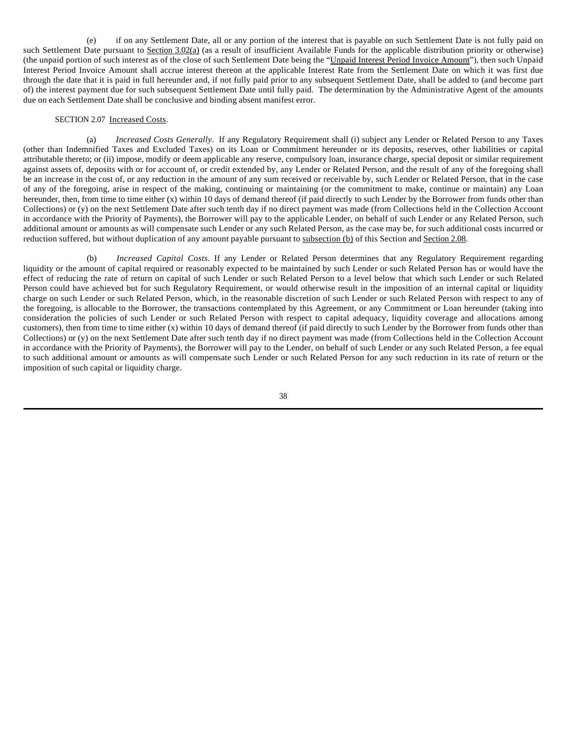(e) if on any Settlement Date, all or any portion of the interest that is payable on such Settlement Date is not fully paid on such Settlement Date pursuant to Section 3.02(a) (as a result of insufficient Available Funds for the applicable distribution priority or otherwise) (the unpaid portion of such interest as of the close of such Settlement Date being the "Unpaid Interest Period Invoice Amount"), then such Unpaid Interest Period Invoice Amount shall accrue interest thereon at the applicable Interest Rate from the Settlement Date on which it was first due through the date that it is paid in full hereunder and, if not fully paid prior to any subsequent Settlement Date, shall be added to (and become part of) the interest payment due for such subsequent Settlement Date until fully paid. The determination by the Administrative Agent of the amounts due on each Settlement Date shall be conclusive and binding absent manifest error.

#### SECTION 2.07 Increased Costs.

(a) *Increased Costs Generally*. If any Regulatory Requirement shall (i) subject any Lender or Related Person to any Taxes (other than Indemnified Taxes and Excluded Taxes) on its Loan or Commitment hereunder or its deposits, reserves, other liabilities or capital attributable thereto; or (ii) impose, modify or deem applicable any reserve, compulsory loan, insurance charge, special deposit or similar requirement against assets of, deposits with or for account of, or credit extended by, any Lender or Related Person, and the result of any of the foregoing shall be an increase in the cost of, or any reduction in the amount of any sum received or receivable by, such Lender or Related Person, that in the case of any of the foregoing, arise in respect of the making, continuing or maintaining (or the commitment to make, continue or maintain) any Loan hereunder, then, from time to time either (x) within 10 days of demand thereof (if paid directly to such Lender by the Borrower from funds other than Collections) or (y) on the next Settlement Date after such tenth day if no direct payment was made (from Collections held in the Collection Account in accordance with the Priority of Payments), the Borrower will pay to the applicable Lender, on behalf of such Lender or any Related Person, such additional amount or amounts as will compensate such Lender or any such Related Person, as the case may be, for such additional costs incurred or reduction suffered, but without duplication of any amount payable pursuant to subsection (b) of this Section and Section 2.08.

(b) *Increased Capital Costs*. If any Lender or Related Person determines that any Regulatory Requirement regarding liquidity or the amount of capital required or reasonably expected to be maintained by such Lender or such Related Person has or would have the effect of reducing the rate of return on capital of such Lender or such Related Person to a level below that which such Lender or such Related Person could have achieved but for such Regulatory Requirement, or would otherwise result in the imposition of an internal capital or liquidity charge on such Lender or such Related Person, which, in the reasonable discretion of such Lender or such Related Person with respect to any of the foregoing, is allocable to the Borrower, the transactions contemplated by this Agreement, or any Commitment or Loan hereunder (taking into consideration the policies of such Lender or such Related Person with respect to capital adequacy, liquidity coverage and allocations among customers), then from time to time either (x) within 10 days of demand thereof (if paid directly to such Lender by the Borrower from funds other than Collections) or (y) on the next Settlement Date after such tenth day if no direct payment was made (from Collections held in the Collection Account in accordance with the Priority of Payments), the Borrower will pay to the Lender, on behalf of such Lender or any such Related Person, a fee equal to such additional amount or amounts as will compensate such Lender or such Related Person for any such reduction in its rate of return or the imposition of such capital or liquidity charge.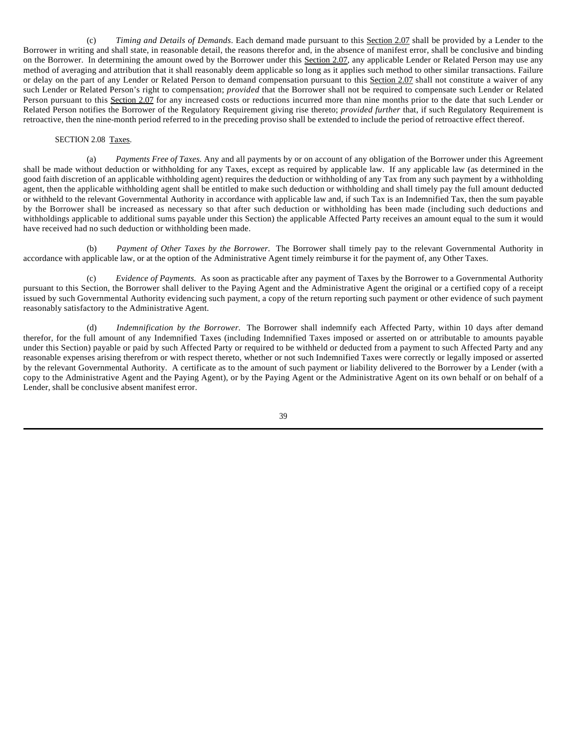(c) *Timing and Details of Demands*. Each demand made pursuant to this Section 2.07 shall be provided by a Lender to the Borrower in writing and shall state, in reasonable detail, the reasons therefor and, in the absence of manifest error, shall be conclusive and binding on the Borrower. In determining the amount owed by the Borrower under this Section 2.07, any applicable Lender or Related Person may use any method of averaging and attribution that it shall reasonably deem applicable so long as it applies such method to other similar transactions. Failure or delay on the part of any Lender or Related Person to demand compensation pursuant to this Section 2.07 shall not constitute a waiver of any such Lender or Related Person's right to compensation; *provided* that the Borrower shall not be required to compensate such Lender or Related Person pursuant to this Section 2.07 for any increased costs or reductions incurred more than nine months prior to the date that such Lender or Related Person notifies the Borrower of the Regulatory Requirement giving rise thereto; *provided further* that, if such Regulatory Requirement is retroactive, then the nine-month period referred to in the preceding proviso shall be extended to include the period of retroactive effect thereof.

### SECTION 2.08 Taxes.

(a) *Payments Free of Taxes.* Any and all payments by or on account of any obligation of the Borrower under this Agreement shall be made without deduction or withholding for any Taxes, except as required by applicable law. If any applicable law (as determined in the good faith discretion of an applicable withholding agent) requires the deduction or withholding of any Tax from any such payment by a withholding agent, then the applicable withholding agent shall be entitled to make such deduction or withholding and shall timely pay the full amount deducted or withheld to the relevant Governmental Authority in accordance with applicable law and, if such Tax is an Indemnified Tax, then the sum payable by the Borrower shall be increased as necessary so that after such deduction or withholding has been made (including such deductions and withholdings applicable to additional sums payable under this Section) the applicable Affected Party receives an amount equal to the sum it would have received had no such deduction or withholding been made.

(b) *Payment of Other Taxes by the Borrower.* The Borrower shall timely pay to the relevant Governmental Authority in accordance with applicable law, or at the option of the Administrative Agent timely reimburse it for the payment of, any Other Taxes.

(c) *Evidence of Payments.* As soon as practicable after any payment of Taxes by the Borrower to a Governmental Authority pursuant to this Section, the Borrower shall deliver to the Paying Agent and the Administrative Agent the original or a certified copy of a receipt issued by such Governmental Authority evidencing such payment, a copy of the return reporting such payment or other evidence of such payment reasonably satisfactory to the Administrative Agent.

(d) *Indemnification by the Borrower.* The Borrower shall indemnify each Affected Party, within 10 days after demand therefor, for the full amount of any Indemnified Taxes (including Indemnified Taxes imposed or asserted on or attributable to amounts payable under this Section) payable or paid by such Affected Party or required to be withheld or deducted from a payment to such Affected Party and any reasonable expenses arising therefrom or with respect thereto, whether or not such Indemnified Taxes were correctly or legally imposed or asserted by the relevant Governmental Authority. A certificate as to the amount of such payment or liability delivered to the Borrower by a Lender (with a copy to the Administrative Agent and the Paying Agent), or by the Paying Agent or the Administrative Agent on its own behalf or on behalf of a Lender, shall be conclusive absent manifest error.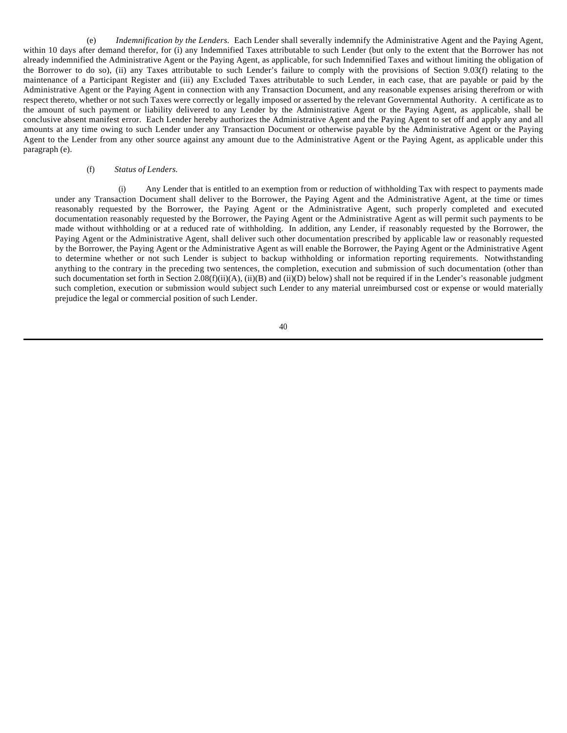(e) *Indemnification by the Lenders.* Each Lender shall severally indemnify the Administrative Agent and the Paying Agent, within 10 days after demand therefor, for (i) any Indemnified Taxes attributable to such Lender (but only to the extent that the Borrower has not already indemnified the Administrative Agent or the Paying Agent, as applicable, for such Indemnified Taxes and without limiting the obligation of the Borrower to do so), (ii) any Taxes attributable to such Lender's failure to comply with the provisions of Section 9.03(f) relating to the maintenance of a Participant Register and (iii) any Excluded Taxes attributable to such Lender, in each case, that are payable or paid by the Administrative Agent or the Paying Agent in connection with any Transaction Document, and any reasonable expenses arising therefrom or with respect thereto, whether or not such Taxes were correctly or legally imposed or asserted by the relevant Governmental Authority. A certificate as to the amount of such payment or liability delivered to any Lender by the Administrative Agent or the Paying Agent, as applicable, shall be conclusive absent manifest error. Each Lender hereby authorizes the Administrative Agent and the Paying Agent to set off and apply any and all amounts at any time owing to such Lender under any Transaction Document or otherwise payable by the Administrative Agent or the Paying Agent to the Lender from any other source against any amount due to the Administrative Agent or the Paying Agent, as applicable under this paragraph (e).

### (f) *Status of Lenders.*

(i) Any Lender that is entitled to an exemption from or reduction of withholding Tax with respect to payments made under any Transaction Document shall deliver to the Borrower, the Paying Agent and the Administrative Agent, at the time or times reasonably requested by the Borrower, the Paying Agent or the Administrative Agent, such properly completed and executed documentation reasonably requested by the Borrower, the Paying Agent or the Administrative Agent as will permit such payments to be made without withholding or at a reduced rate of withholding. In addition, any Lender, if reasonably requested by the Borrower, the Paying Agent or the Administrative Agent, shall deliver such other documentation prescribed by applicable law or reasonably requested by the Borrower, the Paying Agent or the Administrative Agent as will enable the Borrower, the Paying Agent or the Administrative Agent to determine whether or not such Lender is subject to backup withholding or information reporting requirements. Notwithstanding anything to the contrary in the preceding two sentences, the completion, execution and submission of such documentation (other than such documentation set forth in Section  $2.08(f)(ii)(A)$ , (ii)(B) and (ii)(D) below) shall not be required if in the Lender's reasonable judgment such completion, execution or submission would subject such Lender to any material unreimbursed cost or expense or would materially prejudice the legal or commercial position of such Lender.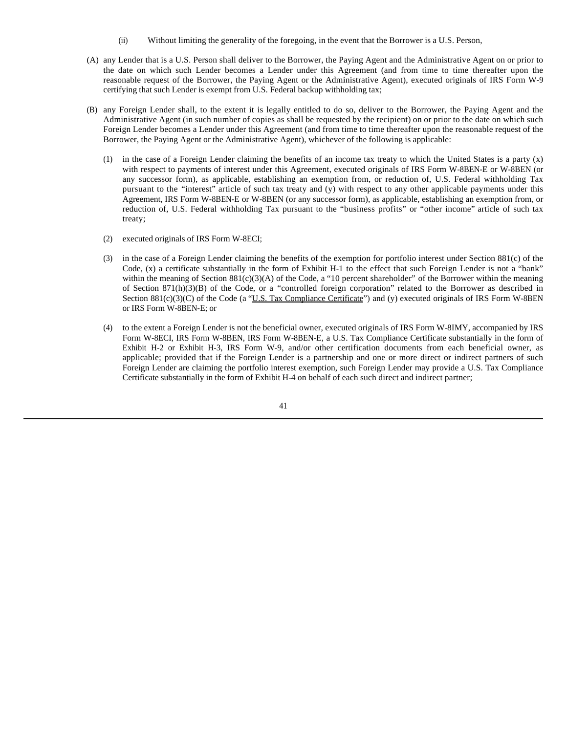- (ii) Without limiting the generality of the foregoing, in the event that the Borrower is a U.S. Person,
- (A) any Lender that is a U.S. Person shall deliver to the Borrower, the Paying Agent and the Administrative Agent on or prior to the date on which such Lender becomes a Lender under this Agreement (and from time to time thereafter upon the reasonable request of the Borrower, the Paying Agent or the Administrative Agent), executed originals of IRS Form W-9 certifying that such Lender is exempt from U.S. Federal backup withholding tax;
- (B) any Foreign Lender shall, to the extent it is legally entitled to do so, deliver to the Borrower, the Paying Agent and the Administrative Agent (in such number of copies as shall be requested by the recipient) on or prior to the date on which such Foreign Lender becomes a Lender under this Agreement (and from time to time thereafter upon the reasonable request of the Borrower, the Paying Agent or the Administrative Agent), whichever of the following is applicable:
	- (1) in the case of a Foreign Lender claiming the benefits of an income tax treaty to which the United States is a party (x) with respect to payments of interest under this Agreement, executed originals of IRS Form W-8BEN-E or W-8BEN (or any successor form), as applicable, establishing an exemption from, or reduction of, U.S. Federal withholding Tax pursuant to the "interest" article of such tax treaty and (y) with respect to any other applicable payments under this Agreement, IRS Form W-8BEN-E or W-8BEN (or any successor form), as applicable, establishing an exemption from, or reduction of, U.S. Federal withholding Tax pursuant to the "business profits" or "other income" article of such tax treaty;
	- (2) executed originals of IRS Form W-8ECI;
	- (3) in the case of a Foreign Lender claiming the benefits of the exemption for portfolio interest under Section 881(c) of the Code, (x) a certificate substantially in the form of Exhibit H-1 to the effect that such Foreign Lender is not a "bank" within the meaning of Section  $881(c)(3)(A)$  of the Code, a "10 percent shareholder" of the Borrower within the meaning of Section 871(h)(3)(B) of the Code, or a "controlled foreign corporation" related to the Borrower as described in Section  $881(c)(3)(C)$  of the Code (a "U.S. Tax Compliance Certificate") and (y) executed originals of IRS Form W-8BEN or IRS Form W-8BEN-E; or
	- (4) to the extent a Foreign Lender is not the beneficial owner, executed originals of IRS Form W-8IMY, accompanied by IRS Form W-8ECI, IRS Form W-8BEN, IRS Form W-8BEN-E, a U.S. Tax Compliance Certificate substantially in the form of Exhibit H-2 or Exhibit H-3, IRS Form W-9, and/or other certification documents from each beneficial owner, as applicable; provided that if the Foreign Lender is a partnership and one or more direct or indirect partners of such Foreign Lender are claiming the portfolio interest exemption, such Foreign Lender may provide a U.S. Tax Compliance Certificate substantially in the form of Exhibit H-4 on behalf of each such direct and indirect partner;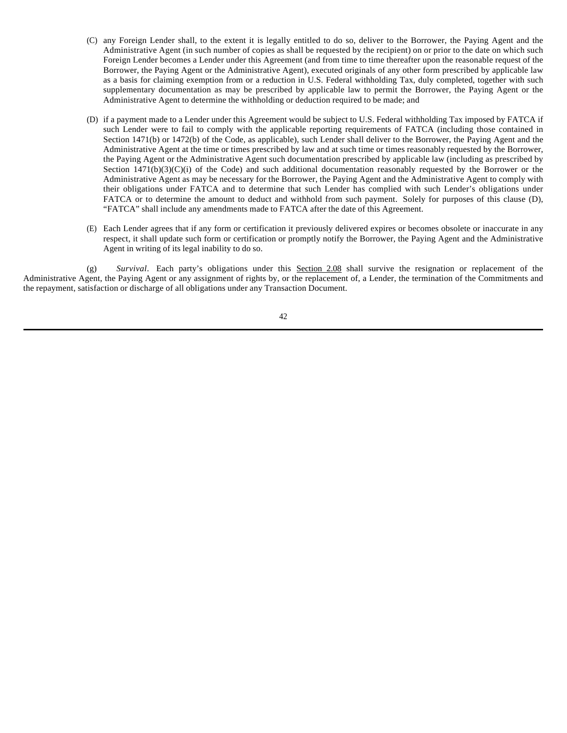- (C) any Foreign Lender shall, to the extent it is legally entitled to do so, deliver to the Borrower, the Paying Agent and the Administrative Agent (in such number of copies as shall be requested by the recipient) on or prior to the date on which such Foreign Lender becomes a Lender under this Agreement (and from time to time thereafter upon the reasonable request of the Borrower, the Paying Agent or the Administrative Agent), executed originals of any other form prescribed by applicable law as a basis for claiming exemption from or a reduction in U.S. Federal withholding Tax, duly completed, together with such supplementary documentation as may be prescribed by applicable law to permit the Borrower, the Paying Agent or the Administrative Agent to determine the withholding or deduction required to be made; and
- (D) if a payment made to a Lender under this Agreement would be subject to U.S. Federal withholding Tax imposed by FATCA if such Lender were to fail to comply with the applicable reporting requirements of FATCA (including those contained in Section 1471(b) or 1472(b) of the Code, as applicable), such Lender shall deliver to the Borrower, the Paying Agent and the Administrative Agent at the time or times prescribed by law and at such time or times reasonably requested by the Borrower, the Paying Agent or the Administrative Agent such documentation prescribed by applicable law (including as prescribed by Section  $1471(b)(3)(C)(i)$  of the Code) and such additional documentation reasonably requested by the Borrower or the Administrative Agent as may be necessary for the Borrower, the Paying Agent and the Administrative Agent to comply with their obligations under FATCA and to determine that such Lender has complied with such Lender's obligations under FATCA or to determine the amount to deduct and withhold from such payment. Solely for purposes of this clause (D), "FATCA" shall include any amendments made to FATCA after the date of this Agreement.
- (E) Each Lender agrees that if any form or certification it previously delivered expires or becomes obsolete or inaccurate in any respect, it shall update such form or certification or promptly notify the Borrower, the Paying Agent and the Administrative Agent in writing of its legal inability to do so.

(g) *Survival*. Each party's obligations under this Section 2.08 shall survive the resignation or replacement of the Administrative Agent, the Paying Agent or any assignment of rights by, or the replacement of, a Lender, the termination of the Commitments and the repayment, satisfaction or discharge of all obligations under any Transaction Document.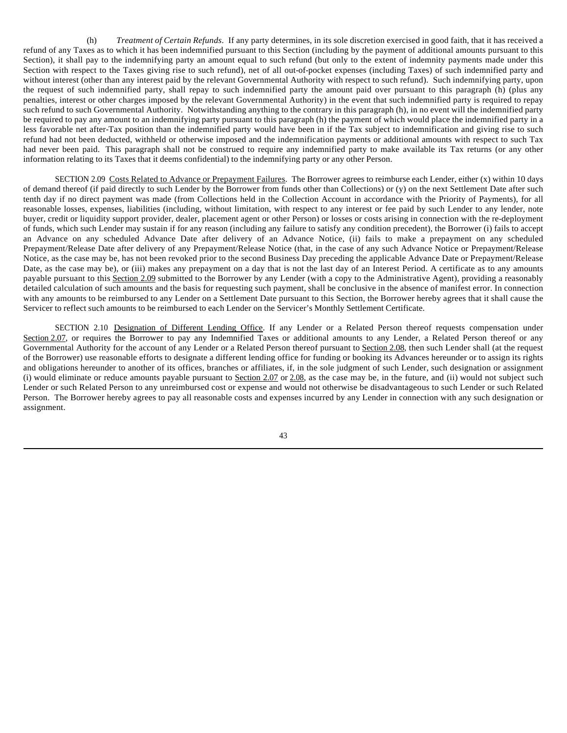(h) *Treatment of Certain Refunds*. If any party determines, in its sole discretion exercised in good faith, that it has received a refund of any Taxes as to which it has been indemnified pursuant to this Section (including by the payment of additional amounts pursuant to this Section), it shall pay to the indemnifying party an amount equal to such refund (but only to the extent of indemnity payments made under this Section with respect to the Taxes giving rise to such refund), net of all out-of-pocket expenses (including Taxes) of such indemnified party and without interest (other than any interest paid by the relevant Governmental Authority with respect to such refund). Such indemnifying party, upon the request of such indemnified party, shall repay to such indemnified party the amount paid over pursuant to this paragraph (h) (plus any penalties, interest or other charges imposed by the relevant Governmental Authority) in the event that such indemnified party is required to repay such refund to such Governmental Authority. Notwithstanding anything to the contrary in this paragraph (h), in no event will the indemnified party be required to pay any amount to an indemnifying party pursuant to this paragraph (h) the payment of which would place the indemnified party in a less favorable net after-Tax position than the indemnified party would have been in if the Tax subject to indemnification and giving rise to such refund had not been deducted, withheld or otherwise imposed and the indemnification payments or additional amounts with respect to such Tax had never been paid. This paragraph shall not be construed to require any indemnified party to make available its Tax returns (or any other information relating to its Taxes that it deems confidential) to the indemnifying party or any other Person.

SECTION 2.09 Costs Related to Advance or Prepayment Failures. The Borrower agrees to reimburse each Lender, either (x) within 10 days of demand thereof (if paid directly to such Lender by the Borrower from funds other than Collections) or (y) on the next Settlement Date after such tenth day if no direct payment was made (from Collections held in the Collection Account in accordance with the Priority of Payments), for all reasonable losses, expenses, liabilities (including, without limitation, with respect to any interest or fee paid by such Lender to any lender, note buyer, credit or liquidity support provider, dealer, placement agent or other Person) or losses or costs arising in connection with the re-deployment of funds, which such Lender may sustain if for any reason (including any failure to satisfy any condition precedent), the Borrower (i) fails to accept an Advance on any scheduled Advance Date after delivery of an Advance Notice, (ii) fails to make a prepayment on any scheduled Prepayment/Release Date after delivery of any Prepayment/Release Notice (that, in the case of any such Advance Notice or Prepayment/Release Notice, as the case may be, has not been revoked prior to the second Business Day preceding the applicable Advance Date or Prepayment/Release Date, as the case may be), or (iii) makes any prepayment on a day that is not the last day of an Interest Period. A certificate as to any amounts payable pursuant to this Section 2.09 submitted to the Borrower by any Lender (with a copy to the Administrative Agent), providing a reasonably detailed calculation of such amounts and the basis for requesting such payment, shall be conclusive in the absence of manifest error. In connection with any amounts to be reimbursed to any Lender on a Settlement Date pursuant to this Section, the Borrower hereby agrees that it shall cause the Servicer to reflect such amounts to be reimbursed to each Lender on the Servicer's Monthly Settlement Certificate.

SECTION 2.10 Designation of Different Lending Office. If any Lender or a Related Person thereof requests compensation under Section 2.07, or requires the Borrower to pay any Indemnified Taxes or additional amounts to any Lender, a Related Person thereof or any Governmental Authority for the account of any Lender or a Related Person thereof pursuant to Section 2.08, then such Lender shall (at the request of the Borrower) use reasonable efforts to designate a different lending office for funding or booking its Advances hereunder or to assign its rights and obligations hereunder to another of its offices, branches or affiliates, if, in the sole judgment of such Lender, such designation or assignment (i) would eliminate or reduce amounts payable pursuant to Section 2.07 or  $2.08$ , as the case may be, in the future, and (ii) would not subject such Lender or such Related Person to any unreimbursed cost or expense and would not otherwise be disadvantageous to such Lender or such Related Person. The Borrower hereby agrees to pay all reasonable costs and expenses incurred by any Lender in connection with any such designation or assignment.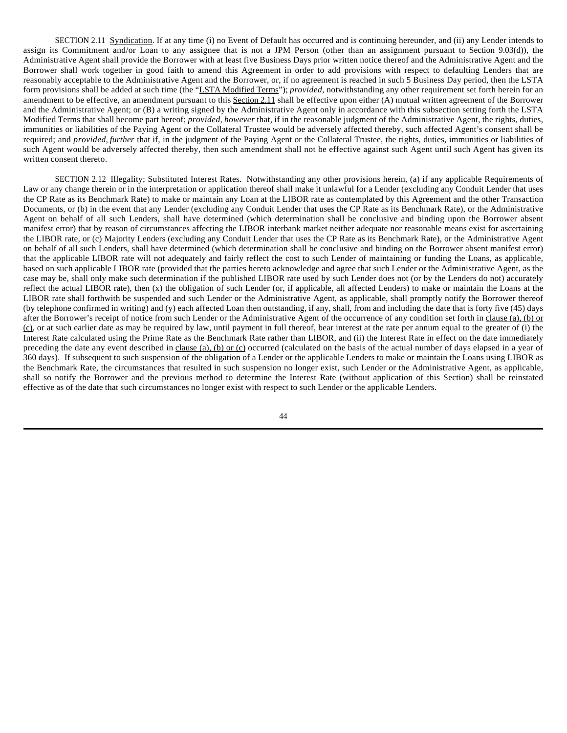SECTION 2.11 Syndication. If at any time (i) no Event of Default has occurred and is continuing hereunder, and (ii) any Lender intends to assign its Commitment and/or Loan to any assignee that is not a JPM Person (other than an assignment pursuant to Section 9.03(d)), the Administrative Agent shall provide the Borrower with at least five Business Days prior written notice thereof and the Administrative Agent and the Borrower shall work together in good faith to amend this Agreement in order to add provisions with respect to defaulting Lenders that are reasonably acceptable to the Administrative Agent and the Borrower, or, if no agreement is reached in such 5 Business Day period, then the LSTA form provisions shall be added at such time (the "LSTA Modified Terms"); *provided*, notwithstanding any other requirement set forth herein for an amendment to be effective, an amendment pursuant to this Section 2.11 shall be effective upon either (A) mutual written agreement of the Borrower and the Administrative Agent; or (B) a writing signed by the Administrative Agent only in accordance with this subsection setting forth the LSTA Modified Terms that shall become part hereof; *provided*, *however* that, if in the reasonable judgment of the Administrative Agent, the rights, duties, immunities or liabilities of the Paying Agent or the Collateral Trustee would be adversely affected thereby, such affected Agent's consent shall be required; and *provided, further* that if, in the judgment of the Paying Agent or the Collateral Trustee, the rights, duties, immunities or liabilities of such Agent would be adversely affected thereby, then such amendment shall not be effective against such Agent until such Agent has given its written consent thereto.

SECTION 2.12 Illegality; Substituted Interest Rates. Notwithstanding any other provisions herein, (a) if any applicable Requirements of Law or any change therein or in the interpretation or application thereof shall make it unlawful for a Lender (excluding any Conduit Lender that uses the CP Rate as its Benchmark Rate) to make or maintain any Loan at the LIBOR rate as contemplated by this Agreement and the other Transaction Documents, or (b) in the event that any Lender (excluding any Conduit Lender that uses the CP Rate as its Benchmark Rate), or the Administrative Agent on behalf of all such Lenders, shall have determined (which determination shall be conclusive and binding upon the Borrower absent manifest error) that by reason of circumstances affecting the LIBOR interbank market neither adequate nor reasonable means exist for ascertaining the LIBOR rate, or (c) Majority Lenders (excluding any Conduit Lender that uses the CP Rate as its Benchmark Rate), or the Administrative Agent on behalf of all such Lenders, shall have determined (which determination shall be conclusive and binding on the Borrower absent manifest error) that the applicable LIBOR rate will not adequately and fairly reflect the cost to such Lender of maintaining or funding the Loans, as applicable, based on such applicable LIBOR rate (provided that the parties hereto acknowledge and agree that such Lender or the Administrative Agent, as the case may be, shall only make such determination if the published LIBOR rate used by such Lender does not (or by the Lenders do not) accurately reflect the actual LIBOR rate), then (x) the obligation of such Lender (or, if applicable, all affected Lenders) to make or maintain the Loans at the LIBOR rate shall forthwith be suspended and such Lender or the Administrative Agent, as applicable, shall promptly notify the Borrower thereof (by telephone confirmed in writing) and (y) each affected Loan then outstanding, if any, shall, from and including the date that is forty five (45) days after the Borrower's receipt of notice from such Lender or the Administrative Agent of the occurrence of any condition set forth in clause (a), (b) or (c), or at such earlier date as may be required by law, until payment in full thereof, bear interest at the rate per annum equal to the greater of (i) the Interest Rate calculated using the Prime Rate as the Benchmark Rate rather than LIBOR, and (ii) the Interest Rate in effect on the date immediately preceding the date any event described in clause (a), (b) or (c) occurred (calculated on the basis of the actual number of days elapsed in a year of 360 days). If subsequent to such suspension of the obligation of a Lender or the applicable Lenders to make or maintain the Loans using LIBOR as the Benchmark Rate, the circumstances that resulted in such suspension no longer exist, such Lender or the Administrative Agent, as applicable, shall so notify the Borrower and the previous method to determine the Interest Rate (without application of this Section) shall be reinstated effective as of the date that such circumstances no longer exist with respect to such Lender or the applicable Lenders.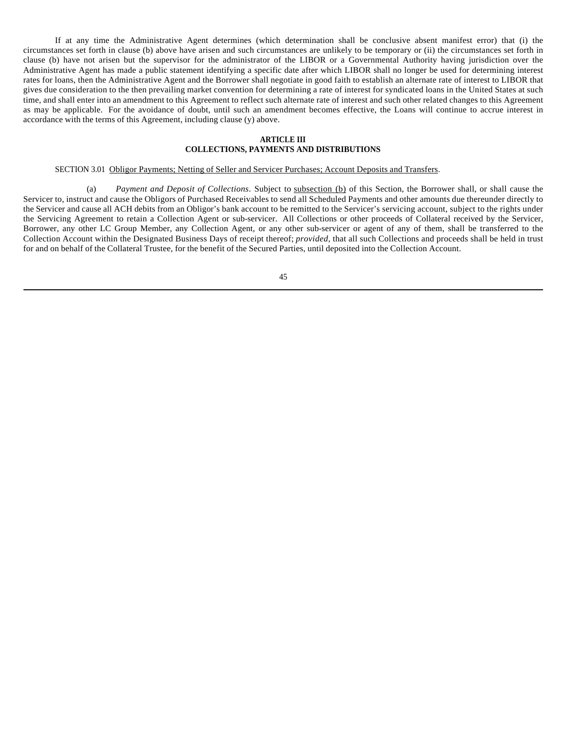If at any time the Administrative Agent determines (which determination shall be conclusive absent manifest error) that (i) the circumstances set forth in clause (b) above have arisen and such circumstances are unlikely to be temporary or (ii) the circumstances set forth in clause (b) have not arisen but the supervisor for the administrator of the LIBOR or a Governmental Authority having jurisdiction over the Administrative Agent has made a public statement identifying a specific date after which LIBOR shall no longer be used for determining interest rates for loans, then the Administrative Agent and the Borrower shall negotiate in good faith to establish an alternate rate of interest to LIBOR that gives due consideration to the then prevailing market convention for determining a rate of interest for syndicated loans in the United States at such time, and shall enter into an amendment to this Agreement to reflect such alternate rate of interest and such other related changes to this Agreement as may be applicable. For the avoidance of doubt, until such an amendment becomes effective, the Loans will continue to accrue interest in accordance with the terms of this Agreement, including clause (y) above.

## **ARTICLE III COLLECTIONS, PAYMENTS AND DISTRIBUTIONS**

# SECTION 3.01 Obligor Payments; Netting of Seller and Servicer Purchases; Account Deposits and Transfers.

(a) *Payment and Deposit of Collections*. Subject to subsection (b) of this Section, the Borrower shall, or shall cause the Servicer to, instruct and cause the Obligors of Purchased Receivables to send all Scheduled Payments and other amounts due thereunder directly to the Servicer and cause all ACH debits from an Obligor's bank account to be remitted to the Servicer's servicing account, subject to the rights under the Servicing Agreement to retain a Collection Agent or sub-servicer. All Collections or other proceeds of Collateral received by the Servicer, Borrower, any other LC Group Member, any Collection Agent, or any other sub-servicer or agent of any of them, shall be transferred to the Collection Account within the Designated Business Days of receipt thereof; *provided*, that all such Collections and proceeds shall be held in trust for and on behalf of the Collateral Trustee, for the benefit of the Secured Parties, until deposited into the Collection Account.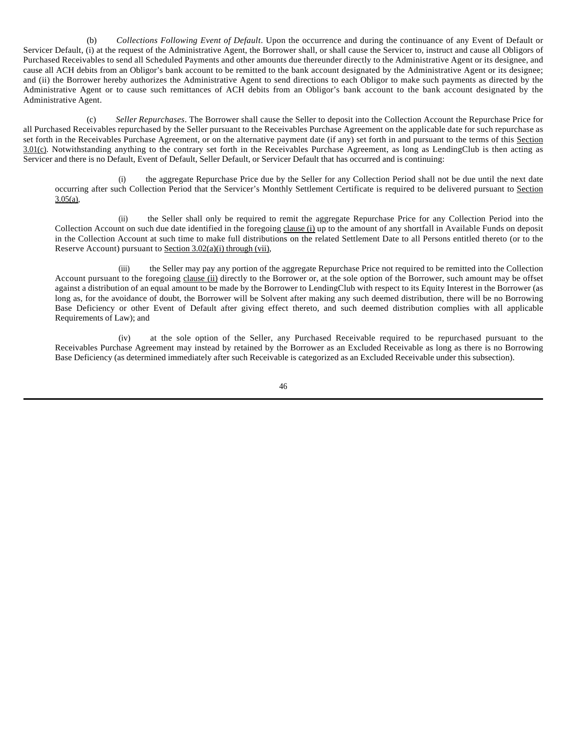(b) *Collections Following Event of Default*. Upon the occurrence and during the continuance of any Event of Default or Servicer Default, (i) at the request of the Administrative Agent, the Borrower shall, or shall cause the Servicer to, instruct and cause all Obligors of Purchased Receivables to send all Scheduled Payments and other amounts due thereunder directly to the Administrative Agent or its designee, and cause all ACH debits from an Obligor's bank account to be remitted to the bank account designated by the Administrative Agent or its designee; and (ii) the Borrower hereby authorizes the Administrative Agent to send directions to each Obligor to make such payments as directed by the Administrative Agent or to cause such remittances of ACH debits from an Obligor's bank account to the bank account designated by the Administrative Agent.

(c) *Seller Repurchases*. The Borrower shall cause the Seller to deposit into the Collection Account the Repurchase Price for all Purchased Receivables repurchased by the Seller pursuant to the Receivables Purchase Agreement on the applicable date for such repurchase as set forth in the Receivables Purchase Agreement, or on the alternative payment date (if any) set forth in and pursuant to the terms of this Section 3.01(c). Notwithstanding anything to the contrary set forth in the Receivables Purchase Agreement, as long as LendingClub is then acting as Servicer and there is no Default, Event of Default, Seller Default, or Servicer Default that has occurred and is continuing:

(i) the aggregate Repurchase Price due by the Seller for any Collection Period shall not be due until the next date occurring after such Collection Period that the Servicer's Monthly Settlement Certificate is required to be delivered pursuant to Section  $3.05(a)$ ,

(ii) the Seller shall only be required to remit the aggregate Repurchase Price for any Collection Period into the Collection Account on such due date identified in the foregoing clause (i) up to the amount of any shortfall in Available Funds on deposit in the Collection Account at such time to make full distributions on the related Settlement Date to all Persons entitled thereto (or to the Reserve Account) pursuant to Section 3.02(a)(i) through (vii),

(iii) the Seller may pay any portion of the aggregate Repurchase Price not required to be remitted into the Collection Account pursuant to the foregoing clause (ii) directly to the Borrower or, at the sole option of the Borrower, such amount may be offset against a distribution of an equal amount to be made by the Borrower to LendingClub with respect to its Equity Interest in the Borrower (as long as, for the avoidance of doubt, the Borrower will be Solvent after making any such deemed distribution, there will be no Borrowing Base Deficiency or other Event of Default after giving effect thereto, and such deemed distribution complies with all applicable Requirements of Law); and

(iv) at the sole option of the Seller, any Purchased Receivable required to be repurchased pursuant to the Receivables Purchase Agreement may instead by retained by the Borrower as an Excluded Receivable as long as there is no Borrowing Base Deficiency (as determined immediately after such Receivable is categorized as an Excluded Receivable under this subsection).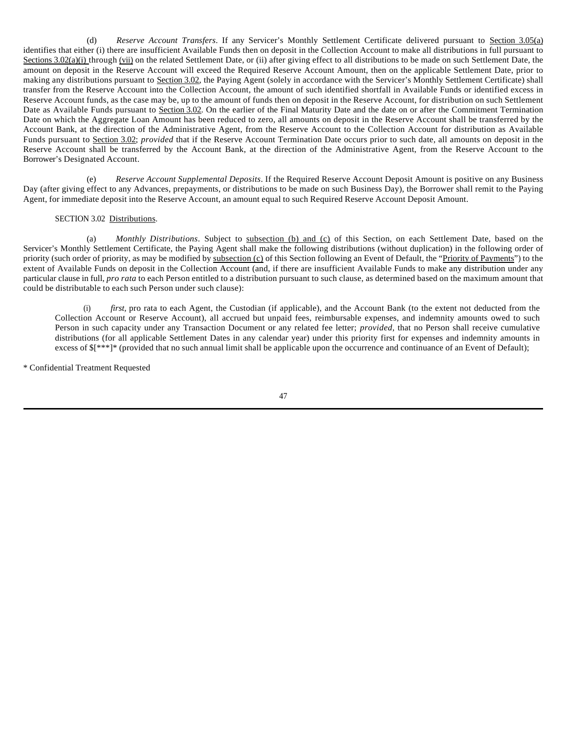(d) *Reserve Account Transfers*. If any Servicer's Monthly Settlement Certificate delivered pursuant to Section 3.05(a) identifies that either (i) there are insufficient Available Funds then on deposit in the Collection Account to make all distributions in full pursuant to Sections 3.02(a)(i) through (vii) on the related Settlement Date, or (ii) after giving effect to all distributions to be made on such Settlement Date, the amount on deposit in the Reserve Account will exceed the Required Reserve Account Amount, then on the applicable Settlement Date, prior to making any distributions pursuant to Section 3.02, the Paying Agent (solely in accordance with the Servicer's Monthly Settlement Certificate) shall transfer from the Reserve Account into the Collection Account, the amount of such identified shortfall in Available Funds or identified excess in Reserve Account funds, as the case may be, up to the amount of funds then on deposit in the Reserve Account, for distribution on such Settlement Date as Available Funds pursuant to Section 3.02. On the earlier of the Final Maturity Date and the date on or after the Commitment Termination Date on which the Aggregate Loan Amount has been reduced to zero, all amounts on deposit in the Reserve Account shall be transferred by the Account Bank, at the direction of the Administrative Agent, from the Reserve Account to the Collection Account for distribution as Available Funds pursuant to Section 3.02; *provided* that if the Reserve Account Termination Date occurs prior to such date, all amounts on deposit in the Reserve Account shall be transferred by the Account Bank, at the direction of the Administrative Agent, from the Reserve Account to the Borrower's Designated Account.

(e) *Reserve Account Supplemental Deposits*. If the Required Reserve Account Deposit Amount is positive on any Business Day (after giving effect to any Advances, prepayments, or distributions to be made on such Business Day), the Borrower shall remit to the Paying Agent, for immediate deposit into the Reserve Account, an amount equal to such Required Reserve Account Deposit Amount.

## SECTION 3.02 Distributions.

(a) *Monthly Distributions*. Subject to subsection (b) and (c) of this Section, on each Settlement Date, based on the Servicer's Monthly Settlement Certificate, the Paying Agent shall make the following distributions (without duplication) in the following order of priority (such order of priority, as may be modified by subsection (c) of this Section following an Event of Default, the "Priority of Payments") to the extent of Available Funds on deposit in the Collection Account (and, if there are insufficient Available Funds to make any distribution under any particular clause in full, *pro rata* to each Person entitled to a distribution pursuant to such clause, as determined based on the maximum amount that could be distributable to each such Person under such clause):

(i) *first,* pro rata to each Agent, the Custodian (if applicable), and the Account Bank (to the extent not deducted from the Collection Account or Reserve Account), all accrued but unpaid fees, reimbursable expenses, and indemnity amounts owed to such Person in such capacity under any Transaction Document or any related fee letter; *provided*, that no Person shall receive cumulative distributions (for all applicable Settlement Dates in any calendar year) under this priority first for expenses and indemnity amounts in excess of  $\frac{1}{2}$ <sup>\*\*\*</sup>]\* (provided that no such annual limit shall be applicable upon the occurrence and continuance of an Event of Default);

\* Confidential Treatment Requested

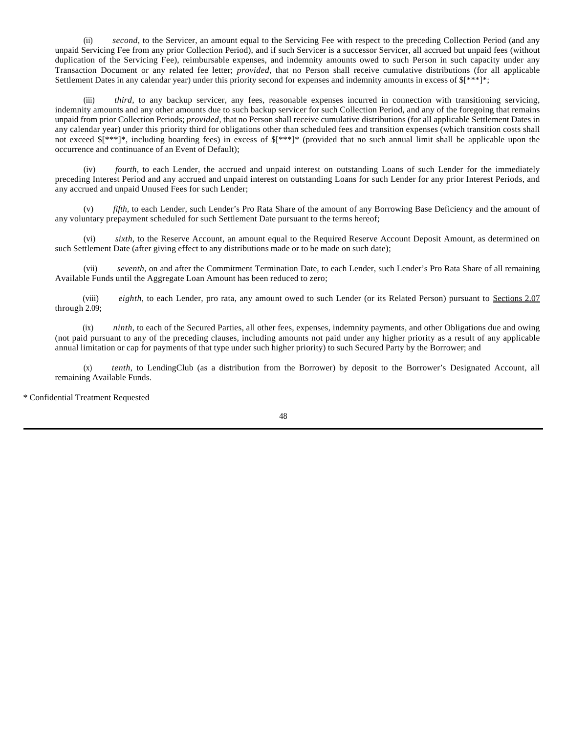(ii) *second*, to the Servicer, an amount equal to the Servicing Fee with respect to the preceding Collection Period (and any unpaid Servicing Fee from any prior Collection Period), and if such Servicer is a successor Servicer, all accrued but unpaid fees (without duplication of the Servicing Fee), reimbursable expenses, and indemnity amounts owed to such Person in such capacity under any Transaction Document or any related fee letter; *provided*, that no Person shall receive cumulative distributions (for all applicable Settlement Dates in any calendar year) under this priority second for expenses and indemnity amounts in excess of \$[\*\*\*]\*;

(iii) *third,* to any backup servicer, any fees, reasonable expenses incurred in connection with transitioning servicing, indemnity amounts and any other amounts due to such backup servicer for such Collection Period, and any of the foregoing that remains unpaid from prior Collection Periods; *provided*, that no Person shall receive cumulative distributions (for all applicable Settlement Dates in any calendar year) under this priority third for obligations other than scheduled fees and transition expenses (which transition costs shall not exceed \$[\*\*\*]\*, including boarding fees) in excess of \$[\*\*\*]\* (provided that no such annual limit shall be applicable upon the occurrence and continuance of an Event of Default);

(iv) *fourth,* to each Lender, the accrued and unpaid interest on outstanding Loans of such Lender for the immediately preceding Interest Period and any accrued and unpaid interest on outstanding Loans for such Lender for any prior Interest Periods, and any accrued and unpaid Unused Fees for such Lender;

(v) *fifth,* to each Lender, such Lender's Pro Rata Share of the amount of any Borrowing Base Deficiency and the amount of any voluntary prepayment scheduled for such Settlement Date pursuant to the terms hereof;

(vi) *sixth*, to the Reserve Account, an amount equal to the Required Reserve Account Deposit Amount, as determined on such Settlement Date (after giving effect to any distributions made or to be made on such date);

(vii) *seventh*, on and after the Commitment Termination Date, to each Lender, such Lender's Pro Rata Share of all remaining Available Funds until the Aggregate Loan Amount has been reduced to zero;

(viii) *eighth*, to each Lender, pro rata, any amount owed to such Lender (or its Related Person) pursuant to Sections 2.07 through 2.09;

(ix) *ninth*, to each of the Secured Parties, all other fees, expenses, indemnity payments, and other Obligations due and owing (not paid pursuant to any of the preceding clauses, including amounts not paid under any higher priority as a result of any applicable annual limitation or cap for payments of that type under such higher priority) to such Secured Party by the Borrower; and

(x) *tenth*, to LendingClub (as a distribution from the Borrower) by deposit to the Borrower's Designated Account, all remaining Available Funds.

\* Confidential Treatment Requested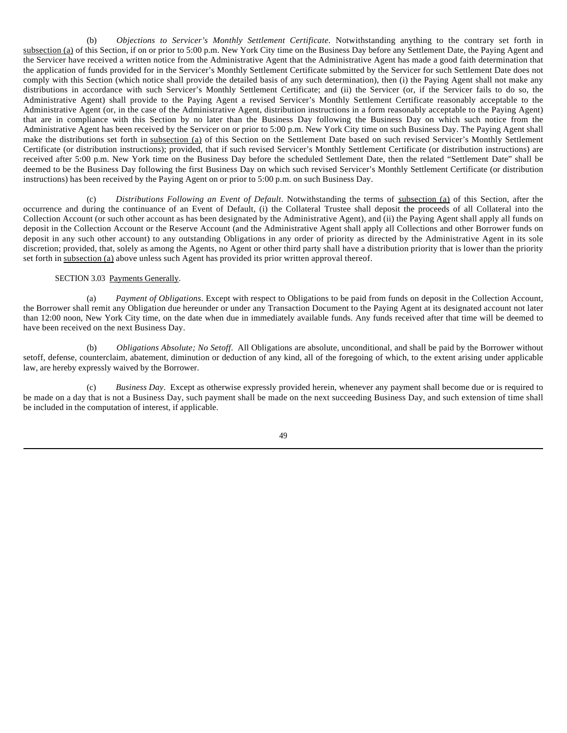(b) *Objections to Servicer's Monthly Settlement Certificate.* Notwithstanding anything to the contrary set forth in subsection (a) of this Section, if on or prior to 5:00 p.m. New York City time on the Business Day before any Settlement Date, the Paying Agent and the Servicer have received a written notice from the Administrative Agent that the Administrative Agent has made a good faith determination that the application of funds provided for in the Servicer's Monthly Settlement Certificate submitted by the Servicer for such Settlement Date does not comply with this Section (which notice shall provide the detailed basis of any such determination), then (i) the Paying Agent shall not make any distributions in accordance with such Servicer's Monthly Settlement Certificate; and (ii) the Servicer (or, if the Servicer fails to do so, the Administrative Agent) shall provide to the Paying Agent a revised Servicer's Monthly Settlement Certificate reasonably acceptable to the Administrative Agent (or, in the case of the Administrative Agent, distribution instructions in a form reasonably acceptable to the Paying Agent) that are in compliance with this Section by no later than the Business Day following the Business Day on which such notice from the Administrative Agent has been received by the Servicer on or prior to 5:00 p.m. New York City time on such Business Day. The Paying Agent shall make the distributions set forth in subsection (a) of this Section on the Settlement Date based on such revised Servicer's Monthly Settlement Certificate (or distribution instructions); provided, that if such revised Servicer's Monthly Settlement Certificate (or distribution instructions) are received after 5:00 p.m. New York time on the Business Day before the scheduled Settlement Date, then the related "Settlement Date" shall be deemed to be the Business Day following the first Business Day on which such revised Servicer's Monthly Settlement Certificate (or distribution instructions) has been received by the Paying Agent on or prior to 5:00 p.m. on such Business Day.

(c) *Distributions Following an Event of Default*. Notwithstanding the terms of subsection (a) of this Section, after the occurrence and during the continuance of an Event of Default, (i) the Collateral Trustee shall deposit the proceeds of all Collateral into the Collection Account (or such other account as has been designated by the Administrative Agent), and (ii) the Paying Agent shall apply all funds on deposit in the Collection Account or the Reserve Account (and the Administrative Agent shall apply all Collections and other Borrower funds on deposit in any such other account) to any outstanding Obligations in any order of priority as directed by the Administrative Agent in its sole discretion; provided, that, solely as among the Agents, no Agent or other third party shall have a distribution priority that is lower than the priority set forth in subsection (a) above unless such Agent has provided its prior written approval thereof.

#### SECTION 3.03 Payments Generally.

(a) *Payment of Obligations*. Except with respect to Obligations to be paid from funds on deposit in the Collection Account, the Borrower shall remit any Obligation due hereunder or under any Transaction Document to the Paying Agent at its designated account not later than 12:00 noon, New York City time, on the date when due in immediately available funds. Any funds received after that time will be deemed to have been received on the next Business Day.

(b) *Obligations Absolute; No Setoff*. All Obligations are absolute, unconditional, and shall be paid by the Borrower without setoff, defense, counterclaim, abatement, diminution or deduction of any kind, all of the foregoing of which, to the extent arising under applicable law, are hereby expressly waived by the Borrower.

(c) *Business Day*. Except as otherwise expressly provided herein, whenever any payment shall become due or is required to be made on a day that is not a Business Day, such payment shall be made on the next succeeding Business Day, and such extension of time shall be included in the computation of interest, if applicable.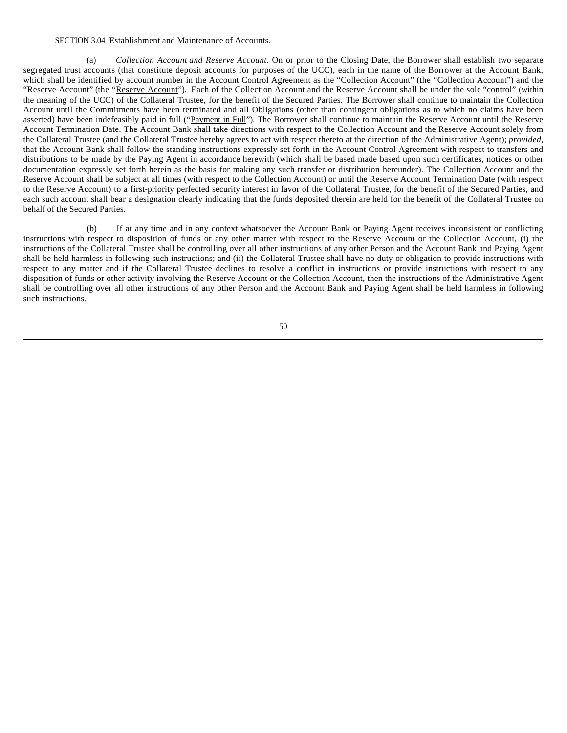## SECTION 3.04 Establishment and Maintenance of Accounts.

(a) *Collection Account and Reserve Account*. On or prior to the Closing Date, the Borrower shall establish two separate segregated trust accounts (that constitute deposit accounts for purposes of the UCC), each in the name of the Borrower at the Account Bank, which shall be identified by account number in the Account Control Agreement as the "Collection Account" (the "Collection Account") and the "Reserve Account" (the "Reserve Account"). Each of the Collection Account and the Reserve Account shall be under the sole "control" (within the meaning of the UCC) of the Collateral Trustee, for the benefit of the Secured Parties. The Borrower shall continue to maintain the Collection Account until the Commitments have been terminated and all Obligations (other than contingent obligations as to which no claims have been asserted) have been indefeasibly paid in full ("Payment in Full"). The Borrower shall continue to maintain the Reserve Account until the Reserve Account Termination Date. The Account Bank shall take directions with respect to the Collection Account and the Reserve Account solely from the Collateral Trustee (and the Collateral Trustee hereby agrees to act with respect thereto at the direction of the Administrative Agent); *provided*, that the Account Bank shall follow the standing instructions expressly set forth in the Account Control Agreement with respect to transfers and distributions to be made by the Paying Agent in accordance herewith (which shall be based made based upon such certificates, notices or other documentation expressly set forth herein as the basis for making any such transfer or distribution hereunder). The Collection Account and the Reserve Account shall be subject at all times (with respect to the Collection Account) or until the Reserve Account Termination Date (with respect to the Reserve Account) to a first-priority perfected security interest in favor of the Collateral Trustee, for the benefit of the Secured Parties, and each such account shall bear a designation clearly indicating that the funds deposited therein are held for the benefit of the Collateral Trustee on behalf of the Secured Parties.

(b) If at any time and in any context whatsoever the Account Bank or Paying Agent receives inconsistent or conflicting instructions with respect to disposition of funds or any other matter with respect to the Reserve Account or the Collection Account, (i) the instructions of the Collateral Trustee shall be controlling over all other instructions of any other Person and the Account Bank and Paying Agent shall be held harmless in following such instructions; and (ii) the Collateral Trustee shall have no duty or obligation to provide instructions with respect to any matter and if the Collateral Trustee declines to resolve a conflict in instructions or provide instructions with respect to any disposition of funds or other activity involving the Reserve Account or the Collection Account, then the instructions of the Administrative Agent shall be controlling over all other instructions of any other Person and the Account Bank and Paying Agent shall be held harmless in following such instructions.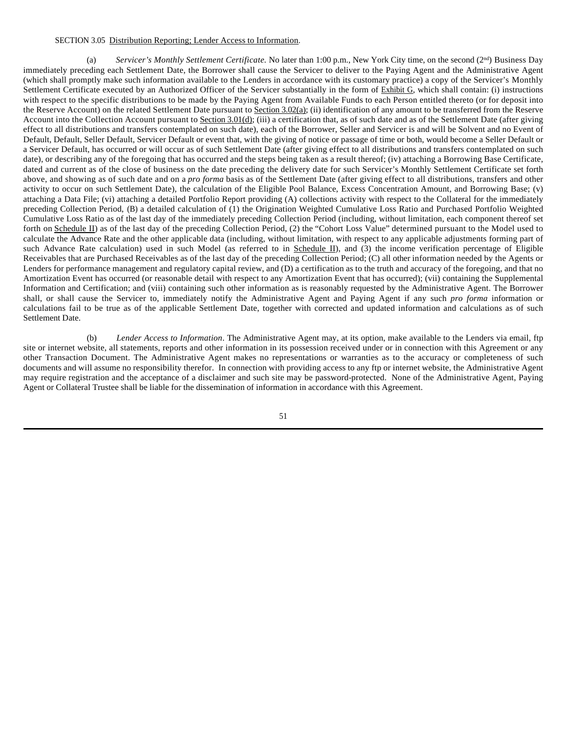# SECTION 3.05 Distribution Reporting; Lender Access to Information.

(a) *Servicer's Monthly Settlement Certificate*. No later than 1:00 p.m., New York City time, on the second (2<sup>nd</sup>) Business Day immediately preceding each Settlement Date, the Borrower shall cause the Servicer to deliver to the Paying Agent and the Administrative Agent (which shall promptly make such information available to the Lenders in accordance with its customary practice) a copy of the Servicer's Monthly Settlement Certificate executed by an Authorized Officer of the Servicer substantially in the form of Exhibit G, which shall contain: (i) instructions with respect to the specific distributions to be made by the Paying Agent from Available Funds to each Person entitled thereto (or for deposit into the Reserve Account) on the related Settlement Date pursuant to Section 3.02(a); (ii) identification of any amount to be transferred from the Reserve Account into the Collection Account pursuant to Section 3.01(d); (iii) a certification that, as of such date and as of the Settlement Date (after giving effect to all distributions and transfers contemplated on such date), each of the Borrower, Seller and Servicer is and will be Solvent and no Event of Default, Default, Seller Default, Servicer Default or event that, with the giving of notice or passage of time or both, would become a Seller Default or a Servicer Default, has occurred or will occur as of such Settlement Date (after giving effect to all distributions and transfers contemplated on such date), or describing any of the foregoing that has occurred and the steps being taken as a result thereof; (iv) attaching a Borrowing Base Certificate, dated and current as of the close of business on the date preceding the delivery date for such Servicer's Monthly Settlement Certificate set forth above, and showing as of such date and on a *pro forma* basis as of the Settlement Date (after giving effect to all distributions, transfers and other activity to occur on such Settlement Date), the calculation of the Eligible Pool Balance, Excess Concentration Amount, and Borrowing Base; (v) attaching a Data File; (vi) attaching a detailed Portfolio Report providing (A) collections activity with respect to the Collateral for the immediately preceding Collection Period, (B) a detailed calculation of (1) the Origination Weighted Cumulative Loss Ratio and Purchased Portfolio Weighted Cumulative Loss Ratio as of the last day of the immediately preceding Collection Period (including, without limitation, each component thereof set forth on Schedule II) as of the last day of the preceding Collection Period, (2) the "Cohort Loss Value" determined pursuant to the Model used to calculate the Advance Rate and the other applicable data (including, without limitation, with respect to any applicable adjustments forming part of such Advance Rate calculation) used in such Model (as referred to in Schedule II), and  $(3)$  the income verification percentage of Eligible Receivables that are Purchased Receivables as of the last day of the preceding Collection Period; (C) all other information needed by the Agents or Lenders for performance management and regulatory capital review, and (D) a certification as to the truth and accuracy of the foregoing, and that no Amortization Event has occurred (or reasonable detail with respect to any Amortization Event that has occurred); (vii) containing the Supplemental Information and Certification; and (viii) containing such other information as is reasonably requested by the Administrative Agent. The Borrower shall, or shall cause the Servicer to, immediately notify the Administrative Agent and Paying Agent if any such *pro forma* information or calculations fail to be true as of the applicable Settlement Date, together with corrected and updated information and calculations as of such Settlement Date.

(b) *Lender Access to Information*. The Administrative Agent may, at its option, make available to the Lenders via email, ftp site or internet website, all statements, reports and other information in its possession received under or in connection with this Agreement or any other Transaction Document. The Administrative Agent makes no representations or warranties as to the accuracy or completeness of such documents and will assume no responsibility therefor. In connection with providing access to any ftp or internet website, the Administrative Agent may require registration and the acceptance of a disclaimer and such site may be password-protected. None of the Administrative Agent, Paying Agent or Collateral Trustee shall be liable for the dissemination of information in accordance with this Agreement.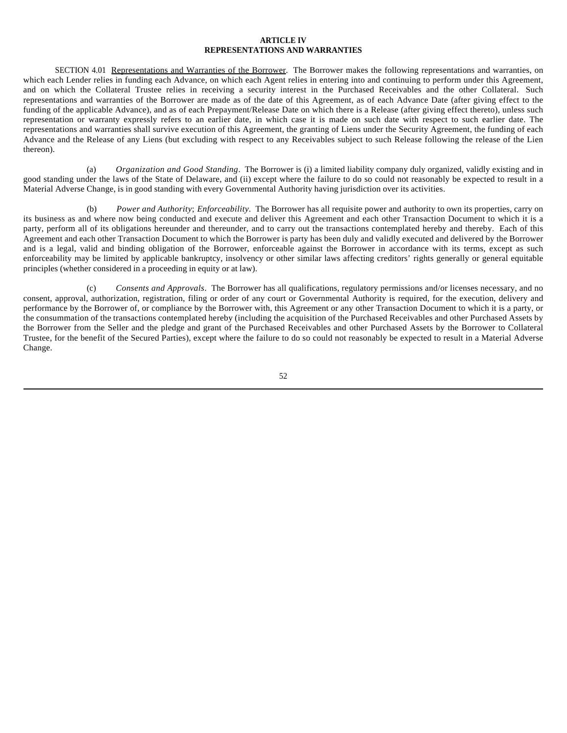## **ARTICLE IV REPRESENTATIONS AND WARRANTIES**

SECTION 4.01 Representations and Warranties of the Borrower. The Borrower makes the following representations and warranties, on which each Lender relies in funding each Advance, on which each Agent relies in entering into and continuing to perform under this Agreement, and on which the Collateral Trustee relies in receiving a security interest in the Purchased Receivables and the other Collateral. Such representations and warranties of the Borrower are made as of the date of this Agreement, as of each Advance Date (after giving effect to the funding of the applicable Advance), and as of each Prepayment/Release Date on which there is a Release (after giving effect thereto), unless such representation or warranty expressly refers to an earlier date, in which case it is made on such date with respect to such earlier date. The representations and warranties shall survive execution of this Agreement, the granting of Liens under the Security Agreement, the funding of each Advance and the Release of any Liens (but excluding with respect to any Receivables subject to such Release following the release of the Lien thereon).

(a) *Organization and Good Standing*. The Borrower is (i) a limited liability company duly organized, validly existing and in good standing under the laws of the State of Delaware, and (ii) except where the failure to do so could not reasonably be expected to result in a Material Adverse Change, is in good standing with every Governmental Authority having jurisdiction over its activities.

(b) *Power and Authority*; *Enforceability*. The Borrower has all requisite power and authority to own its properties, carry on its business as and where now being conducted and execute and deliver this Agreement and each other Transaction Document to which it is a party, perform all of its obligations hereunder and thereunder, and to carry out the transactions contemplated hereby and thereby. Each of this Agreement and each other Transaction Document to which the Borrower is party has been duly and validly executed and delivered by the Borrower and is a legal, valid and binding obligation of the Borrower, enforceable against the Borrower in accordance with its terms, except as such enforceability may be limited by applicable bankruptcy, insolvency or other similar laws affecting creditors' rights generally or general equitable principles (whether considered in a proceeding in equity or at law).

(c) *Consents and Approvals*. The Borrower has all qualifications, regulatory permissions and/or licenses necessary, and no consent, approval, authorization, registration, filing or order of any court or Governmental Authority is required, for the execution, delivery and performance by the Borrower of, or compliance by the Borrower with, this Agreement or any other Transaction Document to which it is a party, or the consummation of the transactions contemplated hereby (including the acquisition of the Purchased Receivables and other Purchased Assets by the Borrower from the Seller and the pledge and grant of the Purchased Receivables and other Purchased Assets by the Borrower to Collateral Trustee, for the benefit of the Secured Parties), except where the failure to do so could not reasonably be expected to result in a Material Adverse Change.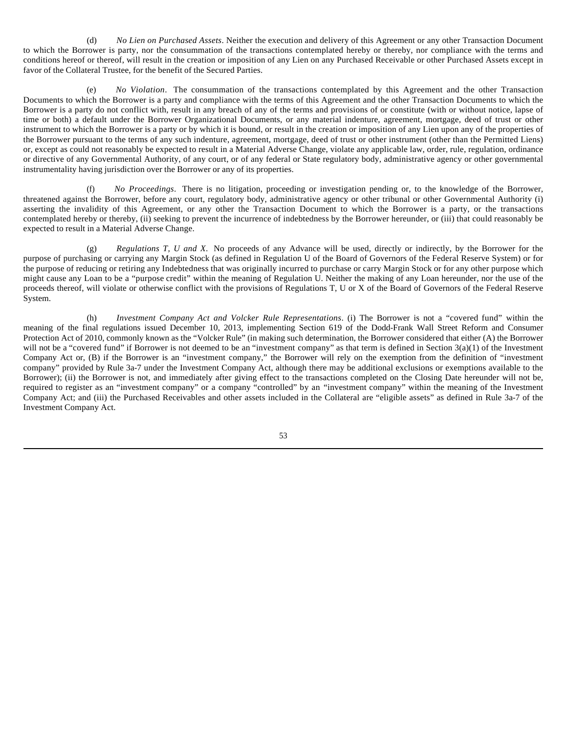(d) *No Lien on Purchased Assets*. Neither the execution and delivery of this Agreement or any other Transaction Document to which the Borrower is party, nor the consummation of the transactions contemplated hereby or thereby, nor compliance with the terms and conditions hereof or thereof, will result in the creation or imposition of any Lien on any Purchased Receivable or other Purchased Assets except in favor of the Collateral Trustee, for the benefit of the Secured Parties.

(e) *No Violation*. The consummation of the transactions contemplated by this Agreement and the other Transaction Documents to which the Borrower is a party and compliance with the terms of this Agreement and the other Transaction Documents to which the Borrower is a party do not conflict with, result in any breach of any of the terms and provisions of or constitute (with or without notice, lapse of time or both) a default under the Borrower Organizational Documents, or any material indenture, agreement, mortgage, deed of trust or other instrument to which the Borrower is a party or by which it is bound, or result in the creation or imposition of any Lien upon any of the properties of the Borrower pursuant to the terms of any such indenture, agreement, mortgage, deed of trust or other instrument (other than the Permitted Liens) or, except as could not reasonably be expected to result in a Material Adverse Change, violate any applicable law, order, rule, regulation, ordinance or directive of any Governmental Authority, of any court, or of any federal or State regulatory body, administrative agency or other governmental instrumentality having jurisdiction over the Borrower or any of its properties.

(f) *No Proceedings*. There is no litigation, proceeding or investigation pending or, to the knowledge of the Borrower, threatened against the Borrower, before any court, regulatory body, administrative agency or other tribunal or other Governmental Authority (i) asserting the invalidity of this Agreement, or any other the Transaction Document to which the Borrower is a party, or the transactions contemplated hereby or thereby, (ii) seeking to prevent the incurrence of indebtedness by the Borrower hereunder, or (iii) that could reasonably be expected to result in a Material Adverse Change.

(g) *Regulations T, U and X*. No proceeds of any Advance will be used, directly or indirectly, by the Borrower for the purpose of purchasing or carrying any Margin Stock (as defined in Regulation U of the Board of Governors of the Federal Reserve System) or for the purpose of reducing or retiring any Indebtedness that was originally incurred to purchase or carry Margin Stock or for any other purpose which might cause any Loan to be a "purpose credit" within the meaning of Regulation U. Neither the making of any Loan hereunder, nor the use of the proceeds thereof, will violate or otherwise conflict with the provisions of Regulations T, U or X of the Board of Governors of the Federal Reserve System.

(h) *Investment Company Act and Volcker Rule Representations*. (i) The Borrower is not a "covered fund" within the meaning of the final regulations issued December 10, 2013, implementing Section 619 of the Dodd-Frank Wall Street Reform and Consumer Protection Act of 2010, commonly known as the "Volcker Rule" (in making such determination, the Borrower considered that either (A) the Borrower will not be a "covered fund" if Borrower is not deemed to be an "investment company" as that term is defined in Section 3(a)(1) of the Investment Company Act or, (B) if the Borrower is an "investment company," the Borrower will rely on the exemption from the definition of "investment company" provided by Rule 3a-7 under the Investment Company Act, although there may be additional exclusions or exemptions available to the Borrower); (ii) the Borrower is not, and immediately after giving effect to the transactions completed on the Closing Date hereunder will not be, required to register as an "investment company" or a company "controlled" by an "investment company" within the meaning of the Investment Company Act; and (iii) the Purchased Receivables and other assets included in the Collateral are "eligible assets" as defined in Rule 3a-7 of the Investment Company Act.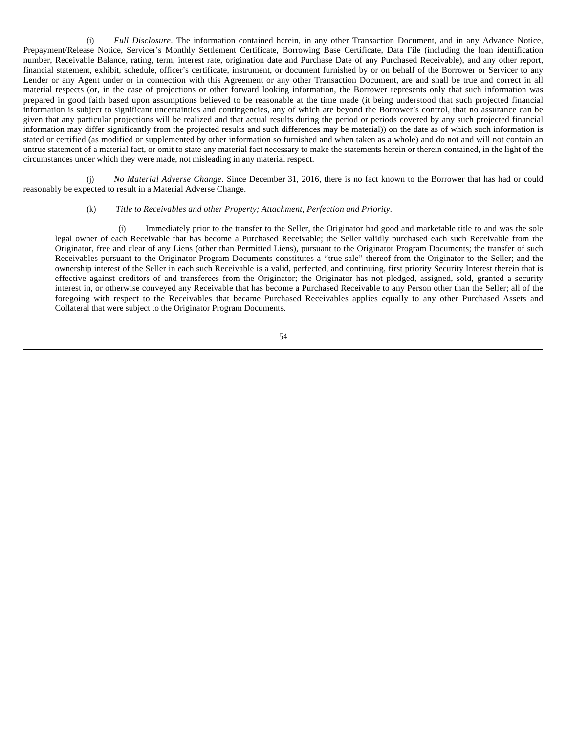(i) *Full Disclosure*. The information contained herein, in any other Transaction Document, and in any Advance Notice, Prepayment/Release Notice, Servicer's Monthly Settlement Certificate, Borrowing Base Certificate, Data File (including the loan identification number, Receivable Balance, rating, term, interest rate, origination date and Purchase Date of any Purchased Receivable), and any other report, financial statement, exhibit, schedule, officer's certificate, instrument, or document furnished by or on behalf of the Borrower or Servicer to any Lender or any Agent under or in connection with this Agreement or any other Transaction Document, are and shall be true and correct in all material respects (or, in the case of projections or other forward looking information, the Borrower represents only that such information was prepared in good faith based upon assumptions believed to be reasonable at the time made (it being understood that such projected financial information is subject to significant uncertainties and contingencies, any of which are beyond the Borrower's control, that no assurance can be given that any particular projections will be realized and that actual results during the period or periods covered by any such projected financial information may differ significantly from the projected results and such differences may be material)) on the date as of which such information is stated or certified (as modified or supplemented by other information so furnished and when taken as a whole) and do not and will not contain an untrue statement of a material fact, or omit to state any material fact necessary to make the statements herein or therein contained, in the light of the circumstances under which they were made, not misleading in any material respect.

(j) *No Material Adverse Change*. Since December 31, 2016, there is no fact known to the Borrower that has had or could reasonably be expected to result in a Material Adverse Change.

# (k) *Title to Receivables and other Property; Attachment, Perfection and Priority.*

(i) Immediately prior to the transfer to the Seller, the Originator had good and marketable title to and was the sole legal owner of each Receivable that has become a Purchased Receivable; the Seller validly purchased each such Receivable from the Originator, free and clear of any Liens (other than Permitted Liens), pursuant to the Originator Program Documents; the transfer of such Receivables pursuant to the Originator Program Documents constitutes a "true sale" thereof from the Originator to the Seller; and the ownership interest of the Seller in each such Receivable is a valid, perfected, and continuing, first priority Security Interest therein that is effective against creditors of and transferees from the Originator; the Originator has not pledged, assigned, sold, granted a security interest in, or otherwise conveyed any Receivable that has become a Purchased Receivable to any Person other than the Seller; all of the foregoing with respect to the Receivables that became Purchased Receivables applies equally to any other Purchased Assets and Collateral that were subject to the Originator Program Documents.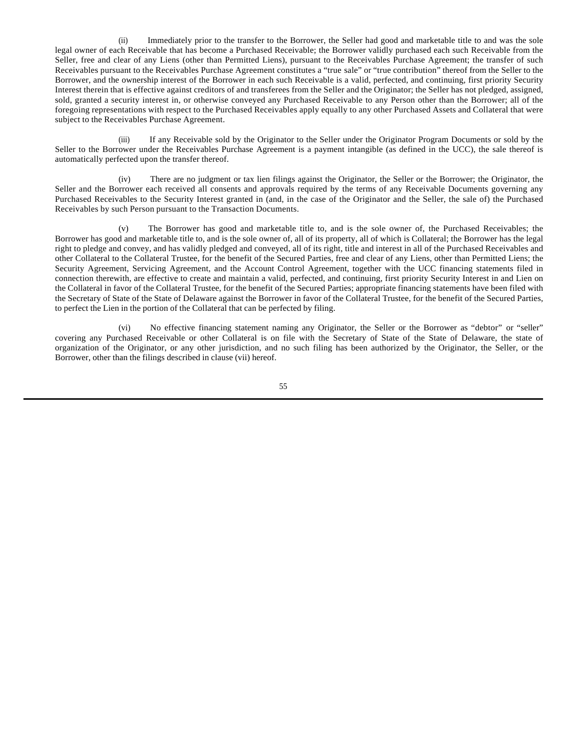(ii) Immediately prior to the transfer to the Borrower, the Seller had good and marketable title to and was the sole legal owner of each Receivable that has become a Purchased Receivable; the Borrower validly purchased each such Receivable from the Seller, free and clear of any Liens (other than Permitted Liens), pursuant to the Receivables Purchase Agreement; the transfer of such Receivables pursuant to the Receivables Purchase Agreement constitutes a "true sale" or "true contribution" thereof from the Seller to the Borrower, and the ownership interest of the Borrower in each such Receivable is a valid, perfected, and continuing, first priority Security Interest therein that is effective against creditors of and transferees from the Seller and the Originator; the Seller has not pledged, assigned, sold, granted a security interest in, or otherwise conveyed any Purchased Receivable to any Person other than the Borrower; all of the foregoing representations with respect to the Purchased Receivables apply equally to any other Purchased Assets and Collateral that were subject to the Receivables Purchase Agreement.

(iii) If any Receivable sold by the Originator to the Seller under the Originator Program Documents or sold by the Seller to the Borrower under the Receivables Purchase Agreement is a payment intangible (as defined in the UCC), the sale thereof is automatically perfected upon the transfer thereof.

(iv) There are no judgment or tax lien filings against the Originator, the Seller or the Borrower; the Originator, the Seller and the Borrower each received all consents and approvals required by the terms of any Receivable Documents governing any Purchased Receivables to the Security Interest granted in (and, in the case of the Originator and the Seller, the sale of) the Purchased Receivables by such Person pursuant to the Transaction Documents.

(v) The Borrower has good and marketable title to, and is the sole owner of, the Purchased Receivables; the Borrower has good and marketable title to, and is the sole owner of, all of its property, all of which is Collateral; the Borrower has the legal right to pledge and convey, and has validly pledged and conveyed, all of its right, title and interest in all of the Purchased Receivables and other Collateral to the Collateral Trustee, for the benefit of the Secured Parties, free and clear of any Liens, other than Permitted Liens; the Security Agreement, Servicing Agreement, and the Account Control Agreement, together with the UCC financing statements filed in connection therewith, are effective to create and maintain a valid, perfected, and continuing, first priority Security Interest in and Lien on the Collateral in favor of the Collateral Trustee, for the benefit of the Secured Parties; appropriate financing statements have been filed with the Secretary of State of the State of Delaware against the Borrower in favor of the Collateral Trustee, for the benefit of the Secured Parties, to perfect the Lien in the portion of the Collateral that can be perfected by filing.

(vi) No effective financing statement naming any Originator, the Seller or the Borrower as "debtor" or "seller" covering any Purchased Receivable or other Collateral is on file with the Secretary of State of the State of Delaware, the state of organization of the Originator, or any other jurisdiction, and no such filing has been authorized by the Originator, the Seller, or the Borrower, other than the filings described in clause (vii) hereof.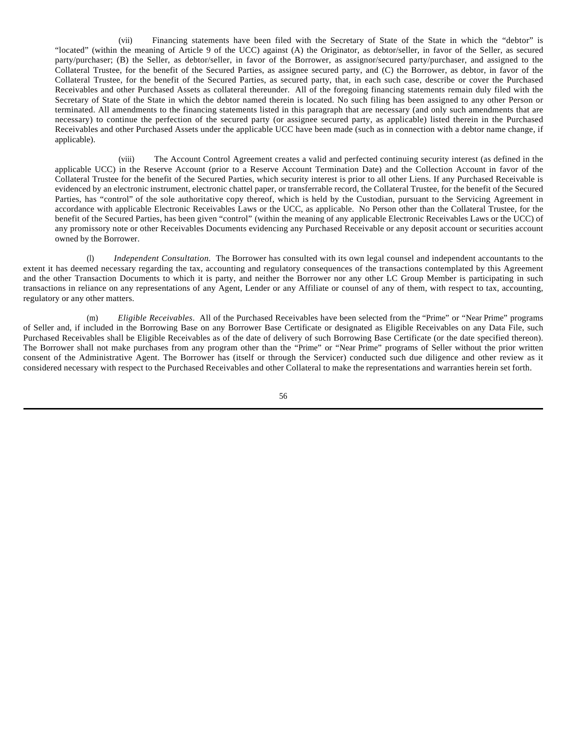(vii) Financing statements have been filed with the Secretary of State of the State in which the "debtor" is "located" (within the meaning of Article 9 of the UCC) against (A) the Originator, as debtor/seller, in favor of the Seller, as secured party/purchaser; (B) the Seller, as debtor/seller, in favor of the Borrower, as assignor/secured party/purchaser, and assigned to the Collateral Trustee, for the benefit of the Secured Parties, as assignee secured party, and (C) the Borrower, as debtor, in favor of the Collateral Trustee, for the benefit of the Secured Parties, as secured party, that, in each such case, describe or cover the Purchased Receivables and other Purchased Assets as collateral thereunder. All of the foregoing financing statements remain duly filed with the Secretary of State of the State in which the debtor named therein is located. No such filing has been assigned to any other Person or terminated. All amendments to the financing statements listed in this paragraph that are necessary (and only such amendments that are necessary) to continue the perfection of the secured party (or assignee secured party, as applicable) listed therein in the Purchased Receivables and other Purchased Assets under the applicable UCC have been made (such as in connection with a debtor name change, if applicable).

(viii) The Account Control Agreement creates a valid and perfected continuing security interest (as defined in the applicable UCC) in the Reserve Account (prior to a Reserve Account Termination Date) and the Collection Account in favor of the Collateral Trustee for the benefit of the Secured Parties, which security interest is prior to all other Liens. If any Purchased Receivable is evidenced by an electronic instrument, electronic chattel paper, or transferrable record, the Collateral Trustee, for the benefit of the Secured Parties, has "control" of the sole authoritative copy thereof, which is held by the Custodian, pursuant to the Servicing Agreement in accordance with applicable Electronic Receivables Laws or the UCC, as applicable. No Person other than the Collateral Trustee, for the benefit of the Secured Parties, has been given "control" (within the meaning of any applicable Electronic Receivables Laws or the UCC) of any promissory note or other Receivables Documents evidencing any Purchased Receivable or any deposit account or securities account owned by the Borrower.

(l) *Independent Consultation.* The Borrower has consulted with its own legal counsel and independent accountants to the extent it has deemed necessary regarding the tax, accounting and regulatory consequences of the transactions contemplated by this Agreement and the other Transaction Documents to which it is party, and neither the Borrower nor any other LC Group Member is participating in such transactions in reliance on any representations of any Agent, Lender or any Affiliate or counsel of any of them, with respect to tax, accounting, regulatory or any other matters.

(m) *Eligible Receivables*. All of the Purchased Receivables have been selected from the "Prime" or "Near Prime" programs of Seller and, if included in the Borrowing Base on any Borrower Base Certificate or designated as Eligible Receivables on any Data File, such Purchased Receivables shall be Eligible Receivables as of the date of delivery of such Borrowing Base Certificate (or the date specified thereon). The Borrower shall not make purchases from any program other than the "Prime" or "Near Prime" programs of Seller without the prior written consent of the Administrative Agent. The Borrower has (itself or through the Servicer) conducted such due diligence and other review as it considered necessary with respect to the Purchased Receivables and other Collateral to make the representations and warranties herein set forth.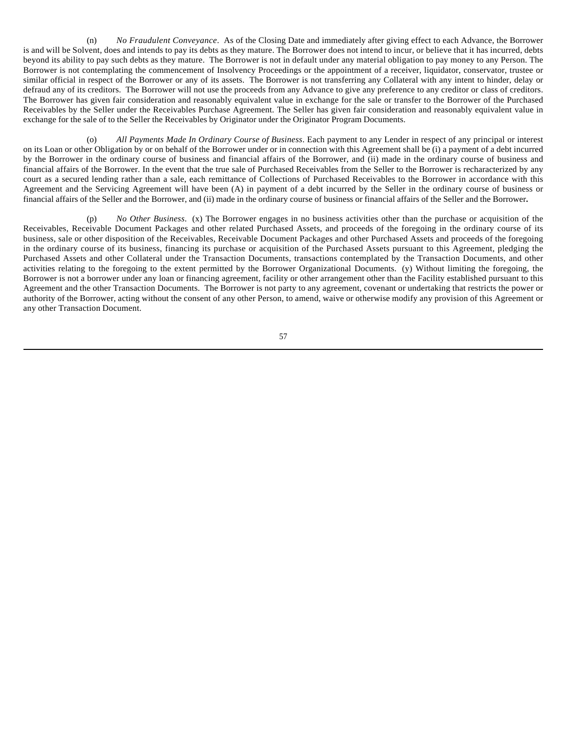(n) *No Fraudulent Conveyance*. As of the Closing Date and immediately after giving effect to each Advance, the Borrower is and will be Solvent, does and intends to pay its debts as they mature. The Borrower does not intend to incur, or believe that it has incurred, debts beyond its ability to pay such debts as they mature. The Borrower is not in default under any material obligation to pay money to any Person. The Borrower is not contemplating the commencement of Insolvency Proceedings or the appointment of a receiver, liquidator, conservator, trustee or similar official in respect of the Borrower or any of its assets. The Borrower is not transferring any Collateral with any intent to hinder, delay or defraud any of its creditors. The Borrower will not use the proceeds from any Advance to give any preference to any creditor or class of creditors. The Borrower has given fair consideration and reasonably equivalent value in exchange for the sale or transfer to the Borrower of the Purchased Receivables by the Seller under the Receivables Purchase Agreement. The Seller has given fair consideration and reasonably equivalent value in exchange for the sale of to the Seller the Receivables by Originator under the Originator Program Documents.

(o) *All Payments Made In Ordinary Course of Business*. Each payment to any Lender in respect of any principal or interest on its Loan or other Obligation by or on behalf of the Borrower under or in connection with this Agreement shall be (i) a payment of a debt incurred by the Borrower in the ordinary course of business and financial affairs of the Borrower, and (ii) made in the ordinary course of business and financial affairs of the Borrower. In the event that the true sale of Purchased Receivables from the Seller to the Borrower is recharacterized by any court as a secured lending rather than a sale, each remittance of Collections of Purchased Receivables to the Borrower in accordance with this Agreement and the Servicing Agreement will have been (A) in payment of a debt incurred by the Seller in the ordinary course of business or financial affairs of the Seller and the Borrower, and (ii) made in the ordinary course of business or financial affairs of the Seller and the Borrower**.**

(p) *No Other Business*. (x) The Borrower engages in no business activities other than the purchase or acquisition of the Receivables, Receivable Document Packages and other related Purchased Assets, and proceeds of the foregoing in the ordinary course of its business, sale or other disposition of the Receivables, Receivable Document Packages and other Purchased Assets and proceeds of the foregoing in the ordinary course of its business, financing its purchase or acquisition of the Purchased Assets pursuant to this Agreement, pledging the Purchased Assets and other Collateral under the Transaction Documents, transactions contemplated by the Transaction Documents, and other activities relating to the foregoing to the extent permitted by the Borrower Organizational Documents. (y) Without limiting the foregoing, the Borrower is not a borrower under any loan or financing agreement, facility or other arrangement other than the Facility established pursuant to this Agreement and the other Transaction Documents. The Borrower is not party to any agreement, covenant or undertaking that restricts the power or authority of the Borrower, acting without the consent of any other Person, to amend, waive or otherwise modify any provision of this Agreement or any other Transaction Document.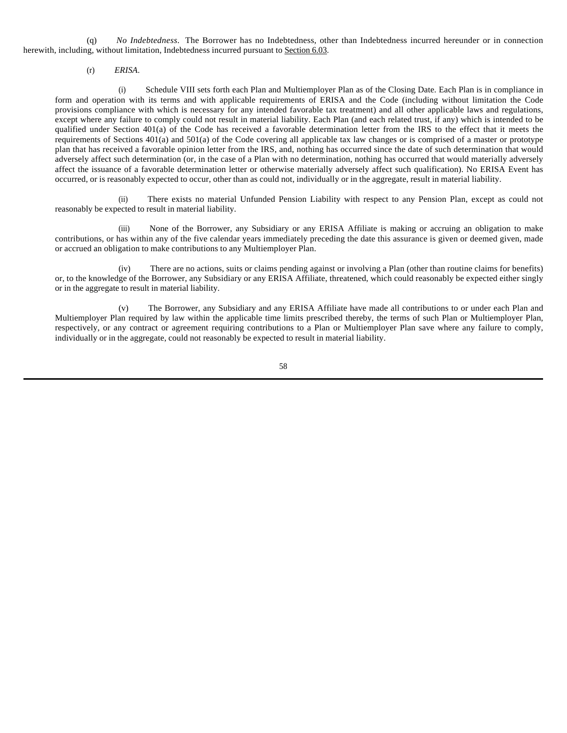(q) *No Indebtedness*. The Borrower has no Indebtedness, other than Indebtedness incurred hereunder or in connection herewith, including, without limitation, Indebtedness incurred pursuant to Section 6.03.

(r) *ERISA*.

(i) Schedule VIII sets forth each Plan and Multiemployer Plan as of the Closing Date. Each Plan is in compliance in form and operation with its terms and with applicable requirements of ERISA and the Code (including without limitation the Code provisions compliance with which is necessary for any intended favorable tax treatment) and all other applicable laws and regulations, except where any failure to comply could not result in material liability. Each Plan (and each related trust, if any) which is intended to be qualified under Section 401(a) of the Code has received a favorable determination letter from the IRS to the effect that it meets the requirements of Sections 401(a) and 501(a) of the Code covering all applicable tax law changes or is comprised of a master or prototype plan that has received a favorable opinion letter from the IRS, and, nothing has occurred since the date of such determination that would adversely affect such determination (or, in the case of a Plan with no determination, nothing has occurred that would materially adversely affect the issuance of a favorable determination letter or otherwise materially adversely affect such qualification). No ERISA Event has occurred, or is reasonably expected to occur, other than as could not, individually or in the aggregate, result in material liability.

(ii) There exists no material Unfunded Pension Liability with respect to any Pension Plan, except as could not reasonably be expected to result in material liability.

(iii) None of the Borrower, any Subsidiary or any ERISA Affiliate is making or accruing an obligation to make contributions, or has within any of the five calendar years immediately preceding the date this assurance is given or deemed given, made or accrued an obligation to make contributions to any Multiemployer Plan.

(iv) There are no actions, suits or claims pending against or involving a Plan (other than routine claims for benefits) or, to the knowledge of the Borrower, any Subsidiary or any ERISA Affiliate, threatened, which could reasonably be expected either singly or in the aggregate to result in material liability.

(v) The Borrower, any Subsidiary and any ERISA Affiliate have made all contributions to or under each Plan and Multiemployer Plan required by law within the applicable time limits prescribed thereby, the terms of such Plan or Multiemployer Plan, respectively, or any contract or agreement requiring contributions to a Plan or Multiemployer Plan save where any failure to comply, individually or in the aggregate, could not reasonably be expected to result in material liability.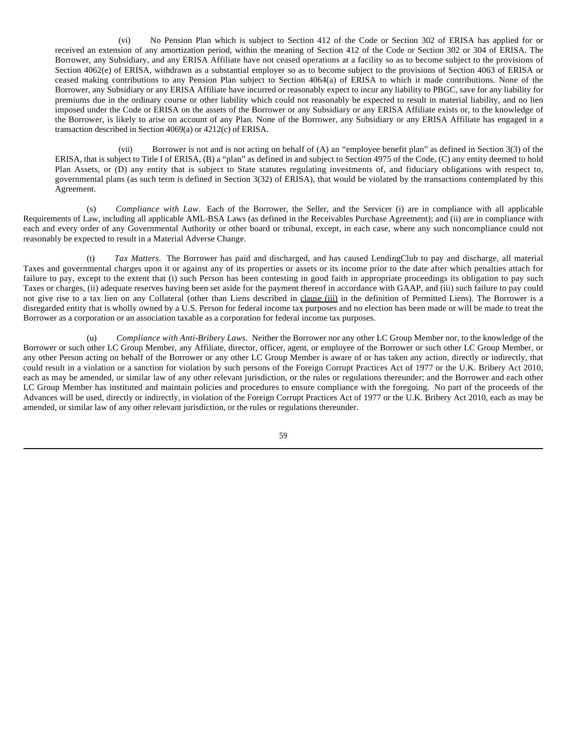(vi) No Pension Plan which is subject to Section 412 of the Code or Section 302 of ERISA has applied for or received an extension of any amortization period, within the meaning of Section 412 of the Code or Section 302 or 304 of ERISA. The Borrower, any Subsidiary, and any ERISA Affiliate have not ceased operations at a facility so as to become subject to the provisions of Section 4062(e) of ERISA, withdrawn as a substantial employer so as to become subject to the provisions of Section 4063 of ERISA or ceased making contributions to any Pension Plan subject to Section 4064(a) of ERISA to which it made contributions. None of the Borrower, any Subsidiary or any ERISA Affiliate have incurred or reasonably expect to incur any liability to PBGC, save for any liability for premiums due in the ordinary course or other liability which could not reasonably be expected to result in material liability, and no lien imposed under the Code or ERISA on the assets of the Borrower or any Subsidiary or any ERISA Affiliate exists or, to the knowledge of the Borrower, is likely to arise on account of any Plan. None of the Borrower, any Subsidiary or any ERISA Affiliate has engaged in a transaction described in Section 4069(a) or 4212(c) of ERISA.

(vii) Borrower is not and is not acting on behalf of (A) an "employee benefit plan" as defined in Section 3(3) of the ERISA, that is subject to Title I of ERISA, (B) a "plan" as defined in and subject to Section 4975 of the Code, (C) any entity deemed to hold Plan Assets, or (D) any entity that is subject to State statutes regulating investments of, and fiduciary obligations with respect to, governmental plans (as such term is defined in Section 3(32) of ERISA), that would be violated by the transactions contemplated by this Agreement.

(s) *Compliance with Law*. Each of the Borrower, the Seller, and the Servicer (i) are in compliance with all applicable Requirements of Law, including all applicable AML-BSA Laws (as defined in the Receivables Purchase Agreement); and (ii) are in compliance with each and every order of any Governmental Authority or other board or tribunal, except, in each case, where any such noncompliance could not reasonably be expected to result in a Material Adverse Change.

(t) *Tax Matters*. The Borrower has paid and discharged, and has caused LendingClub to pay and discharge, all material Taxes and governmental charges upon it or against any of its properties or assets or its income prior to the date after which penalties attach for failure to pay, except to the extent that (i) such Person has been contesting in good faith in appropriate proceedings its obligation to pay such Taxes or charges, (ii) adequate reserves having been set aside for the payment thereof in accordance with GAAP, and (iii) such failure to pay could not give rise to a tax lien on any Collateral (other than Liens described in clause (iii) in the definition of Permitted Liens). The Borrower is a disregarded entity that is wholly owned by a U.S. Person for federal income tax purposes and no election has been made or will be made to treat the Borrower as a corporation or an association taxable as a corporation for federal income tax purposes.

(u) *Compliance with Anti-Bribery Laws*. Neither the Borrower nor any other LC Group Member nor, to the knowledge of the Borrower or such other LC Group Member, any Affiliate, director, officer, agent, or employee of the Borrower or such other LC Group Member, or any other Person acting on behalf of the Borrower or any other LC Group Member is aware of or has taken any action, directly or indirectly, that could result in a violation or a sanction for violation by such persons of the Foreign Corrupt Practices Act of 1977 or the U.K. Bribery Act 2010, each as may be amended, or similar law of any other relevant jurisdiction, or the rules or regulations thereunder; and the Borrower and each other LC Group Member has instituted and maintain policies and procedures to ensure compliance with the foregoing. No part of the proceeds of the Advances will be used, directly or indirectly, in violation of the Foreign Corrupt Practices Act of 1977 or the U.K. Bribery Act 2010, each as may be amended, or similar law of any other relevant jurisdiction, or the rules or regulations thereunder.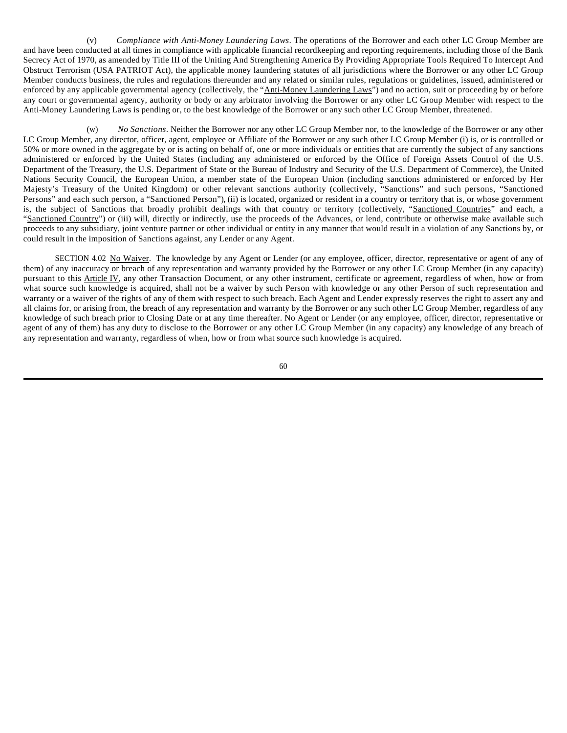(v) *Compliance with Anti-Money Laundering Laws*. The operations of the Borrower and each other LC Group Member are and have been conducted at all times in compliance with applicable financial recordkeeping and reporting requirements, including those of the Bank Secrecy Act of 1970, as amended by Title III of the Uniting And Strengthening America By Providing Appropriate Tools Required To Intercept And Obstruct Terrorism (USA PATRIOT Act), the applicable money laundering statutes of all jurisdictions where the Borrower or any other LC Group Member conducts business, the rules and regulations thereunder and any related or similar rules, regulations or guidelines, issued, administered or enforced by any applicable governmental agency (collectively, the "Anti-Money Laundering Laws") and no action, suit or proceeding by or before any court or governmental agency, authority or body or any arbitrator involving the Borrower or any other LC Group Member with respect to the Anti-Money Laundering Laws is pending or, to the best knowledge of the Borrower or any such other LC Group Member, threatened.

(w) *No Sanctions*. Neither the Borrower nor any other LC Group Member nor, to the knowledge of the Borrower or any other LC Group Member, any director, officer, agent, employee or Affiliate of the Borrower or any such other LC Group Member (i) is, or is controlled or 50% or more owned in the aggregate by or is acting on behalf of, one or more individuals or entities that are currently the subject of any sanctions administered or enforced by the United States (including any administered or enforced by the Office of Foreign Assets Control of the U.S. Department of the Treasury, the U.S. Department of State or the Bureau of Industry and Security of the U.S. Department of Commerce), the United Nations Security Council, the European Union, a member state of the European Union (including sanctions administered or enforced by Her Majesty's Treasury of the United Kingdom) or other relevant sanctions authority (collectively, "Sanctions" and such persons, "Sanctioned Persons" and each such person, a "Sanctioned Person"), (ii) is located, organized or resident in a country or territory that is, or whose government is, the subject of Sanctions that broadly prohibit dealings with that country or territory (collectively, "Sanctioned Countries" and each, a "Sanctioned Country") or (iii) will, directly or indirectly, use the proceeds of the Advances, or lend, contribute or otherwise make available such proceeds to any subsidiary, joint venture partner or other individual or entity in any manner that would result in a violation of any Sanctions by, or could result in the imposition of Sanctions against, any Lender or any Agent.

SECTION 4.02 No Waiver. The knowledge by any Agent or Lender (or any employee, officer, director, representative or agent of any of them) of any inaccuracy or breach of any representation and warranty provided by the Borrower or any other LC Group Member (in any capacity) pursuant to this Article IV, any other Transaction Document, or any other instrument, certificate or agreement, regardless of when, how or from what source such knowledge is acquired, shall not be a waiver by such Person with knowledge or any other Person of such representation and warranty or a waiver of the rights of any of them with respect to such breach. Each Agent and Lender expressly reserves the right to assert any and all claims for, or arising from, the breach of any representation and warranty by the Borrower or any such other LC Group Member, regardless of any knowledge of such breach prior to Closing Date or at any time thereafter. No Agent or Lender (or any employee, officer, director, representative or agent of any of them) has any duty to disclose to the Borrower or any other LC Group Member (in any capacity) any knowledge of any breach of any representation and warranty, regardless of when, how or from what source such knowledge is acquired.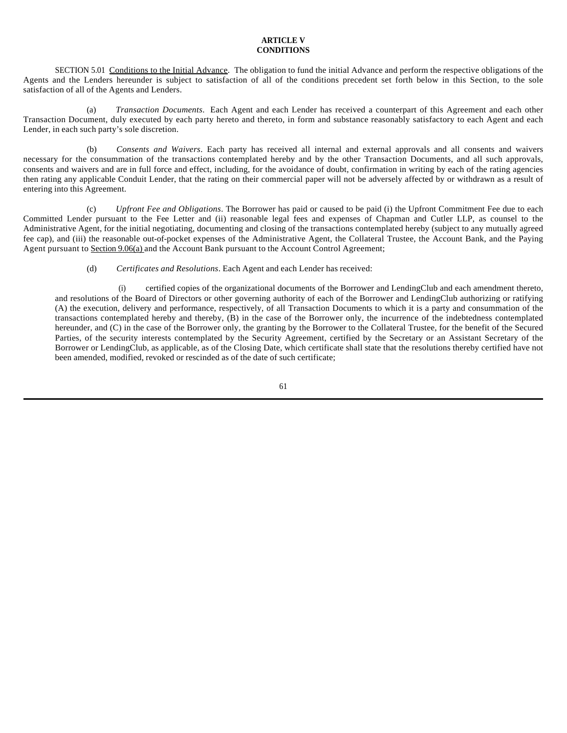# **ARTICLE V CONDITIONS**

SECTION 5.01 Conditions to the Initial Advance. The obligation to fund the initial Advance and perform the respective obligations of the Agents and the Lenders hereunder is subject to satisfaction of all of the conditions precedent set forth below in this Section, to the sole satisfaction of all of the Agents and Lenders.

(a) *Transaction Documents*. Each Agent and each Lender has received a counterpart of this Agreement and each other Transaction Document, duly executed by each party hereto and thereto, in form and substance reasonably satisfactory to each Agent and each Lender, in each such party's sole discretion.

(b) *Consents and Waivers*. Each party has received all internal and external approvals and all consents and waivers necessary for the consummation of the transactions contemplated hereby and by the other Transaction Documents, and all such approvals, consents and waivers and are in full force and effect, including, for the avoidance of doubt, confirmation in writing by each of the rating agencies then rating any applicable Conduit Lender, that the rating on their commercial paper will not be adversely affected by or withdrawn as a result of entering into this Agreement.

(c) *Upfront Fee and Obligations*. The Borrower has paid or caused to be paid (i) the Upfront Commitment Fee due to each Committed Lender pursuant to the Fee Letter and (ii) reasonable legal fees and expenses of Chapman and Cutler LLP, as counsel to the Administrative Agent, for the initial negotiating, documenting and closing of the transactions contemplated hereby (subject to any mutually agreed fee cap), and (iii) the reasonable out-of-pocket expenses of the Administrative Agent, the Collateral Trustee, the Account Bank, and the Paying Agent pursuant to Section 9.06(a) and the Account Bank pursuant to the Account Control Agreement;

(d) *Certificates and Resolutions*. Each Agent and each Lender has received:

(i) certified copies of the organizational documents of the Borrower and LendingClub and each amendment thereto, and resolutions of the Board of Directors or other governing authority of each of the Borrower and LendingClub authorizing or ratifying (A) the execution, delivery and performance, respectively, of all Transaction Documents to which it is a party and consummation of the transactions contemplated hereby and thereby, (B) in the case of the Borrower only, the incurrence of the indebtedness contemplated hereunder, and (C) in the case of the Borrower only, the granting by the Borrower to the Collateral Trustee, for the benefit of the Secured Parties, of the security interests contemplated by the Security Agreement, certified by the Secretary or an Assistant Secretary of the Borrower or LendingClub, as applicable, as of the Closing Date, which certificate shall state that the resolutions thereby certified have not been amended, modified, revoked or rescinded as of the date of such certificate;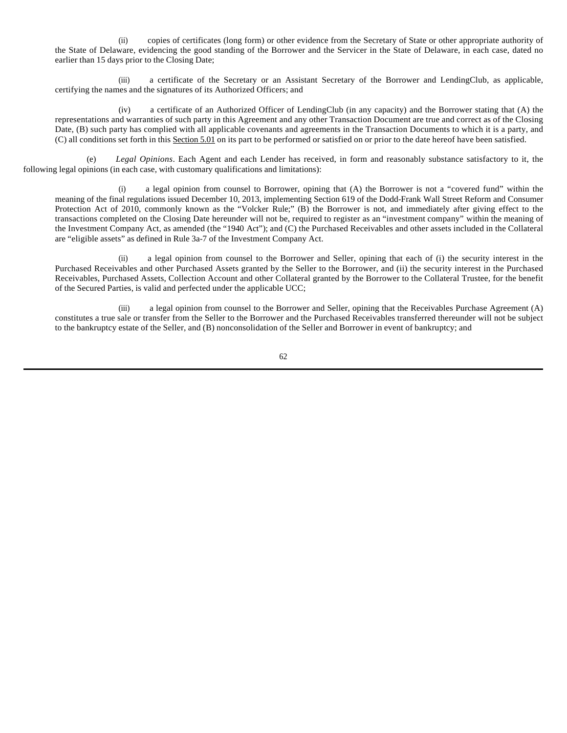(ii) copies of certificates (long form) or other evidence from the Secretary of State or other appropriate authority of the State of Delaware, evidencing the good standing of the Borrower and the Servicer in the State of Delaware, in each case, dated no earlier than 15 days prior to the Closing Date;

(iii) a certificate of the Secretary or an Assistant Secretary of the Borrower and LendingClub, as applicable, certifying the names and the signatures of its Authorized Officers; and

(iv) a certificate of an Authorized Officer of LendingClub (in any capacity) and the Borrower stating that (A) the representations and warranties of such party in this Agreement and any other Transaction Document are true and correct as of the Closing Date, (B) such party has complied with all applicable covenants and agreements in the Transaction Documents to which it is a party, and (C) all conditions set forth in this Section 5.01 on its part to be performed or satisfied on or prior to the date hereof have been satisfied.

(e) *Legal Opinions*. Each Agent and each Lender has received, in form and reasonably substance satisfactory to it, the following legal opinions (in each case, with customary qualifications and limitations):

(i) a legal opinion from counsel to Borrower, opining that (A) the Borrower is not a "covered fund" within the meaning of the final regulations issued December 10, 2013, implementing Section 619 of the Dodd-Frank Wall Street Reform and Consumer Protection Act of 2010, commonly known as the "Volcker Rule;" (B) the Borrower is not, and immediately after giving effect to the transactions completed on the Closing Date hereunder will not be, required to register as an "investment company" within the meaning of the Investment Company Act, as amended (the "1940 Act"); and (C) the Purchased Receivables and other assets included in the Collateral are "eligible assets" as defined in Rule 3a-7 of the Investment Company Act.

(ii) a legal opinion from counsel to the Borrower and Seller, opining that each of (i) the security interest in the Purchased Receivables and other Purchased Assets granted by the Seller to the Borrower, and (ii) the security interest in the Purchased Receivables, Purchased Assets, Collection Account and other Collateral granted by the Borrower to the Collateral Trustee, for the benefit of the Secured Parties, is valid and perfected under the applicable UCC;

(iii) a legal opinion from counsel to the Borrower and Seller, opining that the Receivables Purchase Agreement (A) constitutes a true sale or transfer from the Seller to the Borrower and the Purchased Receivables transferred thereunder will not be subject to the bankruptcy estate of the Seller, and (B) nonconsolidation of the Seller and Borrower in event of bankruptcy; and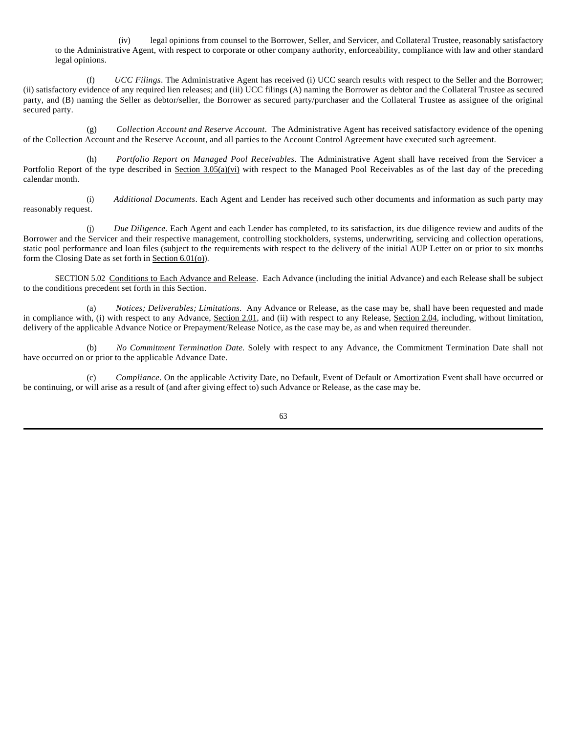(iv) legal opinions from counsel to the Borrower, Seller, and Servicer, and Collateral Trustee, reasonably satisfactory to the Administrative Agent, with respect to corporate or other company authority, enforceability, compliance with law and other standard legal opinions.

(f) *UCC Filings*. The Administrative Agent has received (i) UCC search results with respect to the Seller and the Borrower; (ii) satisfactory evidence of any required lien releases; and (iii) UCC filings (A) naming the Borrower as debtor and the Collateral Trustee as secured party, and (B) naming the Seller as debtor/seller, the Borrower as secured party/purchaser and the Collateral Trustee as assignee of the original secured party.

(g) *Collection Account and Reserve Account*. The Administrative Agent has received satisfactory evidence of the opening of the Collection Account and the Reserve Account, and all parties to the Account Control Agreement have executed such agreement.

(h) *Portfolio Report on Managed Pool Receivables*. The Administrative Agent shall have received from the Servicer a Portfolio Report of the type described in Section  $3.05(a)(vi)$  with respect to the Managed Pool Receivables as of the last day of the preceding calendar month.

(i) *Additional Documents*. Each Agent and Lender has received such other documents and information as such party may reasonably request.

(j) *Due Diligence*. Each Agent and each Lender has completed, to its satisfaction, its due diligence review and audits of the Borrower and the Servicer and their respective management, controlling stockholders, systems, underwriting, servicing and collection operations, static pool performance and loan files (subject to the requirements with respect to the delivery of the initial AUP Letter on or prior to six months form the Closing Date as set forth in Section 6.01(o)).

SECTION 5.02 Conditions to Each Advance and Release. Each Advance (including the initial Advance) and each Release shall be subject to the conditions precedent set forth in this Section.

(a) *Notices; Deliverables; Limitations*. Any Advance or Release, as the case may be, shall have been requested and made in compliance with, (i) with respect to any Advance, Section 2.01, and (ii) with respect to any Release, Section 2.04, including, without limitation, delivery of the applicable Advance Notice or Prepayment/Release Notice, as the case may be, as and when required thereunder.

(b) *No Commitment Termination Date.* Solely with respect to any Advance, the Commitment Termination Date shall not have occurred on or prior to the applicable Advance Date.

(c) *Compliance*. On the applicable Activity Date, no Default, Event of Default or Amortization Event shall have occurred or be continuing, or will arise as a result of (and after giving effect to) such Advance or Release, as the case may be.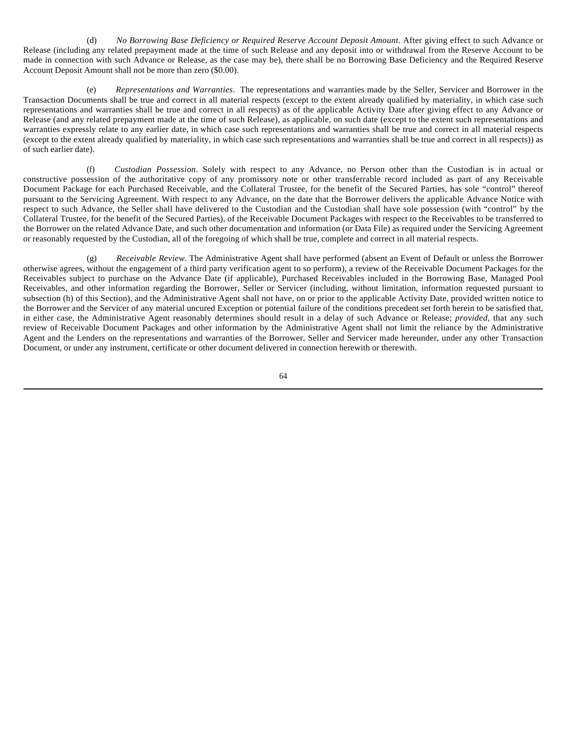(d) *No Borrowing Base Deficiency or Required Reserve Account Deposit Amount*. After giving effect to such Advance or Release (including any related prepayment made at the time of such Release and any deposit into or withdrawal from the Reserve Account to be made in connection with such Advance or Release, as the case may be), there shall be no Borrowing Base Deficiency and the Required Reserve Account Deposit Amount shall not be more than zero (\$0.00).

(e) *Representations and Warranties*. The representations and warranties made by the Seller, Servicer and Borrower in the Transaction Documents shall be true and correct in all material respects (except to the extent already qualified by materiality, in which case such representations and warranties shall be true and correct in all respects) as of the applicable Activity Date after giving effect to any Advance or Release (and any related prepayment made at the time of such Release), as applicable, on such date (except to the extent such representations and warranties expressly relate to any earlier date, in which case such representations and warranties shall be true and correct in all material respects (except to the extent already qualified by materiality, in which case such representations and warranties shall be true and correct in all respects)) as of such earlier date).

(f) *Custodian Possession*. Solely with respect to any Advance, no Person other than the Custodian is in actual or constructive possession of the authoritative copy of any promissory note or other transferrable record included as part of any Receivable Document Package for each Purchased Receivable, and the Collateral Trustee, for the benefit of the Secured Parties, has sole "control" thereof pursuant to the Servicing Agreement. With respect to any Advance, on the date that the Borrower delivers the applicable Advance Notice with respect to such Advance, the Seller shall have delivered to the Custodian and the Custodian shall have sole possession (with "control" by the Collateral Trustee, for the benefit of the Secured Parties), of the Receivable Document Packages with respect to the Receivables to be transferred to the Borrower on the related Advance Date, and such other documentation and information (or Data File) as required under the Servicing Agreement or reasonably requested by the Custodian, all of the foregoing of which shall be true, complete and correct in all material respects.

(g) *Receivable Review*. The Administrative Agent shall have performed (absent an Event of Default or unless the Borrower otherwise agrees, without the engagement of a third party verification agent to so perform), a review of the Receivable Document Packages for the Receivables subject to purchase on the Advance Date (if applicable), Purchased Receivables included in the Borrowing Base, Managed Pool Receivables, and other information regarding the Borrower, Seller or Servicer (including, without limitation, information requested pursuant to subsection (h) of this Section), and the Administrative Agent shall not have, on or prior to the applicable Activity Date, provided written notice to the Borrower and the Servicer of any material uncured Exception or potential failure of the conditions precedent set forth herein to be satisfied that, in either case, the Administrative Agent reasonably determines should result in a delay of such Advance or Release; *provided*, that any such review of Receivable Document Packages and other information by the Administrative Agent shall not limit the reliance by the Administrative Agent and the Lenders on the representations and warranties of the Borrower, Seller and Servicer made hereunder, under any other Transaction Document, or under any instrument, certificate or other document delivered in connection herewith or therewith.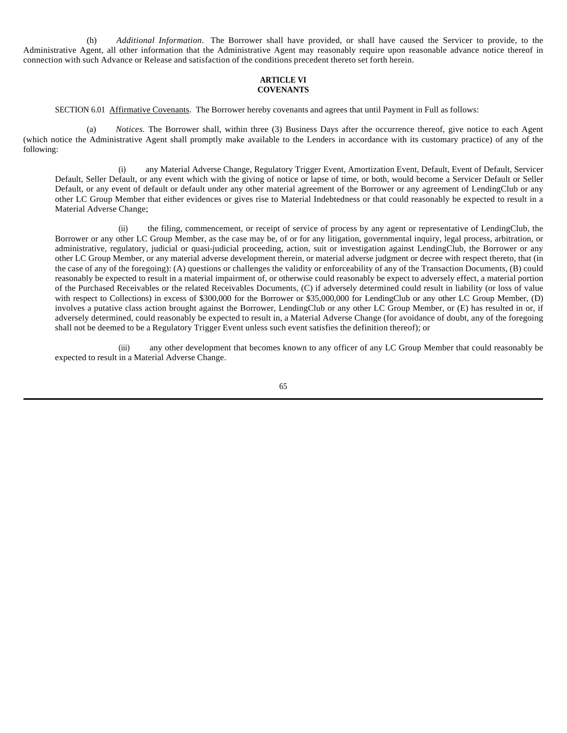(h) *Additional Information*. The Borrower shall have provided, or shall have caused the Servicer to provide, to the Administrative Agent, all other information that the Administrative Agent may reasonably require upon reasonable advance notice thereof in connection with such Advance or Release and satisfaction of the conditions precedent thereto set forth herein.

### **ARTICLE VI COVENANTS**

SECTION 6.01 Affirmative Covenants. The Borrower hereby covenants and agrees that until Payment in Full as follows:

(a) *Notices.* The Borrower shall, within three (3) Business Days after the occurrence thereof, give notice to each Agent (which notice the Administrative Agent shall promptly make available to the Lenders in accordance with its customary practice) of any of the following:

(i) any Material Adverse Change, Regulatory Trigger Event, Amortization Event, Default, Event of Default, Servicer Default, Seller Default, or any event which with the giving of notice or lapse of time, or both, would become a Servicer Default or Seller Default, or any event of default or default under any other material agreement of the Borrower or any agreement of LendingClub or any other LC Group Member that either evidences or gives rise to Material Indebtedness or that could reasonably be expected to result in a Material Adverse Change;

(ii) the filing, commencement, or receipt of service of process by any agent or representative of LendingClub, the Borrower or any other LC Group Member, as the case may be, of or for any litigation, governmental inquiry, legal process, arbitration, or administrative, regulatory, judicial or quasi-judicial proceeding, action, suit or investigation against LendingClub, the Borrower or any other LC Group Member, or any material adverse development therein, or material adverse judgment or decree with respect thereto, that (in the case of any of the foregoing): (A) questions or challenges the validity or enforceability of any of the Transaction Documents, (B) could reasonably be expected to result in a material impairment of, or otherwise could reasonably be expect to adversely effect, a material portion of the Purchased Receivables or the related Receivables Documents, (C) if adversely determined could result in liability (or loss of value with respect to Collections) in excess of \$300,000 for the Borrower or \$35,000,000 for LendingClub or any other LC Group Member, (D) involves a putative class action brought against the Borrower, LendingClub or any other LC Group Member, or (E) has resulted in or, if adversely determined, could reasonably be expected to result in, a Material Adverse Change (for avoidance of doubt, any of the foregoing shall not be deemed to be a Regulatory Trigger Event unless such event satisfies the definition thereof); or

(iii) any other development that becomes known to any officer of any LC Group Member that could reasonably be expected to result in a Material Adverse Change.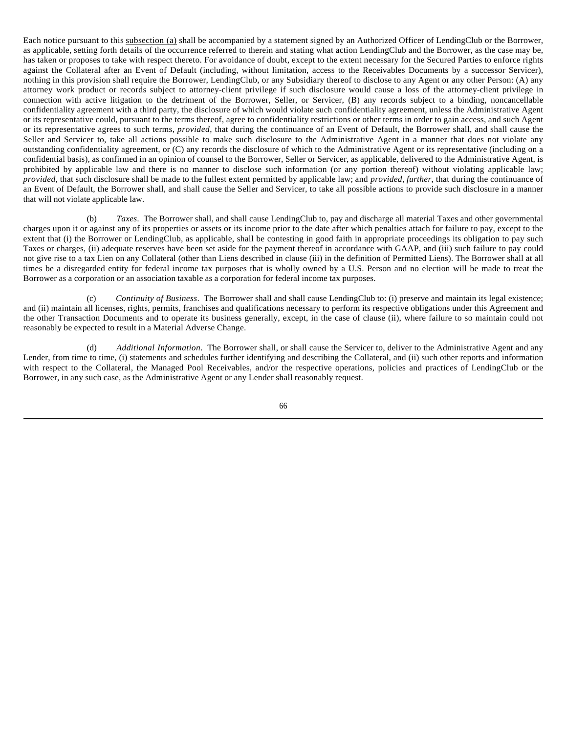Each notice pursuant to this subsection (a) shall be accompanied by a statement signed by an Authorized Officer of LendingClub or the Borrower, as applicable, setting forth details of the occurrence referred to therein and stating what action LendingClub and the Borrower, as the case may be, has taken or proposes to take with respect thereto. For avoidance of doubt, except to the extent necessary for the Secured Parties to enforce rights against the Collateral after an Event of Default (including, without limitation, access to the Receivables Documents by a successor Servicer), nothing in this provision shall require the Borrower, LendingClub, or any Subsidiary thereof to disclose to any Agent or any other Person: (A) any attorney work product or records subject to attorney-client privilege if such disclosure would cause a loss of the attorney-client privilege in connection with active litigation to the detriment of the Borrower, Seller, or Servicer, (B) any records subject to a binding, noncancellable confidentiality agreement with a third party, the disclosure of which would violate such confidentiality agreement, unless the Administrative Agent or its representative could, pursuant to the terms thereof, agree to confidentiality restrictions or other terms in order to gain access, and such Agent or its representative agrees to such terms, *provided*, that during the continuance of an Event of Default, the Borrower shall, and shall cause the Seller and Servicer to, take all actions possible to make such disclosure to the Administrative Agent in a manner that does not violate any outstanding confidentiality agreement, or (C) any records the disclosure of which to the Administrative Agent or its representative (including on a confidential basis), as confirmed in an opinion of counsel to the Borrower, Seller or Servicer, as applicable, delivered to the Administrative Agent, is prohibited by applicable law and there is no manner to disclose such information (or any portion thereof) without violating applicable law; *provided*, that such disclosure shall be made to the fullest extent permitted by applicable law; and *provided, further*, that during the continuance of an Event of Default, the Borrower shall, and shall cause the Seller and Servicer, to take all possible actions to provide such disclosure in a manner that will not violate applicable law.

(b) *Taxes*. The Borrower shall, and shall cause LendingClub to, pay and discharge all material Taxes and other governmental charges upon it or against any of its properties or assets or its income prior to the date after which penalties attach for failure to pay, except to the extent that (i) the Borrower or LendingClub, as applicable, shall be contesting in good faith in appropriate proceedings its obligation to pay such Taxes or charges, (ii) adequate reserves have been set aside for the payment thereof in accordance with GAAP, and (iii) such failure to pay could not give rise to a tax Lien on any Collateral (other than Liens described in clause (iii) in the definition of Permitted Liens). The Borrower shall at all times be a disregarded entity for federal income tax purposes that is wholly owned by a U.S. Person and no election will be made to treat the Borrower as a corporation or an association taxable as a corporation for federal income tax purposes.

(c) *Continuity of Business*. The Borrower shall and shall cause LendingClub to: (i) preserve and maintain its legal existence; and (ii) maintain all licenses, rights, permits, franchises and qualifications necessary to perform its respective obligations under this Agreement and the other Transaction Documents and to operate its business generally, except, in the case of clause (ii), where failure to so maintain could not reasonably be expected to result in a Material Adverse Change.

(d) *Additional Information*. The Borrower shall, or shall cause the Servicer to, deliver to the Administrative Agent and any Lender, from time to time, (i) statements and schedules further identifying and describing the Collateral, and (ii) such other reports and information with respect to the Collateral, the Managed Pool Receivables, and/or the respective operations, policies and practices of LendingClub or the Borrower, in any such case, as the Administrative Agent or any Lender shall reasonably request.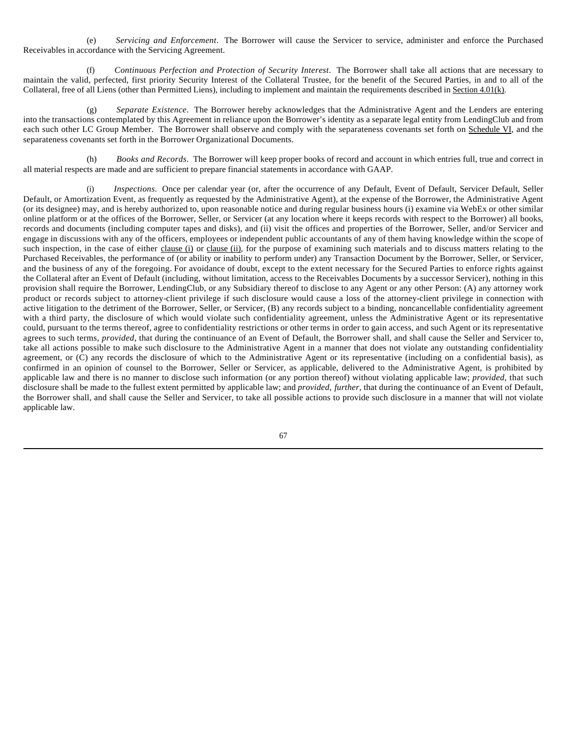(e) *Servicing and Enforcement*. The Borrower will cause the Servicer to service, administer and enforce the Purchased Receivables in accordance with the Servicing Agreement.

(f) *Continuous Perfection and Protection of Security Interest*. The Borrower shall take all actions that are necessary to maintain the valid, perfected, first priority Security Interest of the Collateral Trustee, for the benefit of the Secured Parties, in and to all of the Collateral, free of all Liens (other than Permitted Liens), including to implement and maintain the requirements described in Section 4.01(k).

(g) *Separate Existence*. The Borrower hereby acknowledges that the Administrative Agent and the Lenders are entering into the transactions contemplated by this Agreement in reliance upon the Borrower's identity as a separate legal entity from LendingClub and from each such other LC Group Member. The Borrower shall observe and comply with the separateness covenants set forth on Schedule VI, and the separateness covenants set forth in the Borrower Organizational Documents.

(h) *Books and Records*. The Borrower will keep proper books of record and account in which entries full, true and correct in all material respects are made and are sufficient to prepare financial statements in accordance with GAAP.

(i) *Inspections*. Once per calendar year (or, after the occurrence of any Default, Event of Default, Servicer Default, Seller Default, or Amortization Event, as frequently as requested by the Administrative Agent), at the expense of the Borrower, the Administrative Agent (or its designee) may, and is hereby authorized to, upon reasonable notice and during regular business hours (i) examine via WebEx or other similar online platform or at the offices of the Borrower, Seller, or Servicer (at any location where it keeps records with respect to the Borrower) all books, records and documents (including computer tapes and disks), and (ii) visit the offices and properties of the Borrower, Seller, and/or Servicer and engage in discussions with any of the officers, employees or independent public accountants of any of them having knowledge within the scope of such inspection, in the case of either clause (i) or clause (ii), for the purpose of examining such materials and to discuss matters relating to the Purchased Receivables, the performance of (or ability or inability to perform under) any Transaction Document by the Borrower, Seller, or Servicer, and the business of any of the foregoing. For avoidance of doubt, except to the extent necessary for the Secured Parties to enforce rights against the Collateral after an Event of Default (including, without limitation, access to the Receivables Documents by a successor Servicer), nothing in this provision shall require the Borrower, LendingClub, or any Subsidiary thereof to disclose to any Agent or any other Person: (A) any attorney work product or records subject to attorney-client privilege if such disclosure would cause a loss of the attorney-client privilege in connection with active litigation to the detriment of the Borrower, Seller, or Servicer, (B) any records subject to a binding, noncancellable confidentiality agreement with a third party, the disclosure of which would violate such confidentiality agreement, unless the Administrative Agent or its representative could, pursuant to the terms thereof, agree to confidentiality restrictions or other terms in order to gain access, and such Agent or its representative agrees to such terms, *provided*, that during the continuance of an Event of Default, the Borrower shall, and shall cause the Seller and Servicer to, take all actions possible to make such disclosure to the Administrative Agent in a manner that does not violate any outstanding confidentiality agreement, or  $(C)$  any records the disclosure of which to the Administrative Agent or its representative (including on a confidential basis), as confirmed in an opinion of counsel to the Borrower, Seller or Servicer, as applicable, delivered to the Administrative Agent, is prohibited by applicable law and there is no manner to disclose such information (or any portion thereof) without violating applicable law; *provided,* that such disclosure shall be made to the fullest extent permitted by applicable law; and *provided, further*, that during the continuance of an Event of Default, the Borrower shall, and shall cause the Seller and Servicer, to take all possible actions to provide such disclosure in a manner that will not violate applicable law.

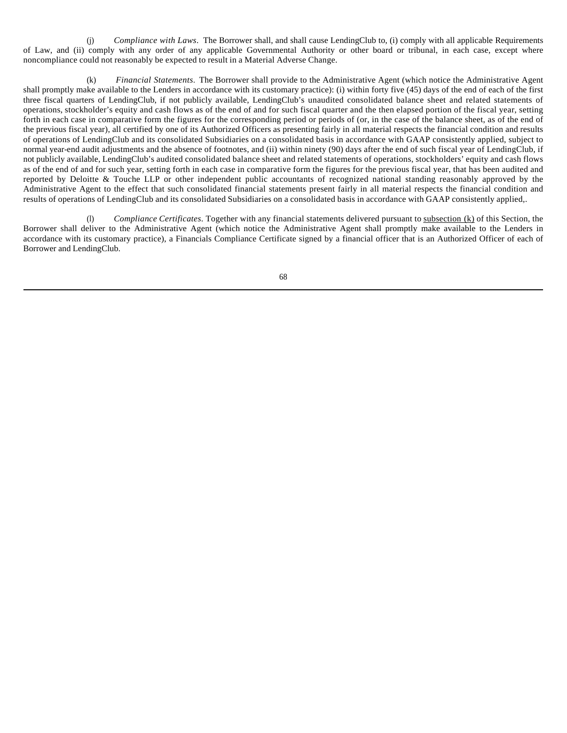(j) *Compliance with Laws*. The Borrower shall, and shall cause LendingClub to, (i) comply with all applicable Requirements of Law, and (ii) comply with any order of any applicable Governmental Authority or other board or tribunal, in each case, except where noncompliance could not reasonably be expected to result in a Material Adverse Change.

(k) *Financial Statements*. The Borrower shall provide to the Administrative Agent (which notice the Administrative Agent shall promptly make available to the Lenders in accordance with its customary practice): (i) within forty five (45) days of the end of each of the first three fiscal quarters of LendingClub, if not publicly available, LendingClub's unaudited consolidated balance sheet and related statements of operations, stockholder's equity and cash flows as of the end of and for such fiscal quarter and the then elapsed portion of the fiscal year, setting forth in each case in comparative form the figures for the corresponding period or periods of (or, in the case of the balance sheet, as of the end of the previous fiscal year), all certified by one of its Authorized Officers as presenting fairly in all material respects the financial condition and results of operations of LendingClub and its consolidated Subsidiaries on a consolidated basis in accordance with GAAP consistently applied, subject to normal year-end audit adjustments and the absence of footnotes, and (ii) within ninety (90) days after the end of such fiscal year of LendingClub, if not publicly available, LendingClub's audited consolidated balance sheet and related statements of operations, stockholders' equity and cash flows as of the end of and for such year, setting forth in each case in comparative form the figures for the previous fiscal year, that has been audited and reported by Deloitte & Touche LLP or other independent public accountants of recognized national standing reasonably approved by the Administrative Agent to the effect that such consolidated financial statements present fairly in all material respects the financial condition and results of operations of LendingClub and its consolidated Subsidiaries on a consolidated basis in accordance with GAAP consistently applied,.

(l) *Compliance Certificates*. Together with any financial statements delivered pursuant to subsection (k) of this Section, the Borrower shall deliver to the Administrative Agent (which notice the Administrative Agent shall promptly make available to the Lenders in accordance with its customary practice), a Financials Compliance Certificate signed by a financial officer that is an Authorized Officer of each of Borrower and LendingClub.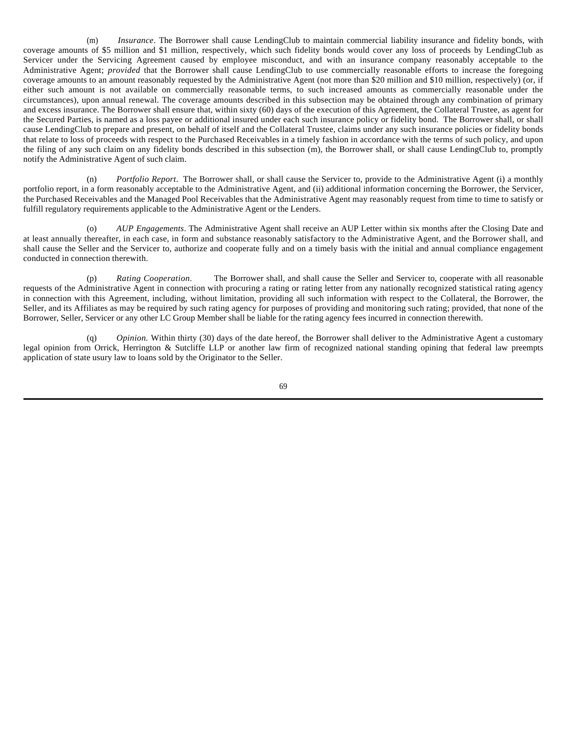(m) *Insurance*. The Borrower shall cause LendingClub to maintain commercial liability insurance and fidelity bonds, with coverage amounts of \$5 million and \$1 million, respectively, which such fidelity bonds would cover any loss of proceeds by LendingClub as Servicer under the Servicing Agreement caused by employee misconduct, and with an insurance company reasonably acceptable to the Administrative Agent; *provided* that the Borrower shall cause LendingClub to use commercially reasonable efforts to increase the foregoing coverage amounts to an amount reasonably requested by the Administrative Agent (not more than \$20 million and \$10 million, respectively) (or, if either such amount is not available on commercially reasonable terms, to such increased amounts as commercially reasonable under the circumstances), upon annual renewal. The coverage amounts described in this subsection may be obtained through any combination of primary and excess insurance. The Borrower shall ensure that, within sixty (60) days of the execution of this Agreement, the Collateral Trustee, as agent for the Secured Parties, is named as a loss payee or additional insured under each such insurance policy or fidelity bond. The Borrower shall, or shall cause LendingClub to prepare and present, on behalf of itself and the Collateral Trustee, claims under any such insurance policies or fidelity bonds that relate to loss of proceeds with respect to the Purchased Receivables in a timely fashion in accordance with the terms of such policy, and upon the filing of any such claim on any fidelity bonds described in this subsection (m), the Borrower shall, or shall cause LendingClub to, promptly notify the Administrative Agent of such claim.

(n) *Portfolio Report*. The Borrower shall, or shall cause the Servicer to, provide to the Administrative Agent (i) a monthly portfolio report, in a form reasonably acceptable to the Administrative Agent, and (ii) additional information concerning the Borrower, the Servicer, the Purchased Receivables and the Managed Pool Receivables that the Administrative Agent may reasonably request from time to time to satisfy or fulfill regulatory requirements applicable to the Administrative Agent or the Lenders.

(o) *AUP Engagements*. The Administrative Agent shall receive an AUP Letter within six months after the Closing Date and at least annually thereafter, in each case, in form and substance reasonably satisfactory to the Administrative Agent, and the Borrower shall, and shall cause the Seller and the Servicer to, authorize and cooperate fully and on a timely basis with the initial and annual compliance engagement conducted in connection therewith.

(p) *Rating Cooperation*. The Borrower shall, and shall cause the Seller and Servicer to, cooperate with all reasonable requests of the Administrative Agent in connection with procuring a rating or rating letter from any nationally recognized statistical rating agency in connection with this Agreement, including, without limitation, providing all such information with respect to the Collateral, the Borrower, the Seller, and its Affiliates as may be required by such rating agency for purposes of providing and monitoring such rating; provided, that none of the Borrower, Seller, Servicer or any other LC Group Member shall be liable for the rating agency fees incurred in connection therewith.

(q) *Opinion.* Within thirty (30) days of the date hereof, the Borrower shall deliver to the Administrative Agent a customary legal opinion from Orrick, Herrington & Sutcliffe LLP or another law firm of recognized national standing opining that federal law preempts application of state usury law to loans sold by the Originator to the Seller.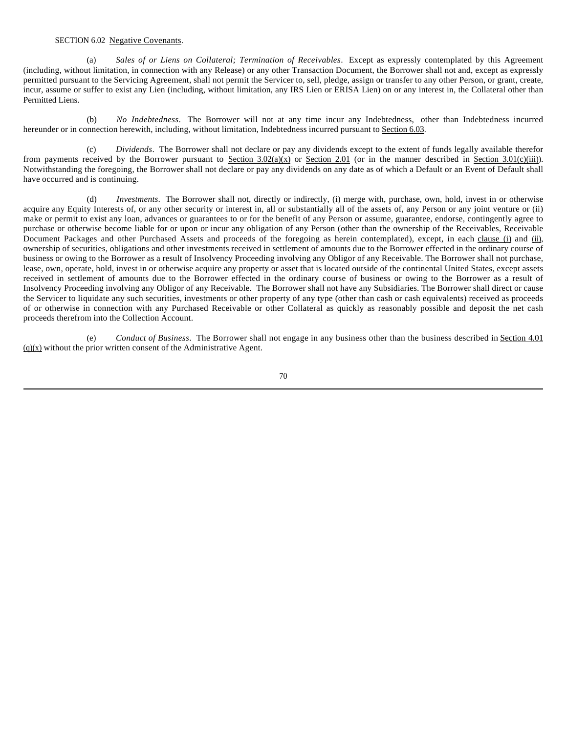## SECTION 6.02 Negative Covenants.

(a) *Sales of or Liens on Collateral; Termination of Receivables*. Except as expressly contemplated by this Agreement (including, without limitation, in connection with any Release) or any other Transaction Document, the Borrower shall not and, except as expressly permitted pursuant to the Servicing Agreement, shall not permit the Servicer to, sell, pledge, assign or transfer to any other Person, or grant, create, incur, assume or suffer to exist any Lien (including, without limitation, any IRS Lien or ERISA Lien) on or any interest in, the Collateral other than Permitted Liens.

(b) *No Indebtedness*. The Borrower will not at any time incur any Indebtedness, other than Indebtedness incurred hereunder or in connection herewith, including, without limitation, Indebtedness incurred pursuant to Section 6.03.

(c) *Dividends*. The Borrower shall not declare or pay any dividends except to the extent of funds legally available therefor from payments received by the Borrower pursuant to Section  $3.02(a)(x)$  or Section  $2.01$  (or in the manner described in Section  $3.01(c)(iii)$ ). Notwithstanding the foregoing, the Borrower shall not declare or pay any dividends on any date as of which a Default or an Event of Default shall have occurred and is continuing.

(d) *Investments*. The Borrower shall not, directly or indirectly, (i) merge with, purchase, own, hold, invest in or otherwise acquire any Equity Interests of, or any other security or interest in, all or substantially all of the assets of, any Person or any joint venture or (ii) make or permit to exist any loan, advances or guarantees to or for the benefit of any Person or assume, guarantee, endorse, contingently agree to purchase or otherwise become liable for or upon or incur any obligation of any Person (other than the ownership of the Receivables, Receivable Document Packages and other Purchased Assets and proceeds of the foregoing as herein contemplated), except, in each clause (i) and (ii), ownership of securities, obligations and other investments received in settlement of amounts due to the Borrower effected in the ordinary course of business or owing to the Borrower as a result of Insolvency Proceeding involving any Obligor of any Receivable. The Borrower shall not purchase, lease, own, operate, hold, invest in or otherwise acquire any property or asset that is located outside of the continental United States, except assets received in settlement of amounts due to the Borrower effected in the ordinary course of business or owing to the Borrower as a result of Insolvency Proceeding involving any Obligor of any Receivable. The Borrower shall not have any Subsidiaries. The Borrower shall direct or cause the Servicer to liquidate any such securities, investments or other property of any type (other than cash or cash equivalents) received as proceeds of or otherwise in connection with any Purchased Receivable or other Collateral as quickly as reasonably possible and deposit the net cash proceeds therefrom into the Collection Account.

(e) *Conduct of Business*. The Borrower shall not engage in any business other than the business described in Section 4.01  $(q)(x)$  without the prior written consent of the Administrative Agent.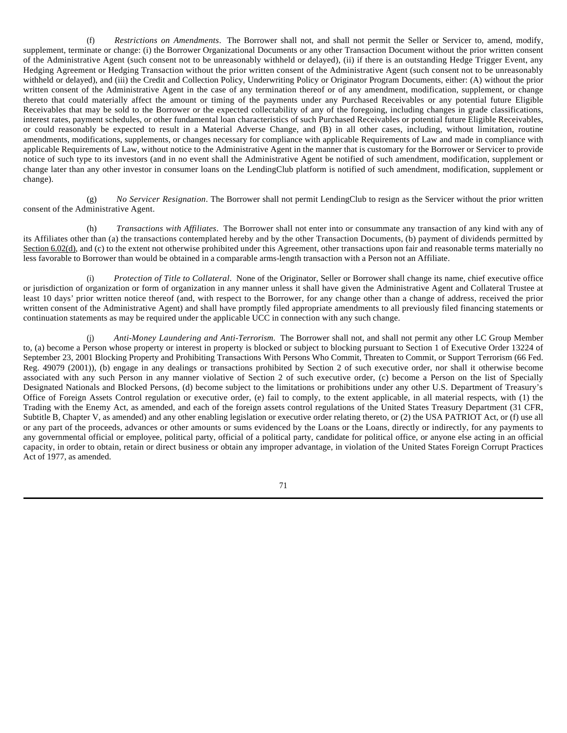(f) *Restrictions on Amendments*. The Borrower shall not, and shall not permit the Seller or Servicer to, amend, modify, supplement, terminate or change: (i) the Borrower Organizational Documents or any other Transaction Document without the prior written consent of the Administrative Agent (such consent not to be unreasonably withheld or delayed), (ii) if there is an outstanding Hedge Trigger Event, any Hedging Agreement or Hedging Transaction without the prior written consent of the Administrative Agent (such consent not to be unreasonably withheld or delayed), and (iii) the Credit and Collection Policy, Underwriting Policy or Originator Program Documents, either: (A) without the prior written consent of the Administrative Agent in the case of any termination thereof or of any amendment, modification, supplement, or change thereto that could materially affect the amount or timing of the payments under any Purchased Receivables or any potential future Eligible Receivables that may be sold to the Borrower or the expected collectability of any of the foregoing, including changes in grade classifications, interest rates, payment schedules, or other fundamental loan characteristics of such Purchased Receivables or potential future Eligible Receivables, or could reasonably be expected to result in a Material Adverse Change, and (B) in all other cases, including, without limitation, routine amendments, modifications, supplements, or changes necessary for compliance with applicable Requirements of Law and made in compliance with applicable Requirements of Law, without notice to the Administrative Agent in the manner that is customary for the Borrower or Servicer to provide notice of such type to its investors (and in no event shall the Administrative Agent be notified of such amendment, modification, supplement or change later than any other investor in consumer loans on the LendingClub platform is notified of such amendment, modification, supplement or change).

(g) *No Servicer Resignation*. The Borrower shall not permit LendingClub to resign as the Servicer without the prior written consent of the Administrative Agent.

(h) *Transactions with Affiliates*. The Borrower shall not enter into or consummate any transaction of any kind with any of its Affiliates other than (a) the transactions contemplated hereby and by the other Transaction Documents, (b) payment of dividends permitted by Section 6.02(d), and (c) to the extent not otherwise prohibited under this Agreement, other transactions upon fair and reasonable terms materially no less favorable to Borrower than would be obtained in a comparable arms-length transaction with a Person not an Affiliate.

(i) *Protection of Title to Collateral*. None of the Originator, Seller or Borrower shall change its name, chief executive office or jurisdiction of organization or form of organization in any manner unless it shall have given the Administrative Agent and Collateral Trustee at least 10 days' prior written notice thereof (and, with respect to the Borrower, for any change other than a change of address, received the prior written consent of the Administrative Agent) and shall have promptly filed appropriate amendments to all previously filed financing statements or continuation statements as may be required under the applicable UCC in connection with any such change.

(j) *Anti-Money Laundering and Anti-Terrorism*. The Borrower shall not, and shall not permit any other LC Group Member to, (a) become a Person whose property or interest in property is blocked or subject to blocking pursuant to Section 1 of Executive Order 13224 of September 23, 2001 Blocking Property and Prohibiting Transactions With Persons Who Commit, Threaten to Commit, or Support Terrorism (66 Fed. Reg. 49079 (2001)), (b) engage in any dealings or transactions prohibited by Section 2 of such executive order, nor shall it otherwise become associated with any such Person in any manner violative of Section 2 of such executive order, (c) become a Person on the list of Specially Designated Nationals and Blocked Persons, (d) become subject to the limitations or prohibitions under any other U.S. Department of Treasury's Office of Foreign Assets Control regulation or executive order, (e) fail to comply, to the extent applicable, in all material respects, with (1) the Trading with the Enemy Act, as amended, and each of the foreign assets control regulations of the United States Treasury Department (31 CFR, Subtitle B, Chapter V, as amended) and any other enabling legislation or executive order relating thereto, or (2) the USA PATRIOT Act, or (f) use all or any part of the proceeds, advances or other amounts or sums evidenced by the Loans or the Loans, directly or indirectly, for any payments to any governmental official or employee, political party, official of a political party, candidate for political office, or anyone else acting in an official capacity, in order to obtain, retain or direct business or obtain any improper advantage, in violation of the United States Foreign Corrupt Practices Act of 1977, as amended.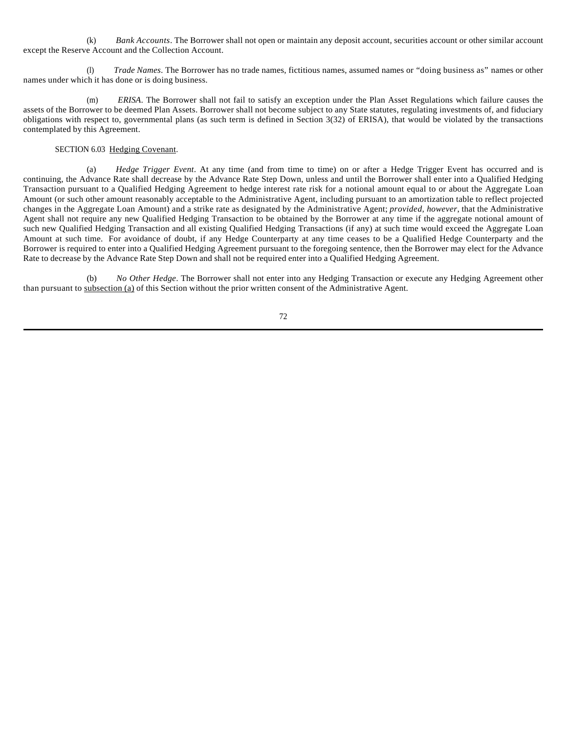(k) *Bank Accounts*. The Borrower shall not open or maintain any deposit account, securities account or other similar account except the Reserve Account and the Collection Account.

(l) *Trade Names*. The Borrower has no trade names, fictitious names, assumed names or "doing business as" names or other names under which it has done or is doing business.

(m) *ERISA*. The Borrower shall not fail to satisfy an exception under the Plan Asset Regulations which failure causes the assets of the Borrower to be deemed Plan Assets. Borrower shall not become subject to any State statutes, regulating investments of, and fiduciary obligations with respect to, governmental plans (as such term is defined in Section 3(32) of ERISA), that would be violated by the transactions contemplated by this Agreement.

## SECTION 6.03 Hedging Covenant.

(a) *Hedge Trigger Event*. At any time (and from time to time) on or after a Hedge Trigger Event has occurred and is continuing, the Advance Rate shall decrease by the Advance Rate Step Down, unless and until the Borrower shall enter into a Qualified Hedging Transaction pursuant to a Qualified Hedging Agreement to hedge interest rate risk for a notional amount equal to or about the Aggregate Loan Amount (or such other amount reasonably acceptable to the Administrative Agent, including pursuant to an amortization table to reflect projected changes in the Aggregate Loan Amount) and a strike rate as designated by the Administrative Agent; *provided*, *however*, that the Administrative Agent shall not require any new Qualified Hedging Transaction to be obtained by the Borrower at any time if the aggregate notional amount of such new Qualified Hedging Transaction and all existing Qualified Hedging Transactions (if any) at such time would exceed the Aggregate Loan Amount at such time. For avoidance of doubt, if any Hedge Counterparty at any time ceases to be a Qualified Hedge Counterparty and the Borrower is required to enter into a Qualified Hedging Agreement pursuant to the foregoing sentence, then the Borrower may elect for the Advance Rate to decrease by the Advance Rate Step Down and shall not be required enter into a Qualified Hedging Agreement.

(b) *No Other Hedge*. The Borrower shall not enter into any Hedging Transaction or execute any Hedging Agreement other than pursuant to subsection (a) of this Section without the prior written consent of the Administrative Agent.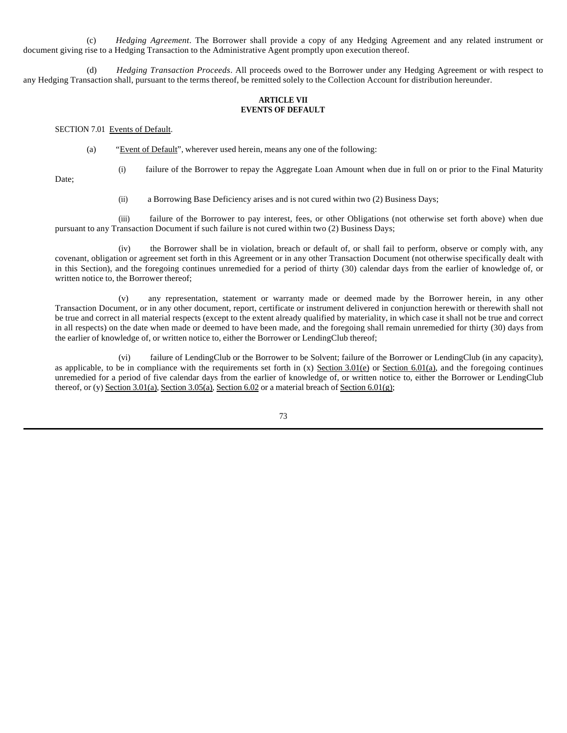(c) *Hedging Agreement*. The Borrower shall provide a copy of any Hedging Agreement and any related instrument or document giving rise to a Hedging Transaction to the Administrative Agent promptly upon execution thereof.

(d) *Hedging Transaction Proceeds*. All proceeds owed to the Borrower under any Hedging Agreement or with respect to any Hedging Transaction shall, pursuant to the terms thereof, be remitted solely to the Collection Account for distribution hereunder.

## **ARTICLE VII EVENTS OF DEFAULT**

#### SECTION 7.01 Events of Default.

- (a) "Event of Default", wherever used herein, means any one of the following:
- Date;
- (i) failure of the Borrower to repay the Aggregate Loan Amount when due in full on or prior to the Final Maturity
- (ii) a Borrowing Base Deficiency arises and is not cured within two (2) Business Days;

(iii) failure of the Borrower to pay interest, fees, or other Obligations (not otherwise set forth above) when due pursuant to any Transaction Document if such failure is not cured within two (2) Business Days;

(iv) the Borrower shall be in violation, breach or default of, or shall fail to perform, observe or comply with, any covenant, obligation or agreement set forth in this Agreement or in any other Transaction Document (not otherwise specifically dealt with in this Section), and the foregoing continues unremedied for a period of thirty (30) calendar days from the earlier of knowledge of, or written notice to, the Borrower thereof;

(v) any representation, statement or warranty made or deemed made by the Borrower herein, in any other Transaction Document, or in any other document, report, certificate or instrument delivered in conjunction herewith or therewith shall not be true and correct in all material respects (except to the extent already qualified by materiality, in which case it shall not be true and correct in all respects) on the date when made or deemed to have been made, and the foregoing shall remain unremedied for thirty (30) days from the earlier of knowledge of, or written notice to, either the Borrower or LendingClub thereof;

(vi) failure of LendingClub or the Borrower to be Solvent; failure of the Borrower or LendingClub (in any capacity), as applicable, to be in compliance with the requirements set forth in  $(x)$  Section 3.01(e) or Section 6.01(a), and the foregoing continues unremedied for a period of five calendar days from the earlier of knowledge of, or written notice to, either the Borrower or LendingClub thereof, or (y) Section 3.01(a), Section 3.05(a), Section 6.02 or a material breach of Section 6.01(g);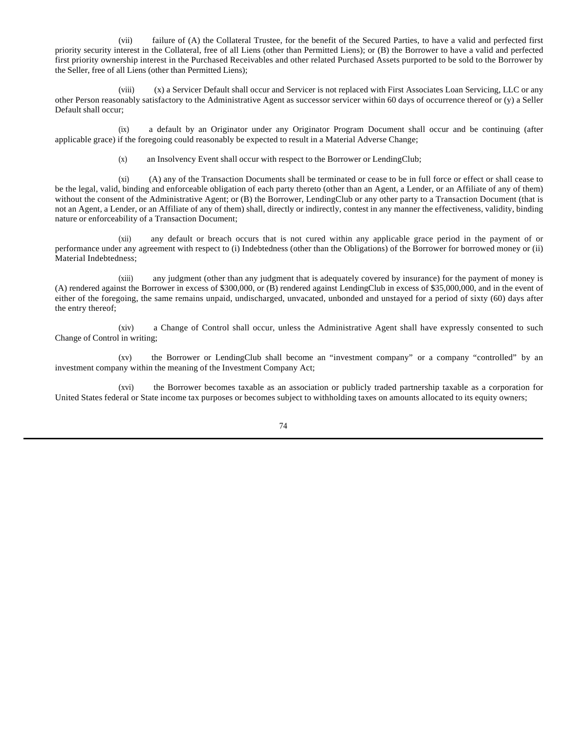(vii) failure of (A) the Collateral Trustee, for the benefit of the Secured Parties, to have a valid and perfected first priority security interest in the Collateral, free of all Liens (other than Permitted Liens); or (B) the Borrower to have a valid and perfected first priority ownership interest in the Purchased Receivables and other related Purchased Assets purported to be sold to the Borrower by the Seller, free of all Liens (other than Permitted Liens);

(viii) (x) a Servicer Default shall occur and Servicer is not replaced with First Associates Loan Servicing, LLC or any other Person reasonably satisfactory to the Administrative Agent as successor servicer within 60 days of occurrence thereof or (y) a Seller Default shall occur;

(ix) a default by an Originator under any Originator Program Document shall occur and be continuing (after applicable grace) if the foregoing could reasonably be expected to result in a Material Adverse Change;

(x) an Insolvency Event shall occur with respect to the Borrower or LendingClub;

(xi) (A) any of the Transaction Documents shall be terminated or cease to be in full force or effect or shall cease to be the legal, valid, binding and enforceable obligation of each party thereto (other than an Agent, a Lender, or an Affiliate of any of them) without the consent of the Administrative Agent; or (B) the Borrower, LendingClub or any other party to a Transaction Document (that is not an Agent, a Lender, or an Affiliate of any of them) shall, directly or indirectly, contest in any manner the effectiveness, validity, binding nature or enforceability of a Transaction Document;

(xii) any default or breach occurs that is not cured within any applicable grace period in the payment of or performance under any agreement with respect to (i) Indebtedness (other than the Obligations) of the Borrower for borrowed money or (ii) Material Indebtedness;

(xiii) any judgment (other than any judgment that is adequately covered by insurance) for the payment of money is (A) rendered against the Borrower in excess of \$300,000, or (B) rendered against LendingClub in excess of \$35,000,000, and in the event of either of the foregoing, the same remains unpaid, undischarged, unvacated, unbonded and unstayed for a period of sixty (60) days after the entry thereof;

(xiv) a Change of Control shall occur, unless the Administrative Agent shall have expressly consented to such Change of Control in writing;

(xv) the Borrower or LendingClub shall become an "investment company" or a company "controlled" by an investment company within the meaning of the Investment Company Act;

(xvi) the Borrower becomes taxable as an association or publicly traded partnership taxable as a corporation for United States federal or State income tax purposes or becomes subject to withholding taxes on amounts allocated to its equity owners;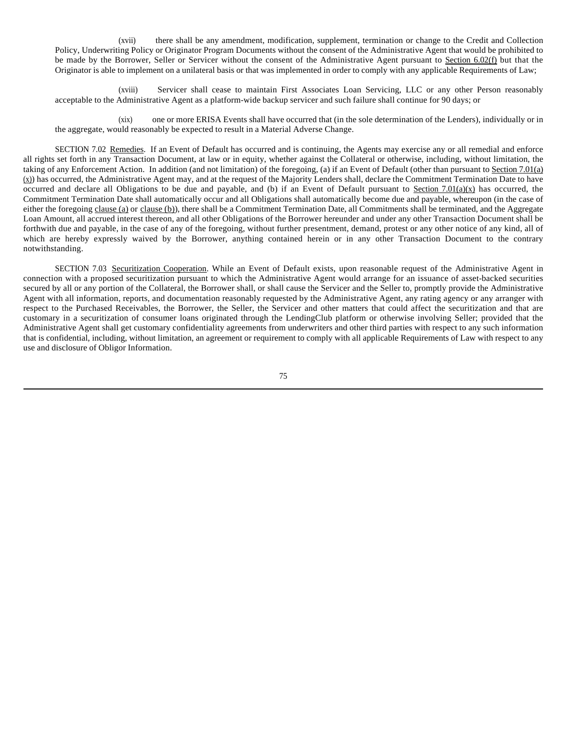(xvii) there shall be any amendment, modification, supplement, termination or change to the Credit and Collection Policy, Underwriting Policy or Originator Program Documents without the consent of the Administrative Agent that would be prohibited to be made by the Borrower, Seller or Servicer without the consent of the Administrative Agent pursuant to Section 6.02(f) but that the Originator is able to implement on a unilateral basis or that was implemented in order to comply with any applicable Requirements of Law;

(xviii) Servicer shall cease to maintain First Associates Loan Servicing, LLC or any other Person reasonably acceptable to the Administrative Agent as a platform-wide backup servicer and such failure shall continue for 90 days; or

(xix) one or more ERISA Events shall have occurred that (in the sole determination of the Lenders), individually or in the aggregate, would reasonably be expected to result in a Material Adverse Change.

SECTION 7.02 Remedies. If an Event of Default has occurred and is continuing, the Agents may exercise any or all remedial and enforce all rights set forth in any Transaction Document, at law or in equity, whether against the Collateral or otherwise, including, without limitation, the taking of any Enforcement Action. In addition (and not limitation) of the foregoing, (a) if an Event of Default (other than pursuant to Section 7.01(a)  $(x)$ ) has occurred, the Administrative Agent may, and at the request of the Majority Lenders shall, declare the Commitment Termination Date to have occurred and declare all Obligations to be due and payable, and (b) if an Event of Default pursuant to Section 7.01(a)(x) has occurred, the Commitment Termination Date shall automatically occur and all Obligations shall automatically become due and payable, whereupon (in the case of either the foregoing clause (a) or clause (b)), there shall be a Commitment Termination Date, all Commitments shall be terminated, and the Aggregate Loan Amount, all accrued interest thereon, and all other Obligations of the Borrower hereunder and under any other Transaction Document shall be forthwith due and payable, in the case of any of the foregoing, without further presentment, demand, protest or any other notice of any kind, all of which are hereby expressly waived by the Borrower, anything contained herein or in any other Transaction Document to the contrary notwithstanding.

SECTION 7.03 Securitization Cooperation. While an Event of Default exists, upon reasonable request of the Administrative Agent in connection with a proposed securitization pursuant to which the Administrative Agent would arrange for an issuance of asset-backed securities secured by all or any portion of the Collateral, the Borrower shall, or shall cause the Servicer and the Seller to, promptly provide the Administrative Agent with all information, reports, and documentation reasonably requested by the Administrative Agent, any rating agency or any arranger with respect to the Purchased Receivables, the Borrower, the Seller, the Servicer and other matters that could affect the securitization and that are customary in a securitization of consumer loans originated through the LendingClub platform or otherwise involving Seller; provided that the Administrative Agent shall get customary confidentiality agreements from underwriters and other third parties with respect to any such information that is confidential, including, without limitation, an agreement or requirement to comply with all applicable Requirements of Law with respect to any use and disclosure of Obligor Information.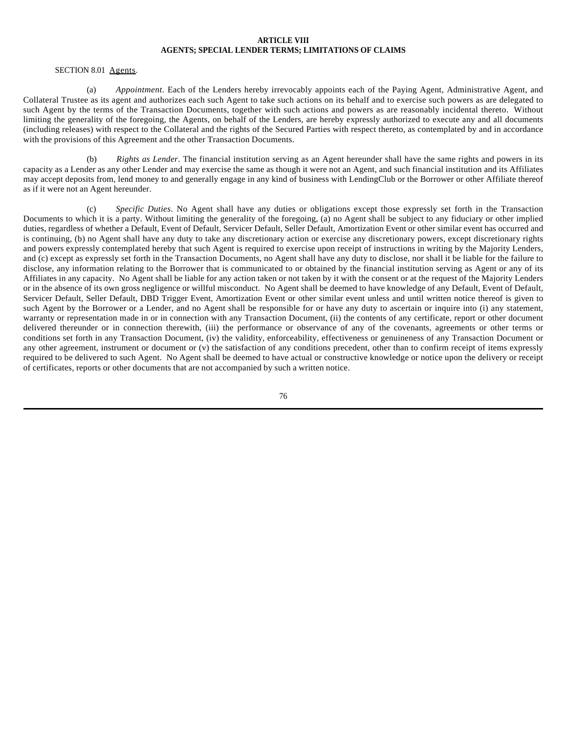## **ARTICLE VIII AGENTS; SPECIAL LENDER TERMS; LIMITATIONS OF CLAIMS**

### SECTION 8.01 Agents.

(a) *Appointment*. Each of the Lenders hereby irrevocably appoints each of the Paying Agent, Administrative Agent, and Collateral Trustee as its agent and authorizes each such Agent to take such actions on its behalf and to exercise such powers as are delegated to such Agent by the terms of the Transaction Documents, together with such actions and powers as are reasonably incidental thereto. Without limiting the generality of the foregoing, the Agents, on behalf of the Lenders, are hereby expressly authorized to execute any and all documents (including releases) with respect to the Collateral and the rights of the Secured Parties with respect thereto, as contemplated by and in accordance with the provisions of this Agreement and the other Transaction Documents.

(b) *Rights as Lender*. The financial institution serving as an Agent hereunder shall have the same rights and powers in its capacity as a Lender as any other Lender and may exercise the same as though it were not an Agent, and such financial institution and its Affiliates may accept deposits from, lend money to and generally engage in any kind of business with LendingClub or the Borrower or other Affiliate thereof as if it were not an Agent hereunder.

(c) *Specific Duties*. No Agent shall have any duties or obligations except those expressly set forth in the Transaction Documents to which it is a party. Without limiting the generality of the foregoing, (a) no Agent shall be subject to any fiduciary or other implied duties, regardless of whether a Default, Event of Default, Servicer Default, Seller Default, Amortization Event or other similar event has occurred and is continuing, (b) no Agent shall have any duty to take any discretionary action or exercise any discretionary powers, except discretionary rights and powers expressly contemplated hereby that such Agent is required to exercise upon receipt of instructions in writing by the Majority Lenders, and (c) except as expressly set forth in the Transaction Documents, no Agent shall have any duty to disclose, nor shall it be liable for the failure to disclose, any information relating to the Borrower that is communicated to or obtained by the financial institution serving as Agent or any of its Affiliates in any capacity. No Agent shall be liable for any action taken or not taken by it with the consent or at the request of the Majority Lenders or in the absence of its own gross negligence or willful misconduct. No Agent shall be deemed to have knowledge of any Default, Event of Default, Servicer Default, Seller Default, DBD Trigger Event, Amortization Event or other similar event unless and until written notice thereof is given to such Agent by the Borrower or a Lender, and no Agent shall be responsible for or have any duty to ascertain or inquire into (i) any statement, warranty or representation made in or in connection with any Transaction Document, (ii) the contents of any certificate, report or other document delivered thereunder or in connection therewith, (iii) the performance or observance of any of the covenants, agreements or other terms or conditions set forth in any Transaction Document, (iv) the validity, enforceability, effectiveness or genuineness of any Transaction Document or any other agreement, instrument or document or (v) the satisfaction of any conditions precedent, other than to confirm receipt of items expressly required to be delivered to such Agent. No Agent shall be deemed to have actual or constructive knowledge or notice upon the delivery or receipt of certificates, reports or other documents that are not accompanied by such a written notice.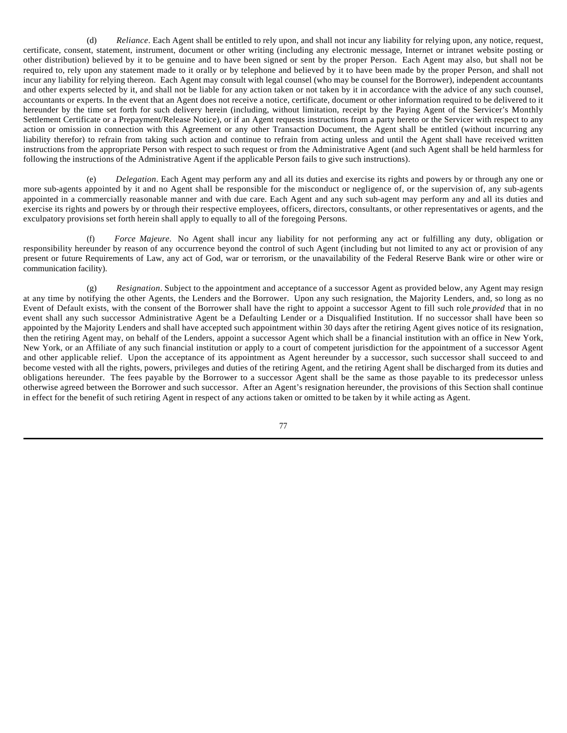(d) *Reliance*. Each Agent shall be entitled to rely upon, and shall not incur any liability for relying upon, any notice, request, certificate, consent, statement, instrument, document or other writing (including any electronic message, Internet or intranet website posting or other distribution) believed by it to be genuine and to have been signed or sent by the proper Person. Each Agent may also, but shall not be required to, rely upon any statement made to it orally or by telephone and believed by it to have been made by the proper Person, and shall not incur any liability for relying thereon. Each Agent may consult with legal counsel (who may be counsel for the Borrower), independent accountants and other experts selected by it, and shall not be liable for any action taken or not taken by it in accordance with the advice of any such counsel, accountants or experts. In the event that an Agent does not receive a notice, certificate, document or other information required to be delivered to it hereunder by the time set forth for such delivery herein (including, without limitation, receipt by the Paying Agent of the Servicer's Monthly Settlement Certificate or a Prepayment/Release Notice), or if an Agent requests instructions from a party hereto or the Servicer with respect to any action or omission in connection with this Agreement or any other Transaction Document, the Agent shall be entitled (without incurring any liability therefor) to refrain from taking such action and continue to refrain from acting unless and until the Agent shall have received written instructions from the appropriate Person with respect to such request or from the Administrative Agent (and such Agent shall be held harmless for following the instructions of the Administrative Agent if the applicable Person fails to give such instructions).

(e) *Delegation*. Each Agent may perform any and all its duties and exercise its rights and powers by or through any one or more sub-agents appointed by it and no Agent shall be responsible for the misconduct or negligence of, or the supervision of, any sub-agents appointed in a commercially reasonable manner and with due care. Each Agent and any such sub-agent may perform any and all its duties and exercise its rights and powers by or through their respective employees, officers, directors, consultants, or other representatives or agents, and the exculpatory provisions set forth herein shall apply to equally to all of the foregoing Persons.

(f) *Force Majeure*. No Agent shall incur any liability for not performing any act or fulfilling any duty, obligation or responsibility hereunder by reason of any occurrence beyond the control of such Agent (including but not limited to any act or provision of any present or future Requirements of Law, any act of God, war or terrorism, or the unavailability of the Federal Reserve Bank wire or other wire or communication facility).

(g) *Resignation*. Subject to the appointment and acceptance of a successor Agent as provided below, any Agent may resign at any time by notifying the other Agents, the Lenders and the Borrower. Upon any such resignation, the Majority Lenders, and, so long as no Event of Default exists, with the consent of the Borrower shall have the right to appoint a successor Agent to fill such role *provided* that in no event shall any such successor Administrative Agent be a Defaulting Lender or a Disqualified Institution. If no successor shall have been so appointed by the Majority Lenders and shall have accepted such appointment within 30 days after the retiring Agent gives notice of its resignation, then the retiring Agent may, on behalf of the Lenders, appoint a successor Agent which shall be a financial institution with an office in New York, New York, or an Affiliate of any such financial institution or apply to a court of competent jurisdiction for the appointment of a successor Agent and other applicable relief. Upon the acceptance of its appointment as Agent hereunder by a successor, such successor shall succeed to and become vested with all the rights, powers, privileges and duties of the retiring Agent, and the retiring Agent shall be discharged from its duties and obligations hereunder. The fees payable by the Borrower to a successor Agent shall be the same as those payable to its predecessor unless otherwise agreed between the Borrower and such successor. After an Agent's resignation hereunder, the provisions of this Section shall continue in effect for the benefit of such retiring Agent in respect of any actions taken or omitted to be taken by it while acting as Agent.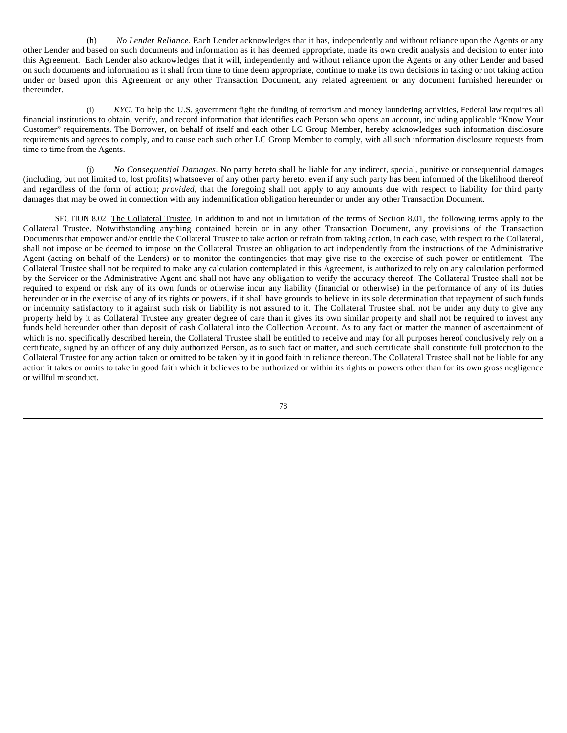(h) *No Lender Reliance*. Each Lender acknowledges that it has, independently and without reliance upon the Agents or any other Lender and based on such documents and information as it has deemed appropriate, made its own credit analysis and decision to enter into this Agreement. Each Lender also acknowledges that it will, independently and without reliance upon the Agents or any other Lender and based on such documents and information as it shall from time to time deem appropriate, continue to make its own decisions in taking or not taking action under or based upon this Agreement or any other Transaction Document, any related agreement or any document furnished hereunder or thereunder.

(i) *KYC*. To help the U.S. government fight the funding of terrorism and money laundering activities, Federal law requires all financial institutions to obtain, verify, and record information that identifies each Person who opens an account, including applicable "Know Your Customer" requirements. The Borrower, on behalf of itself and each other LC Group Member, hereby acknowledges such information disclosure requirements and agrees to comply, and to cause each such other LC Group Member to comply, with all such information disclosure requests from time to time from the Agents.

(j) *No Consequential Damages*. No party hereto shall be liable for any indirect, special, punitive or consequential damages (including, but not limited to, lost profits) whatsoever of any other party hereto, even if any such party has been informed of the likelihood thereof and regardless of the form of action; *provided*, that the foregoing shall not apply to any amounts due with respect to liability for third party damages that may be owed in connection with any indemnification obligation hereunder or under any other Transaction Document.

SECTION 8.02 The Collateral Trustee. In addition to and not in limitation of the terms of Section 8.01, the following terms apply to the Collateral Trustee. Notwithstanding anything contained herein or in any other Transaction Document, any provisions of the Transaction Documents that empower and/or entitle the Collateral Trustee to take action or refrain from taking action, in each case, with respect to the Collateral, shall not impose or be deemed to impose on the Collateral Trustee an obligation to act independently from the instructions of the Administrative Agent (acting on behalf of the Lenders) or to monitor the contingencies that may give rise to the exercise of such power or entitlement. The Collateral Trustee shall not be required to make any calculation contemplated in this Agreement, is authorized to rely on any calculation performed by the Servicer or the Administrative Agent and shall not have any obligation to verify the accuracy thereof. The Collateral Trustee shall not be required to expend or risk any of its own funds or otherwise incur any liability (financial or otherwise) in the performance of any of its duties hereunder or in the exercise of any of its rights or powers, if it shall have grounds to believe in its sole determination that repayment of such funds or indemnity satisfactory to it against such risk or liability is not assured to it. The Collateral Trustee shall not be under any duty to give any property held by it as Collateral Trustee any greater degree of care than it gives its own similar property and shall not be required to invest any funds held hereunder other than deposit of cash Collateral into the Collection Account. As to any fact or matter the manner of ascertainment of which is not specifically described herein, the Collateral Trustee shall be entitled to receive and may for all purposes hereof conclusively rely on a certificate, signed by an officer of any duly authorized Person, as to such fact or matter, and such certificate shall constitute full protection to the Collateral Trustee for any action taken or omitted to be taken by it in good faith in reliance thereon. The Collateral Trustee shall not be liable for any action it takes or omits to take in good faith which it believes to be authorized or within its rights or powers other than for its own gross negligence or willful misconduct.

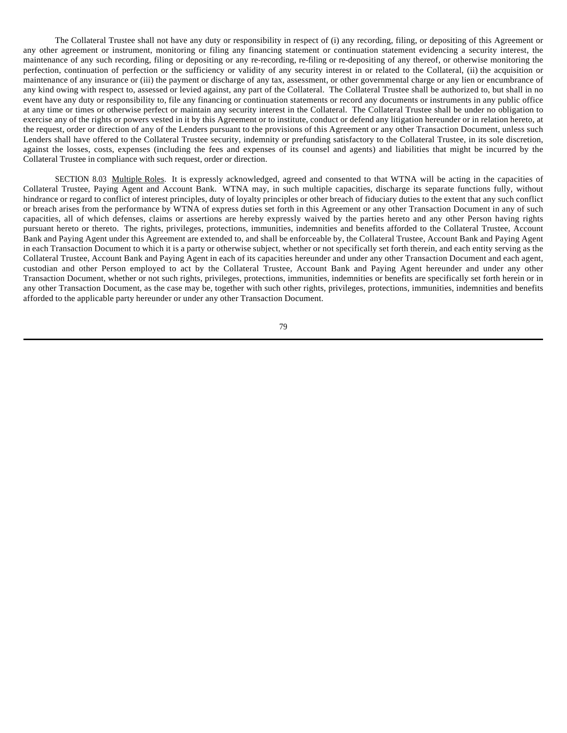The Collateral Trustee shall not have any duty or responsibility in respect of (i) any recording, filing, or depositing of this Agreement or any other agreement or instrument, monitoring or filing any financing statement or continuation statement evidencing a security interest, the maintenance of any such recording, filing or depositing or any re-recording, re-filing or re-depositing of any thereof, or otherwise monitoring the perfection, continuation of perfection or the sufficiency or validity of any security interest in or related to the Collateral, (ii) the acquisition or maintenance of any insurance or (iii) the payment or discharge of any tax, assessment, or other governmental charge or any lien or encumbrance of any kind owing with respect to, assessed or levied against, any part of the Collateral. The Collateral Trustee shall be authorized to, but shall in no event have any duty or responsibility to, file any financing or continuation statements or record any documents or instruments in any public office at any time or times or otherwise perfect or maintain any security interest in the Collateral. The Collateral Trustee shall be under no obligation to exercise any of the rights or powers vested in it by this Agreement or to institute, conduct or defend any litigation hereunder or in relation hereto, at the request, order or direction of any of the Lenders pursuant to the provisions of this Agreement or any other Transaction Document, unless such Lenders shall have offered to the Collateral Trustee security, indemnity or prefunding satisfactory to the Collateral Trustee, in its sole discretion, against the losses, costs, expenses (including the fees and expenses of its counsel and agents) and liabilities that might be incurred by the Collateral Trustee in compliance with such request, order or direction.

SECTION 8.03 Multiple Roles. It is expressly acknowledged, agreed and consented to that WTNA will be acting in the capacities of Collateral Trustee, Paying Agent and Account Bank. WTNA may, in such multiple capacities, discharge its separate functions fully, without hindrance or regard to conflict of interest principles, duty of loyalty principles or other breach of fiduciary duties to the extent that any such conflict or breach arises from the performance by WTNA of express duties set forth in this Agreement or any other Transaction Document in any of such capacities, all of which defenses, claims or assertions are hereby expressly waived by the parties hereto and any other Person having rights pursuant hereto or thereto. The rights, privileges, protections, immunities, indemnities and benefits afforded to the Collateral Trustee, Account Bank and Paying Agent under this Agreement are extended to, and shall be enforceable by, the Collateral Trustee, Account Bank and Paying Agent in each Transaction Document to which it is a party or otherwise subject, whether or not specifically set forth therein, and each entity serving as the Collateral Trustee, Account Bank and Paying Agent in each of its capacities hereunder and under any other Transaction Document and each agent, custodian and other Person employed to act by the Collateral Trustee, Account Bank and Paying Agent hereunder and under any other Transaction Document, whether or not such rights, privileges, protections, immunities, indemnities or benefits are specifically set forth herein or in any other Transaction Document, as the case may be, together with such other rights, privileges, protections, immunities, indemnities and benefits afforded to the applicable party hereunder or under any other Transaction Document.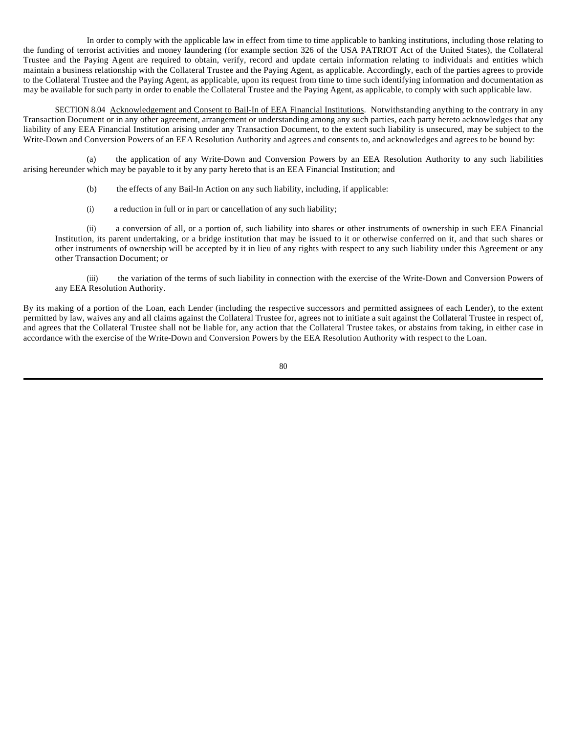In order to comply with the applicable law in effect from time to time applicable to banking institutions, including those relating to the funding of terrorist activities and money laundering (for example section 326 of the USA PATRIOT Act of the United States), the Collateral Trustee and the Paying Agent are required to obtain, verify, record and update certain information relating to individuals and entities which maintain a business relationship with the Collateral Trustee and the Paying Agent, as applicable. Accordingly, each of the parties agrees to provide to the Collateral Trustee and the Paying Agent, as applicable, upon its request from time to time such identifying information and documentation as may be available for such party in order to enable the Collateral Trustee and the Paying Agent, as applicable, to comply with such applicable law.

SECTION 8.04 Acknowledgement and Consent to Bail-In of EEA Financial Institutions. Notwithstanding anything to the contrary in any Transaction Document or in any other agreement, arrangement or understanding among any such parties, each party hereto acknowledges that any liability of any EEA Financial Institution arising under any Transaction Document, to the extent such liability is unsecured, may be subject to the Write-Down and Conversion Powers of an EEA Resolution Authority and agrees and consents to, and acknowledges and agrees to be bound by:

(a) the application of any Write-Down and Conversion Powers by an EEA Resolution Authority to any such liabilities arising hereunder which may be payable to it by any party hereto that is an EEA Financial Institution; and

- (b) the effects of any Bail-In Action on any such liability, including, if applicable:
- (i) a reduction in full or in part or cancellation of any such liability;

(ii) a conversion of all, or a portion of, such liability into shares or other instruments of ownership in such EEA Financial Institution, its parent undertaking, or a bridge institution that may be issued to it or otherwise conferred on it, and that such shares or other instruments of ownership will be accepted by it in lieu of any rights with respect to any such liability under this Agreement or any other Transaction Document; or

(iii) the variation of the terms of such liability in connection with the exercise of the Write-Down and Conversion Powers of any EEA Resolution Authority.

By its making of a portion of the Loan, each Lender (including the respective successors and permitted assignees of each Lender), to the extent permitted by law, waives any and all claims against the Collateral Trustee for, agrees not to initiate a suit against the Collateral Trustee in respect of, and agrees that the Collateral Trustee shall not be liable for, any action that the Collateral Trustee takes, or abstains from taking, in either case in accordance with the exercise of the Write-Down and Conversion Powers by the EEA Resolution Authority with respect to the Loan.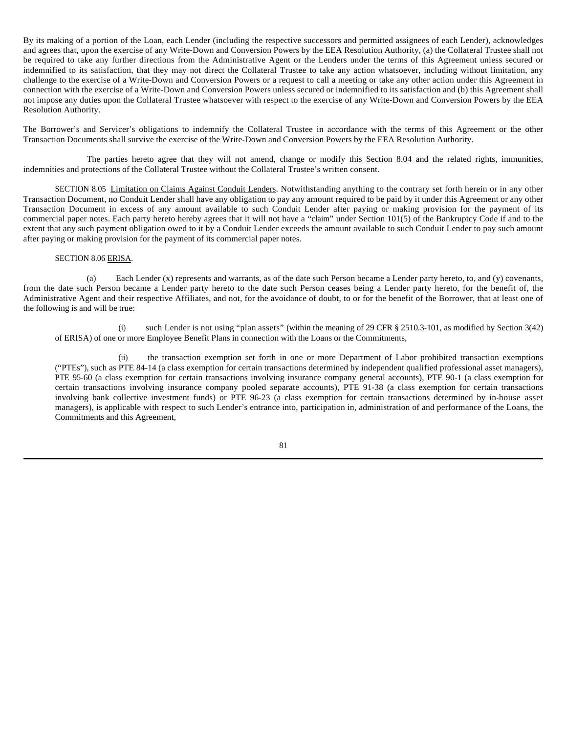By its making of a portion of the Loan, each Lender (including the respective successors and permitted assignees of each Lender), acknowledges and agrees that, upon the exercise of any Write-Down and Conversion Powers by the EEA Resolution Authority, (a) the Collateral Trustee shall not be required to take any further directions from the Administrative Agent or the Lenders under the terms of this Agreement unless secured or indemnified to its satisfaction, that they may not direct the Collateral Trustee to take any action whatsoever, including without limitation, any challenge to the exercise of a Write-Down and Conversion Powers or a request to call a meeting or take any other action under this Agreement in connection with the exercise of a Write-Down and Conversion Powers unless secured or indemnified to its satisfaction and (b) this Agreement shall not impose any duties upon the Collateral Trustee whatsoever with respect to the exercise of any Write-Down and Conversion Powers by the EEA Resolution Authority.

The Borrower's and Servicer's obligations to indemnify the Collateral Trustee in accordance with the terms of this Agreement or the other Transaction Documents shall survive the exercise of the Write-Down and Conversion Powers by the EEA Resolution Authority.

The parties hereto agree that they will not amend, change or modify this Section 8.04 and the related rights, immunities, indemnities and protections of the Collateral Trustee without the Collateral Trustee's written consent.

SECTION 8.05 Limitation on Claims Against Conduit Lenders. Notwithstanding anything to the contrary set forth herein or in any other Transaction Document, no Conduit Lender shall have any obligation to pay any amount required to be paid by it under this Agreement or any other Transaction Document in excess of any amount available to such Conduit Lender after paying or making provision for the payment of its commercial paper notes. Each party hereto hereby agrees that it will not have a "claim" under Section 101(5) of the Bankruptcy Code if and to the extent that any such payment obligation owed to it by a Conduit Lender exceeds the amount available to such Conduit Lender to pay such amount after paying or making provision for the payment of its commercial paper notes.

## SECTION 8.06 ERISA.

(a) Each Lender (x) represents and warrants, as of the date such Person became a Lender party hereto, to, and (y) covenants, from the date such Person became a Lender party hereto to the date such Person ceases being a Lender party hereto, for the benefit of, the Administrative Agent and their respective Affiliates, and not, for the avoidance of doubt, to or for the benefit of the Borrower, that at least one of the following is and will be true:

(i) such Lender is not using "plan assets" (within the meaning of 29 CFR § 2510.3-101, as modified by Section 3(42) of ERISA) of one or more Employee Benefit Plans in connection with the Loans or the Commitments,

(ii) the transaction exemption set forth in one or more Department of Labor prohibited transaction exemptions ("PTEs"), such as PTE 84-14 (a class exemption for certain transactions determined by independent qualified professional asset managers), PTE 95-60 (a class exemption for certain transactions involving insurance company general accounts), PTE 90-1 (a class exemption for certain transactions involving insurance company pooled separate accounts), PTE 91-38 (a class exemption for certain transactions involving bank collective investment funds) or PTE 96-23 (a class exemption for certain transactions determined by in-house asset managers), is applicable with respect to such Lender's entrance into, participation in, administration of and performance of the Loans, the Commitments and this Agreement,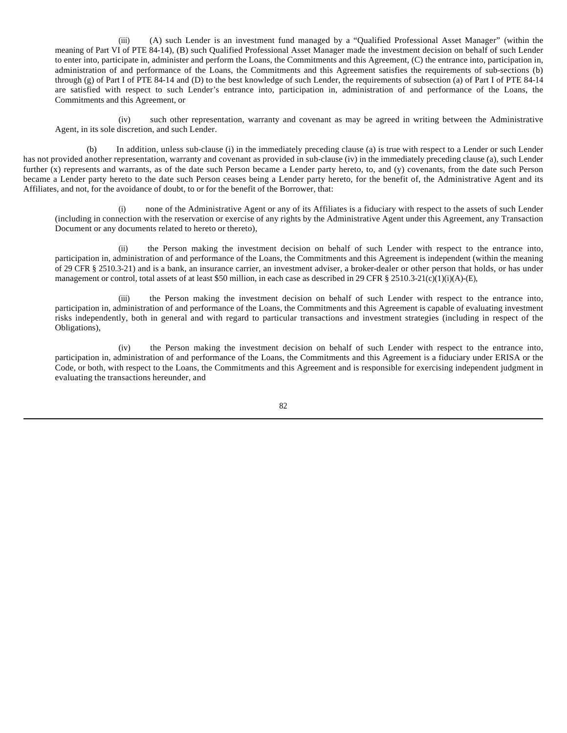(iii) (A) such Lender is an investment fund managed by a "Qualified Professional Asset Manager" (within the meaning of Part VI of PTE 84-14), (B) such Qualified Professional Asset Manager made the investment decision on behalf of such Lender to enter into, participate in, administer and perform the Loans, the Commitments and this Agreement, (C) the entrance into, participation in, administration of and performance of the Loans, the Commitments and this Agreement satisfies the requirements of sub-sections (b) through (g) of Part I of PTE 84-14 and (D) to the best knowledge of such Lender, the requirements of subsection (a) of Part I of PTE 84-14 are satisfied with respect to such Lender's entrance into, participation in, administration of and performance of the Loans, the Commitments and this Agreement, or

(iv) such other representation, warranty and covenant as may be agreed in writing between the Administrative Agent, in its sole discretion, and such Lender.

(b) In addition, unless sub-clause (i) in the immediately preceding clause (a) is true with respect to a Lender or such Lender has not provided another representation, warranty and covenant as provided in sub-clause (iv) in the immediately preceding clause (a), such Lender further (x) represents and warrants, as of the date such Person became a Lender party hereto, to, and (y) covenants, from the date such Person became a Lender party hereto to the date such Person ceases being a Lender party hereto, for the benefit of, the Administrative Agent and its Affiliates, and not, for the avoidance of doubt, to or for the benefit of the Borrower, that:

(i) none of the Administrative Agent or any of its Affiliates is a fiduciary with respect to the assets of such Lender (including in connection with the reservation or exercise of any rights by the Administrative Agent under this Agreement, any Transaction Document or any documents related to hereto or thereto),

(ii) the Person making the investment decision on behalf of such Lender with respect to the entrance into, participation in, administration of and performance of the Loans, the Commitments and this Agreement is independent (within the meaning of 29 CFR § 2510.3-21) and is a bank, an insurance carrier, an investment adviser, a broker-dealer or other person that holds, or has under management or control, total assets of at least \$50 million, in each case as described in 29 CFR § 2510.3-21(c)(1)(i)(A)-(E),

(iii) the Person making the investment decision on behalf of such Lender with respect to the entrance into, participation in, administration of and performance of the Loans, the Commitments and this Agreement is capable of evaluating investment risks independently, both in general and with regard to particular transactions and investment strategies (including in respect of the Obligations),

(iv) the Person making the investment decision on behalf of such Lender with respect to the entrance into, participation in, administration of and performance of the Loans, the Commitments and this Agreement is a fiduciary under ERISA or the Code, or both, with respect to the Loans, the Commitments and this Agreement and is responsible for exercising independent judgment in evaluating the transactions hereunder, and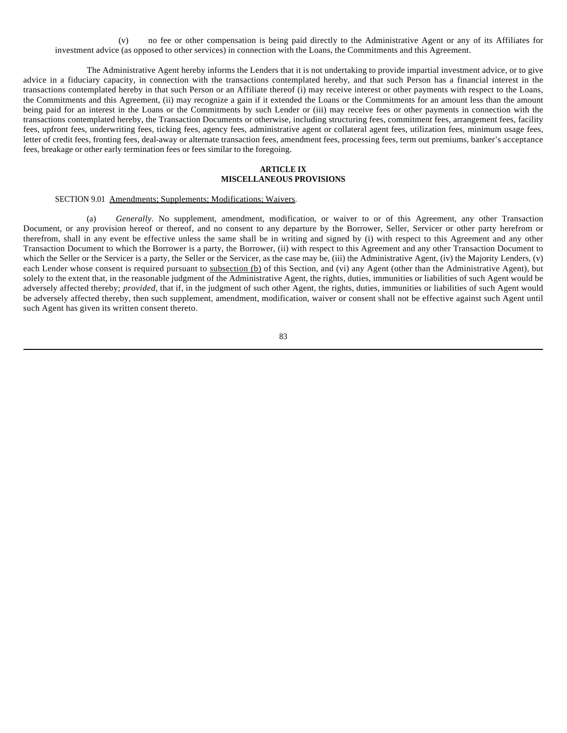(v) no fee or other compensation is being paid directly to the Administrative Agent or any of its Affiliates for investment advice (as opposed to other services) in connection with the Loans, the Commitments and this Agreement.

The Administrative Agent hereby informs the Lenders that it is not undertaking to provide impartial investment advice, or to give advice in a fiduciary capacity, in connection with the transactions contemplated hereby, and that such Person has a financial interest in the transactions contemplated hereby in that such Person or an Affiliate thereof (i) may receive interest or other payments with respect to the Loans, the Commitments and this Agreement, (ii) may recognize a gain if it extended the Loans or the Commitments for an amount less than the amount being paid for an interest in the Loans or the Commitments by such Lender or (iii) may receive fees or other payments in connection with the transactions contemplated hereby, the Transaction Documents or otherwise, including structuring fees, commitment fees, arrangement fees, facility fees, upfront fees, underwriting fees, ticking fees, agency fees, administrative agent or collateral agent fees, utilization fees, minimum usage fees, letter of credit fees, fronting fees, deal-away or alternate transaction fees, amendment fees, processing fees, term out premiums, banker's acceptance fees, breakage or other early termination fees or fees similar to the foregoing.

### **ARTICLE IX MISCELLANEOUS PROVISIONS**

## SECTION 9.01 Amendments; Supplements; Modifications; Waivers.

(a) *Generally*. No supplement, amendment, modification, or waiver to or of this Agreement, any other Transaction Document, or any provision hereof or thereof, and no consent to any departure by the Borrower, Seller, Servicer or other party herefrom or therefrom, shall in any event be effective unless the same shall be in writing and signed by (i) with respect to this Agreement and any other Transaction Document to which the Borrower is a party, the Borrower, (ii) with respect to this Agreement and any other Transaction Document to which the Seller or the Servicer is a party, the Seller or the Servicer, as the case may be, (iii) the Administrative Agent, (iv) the Majority Lenders, (v) each Lender whose consent is required pursuant to subsection (b) of this Section, and (vi) any Agent (other than the Administrative Agent), but solely to the extent that, in the reasonable judgment of the Administrative Agent, the rights, duties, immunities or liabilities of such Agent would be adversely affected thereby; *provided*, that if, in the judgment of such other Agent, the rights, duties, immunities or liabilities of such Agent would be adversely affected thereby, then such supplement, amendment, modification, waiver or consent shall not be effective against such Agent until such Agent has given its written consent thereto.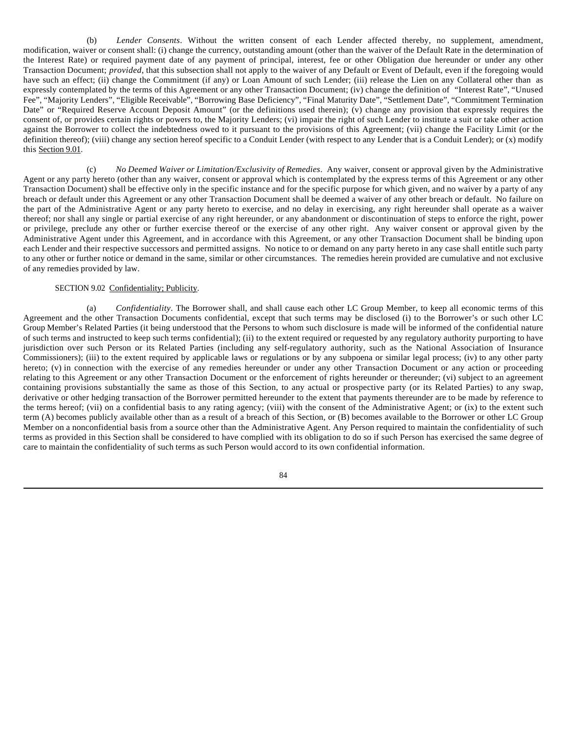(b) *Lender Consents*. Without the written consent of each Lender affected thereby, no supplement, amendment, modification, waiver or consent shall: (i) change the currency, outstanding amount (other than the waiver of the Default Rate in the determination of the Interest Rate) or required payment date of any payment of principal, interest, fee or other Obligation due hereunder or under any other Transaction Document; *provided*, that this subsection shall not apply to the waiver of any Default or Event of Default, even if the foregoing would have such an effect; (ii) change the Commitment (if any) or Loan Amount of such Lender; (iii) release the Lien on any Collateral other than as expressly contemplated by the terms of this Agreement or any other Transaction Document; (iv) change the definition of "Interest Rate", "Unused Fee", "Majority Lenders", "Eligible Receivable", "Borrowing Base Deficiency", "Final Maturity Date", "Settlement Date", "Commitment Termination Date" or "Required Reserve Account Deposit Amount" (or the definitions used therein); (v) change any provision that expressly requires the consent of, or provides certain rights or powers to, the Majority Lenders; (vi) impair the right of such Lender to institute a suit or take other action against the Borrower to collect the indebtedness owed to it pursuant to the provisions of this Agreement; (vii) change the Facility Limit (or the definition thereof); (viii) change any section hereof specific to a Conduit Lender (with respect to any Lender that is a Conduit Lender); or (x) modify this Section 9.01.

(c) *No Deemed Waiver or Limitation/Exclusivity of Remedies*. Any waiver, consent or approval given by the Administrative Agent or any party hereto (other than any waiver, consent or approval which is contemplated by the express terms of this Agreement or any other Transaction Document) shall be effective only in the specific instance and for the specific purpose for which given, and no waiver by a party of any breach or default under this Agreement or any other Transaction Document shall be deemed a waiver of any other breach or default. No failure on the part of the Administrative Agent or any party hereto to exercise, and no delay in exercising, any right hereunder shall operate as a waiver thereof; nor shall any single or partial exercise of any right hereunder, or any abandonment or discontinuation of steps to enforce the right, power or privilege, preclude any other or further exercise thereof or the exercise of any other right. Any waiver consent or approval given by the Administrative Agent under this Agreement, and in accordance with this Agreement, or any other Transaction Document shall be binding upon each Lender and their respective successors and permitted assigns. No notice to or demand on any party hereto in any case shall entitle such party to any other or further notice or demand in the same, similar or other circumstances. The remedies herein provided are cumulative and not exclusive of any remedies provided by law.

# SECTION 9.02 Confidentiality; Publicity.

(a) *Confidentiality*. The Borrower shall, and shall cause each other LC Group Member, to keep all economic terms of this Agreement and the other Transaction Documents confidential, except that such terms may be disclosed (i) to the Borrower's or such other LC Group Member's Related Parties (it being understood that the Persons to whom such disclosure is made will be informed of the confidential nature of such terms and instructed to keep such terms confidential); (ii) to the extent required or requested by any regulatory authority purporting to have jurisdiction over such Person or its Related Parties (including any self-regulatory authority, such as the National Association of Insurance Commissioners); (iii) to the extent required by applicable laws or regulations or by any subpoena or similar legal process; (iv) to any other party hereto; (v) in connection with the exercise of any remedies hereunder or under any other Transaction Document or any action or proceeding relating to this Agreement or any other Transaction Document or the enforcement of rights hereunder or thereunder; (vi) subject to an agreement containing provisions substantially the same as those of this Section, to any actual or prospective party (or its Related Parties) to any swap, derivative or other hedging transaction of the Borrower permitted hereunder to the extent that payments thereunder are to be made by reference to the terms hereof; (vii) on a confidential basis to any rating agency; (viii) with the consent of the Administrative Agent; or (ix) to the extent such term (A) becomes publicly available other than as a result of a breach of this Section, or (B) becomes available to the Borrower or other LC Group Member on a nonconfidential basis from a source other than the Administrative Agent. Any Person required to maintain the confidentiality of such terms as provided in this Section shall be considered to have complied with its obligation to do so if such Person has exercised the same degree of care to maintain the confidentiality of such terms as such Person would accord to its own confidential information.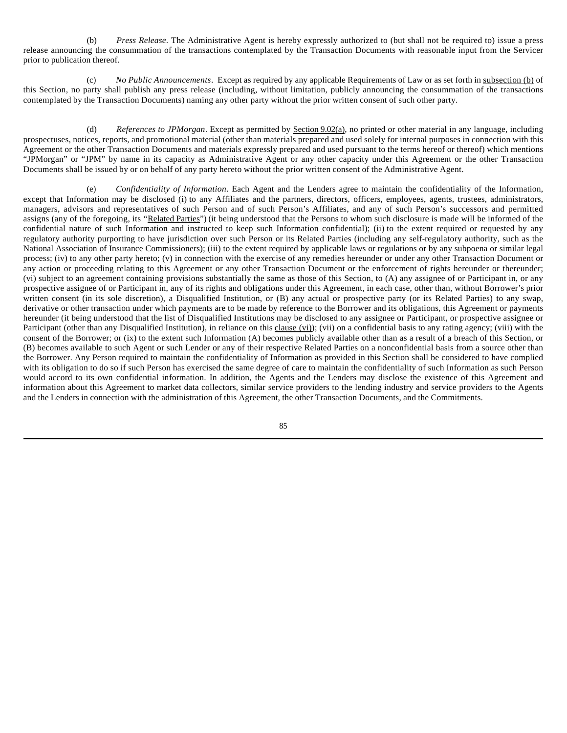(b) *Press Release*. The Administrative Agent is hereby expressly authorized to (but shall not be required to) issue a press release announcing the consummation of the transactions contemplated by the Transaction Documents with reasonable input from the Servicer prior to publication thereof.

(c) *No Public Announcements*. Except as required by any applicable Requirements of Law or as set forth in subsection (b) of this Section, no party shall publish any press release (including, without limitation, publicly announcing the consummation of the transactions contemplated by the Transaction Documents) naming any other party without the prior written consent of such other party.

(d) *References to JPMorgan*. Except as permitted by Section 9.02(a), no printed or other material in any language, including prospectuses, notices, reports, and promotional material (other than materials prepared and used solely for internal purposes in connection with this Agreement or the other Transaction Documents and materials expressly prepared and used pursuant to the terms hereof or thereof) which mentions "JPMorgan" or "JPM" by name in its capacity as Administrative Agent or any other capacity under this Agreement or the other Transaction Documents shall be issued by or on behalf of any party hereto without the prior written consent of the Administrative Agent.

(e) *Confidentiality of Information*. Each Agent and the Lenders agree to maintain the confidentiality of the Information, except that Information may be disclosed (i) to any Affiliates and the partners, directors, officers, employees, agents, trustees, administrators, managers, advisors and representatives of such Person and of such Person's Affiliates, and any of such Person's successors and permitted assigns (any of the foregoing, its "Related Parties") (it being understood that the Persons to whom such disclosure is made will be informed of the confidential nature of such Information and instructed to keep such Information confidential); (ii) to the extent required or requested by any regulatory authority purporting to have jurisdiction over such Person or its Related Parties (including any self-regulatory authority, such as the National Association of Insurance Commissioners); (iii) to the extent required by applicable laws or regulations or by any subpoena or similar legal process; (iv) to any other party hereto; (v) in connection with the exercise of any remedies hereunder or under any other Transaction Document or any action or proceeding relating to this Agreement or any other Transaction Document or the enforcement of rights hereunder or thereunder; (vi) subject to an agreement containing provisions substantially the same as those of this Section, to (A) any assignee of or Participant in, or any prospective assignee of or Participant in, any of its rights and obligations under this Agreement, in each case, other than, without Borrower's prior written consent (in its sole discretion), a Disqualified Institution, or (B) any actual or prospective party (or its Related Parties) to any swap, derivative or other transaction under which payments are to be made by reference to the Borrower and its obligations, this Agreement or payments hereunder (it being understood that the list of Disqualified Institutions may be disclosed to any assignee or Participant, or prospective assignee or Participant (other than any Disqualified Institution), in reliance on this clause (vi)); (vii) on a confidential basis to any rating agency; (viii) with the consent of the Borrower; or (ix) to the extent such Information (A) becomes publicly available other than as a result of a breach of this Section, or (B) becomes available to such Agent or such Lender or any of their respective Related Parties on a nonconfidential basis from a source other than the Borrower. Any Person required to maintain the confidentiality of Information as provided in this Section shall be considered to have complied with its obligation to do so if such Person has exercised the same degree of care to maintain the confidentiality of such Information as such Person would accord to its own confidential information. In addition, the Agents and the Lenders may disclose the existence of this Agreement and information about this Agreement to market data collectors, similar service providers to the lending industry and service providers to the Agents and the Lenders in connection with the administration of this Agreement, the other Transaction Documents, and the Commitments.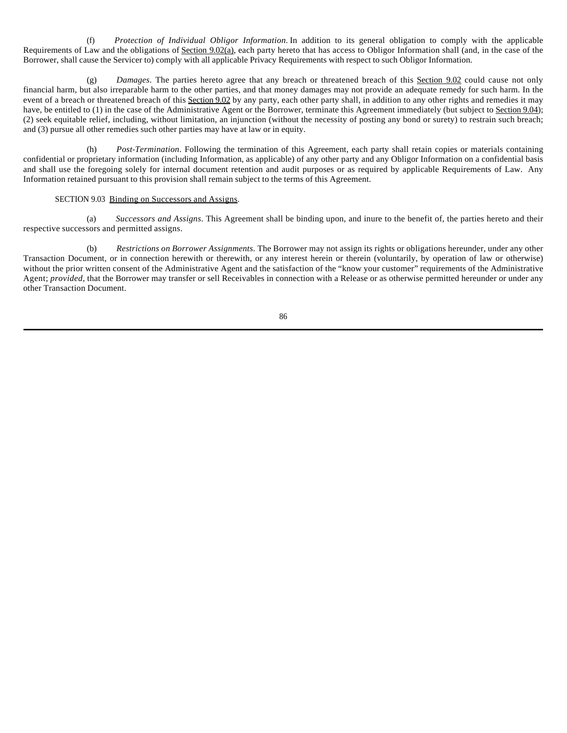(f) *Protection of Individual Obligor Information*. In addition to its general obligation to comply with the applicable Requirements of Law and the obligations of Section 9.02(a), each party hereto that has access to Obligor Information shall (and, in the case of the Borrower, shall cause the Servicer to) comply with all applicable Privacy Requirements with respect to such Obligor Information.

(g) *Damages*. The parties hereto agree that any breach or threatened breach of this Section 9.02 could cause not only financial harm, but also irreparable harm to the other parties, and that money damages may not provide an adequate remedy for such harm. In the event of a breach or threatened breach of this Section 9.02 by any party, each other party shall, in addition to any other rights and remedies it may have, be entitled to (1) in the case of the Administrative Agent or the Borrower, terminate this Agreement immediately (but subject to Section 9.04); (2) seek equitable relief, including, without limitation, an injunction (without the necessity of posting any bond or surety) to restrain such breach; and (3) pursue all other remedies such other parties may have at law or in equity.

(h) *Post-Termination*. Following the termination of this Agreement, each party shall retain copies or materials containing confidential or proprietary information (including Information, as applicable) of any other party and any Obligor Information on a confidential basis and shall use the foregoing solely for internal document retention and audit purposes or as required by applicable Requirements of Law. Any Information retained pursuant to this provision shall remain subject to the terms of this Agreement.

# SECTION 9.03 Binding on Successors and Assigns.

(a) *Successors and Assigns*. This Agreement shall be binding upon, and inure to the benefit of, the parties hereto and their respective successors and permitted assigns.

(b) *Restrictions on Borrower Assignments.* The Borrower may not assign its rights or obligations hereunder, under any other Transaction Document, or in connection herewith or therewith, or any interest herein or therein (voluntarily, by operation of law or otherwise) without the prior written consent of the Administrative Agent and the satisfaction of the "know your customer" requirements of the Administrative Agent; *provided*, that the Borrower may transfer or sell Receivables in connection with a Release or as otherwise permitted hereunder or under any other Transaction Document.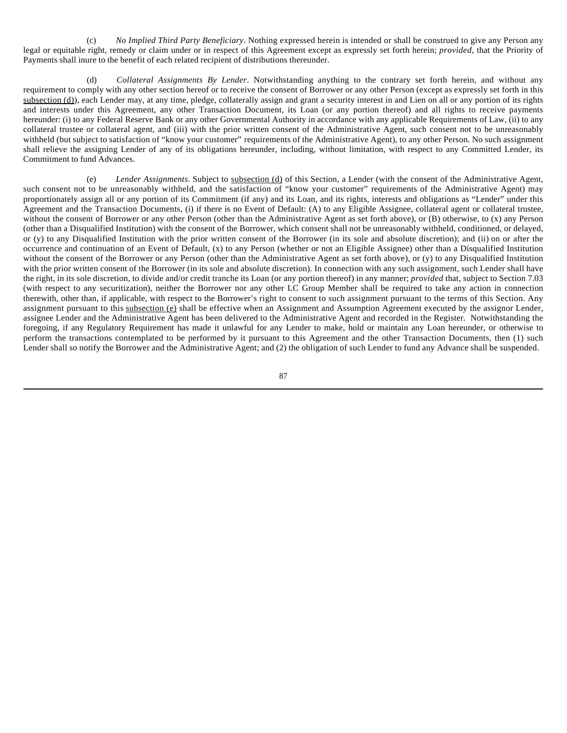(c) *No Implied Third Party Beneficiary*. Nothing expressed herein is intended or shall be construed to give any Person any legal or equitable right, remedy or claim under or in respect of this Agreement except as expressly set forth herein; *provided*, that the Priority of Payments shall inure to the benefit of each related recipient of distributions thereunder.

(d) *Collateral Assignments By Lender*. Notwithstanding anything to the contrary set forth herein, and without any requirement to comply with any other section hereof or to receive the consent of Borrower or any other Person (except as expressly set forth in this subsection (d)), each Lender may, at any time, pledge, collaterally assign and grant a security interest in and Lien on all or any portion of its rights and interests under this Agreement, any other Transaction Document, its Loan (or any portion thereof) and all rights to receive payments hereunder: (i) to any Federal Reserve Bank or any other Governmental Authority in accordance with any applicable Requirements of Law, (ii) to any collateral trustee or collateral agent, and (iii) with the prior written consent of the Administrative Agent, such consent not to be unreasonably withheld (but subject to satisfaction of "know your customer" requirements of the Administrative Agent), to any other Person. No such assignment shall relieve the assigning Lender of any of its obligations hereunder, including, without limitation, with respect to any Committed Lender, its Commitment to fund Advances.

(e) *Lender Assignments*. Subject to subsection (d) of this Section, a Lender (with the consent of the Administrative Agent, such consent not to be unreasonably withheld, and the satisfaction of "know your customer" requirements of the Administrative Agent) may proportionately assign all or any portion of its Commitment (if any) and its Loan, and its rights, interests and obligations as "Lender" under this Agreement and the Transaction Documents, (i) if there is no Event of Default: (A) to any Eligible Assignee, collateral agent or collateral trustee, without the consent of Borrower or any other Person (other than the Administrative Agent as set forth above), or (B) otherwise, to (x) any Person (other than a Disqualified Institution) with the consent of the Borrower, which consent shall not be unreasonably withheld, conditioned, or delayed, or (y) to any Disqualified Institution with the prior written consent of the Borrower (in its sole and absolute discretion); and (ii) on or after the occurrence and continuation of an Event of Default, (x) to any Person (whether or not an Eligible Assignee) other than a Disqualified Institution without the consent of the Borrower or any Person (other than the Administrative Agent as set forth above), or (y) to any Disqualified Institution with the prior written consent of the Borrower (in its sole and absolute discretion). In connection with any such assignment, such Lender shall have the right, in its sole discretion, to divide and/or credit tranche its Loan (or any portion thereof) in any manner; *provided* that, subject to Section 7.03 (with respect to any securitization), neither the Borrower nor any other LC Group Member shall be required to take any action in connection therewith, other than, if applicable, with respect to the Borrower's right to consent to such assignment pursuant to the terms of this Section. Any assignment pursuant to this subsection (e) shall be effective when an Assignment and Assumption Agreement executed by the assignor Lender, assignee Lender and the Administrative Agent has been delivered to the Administrative Agent and recorded in the Register. Notwithstanding the foregoing, if any Regulatory Requirement has made it unlawful for any Lender to make, hold or maintain any Loan hereunder, or otherwise to perform the transactions contemplated to be performed by it pursuant to this Agreement and the other Transaction Documents, then (1) such Lender shall so notify the Borrower and the Administrative Agent; and (2) the obligation of such Lender to fund any Advance shall be suspended.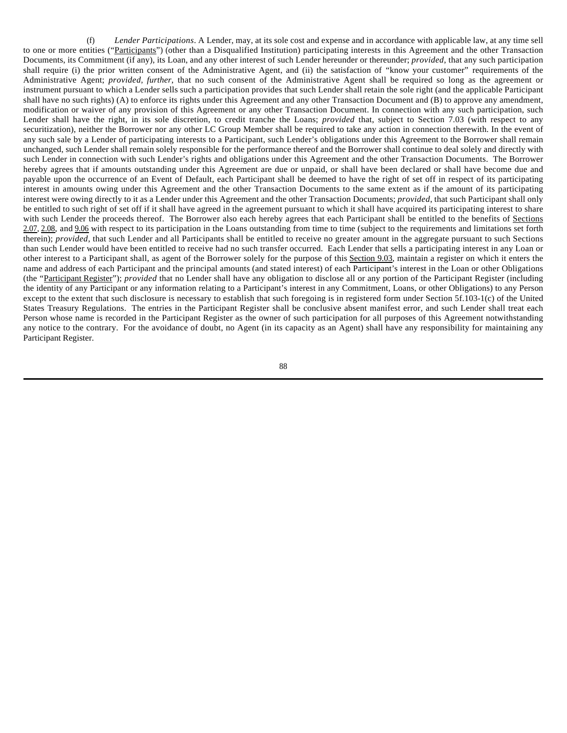(f) *Lender Participations*. A Lender, may, at its sole cost and expense and in accordance with applicable law, at any time sell to one or more entities ("Participants") (other than a Disqualified Institution) participating interests in this Agreement and the other Transaction Documents, its Commitment (if any), its Loan, and any other interest of such Lender hereunder or thereunder; *provided*, that any such participation shall require (i) the prior written consent of the Administrative Agent, and (ii) the satisfaction of "know your customer" requirements of the Administrative Agent; *provided*, *further*, that no such consent of the Administrative Agent shall be required so long as the agreement or instrument pursuant to which a Lender sells such a participation provides that such Lender shall retain the sole right (and the applicable Participant shall have no such rights) (A) to enforce its rights under this Agreement and any other Transaction Document and (B) to approve any amendment, modification or waiver of any provision of this Agreement or any other Transaction Document. In connection with any such participation, such Lender shall have the right, in its sole discretion, to credit tranche the Loans; *provided* that, subject to Section 7.03 (with respect to any securitization), neither the Borrower nor any other LC Group Member shall be required to take any action in connection therewith. In the event of any such sale by a Lender of participating interests to a Participant, such Lender's obligations under this Agreement to the Borrower shall remain unchanged, such Lender shall remain solely responsible for the performance thereof and the Borrower shall continue to deal solely and directly with such Lender in connection with such Lender's rights and obligations under this Agreement and the other Transaction Documents. The Borrower hereby agrees that if amounts outstanding under this Agreement are due or unpaid, or shall have been declared or shall have become due and payable upon the occurrence of an Event of Default, each Participant shall be deemed to have the right of set off in respect of its participating interest in amounts owing under this Agreement and the other Transaction Documents to the same extent as if the amount of its participating interest were owing directly to it as a Lender under this Agreement and the other Transaction Documents; *provided*, that such Participant shall only be entitled to such right of set off if it shall have agreed in the agreement pursuant to which it shall have acquired its participating interest to share with such Lender the proceeds thereof. The Borrower also each hereby agrees that each Participant shall be entitled to the benefits of Sections 2.07, 2.08, and 9.06 with respect to its participation in the Loans outstanding from time to time (subject to the requirements and limitations set forth therein); *provided*, that such Lender and all Participants shall be entitled to receive no greater amount in the aggregate pursuant to such Sections than such Lender would have been entitled to receive had no such transfer occurred. Each Lender that sells a participating interest in any Loan or other interest to a Participant shall, as agent of the Borrower solely for the purpose of this Section 9.03, maintain a register on which it enters the name and address of each Participant and the principal amounts (and stated interest) of each Participant's interest in the Loan or other Obligations (the "Participant Register"); *provided* that no Lender shall have any obligation to disclose all or any portion of the Participant Register (including the identity of any Participant or any information relating to a Participant's interest in any Commitment, Loans, or other Obligations) to any Person except to the extent that such disclosure is necessary to establish that such foregoing is in registered form under Section 5f.103-1(c) of the United States Treasury Regulations. The entries in the Participant Register shall be conclusive absent manifest error, and such Lender shall treat each Person whose name is recorded in the Participant Register as the owner of such participation for all purposes of this Agreement notwithstanding any notice to the contrary. For the avoidance of doubt, no Agent (in its capacity as an Agent) shall have any responsibility for maintaining any Participant Register.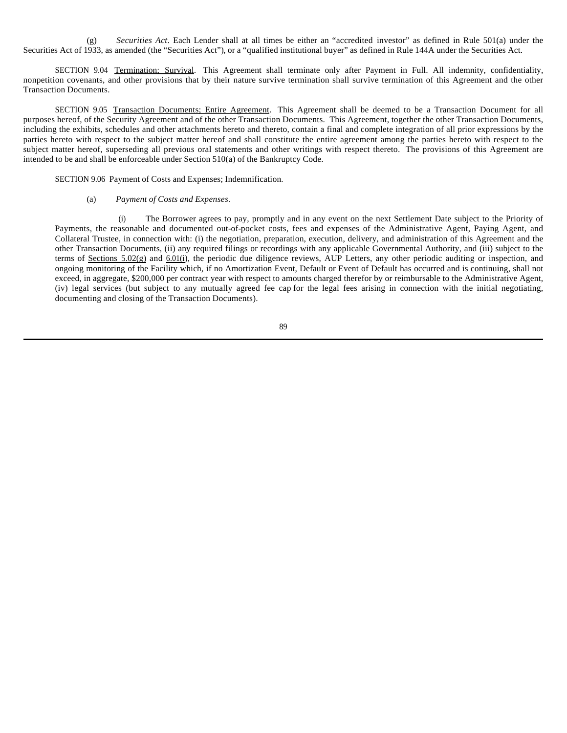(g) *Securities Act*. Each Lender shall at all times be either an "accredited investor" as defined in Rule 501(a) under the Securities Act of 1933, as amended (the "Securities Act"), or a "qualified institutional buyer" as defined in Rule 144A under the Securities Act.

SECTION 9.04 Termination; Survival. This Agreement shall terminate only after Payment in Full. All indemnity, confidentiality, nonpetition covenants, and other provisions that by their nature survive termination shall survive termination of this Agreement and the other Transaction Documents.

SECTION 9.05 Transaction Documents; Entire Agreement. This Agreement shall be deemed to be a Transaction Document for all purposes hereof, of the Security Agreement and of the other Transaction Documents. This Agreement, together the other Transaction Documents, including the exhibits, schedules and other attachments hereto and thereto, contain a final and complete integration of all prior expressions by the parties hereto with respect to the subject matter hereof and shall constitute the entire agreement among the parties hereto with respect to the subject matter hereof, superseding all previous oral statements and other writings with respect thereto. The provisions of this Agreement are intended to be and shall be enforceable under Section 510(a) of the Bankruptcy Code.

### SECTION 9.06 Payment of Costs and Expenses; Indemnification.

### (a) *Payment of Costs and Expenses*.

(i) The Borrower agrees to pay, promptly and in any event on the next Settlement Date subject to the Priority of Payments, the reasonable and documented out-of-pocket costs, fees and expenses of the Administrative Agent, Paying Agent, and Collateral Trustee, in connection with: (i) the negotiation, preparation, execution, delivery, and administration of this Agreement and the other Transaction Documents, (ii) any required filings or recordings with any applicable Governmental Authority, and (iii) subject to the terms of Sections  $5.02(g)$  and  $6.01(i)$ , the periodic due diligence reviews, AUP Letters, any other periodic auditing or inspection, and ongoing monitoring of the Facility which, if no Amortization Event, Default or Event of Default has occurred and is continuing, shall not exceed, in aggregate, \$200,000 per contract year with respect to amounts charged therefor by or reimbursable to the Administrative Agent, (iv) legal services (but subject to any mutually agreed fee cap for the legal fees arising in connection with the initial negotiating, documenting and closing of the Transaction Documents).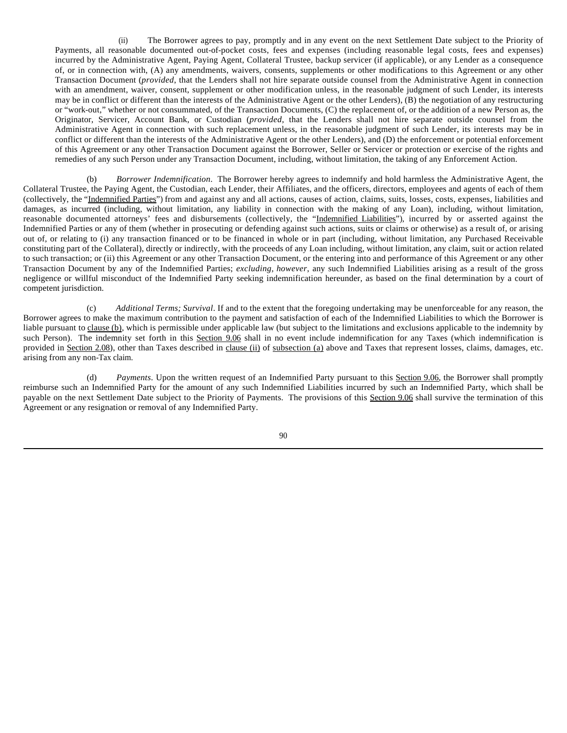(ii) The Borrower agrees to pay, promptly and in any event on the next Settlement Date subject to the Priority of Payments, all reasonable documented out-of-pocket costs, fees and expenses (including reasonable legal costs, fees and expenses) incurred by the Administrative Agent, Paying Agent, Collateral Trustee, backup servicer (if applicable), or any Lender as a consequence of, or in connection with, (A) any amendments, waivers, consents, supplements or other modifications to this Agreement or any other Transaction Document (*provided*, that the Lenders shall not hire separate outside counsel from the Administrative Agent in connection with an amendment, waiver, consent, supplement or other modification unless, in the reasonable judgment of such Lender, its interests may be in conflict or different than the interests of the Administrative Agent or the other Lenders), (B) the negotiation of any restructuring or "work-out," whether or not consummated, of the Transaction Documents, (C) the replacement of, or the addition of a new Person as, the Originator, Servicer, Account Bank, or Custodian (*provided*, that the Lenders shall not hire separate outside counsel from the Administrative Agent in connection with such replacement unless, in the reasonable judgment of such Lender, its interests may be in conflict or different than the interests of the Administrative Agent or the other Lenders), and (D) the enforcement or potential enforcement of this Agreement or any other Transaction Document against the Borrower, Seller or Servicer or protection or exercise of the rights and remedies of any such Person under any Transaction Document, including, without limitation, the taking of any Enforcement Action.

(b) *Borrower Indemnification*. The Borrower hereby agrees to indemnify and hold harmless the Administrative Agent, the Collateral Trustee, the Paying Agent, the Custodian, each Lender, their Affiliates, and the officers, directors, employees and agents of each of them (collectively, the "Indemnified Parties") from and against any and all actions, causes of action, claims, suits, losses, costs, expenses, liabilities and damages, as incurred (including, without limitation, any liability in connection with the making of any Loan), including, without limitation, reasonable documented attorneys' fees and disbursements (collectively, the "Indemnified Liabilities"), incurred by or asserted against the Indemnified Parties or any of them (whether in prosecuting or defending against such actions, suits or claims or otherwise) as a result of, or arising out of, or relating to (i) any transaction financed or to be financed in whole or in part (including, without limitation, any Purchased Receivable constituting part of the Collateral), directly or indirectly, with the proceeds of any Loan including, without limitation, any claim, suit or action related to such transaction; or (ii) this Agreement or any other Transaction Document, or the entering into and performance of this Agreement or any other Transaction Document by any of the Indemnified Parties; *excluding, however*, any such Indemnified Liabilities arising as a result of the gross negligence or willful misconduct of the Indemnified Party seeking indemnification hereunder, as based on the final determination by a court of competent jurisdiction.

(c) *Additional Terms; Survival*. If and to the extent that the foregoing undertaking may be unenforceable for any reason, the Borrower agrees to make the maximum contribution to the payment and satisfaction of each of the Indemnified Liabilities to which the Borrower is liable pursuant to clause (b), which is permissible under applicable law (but subject to the limitations and exclusions applicable to the indemnity by such Person). The indemnity set forth in this Section 9.06 shall in no event include indemnification for any Taxes (which indemnification is provided in Section 2.08), other than Taxes described in clause (ii) of subsection (a) above and Taxes that represent losses, claims, damages, etc. arising from any non-Tax claim.

(d) *Payments*. Upon the written request of an Indemnified Party pursuant to this Section 9.06, the Borrower shall promptly reimburse such an Indemnified Party for the amount of any such Indemnified Liabilities incurred by such an Indemnified Party, which shall be payable on the next Settlement Date subject to the Priority of Payments. The provisions of this Section 9.06 shall survive the termination of this Agreement or any resignation or removal of any Indemnified Party.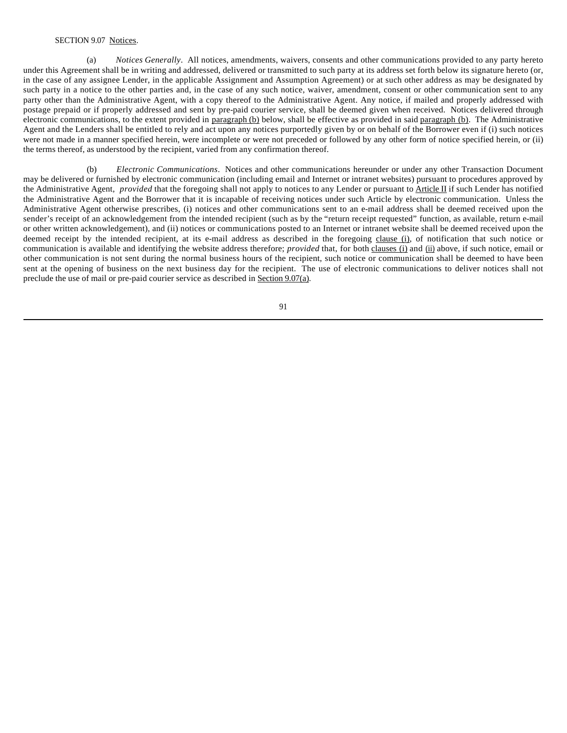## SECTION 9.07 Notices.

(a) *Notices Generally*. All notices, amendments, waivers, consents and other communications provided to any party hereto under this Agreement shall be in writing and addressed, delivered or transmitted to such party at its address set forth below its signature hereto (or, in the case of any assignee Lender, in the applicable Assignment and Assumption Agreement) or at such other address as may be designated by such party in a notice to the other parties and, in the case of any such notice, waiver, amendment, consent or other communication sent to any party other than the Administrative Agent, with a copy thereof to the Administrative Agent. Any notice, if mailed and properly addressed with postage prepaid or if properly addressed and sent by pre-paid courier service, shall be deemed given when received. Notices delivered through electronic communications, to the extent provided in paragraph (b) below, shall be effective as provided in said paragraph (b). The Administrative Agent and the Lenders shall be entitled to rely and act upon any notices purportedly given by or on behalf of the Borrower even if (i) such notices were not made in a manner specified herein, were incomplete or were not preceded or followed by any other form of notice specified herein, or (ii) the terms thereof, as understood by the recipient, varied from any confirmation thereof.

(b) *Electronic Communications*. Notices and other communications hereunder or under any other Transaction Document may be delivered or furnished by electronic communication (including email and Internet or intranet websites) pursuant to procedures approved by the Administrative Agent, *provided* that the foregoing shall not apply to notices to any Lender or pursuant to Article II if such Lender has notified the Administrative Agent and the Borrower that it is incapable of receiving notices under such Article by electronic communication. Unless the Administrative Agent otherwise prescribes, (i) notices and other communications sent to an e-mail address shall be deemed received upon the sender's receipt of an acknowledgement from the intended recipient (such as by the "return receipt requested" function, as available, return e-mail or other written acknowledgement), and (ii) notices or communications posted to an Internet or intranet website shall be deemed received upon the deemed receipt by the intended recipient, at its e-mail address as described in the foregoing clause (i), of notification that such notice or communication is available and identifying the website address therefore; *provided* that, for both clauses (i) and (ii) above, if such notice, email or other communication is not sent during the normal business hours of the recipient, such notice or communication shall be deemed to have been sent at the opening of business on the next business day for the recipient. The use of electronic communications to deliver notices shall not preclude the use of mail or pre-paid courier service as described in Section 9.07(a).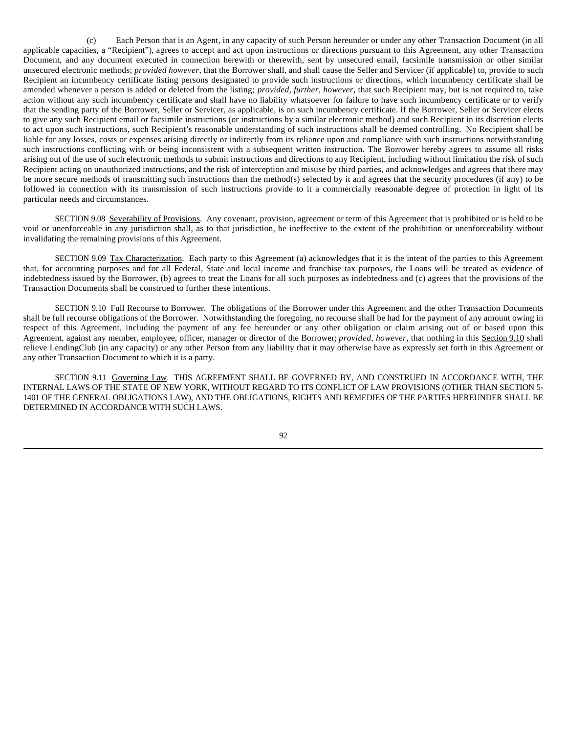(c) Each Person that is an Agent, in any capacity of such Person hereunder or under any other Transaction Document (in all applicable capacities, a "Recipient"), agrees to accept and act upon instructions or directions pursuant to this Agreement, any other Transaction Document, and any document executed in connection herewith or therewith, sent by unsecured email, facsimile transmission or other similar unsecured electronic methods; *provided however*, that the Borrower shall, and shall cause the Seller and Servicer (if applicable) to, provide to such Recipient an incumbency certificate listing persons designated to provide such instructions or directions, which incumbency certificate shall be amended whenever a person is added or deleted from the listing; *provided, further, however*, that such Recipient may, but is not required to, take action without any such incumbency certificate and shall have no liability whatsoever for failure to have such incumbency certificate or to verify that the sending party of the Borrower, Seller or Servicer, as applicable, is on such incumbency certificate. If the Borrower, Seller or Servicer elects to give any such Recipient email or facsimile instructions (or instructions by a similar electronic method) and such Recipient in its discretion elects to act upon such instructions, such Recipient's reasonable understanding of such instructions shall be deemed controlling. No Recipient shall be liable for any losses, costs or expenses arising directly or indirectly from its reliance upon and compliance with such instructions notwithstanding such instructions conflicting with or being inconsistent with a subsequent written instruction. The Borrower hereby agrees to assume all risks arising out of the use of such electronic methods to submit instructions and directions to any Recipient, including without limitation the risk of such Recipient acting on unauthorized instructions, and the risk of interception and misuse by third parties, and acknowledges and agrees that there may be more secure methods of transmitting such instructions than the method(s) selected by it and agrees that the security procedures (if any) to be followed in connection with its transmission of such instructions provide to it a commercially reasonable degree of protection in light of its particular needs and circumstances.

SECTION 9.08 Severability of Provisions. Any covenant, provision, agreement or term of this Agreement that is prohibited or is held to be void or unenforceable in any jurisdiction shall, as to that jurisdiction, be ineffective to the extent of the prohibition or unenforceability without invalidating the remaining provisions of this Agreement.

SECTION 9.09 Tax Characterization. Each party to this Agreement (a) acknowledges that it is the intent of the parties to this Agreement that, for accounting purposes and for all Federal, State and local income and franchise tax purposes, the Loans will be treated as evidence of indebtedness issued by the Borrower, (b) agrees to treat the Loans for all such purposes as indebtedness and (c) agrees that the provisions of the Transaction Documents shall be construed to further these intentions.

SECTION 9.10 Full Recourse to Borrower. The obligations of the Borrower under this Agreement and the other Transaction Documents shall be full recourse obligations of the Borrower. Notwithstanding the foregoing, no recourse shall be had for the payment of any amount owing in respect of this Agreement, including the payment of any fee hereunder or any other obligation or claim arising out of or based upon this Agreement, against any member, employee, officer, manager or director of the Borrower; *provided*, *however*, that nothing in this Section 9.10 shall relieve LendingClub (in any capacity) or any other Person from any liability that it may otherwise have as expressly set forth in this Agreement or any other Transaction Document to which it is a party.

SECTION 9.11 Governing Law. THIS AGREEMENT SHALL BE GOVERNED BY, AND CONSTRUED IN ACCORDANCE WITH, THE INTERNAL LAWS OF THE STATE OF NEW YORK, WITHOUT REGARD TO ITS CONFLICT OF LAW PROVISIONS (OTHER THAN SECTION 5- 1401 OF THE GENERAL OBLIGATIONS LAW), AND THE OBLIGATIONS, RIGHTS AND REMEDIES OF THE PARTIES HEREUNDER SHALL BE DETERMINED IN ACCORDANCE WITH SUCH LAWS.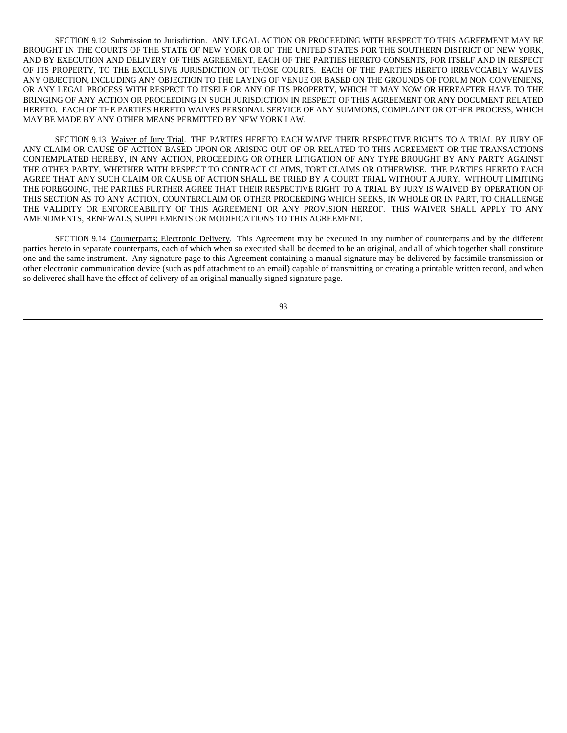SECTION 9.12 Submission to Jurisdiction. ANY LEGAL ACTION OR PROCEEDING WITH RESPECT TO THIS AGREEMENT MAY BE BROUGHT IN THE COURTS OF THE STATE OF NEW YORK OR OF THE UNITED STATES FOR THE SOUTHERN DISTRICT OF NEW YORK, AND BY EXECUTION AND DELIVERY OF THIS AGREEMENT, EACH OF THE PARTIES HERETO CONSENTS, FOR ITSELF AND IN RESPECT OF ITS PROPERTY, TO THE EXCLUSIVE JURISDICTION OF THOSE COURTS. EACH OF THE PARTIES HERETO IRREVOCABLY WAIVES ANY OBJECTION, INCLUDING ANY OBJECTION TO THE LAYING OF VENUE OR BASED ON THE GROUNDS OF FORUM NON CONVENIENS, OR ANY LEGAL PROCESS WITH RESPECT TO ITSELF OR ANY OF ITS PROPERTY, WHICH IT MAY NOW OR HEREAFTER HAVE TO THE BRINGING OF ANY ACTION OR PROCEEDING IN SUCH JURISDICTION IN RESPECT OF THIS AGREEMENT OR ANY DOCUMENT RELATED HERETO. EACH OF THE PARTIES HERETO WAIVES PERSONAL SERVICE OF ANY SUMMONS, COMPLAINT OR OTHER PROCESS, WHICH MAY BE MADE BY ANY OTHER MEANS PERMITTED BY NEW YORK LAW.

SECTION 9.13 Waiver of Jury Trial. THE PARTIES HERETO EACH WAIVE THEIR RESPECTIVE RIGHTS TO A TRIAL BY JURY OF ANY CLAIM OR CAUSE OF ACTION BASED UPON OR ARISING OUT OF OR RELATED TO THIS AGREEMENT OR THE TRANSACTIONS CONTEMPLATED HEREBY, IN ANY ACTION, PROCEEDING OR OTHER LITIGATION OF ANY TYPE BROUGHT BY ANY PARTY AGAINST THE OTHER PARTY, WHETHER WITH RESPECT TO CONTRACT CLAIMS, TORT CLAIMS OR OTHERWISE. THE PARTIES HERETO EACH AGREE THAT ANY SUCH CLAIM OR CAUSE OF ACTION SHALL BE TRIED BY A COURT TRIAL WITHOUT A JURY. WITHOUT LIMITING THE FOREGOING, THE PARTIES FURTHER AGREE THAT THEIR RESPECTIVE RIGHT TO A TRIAL BY JURY IS WAIVED BY OPERATION OF THIS SECTION AS TO ANY ACTION, COUNTERCLAIM OR OTHER PROCEEDING WHICH SEEKS, IN WHOLE OR IN PART, TO CHALLENGE THE VALIDITY OR ENFORCEABILITY OF THIS AGREEMENT OR ANY PROVISION HEREOF. THIS WAIVER SHALL APPLY TO ANY AMENDMENTS, RENEWALS, SUPPLEMENTS OR MODIFICATIONS TO THIS AGREEMENT.

SECTION 9.14 Counterparts; Electronic Delivery. This Agreement may be executed in any number of counterparts and by the different parties hereto in separate counterparts, each of which when so executed shall be deemed to be an original, and all of which together shall constitute one and the same instrument. Any signature page to this Agreement containing a manual signature may be delivered by facsimile transmission or other electronic communication device (such as pdf attachment to an email) capable of transmitting or creating a printable written record, and when so delivered shall have the effect of delivery of an original manually signed signature page.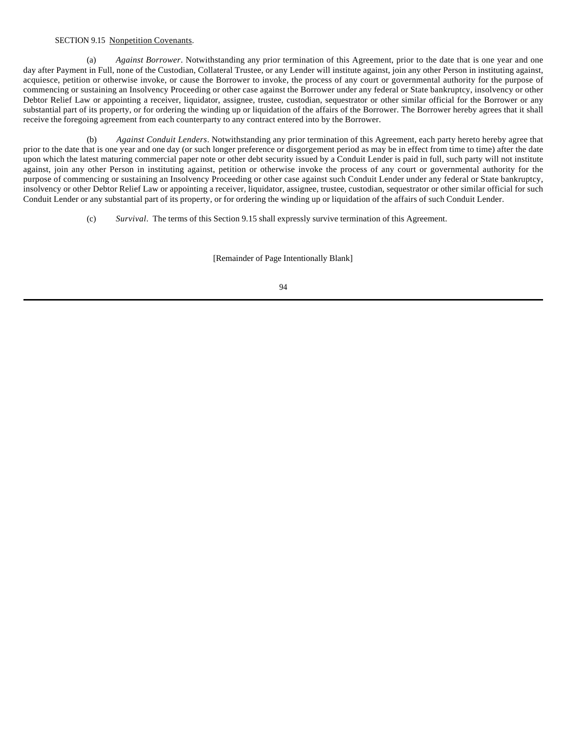# SECTION 9.15 Nonpetition Covenants.

(a) *Against Borrower*. Notwithstanding any prior termination of this Agreement, prior to the date that is one year and one day after Payment in Full, none of the Custodian, Collateral Trustee, or any Lender will institute against, join any other Person in instituting against, acquiesce, petition or otherwise invoke, or cause the Borrower to invoke, the process of any court or governmental authority for the purpose of commencing or sustaining an Insolvency Proceeding or other case against the Borrower under any federal or State bankruptcy, insolvency or other Debtor Relief Law or appointing a receiver, liquidator, assignee, trustee, custodian, sequestrator or other similar official for the Borrower or any substantial part of its property, or for ordering the winding up or liquidation of the affairs of the Borrower. The Borrower hereby agrees that it shall receive the foregoing agreement from each counterparty to any contract entered into by the Borrower.

(b) *Against Conduit Lenders*. Notwithstanding any prior termination of this Agreement, each party hereto hereby agree that prior to the date that is one year and one day (or such longer preference or disgorgement period as may be in effect from time to time) after the date upon which the latest maturing commercial paper note or other debt security issued by a Conduit Lender is paid in full, such party will not institute against, join any other Person in instituting against, petition or otherwise invoke the process of any court or governmental authority for the purpose of commencing or sustaining an Insolvency Proceeding or other case against such Conduit Lender under any federal or State bankruptcy, insolvency or other Debtor Relief Law or appointing a receiver, liquidator, assignee, trustee, custodian, sequestrator or other similar official for such Conduit Lender or any substantial part of its property, or for ordering the winding up or liquidation of the affairs of such Conduit Lender.

(c) *Survival*. The terms of this Section 9.15 shall expressly survive termination of this Agreement.

[Remainder of Page Intentionally Blank]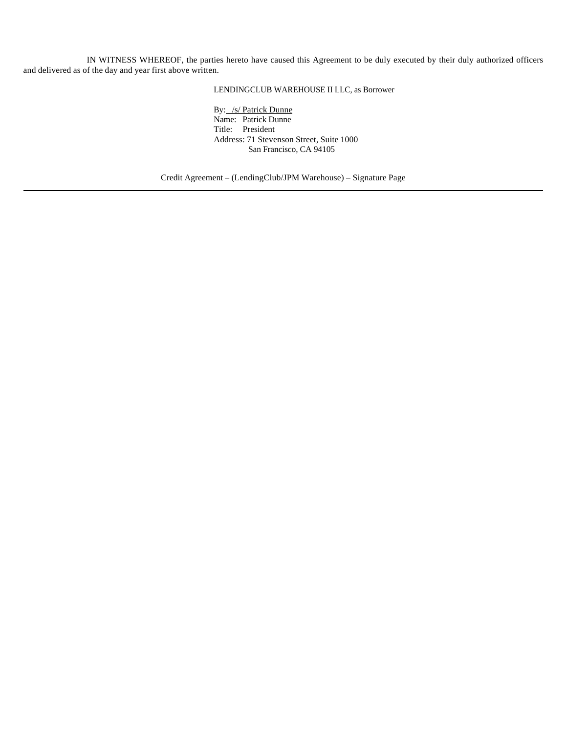IN WITNESS WHEREOF, the parties hereto have caused this Agreement to be duly executed by their duly authorized officers and delivered as of the day and year first above written.

LENDINGCLUB WAREHOUSE II LLC, as Borrower

By: /s/ Patrick Dunne Name: Patrick Dunne Title: President Address: 71 Stevenson Street, Suite 1000 San Francisco, CA 94105

Credit Agreement – (LendingClub/JPM Warehouse) – Signature Page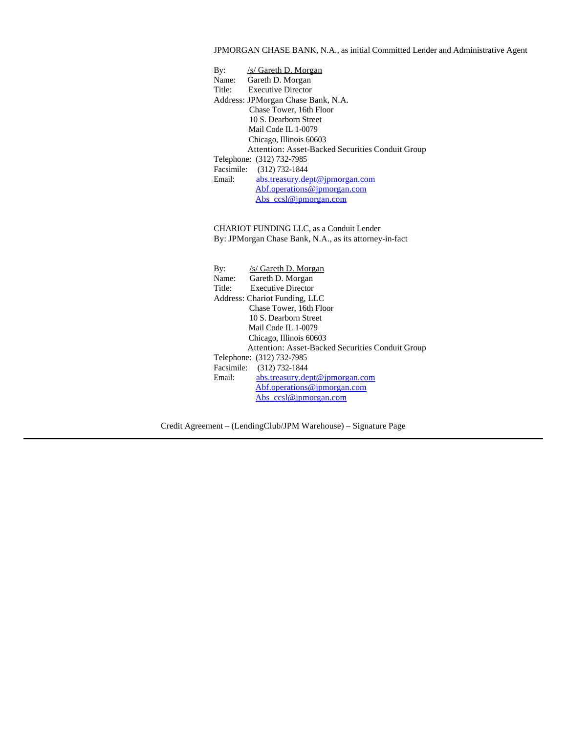# JPMORGAN CHASE BANK, N.A., as initial Committed Lender and Administrative Agent

| By:                                                    | /s/ Gareth D. Morgan                                          |  |  |
|--------------------------------------------------------|---------------------------------------------------------------|--|--|
| Name:                                                  | Gareth D. Morgan                                              |  |  |
|                                                        | Title: Executive Director                                     |  |  |
| Address: JPMorgan Chase Bank, N.A.                     |                                                               |  |  |
| Chase Tower, 16th Floor                                |                                                               |  |  |
| 10 S. Dearborn Street                                  |                                                               |  |  |
| Mail Code IL 1-0079                                    |                                                               |  |  |
| Chicago, Illinois 60603                                |                                                               |  |  |
| Attention: Asset-Backed Securities Conduit Group       |                                                               |  |  |
| Telephone: (312) 732-7985                              |                                                               |  |  |
| Facsimile: (312) 732-1844                              |                                                               |  |  |
| Email:                                                 | abs.treasury.dept@jpmorgan.com                                |  |  |
|                                                        | Abf.operations@jpmorgan.com                                   |  |  |
|                                                        | Abs ccsl@jpmorgan.com                                         |  |  |
|                                                        |                                                               |  |  |
|                                                        |                                                               |  |  |
|                                                        | <b>CHARIOT FUNDING LLC, as a Conduit Lender</b>               |  |  |
| By: JPMorgan Chase Bank, N.A., as its attorney-in-fact |                                                               |  |  |
|                                                        |                                                               |  |  |
|                                                        |                                                               |  |  |
| $\mathbf{B} \mathbf{v}$ :                              | /s/ Gareth D. Morgan                                          |  |  |
|                                                        | Name: Gareth D. Morgan                                        |  |  |
| <b>Executive Director</b><br>Title:                    |                                                               |  |  |
| Address: Chariot Funding, LLC                          |                                                               |  |  |
| Chase Tower, 16th Floor                                |                                                               |  |  |
| 10 S. Dearborn Street                                  |                                                               |  |  |
| Mail Code IL 1-0079                                    |                                                               |  |  |
| Chicago, Illinois 60603                                |                                                               |  |  |
| Attention: Asset-Backed Securities Conduit Group       |                                                               |  |  |
| Telephone: (312) 732-7985                              |                                                               |  |  |
|                                                        | Facsimile: (312) 732-1844                                     |  |  |
| Email:                                                 |                                                               |  |  |
|                                                        | abs.treasury.dept@jpmorgan.com<br>Abf.operations@jpmorgan.com |  |  |

Abs\_ccsl@jpmorgan.com

Credit Agreement – (LendingClub/JPM Warehouse) – Signature Page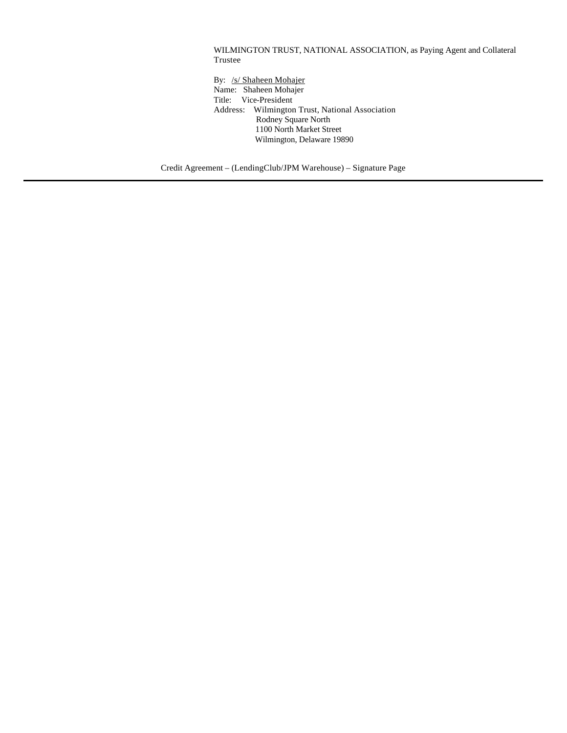WILMINGTON TRUST, NATIONAL ASSOCIATION, as Paying Agent and Collateral Trustee

By: /s/ Shaheen Mohajer Name: Shaheen Mohajer Title: Vice-President Address: Wilmington Trust, National Association Rodney Square North 1100 North Market Street Wilmington, Delaware 19890

Credit Agreement – (LendingClub/JPM Warehouse) – Signature Page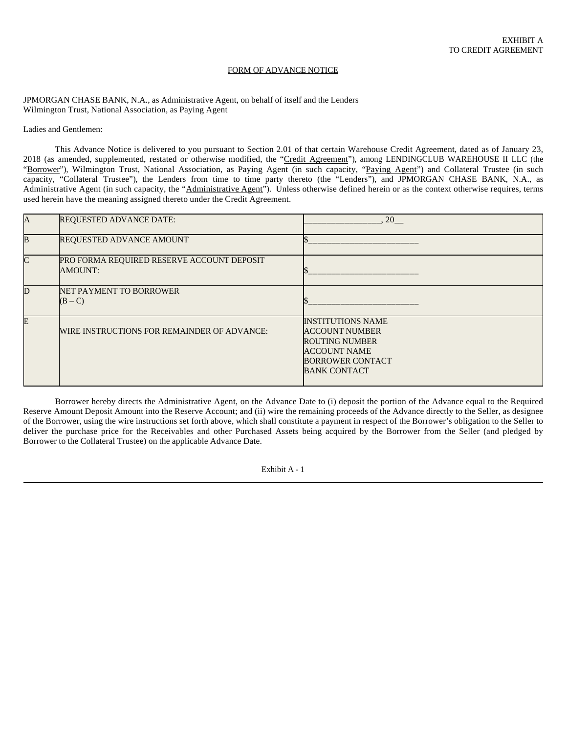#### FORM OF ADVANCE NOTICE

JPMORGAN CHASE BANK, N.A., as Administrative Agent, on behalf of itself and the Lenders Wilmington Trust, National Association, as Paying Agent

Ladies and Gentlemen:

This Advance Notice is delivered to you pursuant to Section 2.01 of that certain Warehouse Credit Agreement, dated as of January 23, 2018 (as amended, supplemented, restated or otherwise modified, the "Credit Agreement"), among LENDINGCLUB WAREHOUSE II LLC (the "Borrower"), Wilmington Trust, National Association, as Paying Agent (in such capacity, "Paying Agent") and Collateral Trustee (in such capacity, "Collateral Trustee"), the Lenders from time to time party thereto (the "Lenders"), and JPMORGAN CHASE BANK, N.A., as Administrative Agent (in such capacity, the "Administrative Agent"). Unless otherwise defined herein or as the context otherwise requires, terms used herein have the meaning assigned thereto under the Credit Agreement.

| $\overline{A}$ | <b>REQUESTED ADVANCE DATE:</b>                        | 20                                                                                                                                                  |
|----------------|-------------------------------------------------------|-----------------------------------------------------------------------------------------------------------------------------------------------------|
| $\overline{B}$ | REQUESTED ADVANCE AMOUNT                              |                                                                                                                                                     |
| $\mathsf{C}$   | PRO FORMA REQUIRED RESERVE ACCOUNT DEPOSIT<br>AMOUNT: |                                                                                                                                                     |
| D              | NET PAYMENT TO BORROWER<br>$(B - C)$                  |                                                                                                                                                     |
| E              | WIRE INSTRUCTIONS FOR REMAINDER OF ADVANCE:           | <b>INSTITUTIONS NAME</b><br><b>ACCOUNT NUMBER</b><br><b>ROUTING NUMBER</b><br><b>ACCOUNT NAME</b><br><b>BORROWER CONTACT</b><br><b>BANK CONTACT</b> |

Borrower hereby directs the Administrative Agent, on the Advance Date to (i) deposit the portion of the Advance equal to the Required Reserve Amount Deposit Amount into the Reserve Account; and (ii) wire the remaining proceeds of the Advance directly to the Seller, as designee of the Borrower, using the wire instructions set forth above, which shall constitute a payment in respect of the Borrower's obligation to the Seller to deliver the purchase price for the Receivables and other Purchased Assets being acquired by the Borrower from the Seller (and pledged by Borrower to the Collateral Trustee) on the applicable Advance Date.

Exhibit A - 1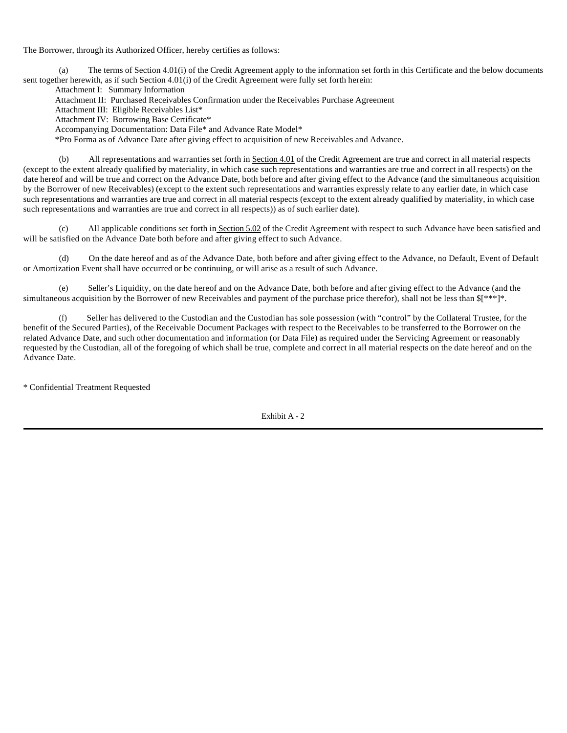The Borrower, through its Authorized Officer, hereby certifies as follows:

(a) The terms of Section 4.01(i) of the Credit Agreement apply to the information set forth in this Certificate and the below documents sent together herewith, as if such Section 4.01(i) of the Credit Agreement were fully set forth herein:

Attachment I: Summary Information

Attachment II: Purchased Receivables Confirmation under the Receivables Purchase Agreement

Attachment III: Eligible Receivables List\*

Attachment IV: Borrowing Base Certificate\*

Accompanying Documentation: Data File\* and Advance Rate Model\*

\*Pro Forma as of Advance Date after giving effect to acquisition of new Receivables and Advance.

(b) All representations and warranties set forth in Section 4.01 of the Credit Agreement are true and correct in all material respects (except to the extent already qualified by materiality, in which case such representations and warranties are true and correct in all respects) on the date hereof and will be true and correct on the Advance Date, both before and after giving effect to the Advance (and the simultaneous acquisition by the Borrower of new Receivables) (except to the extent such representations and warranties expressly relate to any earlier date, in which case such representations and warranties are true and correct in all material respects (except to the extent already qualified by materiality, in which case such representations and warranties are true and correct in all respects)) as of such earlier date).

(c) All applicable conditions set forth in Section 5.02 of the Credit Agreement with respect to such Advance have been satisfied and will be satisfied on the Advance Date both before and after giving effect to such Advance.

(d) On the date hereof and as of the Advance Date, both before and after giving effect to the Advance, no Default, Event of Default or Amortization Event shall have occurred or be continuing, or will arise as a result of such Advance.

Seller's Liquidity, on the date hereof and on the Advance Date, both before and after giving effect to the Advance (and the simultaneous acquisition by the Borrower of new Receivables and payment of the purchase price therefor), shall not be less than  $\frac{1}{2}$ \*\*\*]\*.

(f) Seller has delivered to the Custodian and the Custodian has sole possession (with "control" by the Collateral Trustee, for the benefit of the Secured Parties), of the Receivable Document Packages with respect to the Receivables to be transferred to the Borrower on the related Advance Date, and such other documentation and information (or Data File) as required under the Servicing Agreement or reasonably requested by the Custodian, all of the foregoing of which shall be true, complete and correct in all material respects on the date hereof and on the Advance Date.

\* Confidential Treatment Requested

Exhibit A - 2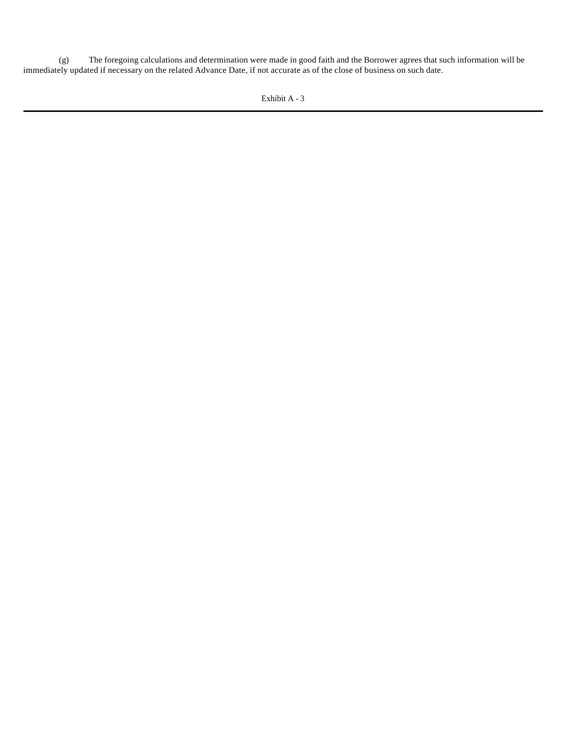(g) The foregoing calculations and determination were made in good faith and the Borrower agrees that such information will be immediately updated if necessary on the related Advance Date, if not accurate as of the close of business on such date.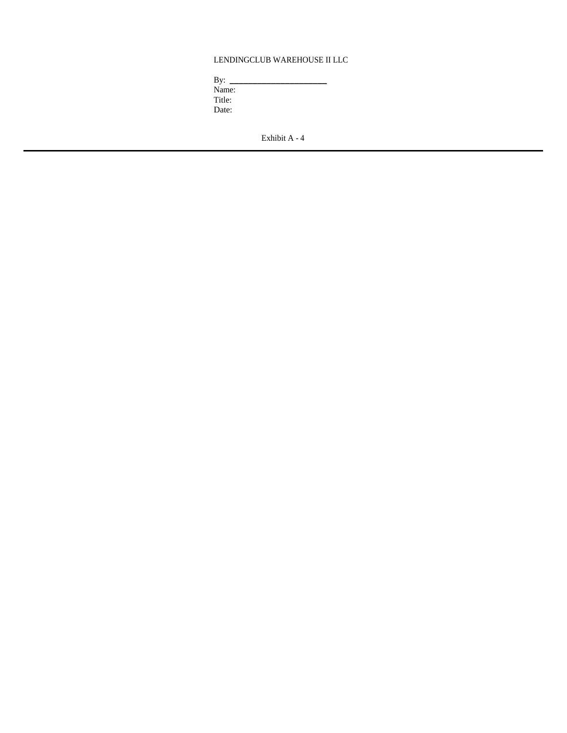# LENDINGCLUB WAREHOUSE II LLC

 $\overline{\phantom{a}}$  ,  $\overline{\phantom{a}}$  ,  $\overline{\phantom{a}}$  ,  $\overline{\phantom{a}}$  ,  $\overline{\phantom{a}}$  ,  $\overline{\phantom{a}}$  ,  $\overline{\phantom{a}}$  ,  $\overline{\phantom{a}}$  ,  $\overline{\phantom{a}}$  ,  $\overline{\phantom{a}}$  ,  $\overline{\phantom{a}}$  ,  $\overline{\phantom{a}}$  ,  $\overline{\phantom{a}}$  ,  $\overline{\phantom{a}}$  ,  $\overline{\phantom{a}}$  ,  $\overline{\phantom{a}}$ 

Name: Title: Date: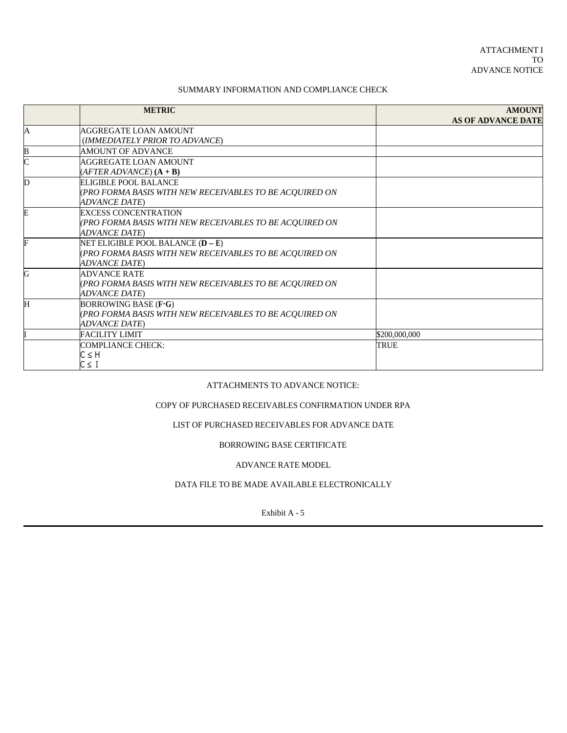## SUMMARY INFORMATION AND COMPLIANCE CHECK

|   | <b>METRIC</b>                                                                                                          | <b>AMOUNT</b><br><b>AS OF ADVANCE DATE</b> |
|---|------------------------------------------------------------------------------------------------------------------------|--------------------------------------------|
| A | <b>AGGREGATE LOAN AMOUNT</b><br>(IMMEDIATELY PRIOR TO ADVANCE)                                                         |                                            |
| B | AMOUNT OF ADVANCE                                                                                                      |                                            |
|   | AGGREGATE LOAN AMOUNT<br>$(AFTER ADVANCE) (A + B)$                                                                     |                                            |
| D | ELIGIBLE POOL BALANCE<br>(PRO FORMA BASIS WITH NEW RECEIVABLES TO BE ACQUIRED ON<br><b>ADVANCE DATE)</b>               |                                            |
|   | <b>EXCESS CONCENTRATION</b><br>(PRO FORMA BASIS WITH NEW RECEIVABLES TO BE ACQUIRED ON<br><b>ADVANCE DATE)</b>         |                                            |
|   | NET ELIGIBLE POOL BALANCE $(D - E)$<br>(PRO FORMA BASIS WITH NEW RECEIVABLES TO BE ACQUIRED ON<br><b>ADVANCE DATE)</b> |                                            |
| G | <b>ADVANCE RATE</b><br>(PRO FORMA BASIS WITH NEW RECEIVABLES TO BE ACQUIRED ON<br><b>ADVANCE DATE)</b>                 |                                            |
| Ή | BORROWING BASE (F.G)<br>(PRO FORMA BASIS WITH NEW RECEIVABLES TO BE ACQUIRED ON<br><b>ADVANCE DATE)</b>                |                                            |
|   | <b>FACILITY LIMIT</b>                                                                                                  | \$200,000,000                              |
|   | <b>COMPLIANCE CHECK:</b><br>$C \leq H$<br>$C \leq I$                                                                   | <b>TRUE</b>                                |

### ATTACHMENTS TO ADVANCE NOTICE:

### COPY OF PURCHASED RECEIVABLES CONFIRMATION UNDER RPA

# LIST OF PURCHASED RECEIVABLES FOR ADVANCE DATE

### BORROWING BASE CERTIFICATE

### ADVANCE RATE MODEL

# DATA FILE TO BE MADE AVAILABLE ELECTRONICALLY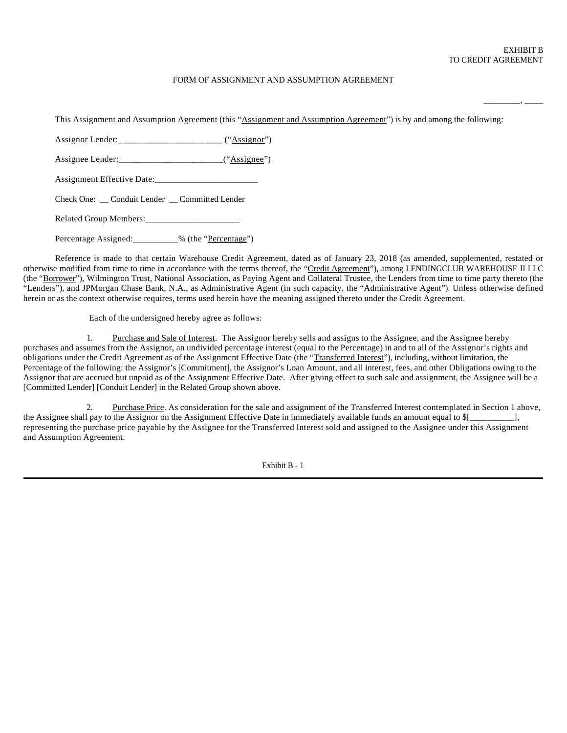\_\_\_\_\_\_\_\_, \_\_\_\_

### FORM OF ASSIGNMENT AND ASSUMPTION AGREEMENT

This Assignment and Assumption Agreement (this "Assignment and Assumption Agreement") is by and among the following: Assignor Lender:\_\_\_\_\_\_\_\_\_\_\_\_\_\_\_\_\_\_\_\_\_\_\_\_\_\_ ("Assignor") Assignee Lender:\_\_\_\_\_\_\_\_\_\_\_\_\_\_\_\_\_\_\_\_\_\_\_\_("Assignee") Assignment Effective Date:\_\_\_\_\_\_\_\_\_\_\_\_\_\_\_\_\_\_\_\_\_\_\_ Check One: \_\_ Conduit Lender \_\_ Committed Lender Related Group Members:\_\_\_\_\_\_\_\_\_\_\_\_\_\_\_\_\_\_\_\_\_ Percentage Assigned: \_\_\_\_\_\_\_\_\_\_% (the "Percentage")

Reference is made to that certain Warehouse Credit Agreement, dated as of January 23, 2018 (as amended, supplemented, restated or otherwise modified from time to time in accordance with the terms thereof, the "Credit Agreement"), among LENDINGCLUB WAREHOUSE II LLC (the "Borrower"), Wilmington Trust, National Association, as Paying Agent and Collateral Trustee, the Lenders from time to time party thereto (the "Lenders"), and JPMorgan Chase Bank, N.A., as Administrative Agent (in such capacity, the "Administrative Agent"). Unless otherwise defined herein or as the context otherwise requires, terms used herein have the meaning assigned thereto under the Credit Agreement.

Each of the undersigned hereby agree as follows:

1. Purchase and Sale of Interest. The Assignor hereby sells and assigns to the Assignee, and the Assignee hereby purchases and assumes from the Assignor, an undivided percentage interest (equal to the Percentage) in and to all of the Assignor's rights and obligations under the Credit Agreement as of the Assignment Effective Date (the "Transferred Interest"), including, without limitation, the Percentage of the following: the Assignor's [Commitment], the Assignor's Loan Amount, and all interest, fees, and other Obligations owing to the Assignor that are accrued but unpaid as of the Assignment Effective Date. After giving effect to such sale and assignment, the Assignee will be a [Committed Lender] [Conduit Lender] in the Related Group shown above.

Purchase Price. As consideration for the sale and assignment of the Transferred Interest contemplated in Section 1 above, the Assignee shall pay to the Assignor on the Assignment Effective Date in immediately available funds an amount equal to  $[$ representing the purchase price payable by the Assignee for the Transferred Interest sold and assigned to the Assignee under this Assignment and Assumption Agreement.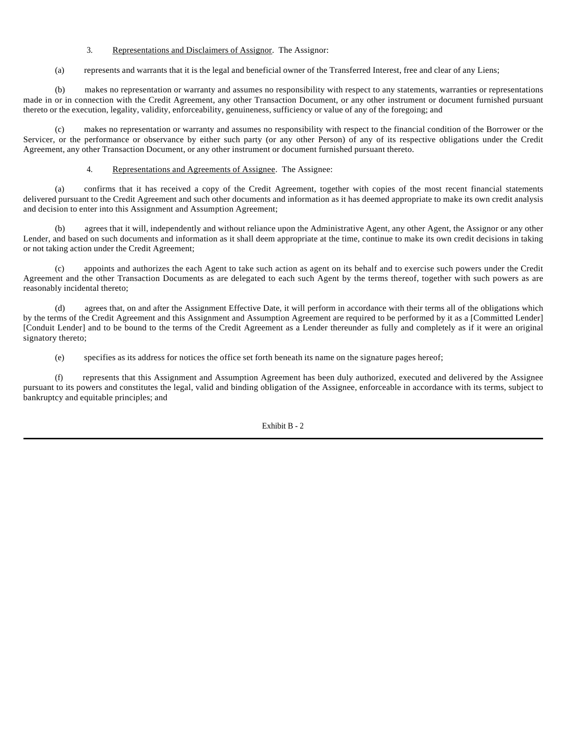### 3. Representations and Disclaimers of Assignor. The Assignor:

(a) represents and warrants that it is the legal and beneficial owner of the Transferred Interest, free and clear of any Liens;

(b) makes no representation or warranty and assumes no responsibility with respect to any statements, warranties or representations made in or in connection with the Credit Agreement, any other Transaction Document, or any other instrument or document furnished pursuant thereto or the execution, legality, validity, enforceability, genuineness, sufficiency or value of any of the foregoing; and

(c) makes no representation or warranty and assumes no responsibility with respect to the financial condition of the Borrower or the Servicer, or the performance or observance by either such party (or any other Person) of any of its respective obligations under the Credit Agreement, any other Transaction Document, or any other instrument or document furnished pursuant thereto.

### 4. Representations and Agreements of Assignee. The Assignee:

(a) confirms that it has received a copy of the Credit Agreement, together with copies of the most recent financial statements delivered pursuant to the Credit Agreement and such other documents and information as it has deemed appropriate to make its own credit analysis and decision to enter into this Assignment and Assumption Agreement;

(b) agrees that it will, independently and without reliance upon the Administrative Agent, any other Agent, the Assignor or any other Lender, and based on such documents and information as it shall deem appropriate at the time, continue to make its own credit decisions in taking or not taking action under the Credit Agreement;

(c) appoints and authorizes the each Agent to take such action as agent on its behalf and to exercise such powers under the Credit Agreement and the other Transaction Documents as are delegated to each such Agent by the terms thereof, together with such powers as are reasonably incidental thereto;

(d) agrees that, on and after the Assignment Effective Date, it will perform in accordance with their terms all of the obligations which by the terms of the Credit Agreement and this Assignment and Assumption Agreement are required to be performed by it as a [Committed Lender] [Conduit Lender] and to be bound to the terms of the Credit Agreement as a Lender thereunder as fully and completely as if it were an original signatory thereto;

(e) specifies as its address for notices the office set forth beneath its name on the signature pages hereof;

(f) represents that this Assignment and Assumption Agreement has been duly authorized, executed and delivered by the Assignee pursuant to its powers and constitutes the legal, valid and binding obligation of the Assignee, enforceable in accordance with its terms, subject to bankruptcy and equitable principles; and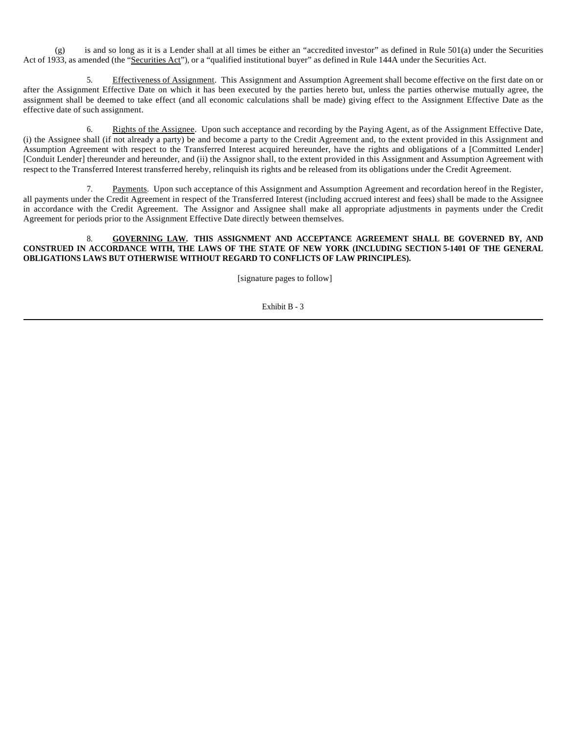(g) is and so long as it is a Lender shall at all times be either an "accredited investor" as defined in Rule 501(a) under the Securities Act of 1933, as amended (the "Securities Act"), or a "qualified institutional buyer" as defined in Rule 144A under the Securities Act.

5. Effectiveness of Assignment. This Assignment and Assumption Agreement shall become effective on the first date on or after the Assignment Effective Date on which it has been executed by the parties hereto but, unless the parties otherwise mutually agree, the assignment shall be deemed to take effect (and all economic calculations shall be made) giving effect to the Assignment Effective Date as the effective date of such assignment.

6. Rights of the Assignee. Upon such acceptance and recording by the Paying Agent, as of the Assignment Effective Date, (i) the Assignee shall (if not already a party) be and become a party to the Credit Agreement and, to the extent provided in this Assignment and Assumption Agreement with respect to the Transferred Interest acquired hereunder, have the rights and obligations of a [Committed Lender] [Conduit Lender] thereunder and hereunder, and (ii) the Assignor shall, to the extent provided in this Assignment and Assumption Agreement with respect to the Transferred Interest transferred hereby, relinquish its rights and be released from its obligations under the Credit Agreement.

7. Payments. Upon such acceptance of this Assignment and Assumption Agreement and recordation hereof in the Register, all payments under the Credit Agreement in respect of the Transferred Interest (including accrued interest and fees) shall be made to the Assignee in accordance with the Credit Agreement. The Assignor and Assignee shall make all appropriate adjustments in payments under the Credit Agreement for periods prior to the Assignment Effective Date directly between themselves.

8. **GOVERNING LAW. THIS ASSIGNMENT AND ACCEPTANCE AGREEMENT SHALL BE GOVERNED BY, AND CONSTRUED IN ACCORDANCE WITH, THE LAWS OF THE STATE OF NEW YORK (INCLUDING SECTION 5-1401 OF THE GENERAL OBLIGATIONS LAWS BUT OTHERWISE WITHOUT REGARD TO CONFLICTS OF LAW PRINCIPLES).**

[signature pages to follow]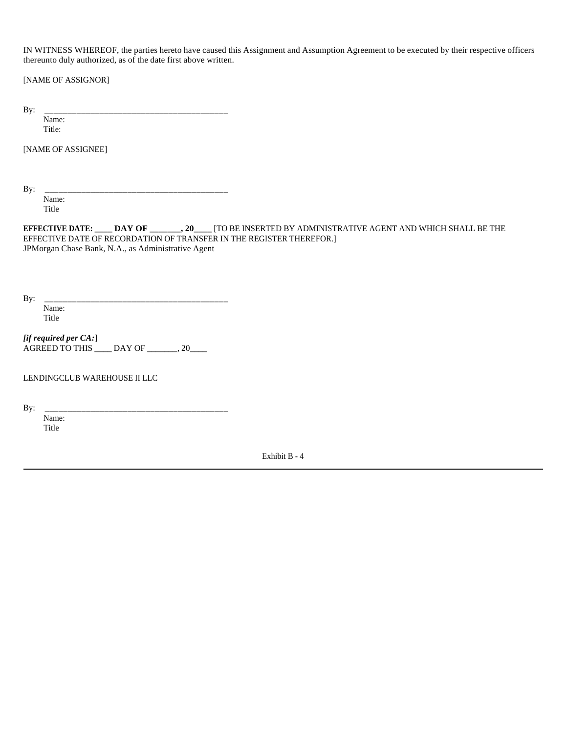IN WITNESS WHEREOF, the parties hereto have caused this Assignment and Assumption Agreement to be executed by their respective officers thereunto duly authorized, as of the date first above written.

[NAME OF ASSIGNOR]

By: \_\_\_\_\_\_\_\_\_\_\_\_\_\_\_\_\_\_\_\_\_\_\_\_\_\_\_\_\_\_\_\_\_\_\_\_\_\_\_\_

 Name: Title:

[NAME OF ASSIGNEE]

By: \_\_\_\_\_\_\_\_\_\_\_\_\_\_\_\_\_\_\_\_\_\_\_\_\_\_\_\_\_\_\_\_\_\_\_\_\_\_\_\_

 Name: Title

**EFFECTIVE DATE: \_\_\_\_ DAY OF \_\_\_\_\_\_\_, 20\_\_\_\_** [TO BE INSERTED BY ADMINISTRATIVE AGENT AND WHICH SHALL BE THE EFFECTIVE DATE OF RECORDATION OF TRANSFER IN THE REGISTER THEREFOR.] JPMorgan Chase Bank, N.A., as Administrative Agent

By: \_\_\_\_\_\_\_\_\_\_\_\_\_\_\_\_\_\_\_\_\_\_\_\_\_\_\_\_\_\_\_\_\_\_\_\_\_\_\_\_ Name: Title

*[if required per CA:*] AGREED TO THIS \_\_\_\_ DAY OF \_\_\_\_\_\_, 20\_\_\_\_

LENDINGCLUB WAREHOUSE II LLC

By: \_\_\_\_\_\_\_\_\_\_\_\_\_\_\_\_\_\_\_\_\_\_\_\_\_\_\_\_\_\_\_\_\_\_\_\_\_\_\_\_

 Name: Title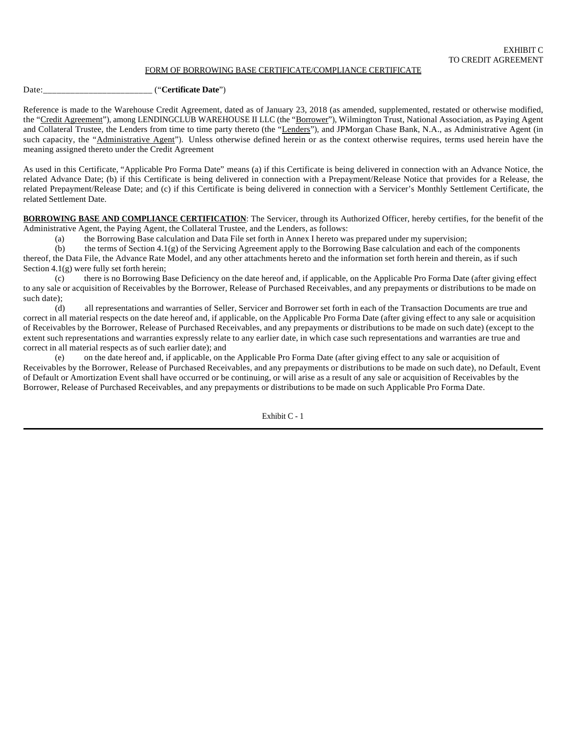### FORM OF BORROWING BASE CERTIFICATE/COMPLIANCE CERTIFICATE

Date:\_\_\_\_\_\_\_\_\_\_\_\_\_\_\_\_\_\_\_\_\_\_\_\_ ("**Certificate Date**")

Reference is made to the Warehouse Credit Agreement, dated as of January 23, 2018 (as amended, supplemented, restated or otherwise modified, the "Credit Agreement"), among LENDINGCLUB WAREHOUSE II LLC (the "Borrower"), Wilmington Trust, National Association, as Paying Agent and Collateral Trustee, the Lenders from time to time party thereto (the "Lenders"), and JPMorgan Chase Bank, N.A., as Administrative Agent (in such capacity, the "Administrative Agent"). Unless otherwise defined herein or as the context otherwise requires, terms used herein have the meaning assigned thereto under the Credit Agreement

As used in this Certificate, "Applicable Pro Forma Date" means (a) if this Certificate is being delivered in connection with an Advance Notice, the related Advance Date; (b) if this Certificate is being delivered in connection with a Prepayment/Release Notice that provides for a Release, the related Prepayment/Release Date; and (c) if this Certificate is being delivered in connection with a Servicer's Monthly Settlement Certificate, the related Settlement Date.

**BORROWING BASE AND COMPLIANCE CERTIFICATION**: The Servicer, through its Authorized Officer, hereby certifies, for the benefit of the Administrative Agent, the Paying Agent, the Collateral Trustee, and the Lenders, as follows:

(a) the Borrowing Base calculation and Data File set forth in Annex I hereto was prepared under my supervision;

(b) the terms of Section 4.1(g) of the Servicing Agreement apply to the Borrowing Base calculation and each of the components thereof, the Data File, the Advance Rate Model, and any other attachments hereto and the information set forth herein and therein, as if such Section  $4.1(g)$  were fully set forth herein;

(c) there is no Borrowing Base Deficiency on the date hereof and, if applicable, on the Applicable Pro Forma Date (after giving effect to any sale or acquisition of Receivables by the Borrower, Release of Purchased Receivables, and any prepayments or distributions to be made on such date);

(d) all representations and warranties of Seller, Servicer and Borrower set forth in each of the Transaction Documents are true and correct in all material respects on the date hereof and, if applicable, on the Applicable Pro Forma Date (after giving effect to any sale or acquisition of Receivables by the Borrower, Release of Purchased Receivables, and any prepayments or distributions to be made on such date) (except to the extent such representations and warranties expressly relate to any earlier date, in which case such representations and warranties are true and correct in all material respects as of such earlier date); and

(e) on the date hereof and, if applicable, on the Applicable Pro Forma Date (after giving effect to any sale or acquisition of Receivables by the Borrower, Release of Purchased Receivables, and any prepayments or distributions to be made on such date), no Default, Event of Default or Amortization Event shall have occurred or be continuing, or will arise as a result of any sale or acquisition of Receivables by the Borrower, Release of Purchased Receivables, and any prepayments or distributions to be made on such Applicable Pro Forma Date.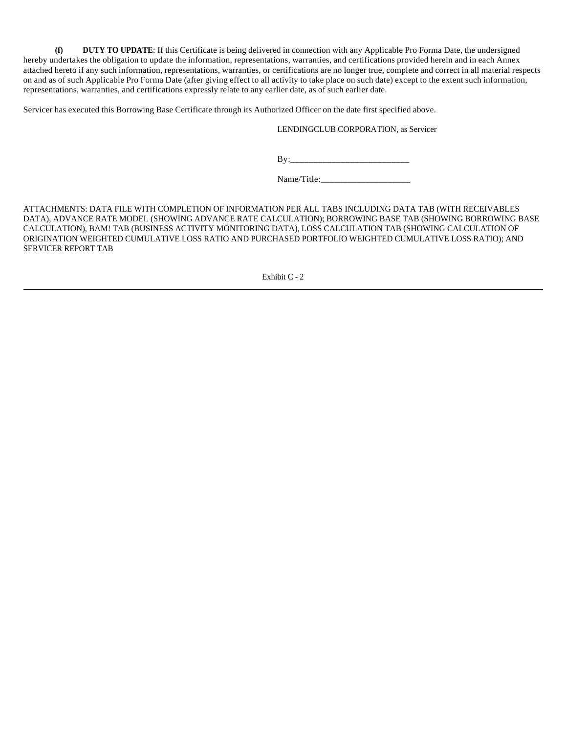**(f) DUTY TO UPDATE**: If this Certificate is being delivered in connection with any Applicable Pro Forma Date, the undersigned hereby undertakes the obligation to update the information, representations, warranties, and certifications provided herein and in each Annex attached hereto if any such information, representations, warranties, or certifications are no longer true, complete and correct in all material respects on and as of such Applicable Pro Forma Date (after giving effect to all activity to take place on such date) except to the extent such information, representations, warranties, and certifications expressly relate to any earlier date, as of such earlier date.

Servicer has executed this Borrowing Base Certificate through its Authorized Officer on the date first specified above.

LENDINGCLUB CORPORATION, as Servicer

By:\_\_\_\_\_\_\_\_\_\_\_\_\_\_\_\_\_\_\_\_\_\_\_\_\_\_

Name/Title:\_\_\_\_\_\_\_\_\_\_\_\_\_\_\_\_\_\_\_\_

ATTACHMENTS: DATA FILE WITH COMPLETION OF INFORMATION PER ALL TABS INCLUDING DATA TAB (WITH RECEIVABLES DATA), ADVANCE RATE MODEL (SHOWING ADVANCE RATE CALCULATION); BORROWING BASE TAB (SHOWING BORROWING BASE CALCULATION), BAM! TAB (BUSINESS ACTIVITY MONITORING DATA), LOSS CALCULATION TAB (SHOWING CALCULATION OF ORIGINATION WEIGHTED CUMULATIVE LOSS RATIO AND PURCHASED PORTFOLIO WEIGHTED CUMULATIVE LOSS RATIO); AND SERVICER REPORT TAB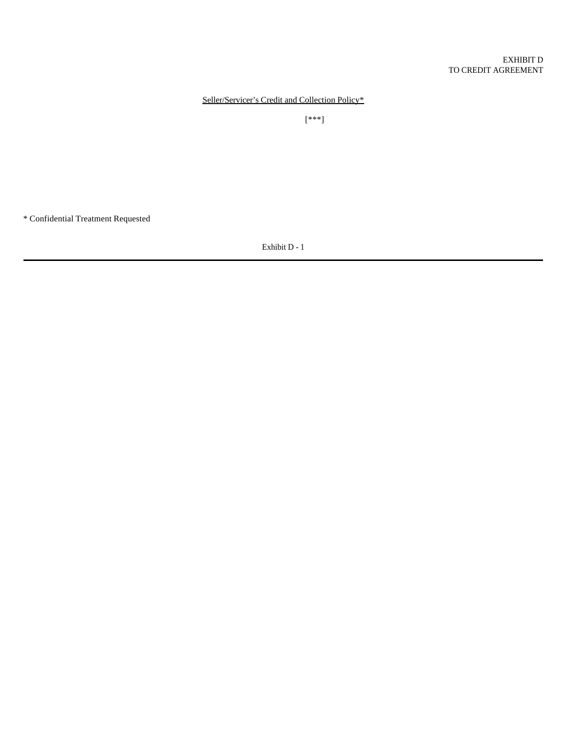Seller/Servicer's Credit and Collection Policy\*

[\*\*\*]

\* Confidential Treatment Requested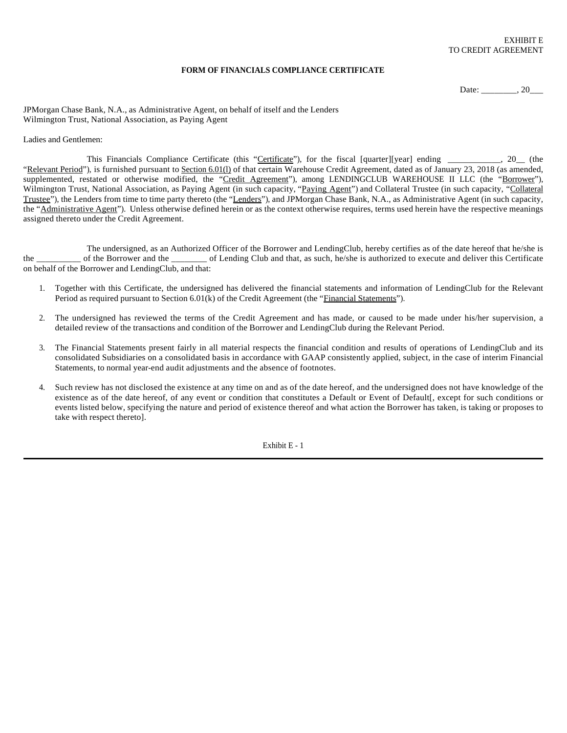### **FORM OF FINANCIALS COMPLIANCE CERTIFICATE**

Date: \_\_\_\_\_\_\_\_, 20\_\_\_\_

JPMorgan Chase Bank, N.A., as Administrative Agent, on behalf of itself and the Lenders Wilmington Trust, National Association, as Paying Agent

#### Ladies and Gentlemen:

This Financials Compliance Certificate (this "Certificate"), for the fiscal [quarter][year] ending \_\_\_\_\_\_\_\_\_, 20\_\_ (the "Relevant Period"), is furnished pursuant to Section 6.01(l) of that certain Warehouse Credit Agreement, dated as of January 23, 2018 (as amended, supplemented, restated or otherwise modified, the "Credit Agreement"), among LENDINGCLUB WAREHOUSE II LLC (the "Borrower"), Wilmington Trust, National Association, as Paying Agent (in such capacity, "Paying Agent") and Collateral Trustee (in such capacity, "Collateral Trustee"), the Lenders from time to time party thereto (the "Lenders"), and JPMorgan Chase Bank, N.A., as Administrative Agent (in such capacity, the "Administrative Agent"). Unless otherwise defined herein or as the context otherwise requires, terms used herein have the respective meanings assigned thereto under the Credit Agreement.

The undersigned, as an Authorized Officer of the Borrower and LendingClub, hereby certifies as of the date hereof that he/she is the \_\_\_\_\_\_\_\_\_\_ of the Borrower and the \_\_\_\_\_\_\_\_ of Lending Club and that, as such, he/she is authorized to execute and deliver this Certificate on behalf of the Borrower and LendingClub, and that:

- 1. Together with this Certificate, the undersigned has delivered the financial statements and information of LendingClub for the Relevant Period as required pursuant to Section 6.01(k) of the Credit Agreement (the "Financial Statements").
- 2. The undersigned has reviewed the terms of the Credit Agreement and has made, or caused to be made under his/her supervision, a detailed review of the transactions and condition of the Borrower and LendingClub during the Relevant Period.
- 3. The Financial Statements present fairly in all material respects the financial condition and results of operations of LendingClub and its consolidated Subsidiaries on a consolidated basis in accordance with GAAP consistently applied, subject, in the case of interim Financial Statements, to normal year-end audit adjustments and the absence of footnotes.
- 4. Such review has not disclosed the existence at any time on and as of the date hereof, and the undersigned does not have knowledge of the existence as of the date hereof, of any event or condition that constitutes a Default or Event of Default[, except for such conditions or events listed below, specifying the nature and period of existence thereof and what action the Borrower has taken, is taking or proposes to take with respect thereto].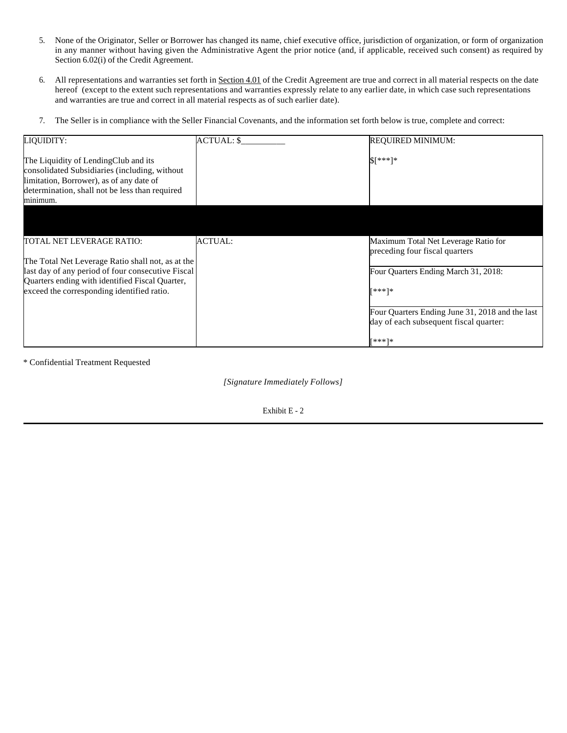- 5. None of the Originator, Seller or Borrower has changed its name, chief executive office, jurisdiction of organization, or form of organization in any manner without having given the Administrative Agent the prior notice (and, if applicable, received such consent) as required by Section 6.02(i) of the Credit Agreement.
- 6. All representations and warranties set forth in Section 4.01 of the Credit Agreement are true and correct in all material respects on the date hereof (except to the extent such representations and warranties expressly relate to any earlier date, in which case such representations and warranties are true and correct in all material respects as of such earlier date).
- 7. The Seller is in compliance with the Seller Financial Covenants, and the information set forth below is true, complete and correct:

| LIQUIDITY:                                                                                                                                                                                      | ACTUAL: \$     | REQUIRED MINIMUM:                                                                         |
|-------------------------------------------------------------------------------------------------------------------------------------------------------------------------------------------------|----------------|-------------------------------------------------------------------------------------------|
| The Liquidity of LendingClub and its<br>consolidated Subsidiaries (including, without<br>limitation, Borrower), as of any date of<br>determination, shall not be less than required<br>minimum. |                | \$[***]*                                                                                  |
|                                                                                                                                                                                                 |                |                                                                                           |
| TOTAL NET LEVERAGE RATIO:<br>The Total Net Leverage Ratio shall not, as at the                                                                                                                  | <b>ACTUAL:</b> | Maximum Total Net Leverage Ratio for<br>preceding four fiscal quarters                    |
| last day of any period of four consecutive Fiscal                                                                                                                                               |                | Four Quarters Ending March 31, 2018:                                                      |
| Quarters ending with identified Fiscal Quarter,<br>exceed the corresponding identified ratio.                                                                                                   |                | [***]*                                                                                    |
|                                                                                                                                                                                                 |                | Four Quarters Ending June 31, 2018 and the last<br>day of each subsequent fiscal quarter: |
|                                                                                                                                                                                                 |                | [***]*                                                                                    |

\* Confidential Treatment Requested

 *[Signature Immediately Follows]*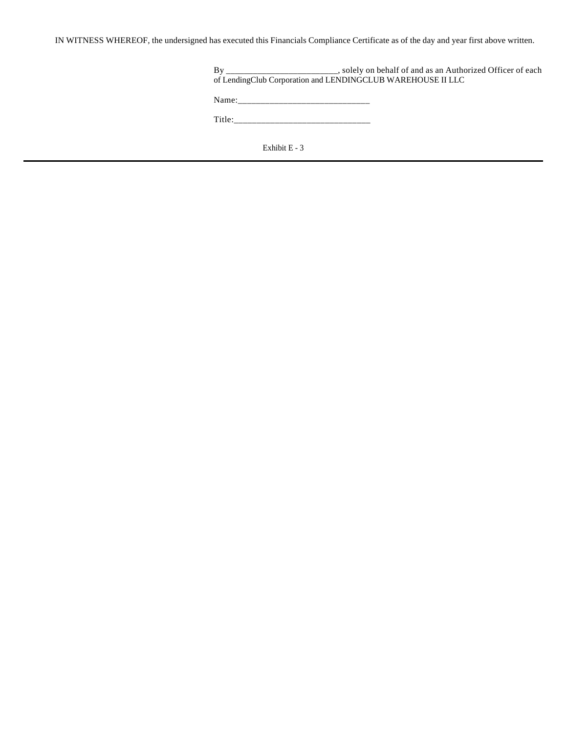IN WITNESS WHEREOF, the undersigned has executed this Financials Compliance Certificate as of the day and year first above written.

| Bv                                                          | ____________________, solely on behalf of and as an Authorized Officer of each                                 |
|-------------------------------------------------------------|----------------------------------------------------------------------------------------------------------------|
| of LendingClub Corporation and LENDINGCLUB WAREHOUSE II LLC |                                                                                                                |
|                                                             |                                                                                                                |
|                                                             | Name: 2008.000 2008.000 2008.000 2008.000 2008.000 2008.000 2008.000 2008.000 2008.000 2008.000 2008.000 2008. |
| Title:                                                      |                                                                                                                |
|                                                             |                                                                                                                |
|                                                             |                                                                                                                |
|                                                             | Exhibit E - 3                                                                                                  |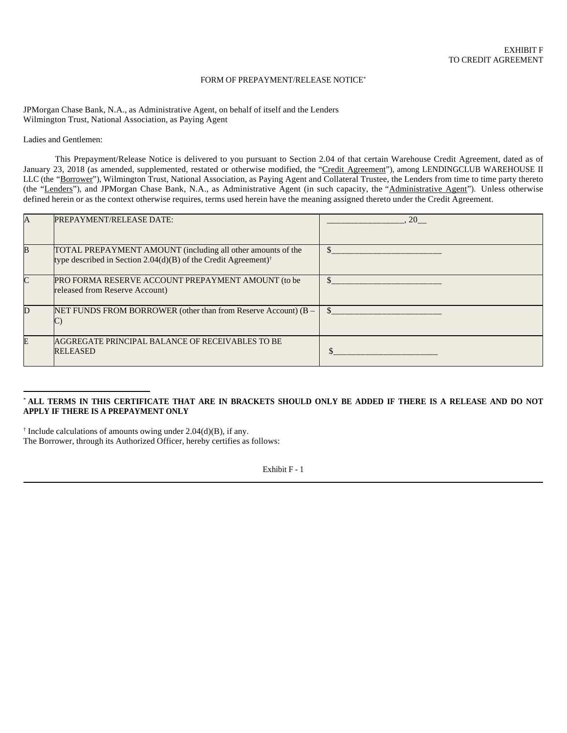### FORM OF PREPAYMENT/RELEASE NOTICE\*

JPMorgan Chase Bank, N.A., as Administrative Agent, on behalf of itself and the Lenders Wilmington Trust, National Association, as Paying Agent

Ladies and Gentlemen:

This Prepayment/Release Notice is delivered to you pursuant to Section 2.04 of that certain Warehouse Credit Agreement, dated as of January 23, 2018 (as amended, supplemented, restated or otherwise modified, the "Credit Agreement"), among LENDINGCLUB WAREHOUSE II LLC (the "Borrower"), Wilmington Trust, National Association, as Paying Agent and Collateral Trustee, the Lenders from time to time party thereto (the "Lenders"), and JPMorgan Chase Bank, N.A., as Administrative Agent (in such capacity, the "Administrative Agent"). Unless otherwise defined herein or as the context otherwise requires, terms used herein have the meaning assigned thereto under the Credit Agreement.

| A  | <b>PREPAYMENT/RELEASE DATE:</b>                                                                                                           | <b>20</b> |
|----|-------------------------------------------------------------------------------------------------------------------------------------------|-----------|
| B  | TOTAL PREPAYMENT AMOUNT (including all other amounts of the<br>type described in Section 2.04(d)(B) of the Credit Agreement) <sup>†</sup> |           |
|    | PRO FORMA RESERVE ACCOUNT PREPAYMENT AMOUNT (to be<br>released from Reserve Account)                                                      |           |
| D  | NET FUNDS FROM BORROWER (other than from Reserve Account) $(B -$<br>◡                                                                     |           |
| F. | AGGREGATE PRINCIPAL BALANCE OF RECEIVABLES TO BE<br><b>RELEASED</b>                                                                       |           |

### \* **ALL TERMS IN THIS CERTIFICATE THAT ARE IN BRACKETS SHOULD ONLY BE ADDED IF THERE IS A RELEASE AND DO NOT APPLY IF THERE IS A PREPAYMENT ONLY**

† Include calculations of amounts owing under 2.04(d)(B), if any. The Borrower, through its Authorized Officer, hereby certifies as follows: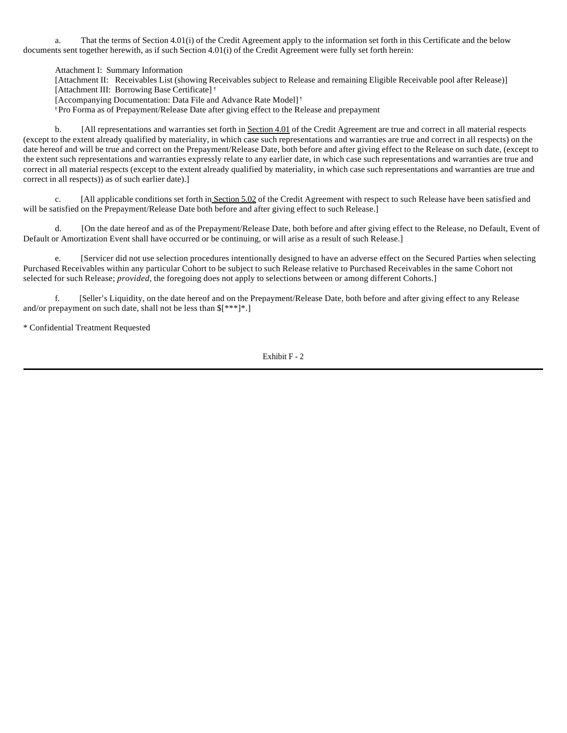a. That the terms of Section 4.01(i) of the Credit Agreement apply to the information set forth in this Certificate and the below documents sent together herewith, as if such Section 4.01(i) of the Credit Agreement were fully set forth herein:

Attachment I: Summary Information

[Attachment II: Receivables List (showing Receivables subject to Release and remaining Eligible Receivable pool after Release)]

[Attachment III: Borrowing Base Certificate] **†**

[Accompanying Documentation: Data File and Advance Rate Model] **†** 

**†** Pro Forma as of Prepayment/Release Date after giving effect to the Release and prepayment

b. [All representations and warranties set forth in Section 4.01 of the Credit Agreement are true and correct in all material respects (except to the extent already qualified by materiality, in which case such representations and warranties are true and correct in all respects) on the date hereof and will be true and correct on the Prepayment/Release Date, both before and after giving effect to the Release on such date, (except to the extent such representations and warranties expressly relate to any earlier date, in which case such representations and warranties are true and correct in all material respects (except to the extent already qualified by materiality, in which case such representations and warranties are true and correct in all respects)) as of such earlier date).]

c. [All applicable conditions set forth in Section 5.02 of the Credit Agreement with respect to such Release have been satisfied and will be satisfied on the Prepayment/Release Date both before and after giving effect to such Release.]

d. [On the date hereof and as of the Prepayment/Release Date, both before and after giving effect to the Release, no Default, Event of Default or Amortization Event shall have occurred or be continuing, or will arise as a result of such Release.]

e. [Servicer did not use selection procedures intentionally designed to have an adverse effect on the Secured Parties when selecting Purchased Receivables within any particular Cohort to be subject to such Release relative to Purchased Receivables in the same Cohort not selected for such Release; *provided*, the foregoing does not apply to selections between or among different Cohorts.]

f. [Seller's Liquidity, on the date hereof and on the Prepayment/Release Date, both before and after giving effect to any Release and/or prepayment on such date, shall not be less than \$[\*\*\*]\*.]

\* Confidential Treatment Requested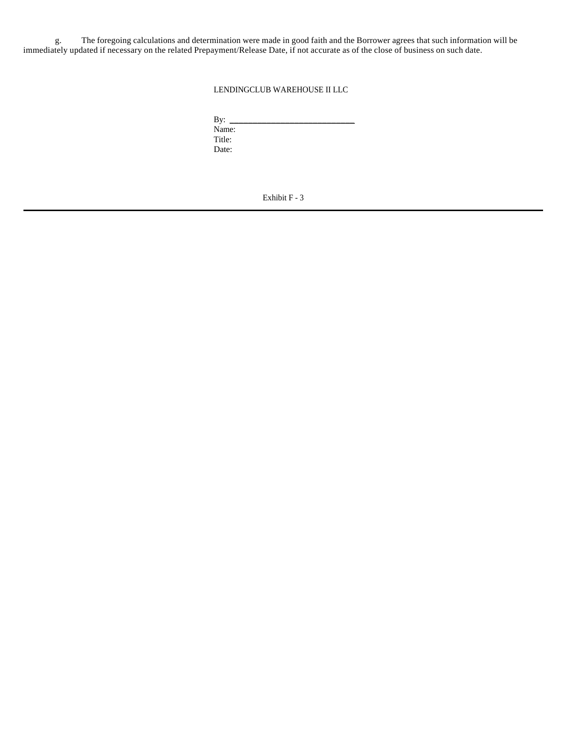g. The foregoing calculations and determination were made in good faith and the Borrower agrees that such information will be immediately updated if necessary on the related Prepayment/Release Date, if not accurate as of the close of business on such date.

LENDINGCLUB WAREHOUSE II LLC

By: \_\_\_\_\_\_\_\_\_\_\_\_\_\_\_\_\_\_\_\_\_\_\_\_\_\_\_ Name: Title: Date: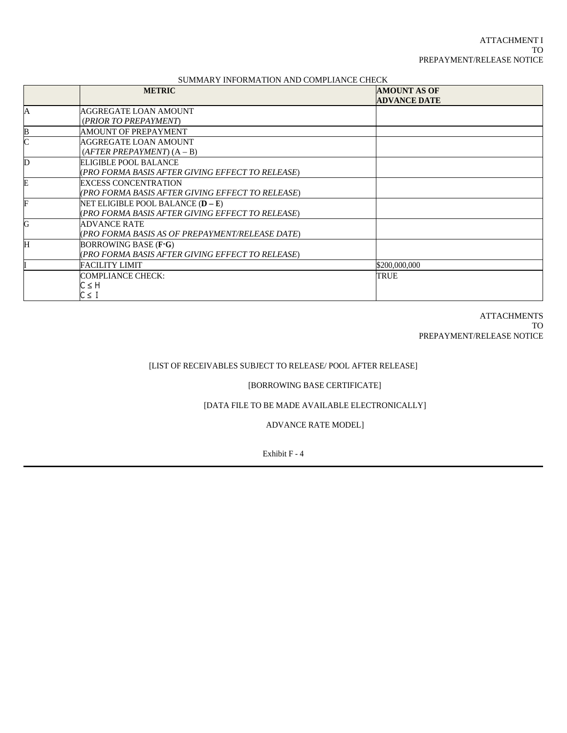# SUMMARY INFORMATION AND COMPLIANCE CHECK

|             | <b>METRIC</b>                                    | <b>AMOUNT AS OF</b> |  |
|-------------|--------------------------------------------------|---------------------|--|
|             |                                                  | <b>ADVANCE DATE</b> |  |
| A           | AGGREGATE LOAN AMOUNT                            |                     |  |
|             | (PRIOR TO PREPAYMENT)                            |                     |  |
| B           | AMOUNT OF PREPAYMENT                             |                     |  |
| $\mathbf C$ | AGGREGATE LOAN AMOUNT                            |                     |  |
|             | $(AFTER PREPAYMENT) (A - B)$                     |                     |  |
| D           | ELIGIBLE POOL BALANCE                            |                     |  |
|             | (PRO FORMA BASIS AFTER GIVING EFFECT TO RELEASE) |                     |  |
| E           | <b>EXCESS CONCENTRATION</b>                      |                     |  |
|             | (PRO FORMA BASIS AFTER GIVING EFFECT TO RELEASE) |                     |  |
| F           | NET ELIGIBLE POOL BALANCE (D – E)                |                     |  |
|             | (PRO FORMA BASIS AFTER GIVING EFFECT TO RELEASE) |                     |  |
| G           | <b>ADVANCE RATE</b>                              |                     |  |
|             | (PRO FORMA BASIS AS OF PREPAYMENT/RELEASE DATE)  |                     |  |
| Η           | BORROWING BASE $(F G)$                           |                     |  |
|             | (PRO FORMA BASIS AFTER GIVING EFFECT TO RELEASE) |                     |  |
|             | <b>FACILITY LIMIT</b>                            | \$200,000,000       |  |
|             | <b>COMPLIANCE CHECK:</b>                         | TRUE                |  |
|             | C≤H                                              |                     |  |
|             | C≤I                                              |                     |  |

**ATTACHMENTS** TO PREPAYMENT/RELEASE NOTICE

# [LIST OF RECEIVABLES SUBJECT TO RELEASE/ POOL AFTER RELEASE]

### [BORROWING BASE CERTIFICATE]

# [DATA FILE TO BE MADE AVAILABLE ELECTRONICALLY]

ADVANCE RATE MODEL]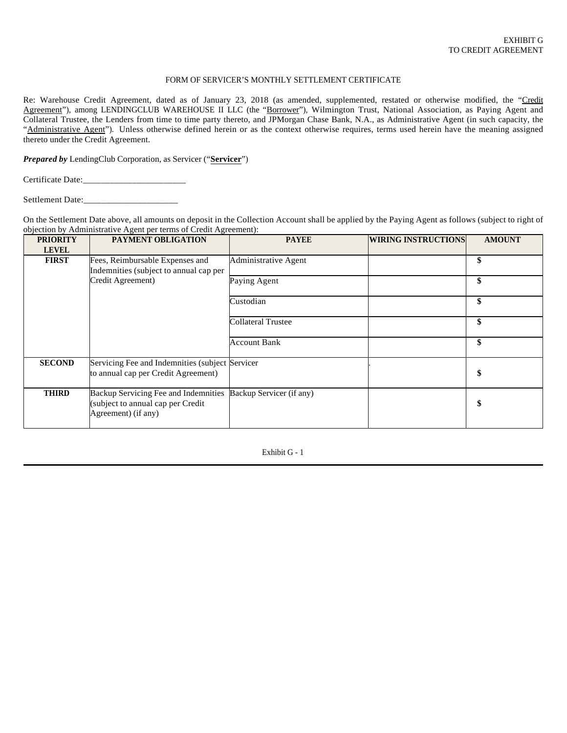### FORM OF SERVICER'S MONTHLY SETTLEMENT CERTIFICATE

Re: Warehouse Credit Agreement, dated as of January 23, 2018 (as amended, supplemented, restated or otherwise modified, the "Credit Agreement"), among LENDINGCLUB WAREHOUSE II LLC (the "Borrower"), Wilmington Trust, National Association, as Paying Agent and Collateral Trustee, the Lenders from time to time party thereto, and JPMorgan Chase Bank, N.A., as Administrative Agent (in such capacity, the "Administrative Agent"). Unless otherwise defined herein or as the context otherwise requires, terms used herein have the meaning assigned thereto under the Credit Agreement.

*Prepared by* LendingClub Corporation, as Servicer ("**Servicer**")

Certificate Date:\_\_\_\_\_\_\_\_\_\_\_\_\_\_\_\_\_\_\_\_\_\_\_

Settlement Date:\_\_\_\_\_\_\_\_\_\_\_\_\_\_\_\_\_\_\_\_\_

On the Settlement Date above, all amounts on deposit in the Collection Account shall be applied by the Paying Agent as follows (subject to right of objection by Administrative Agent per terms of Credit Agreement):

| <b>PRIORITY</b><br><b>LEVEL</b> | <b>PAYMENT OBLIGATION</b>                                                                        | <b>PAYEE</b>              | <b>WIRING INSTRUCTIONS</b> | <b>AMOUNT</b> |
|---------------------------------|--------------------------------------------------------------------------------------------------|---------------------------|----------------------------|---------------|
| <b>FIRST</b>                    | Fees, Reimbursable Expenses and<br>Indemnities (subject to annual cap per                        | Administrative Agent      |                            | \$            |
|                                 | Credit Agreement)                                                                                | Paying Agent              |                            | \$            |
|                                 |                                                                                                  | Custodian                 |                            | \$            |
|                                 |                                                                                                  | <b>Collateral Trustee</b> |                            | \$            |
|                                 |                                                                                                  | <b>Account Bank</b>       |                            | \$            |
| <b>SECOND</b>                   | Servicing Fee and Indemnities (subject Servicer<br>to annual cap per Credit Agreement)           |                           |                            | \$            |
| <b>THIRD</b>                    | Backup Servicing Fee and Indemnities<br>(subject to annual cap per Credit<br>Agreement) (if any) | Backup Servicer (if any)  |                            | \$            |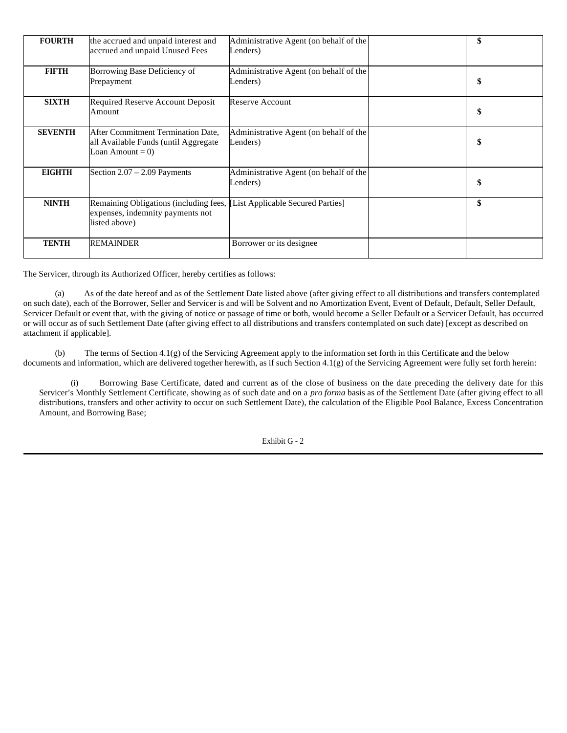| <b>FOURTH</b>  | the accrued and unpaid interest and<br>accrued and unpaid Unused Fees                                                         | Administrative Agent (on behalf of the<br>Lenders) | \$ |
|----------------|-------------------------------------------------------------------------------------------------------------------------------|----------------------------------------------------|----|
| <b>FIFTH</b>   | Borrowing Base Deficiency of<br>Prepayment                                                                                    | Administrative Agent (on behalf of the<br>Lenders) | \$ |
| <b>SIXTH</b>   | Required Reserve Account Deposit<br>Amount                                                                                    | Reserve Account                                    | \$ |
| <b>SEVENTH</b> | After Commitment Termination Date.<br>all Available Funds (until Aggregate<br>Loan Amount = $0$ )                             | Administrative Agent (on behalf of the<br>Lenders) | \$ |
| <b>EIGHTH</b>  | Section $2.07 - 2.09$ Payments                                                                                                | Administrative Agent (on behalf of the<br>Lenders) | \$ |
| <b>NINTH</b>   | Remaining Obligations (including fees, [List Applicable Secured Parties]<br>expenses, indemnity payments not<br>listed above) |                                                    | \$ |
| <b>TENTH</b>   | <b>REMAINDER</b>                                                                                                              | Borrower or its designee                           |    |

The Servicer, through its Authorized Officer, hereby certifies as follows:

(a) As of the date hereof and as of the Settlement Date listed above (after giving effect to all distributions and transfers contemplated on such date), each of the Borrower, Seller and Servicer is and will be Solvent and no Amortization Event, Event of Default, Default, Seller Default, Servicer Default or event that, with the giving of notice or passage of time or both, would become a Seller Default or a Servicer Default, has occurred or will occur as of such Settlement Date (after giving effect to all distributions and transfers contemplated on such date) [except as described on attachment if applicable].

(b) The terms of Section 4.1(g) of the Servicing Agreement apply to the information set forth in this Certificate and the below documents and information, which are delivered together herewith, as if such Section 4.1(g) of the Servicing Agreement were fully set forth herein:

(i) Borrowing Base Certificate, dated and current as of the close of business on the date preceding the delivery date for this Servicer's Monthly Settlement Certificate, showing as of such date and on a *pro forma* basis as of the Settlement Date (after giving effect to all distributions, transfers and other activity to occur on such Settlement Date), the calculation of the Eligible Pool Balance, Excess Concentration Amount, and Borrowing Base;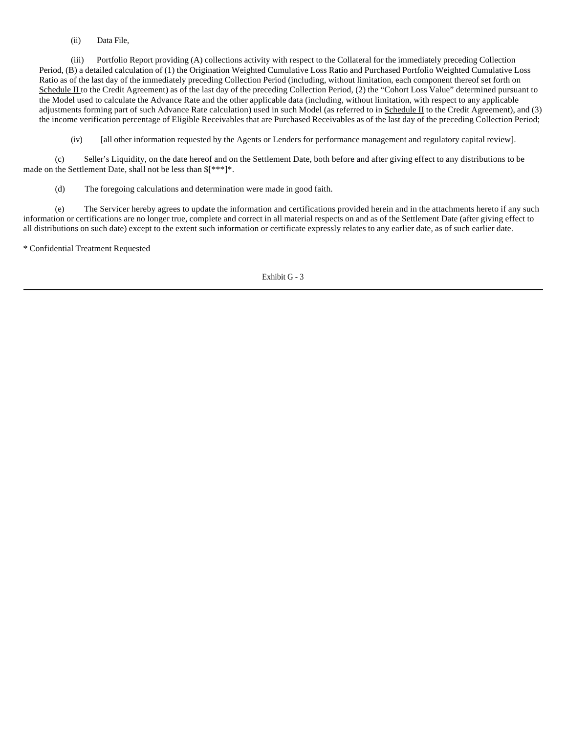(ii) Data File,

(iii) Portfolio Report providing (A) collections activity with respect to the Collateral for the immediately preceding Collection Period, (B) a detailed calculation of (1) the Origination Weighted Cumulative Loss Ratio and Purchased Portfolio Weighted Cumulative Loss Ratio as of the last day of the immediately preceding Collection Period (including, without limitation, each component thereof set forth on Schedule II to the Credit Agreement) as of the last day of the preceding Collection Period, (2) the "Cohort Loss Value" determined pursuant to the Model used to calculate the Advance Rate and the other applicable data (including, without limitation, with respect to any applicable adjustments forming part of such Advance Rate calculation) used in such Model (as referred to in Schedule II to the Credit Agreement), and (3) the income verification percentage of Eligible Receivables that are Purchased Receivables as of the last day of the preceding Collection Period;

(iv) [all other information requested by the Agents or Lenders for performance management and regulatory capital review].

(c) Seller's Liquidity, on the date hereof and on the Settlement Date, both before and after giving effect to any distributions to be made on the Settlement Date, shall not be less than \$[\*\*\*]\*.

(d) The foregoing calculations and determination were made in good faith.

(e) The Servicer hereby agrees to update the information and certifications provided herein and in the attachments hereto if any such information or certifications are no longer true, complete and correct in all material respects on and as of the Settlement Date (after giving effect to all distributions on such date) except to the extent such information or certificate expressly relates to any earlier date, as of such earlier date.

\* Confidential Treatment Requested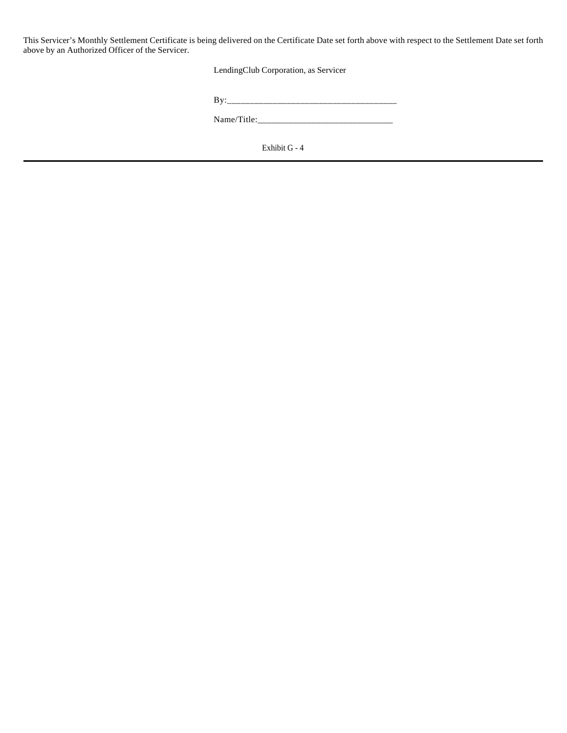This Servicer's Monthly Settlement Certificate is being delivered on the Certificate Date set forth above with respect to the Settlement Date set forth above by an Authorized Officer of the Servicer.

LendingClub Corporation, as Servicer

| ____<br>$- -$ |
|---------------|
|               |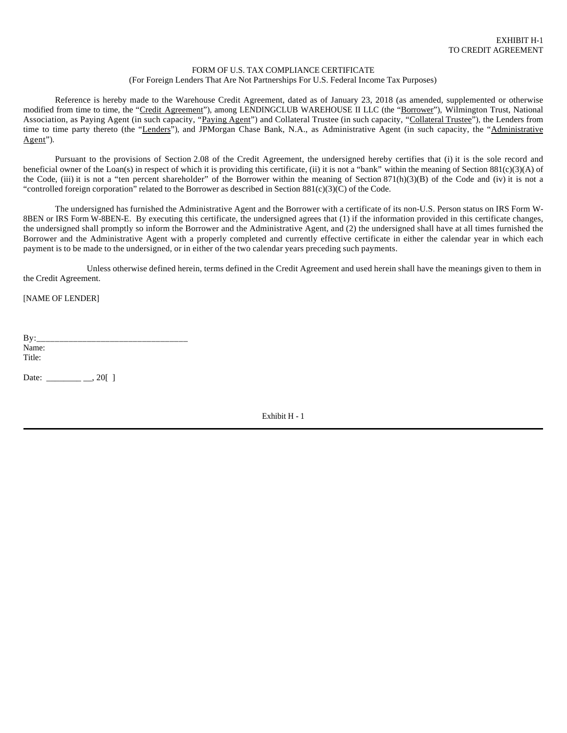#### FORM OF U.S. TAX COMPLIANCE CERTIFICATE (For Foreign Lenders That Are Not Partnerships For U.S. Federal Income Tax Purposes)

Reference is hereby made to the Warehouse Credit Agreement, dated as of January 23, 2018 (as amended, supplemented or otherwise modified from time to time, the "Credit Agreement"), among LENDINGCLUB WAREHOUSE II LLC (the "Borrower"), Wilmington Trust, National Association, as Paying Agent (in such capacity, "Paying Agent") and Collateral Trustee (in such capacity, "Collateral Trustee"), the Lenders from time to time party thereto (the "Lenders"), and JPMorgan Chase Bank, N.A., as Administrative Agent (in such capacity, the "Administrative Agent").

Pursuant to the provisions of Section 2.08 of the Credit Agreement, the undersigned hereby certifies that (i) it is the sole record and beneficial owner of the Loan(s) in respect of which it is providing this certificate, (ii) it is not a "bank" within the meaning of Section 881(c)(3)(A) of the Code, (iii) it is not a "ten percent shareholder" of the Borrower within the meaning of Section 871(h)(3)(B) of the Code and (iv) it is not a "controlled foreign corporation" related to the Borrower as described in Section  $881(c)(3)(C)$  of the Code.

The undersigned has furnished the Administrative Agent and the Borrower with a certificate of its non-U.S. Person status on IRS Form W-8BEN or IRS Form W-8BEN-E. By executing this certificate, the undersigned agrees that (1) if the information provided in this certificate changes, the undersigned shall promptly so inform the Borrower and the Administrative Agent, and (2) the undersigned shall have at all times furnished the Borrower and the Administrative Agent with a properly completed and currently effective certificate in either the calendar year in which each payment is to be made to the undersigned, or in either of the two calendar years preceding such payments.

Unless otherwise defined herein, terms defined in the Credit Agreement and used herein shall have the meanings given to them in the Credit Agreement.

[NAME OF LENDER]

 $By:$ Name: Title:

Date: \_\_\_\_\_\_\_\_ \_\_, 20[ ]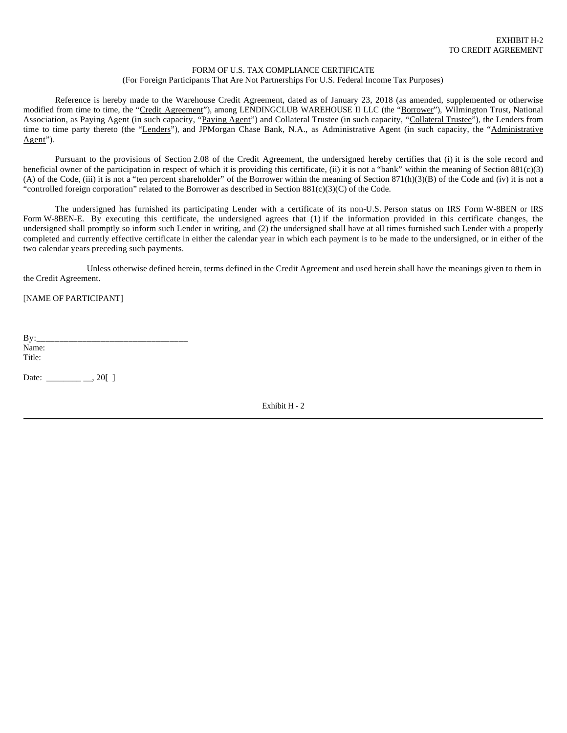#### FORM OF U.S. TAX COMPLIANCE CERTIFICATE (For Foreign Participants That Are Not Partnerships For U.S. Federal Income Tax Purposes)

Reference is hereby made to the Warehouse Credit Agreement, dated as of January 23, 2018 (as amended, supplemented or otherwise modified from time to time, the "Credit Agreement"), among LENDINGCLUB WAREHOUSE II LLC (the "Borrower"), Wilmington Trust, National Association, as Paying Agent (in such capacity, "Paying Agent") and Collateral Trustee (in such capacity, "Collateral Trustee"), the Lenders from time to time party thereto (the "Lenders"), and JPMorgan Chase Bank, N.A., as Administrative Agent (in such capacity, the "Administrative Agent").

Pursuant to the provisions of Section 2.08 of the Credit Agreement, the undersigned hereby certifies that (i) it is the sole record and beneficial owner of the participation in respect of which it is providing this certificate, (ii) it is not a "bank" within the meaning of Section  $881(c)(3)$ (A) of the Code, (iii) it is not a "ten percent shareholder" of the Borrower within the meaning of Section 871(h)(3)(B) of the Code and (iv) it is not a "controlled foreign corporation" related to the Borrower as described in Section  $881(c)(3)(C)$  of the Code.

The undersigned has furnished its participating Lender with a certificate of its non-U.S. Person status on IRS Form W-8BEN or IRS Form W-8BEN-E. By executing this certificate, the undersigned agrees that (1) if the information provided in this certificate changes, the undersigned shall promptly so inform such Lender in writing, and (2) the undersigned shall have at all times furnished such Lender with a properly completed and currently effective certificate in either the calendar year in which each payment is to be made to the undersigned, or in either of the two calendar years preceding such payments.

Unless otherwise defined herein, terms defined in the Credit Agreement and used herein shall have the meanings given to them in the Credit Agreement.

[NAME OF PARTICIPANT]

 $By:$ Name: Title:

Date: \_\_\_\_\_\_\_\_\_\_\_\_\_\_\_, 20[ ]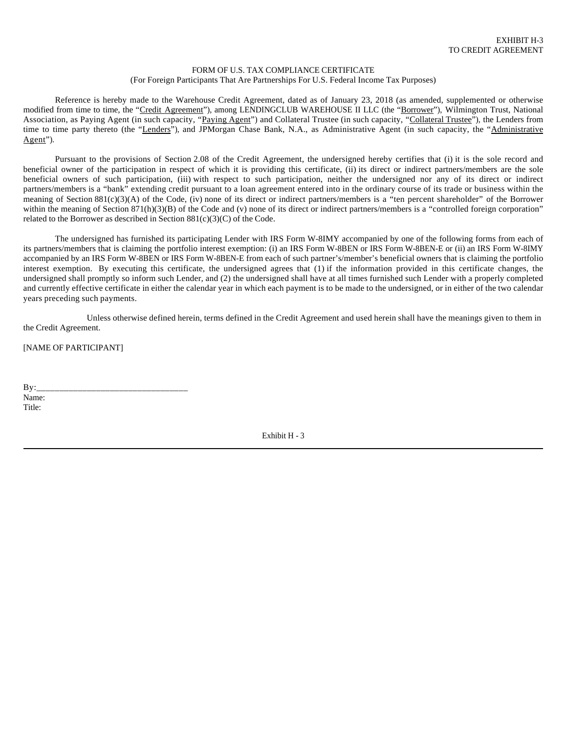#### FORM OF U.S. TAX COMPLIANCE CERTIFICATE (For Foreign Participants That Are Partnerships For U.S. Federal Income Tax Purposes)

Reference is hereby made to the Warehouse Credit Agreement, dated as of January 23, 2018 (as amended, supplemented or otherwise modified from time to time, the "Credit Agreement"), among LENDINGCLUB WAREHOUSE II LLC (the "Borrower"), Wilmington Trust, National Association, as Paying Agent (in such capacity, "Paying Agent") and Collateral Trustee (in such capacity, "Collateral Trustee"), the Lenders from time to time party thereto (the "Lenders"), and JPMorgan Chase Bank, N.A., as Administrative Agent (in such capacity, the "Administrative Agent").

Pursuant to the provisions of Section 2.08 of the Credit Agreement, the undersigned hereby certifies that (i) it is the sole record and beneficial owner of the participation in respect of which it is providing this certificate, (ii) its direct or indirect partners/members are the sole beneficial owners of such participation, (iii) with respect to such participation, neither the undersigned nor any of its direct or indirect partners/members is a "bank" extending credit pursuant to a loan agreement entered into in the ordinary course of its trade or business within the meaning of Section 881(c)(3)(A) of the Code, (iv) none of its direct or indirect partners/members is a "ten percent shareholder" of the Borrower within the meaning of Section 871(h)(3)(B) of the Code and (v) none of its direct or indirect partners/members is a "controlled foreign corporation" related to the Borrower as described in Section  $881(c)(3)(C)$  of the Code.

The undersigned has furnished its participating Lender with IRS Form W-8IMY accompanied by one of the following forms from each of its partners/members that is claiming the portfolio interest exemption: (i) an IRS Form W-8BEN or IRS Form W-8BEN-E or (ii) an IRS Form W-8IMY accompanied by an IRS Form W-8BEN or IRS Form W-8BEN-E from each of such partner's/member's beneficial owners that is claiming the portfolio interest exemption. By executing this certificate, the undersigned agrees that (1) if the information provided in this certificate changes, the undersigned shall promptly so inform such Lender, and (2) the undersigned shall have at all times furnished such Lender with a properly completed and currently effective certificate in either the calendar year in which each payment is to be made to the undersigned, or in either of the two calendar years preceding such payments.

Unless otherwise defined herein, terms defined in the Credit Agreement and used herein shall have the meanings given to them in the Credit Agreement.

[NAME OF PARTICIPANT]

By:\_\_\_\_\_\_\_\_\_\_\_\_\_\_\_\_\_\_\_\_\_\_\_\_\_\_\_\_\_\_\_\_\_ Name: Title: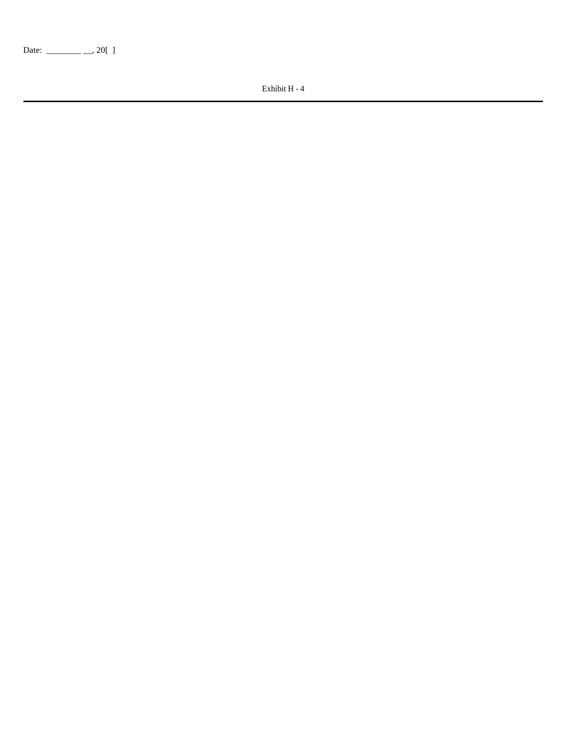Date: \_\_\_\_\_\_\_\_ \_\_, 20[ ]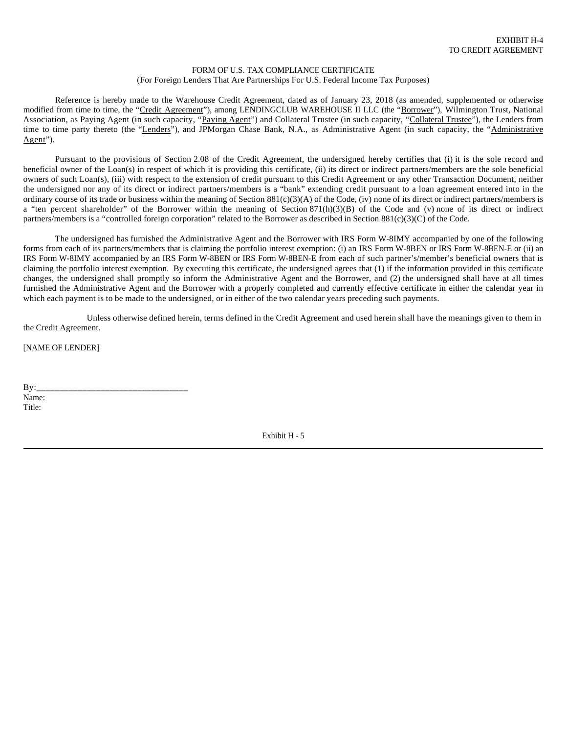#### FORM OF U.S. TAX COMPLIANCE CERTIFICATE (For Foreign Lenders That Are Partnerships For U.S. Federal Income Tax Purposes)

Reference is hereby made to the Warehouse Credit Agreement, dated as of January 23, 2018 (as amended, supplemented or otherwise modified from time to time, the "Credit Agreement"), among LENDINGCLUB WAREHOUSE II LLC (the "Borrower"), Wilmington Trust, National Association, as Paying Agent (in such capacity, "Paying Agent") and Collateral Trustee (in such capacity, "Collateral Trustee"), the Lenders from time to time party thereto (the "Lenders"), and JPMorgan Chase Bank, N.A., as Administrative Agent (in such capacity, the "Administrative Agent").

Pursuant to the provisions of Section 2.08 of the Credit Agreement, the undersigned hereby certifies that (i) it is the sole record and beneficial owner of the Loan(s) in respect of which it is providing this certificate, (ii) its direct or indirect partners/members are the sole beneficial owners of such Loan(s), (iii) with respect to the extension of credit pursuant to this Credit Agreement or any other Transaction Document, neither the undersigned nor any of its direct or indirect partners/members is a "bank" extending credit pursuant to a loan agreement entered into in the ordinary course of its trade or business within the meaning of Section  $881(c)(3)(A)$  of the Code, (iv) none of its direct or indirect partners/members is a "ten percent shareholder" of the Borrower within the meaning of Section  $871(h)(3)(B)$  of the Code and (v) none of its direct or indirect partners/members is a "controlled foreign corporation" related to the Borrower as described in Section 881(c)(3)(C) of the Code.

The undersigned has furnished the Administrative Agent and the Borrower with IRS Form W-8IMY accompanied by one of the following forms from each of its partners/members that is claiming the portfolio interest exemption: (i) an IRS Form W-8BEN or IRS Form W-8BEN-E or (ii) an IRS Form W-8IMY accompanied by an IRS Form W-8BEN or IRS Form W-8BEN-E from each of such partner's/member's beneficial owners that is claiming the portfolio interest exemption. By executing this certificate, the undersigned agrees that (1) if the information provided in this certificate changes, the undersigned shall promptly so inform the Administrative Agent and the Borrower, and (2) the undersigned shall have at all times furnished the Administrative Agent and the Borrower with a properly completed and currently effective certificate in either the calendar year in which each payment is to be made to the undersigned, or in either of the two calendar years preceding such payments.

Unless otherwise defined herein, terms defined in the Credit Agreement and used herein shall have the meanings given to them in the Credit Agreement.

[NAME OF LENDER]

By:\_\_\_\_\_\_\_\_\_\_\_\_\_\_\_\_\_\_\_\_\_\_\_\_\_\_\_\_\_\_\_\_\_ Name: Title: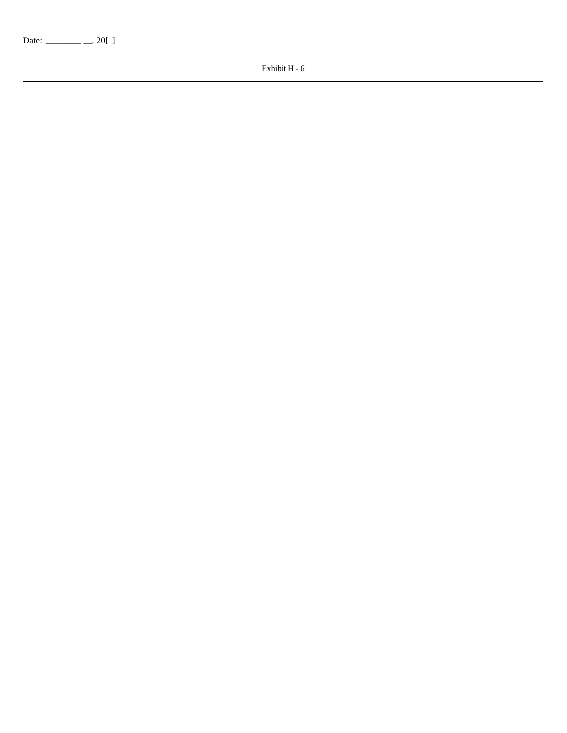Date: \_\_\_\_\_\_\_\_ \_\_, 20[ ]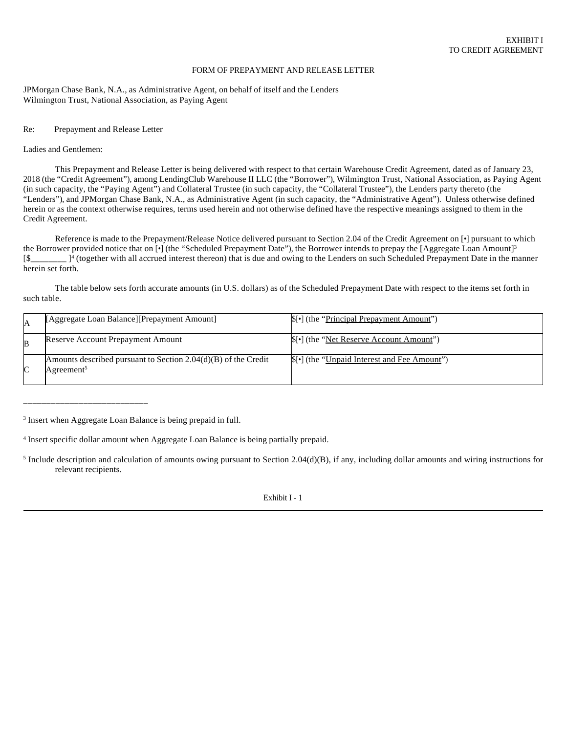#### FORM OF PREPAYMENT AND RELEASE LETTER

JPMorgan Chase Bank, N.A., as Administrative Agent, on behalf of itself and the Lenders Wilmington Trust, National Association, as Paying Agent

#### Re: Prepayment and Release Letter

#### Ladies and Gentlemen:

This Prepayment and Release Letter is being delivered with respect to that certain Warehouse Credit Agreement, dated as of January 23, 2018 (the "Credit Agreement"), among LendingClub Warehouse II LLC (the "Borrower"), Wilmington Trust, National Association, as Paying Agent (in such capacity, the "Paying Agent") and Collateral Trustee (in such capacity, the "Collateral Trustee"), the Lenders party thereto (the "Lenders"), and JPMorgan Chase Bank, N.A., as Administrative Agent (in such capacity, the "Administrative Agent"). Unless otherwise defined herein or as the context otherwise requires, terms used herein and not otherwise defined have the respective meanings assigned to them in the Credit Agreement.

Reference is made to the Prepayment/Release Notice delivered pursuant to Section 2.04 of the Credit Agreement on [•] pursuant to which the Borrower provided notice that on  $\lceil \cdot \rceil$  (the "Scheduled Prepayment Date"), the Borrower intends to prepay the [Aggregate Loan Amount]<sup>3</sup> [\$\_\_\_\_\_\_\_]<sup>4</sup> (together with all accrued interest thereon) that is due and owing to the Lenders on such Scheduled Prepayment Date in the manner herein set forth.

The table below sets forth accurate amounts (in U.S. dollars) as of the Scheduled Prepayment Date with respect to the items set forth in such table.

|   | [Aggregate Loan Balance] [Prepayment Amount]                                               | S[•] (the " <u>Principal Prepayment Amount</u> ") |
|---|--------------------------------------------------------------------------------------------|---------------------------------------------------|
|   | Reserve Account Prepayment Amount                                                          | S[•] (the " <u>Net Reserve Account Amount</u> ")  |
| ⌒ | Amounts described pursuant to Section $2.04(d)(B)$ of the Credit<br>Agreement <sup>5</sup> | \$[•] (the "Unpaid Interest and Fee Amount")      |

\_\_\_\_\_\_\_\_\_\_\_\_\_\_\_\_\_\_\_\_\_\_\_\_\_\_\_

<sup>3</sup> Insert when Aggregate Loan Balance is being prepaid in full.

4 Insert specific dollar amount when Aggregate Loan Balance is being partially prepaid.

<sup>5</sup> Include description and calculation of amounts owing pursuant to Section  $2.04(d)(B)$ , if any, including dollar amounts and wiring instructions for relevant recipients.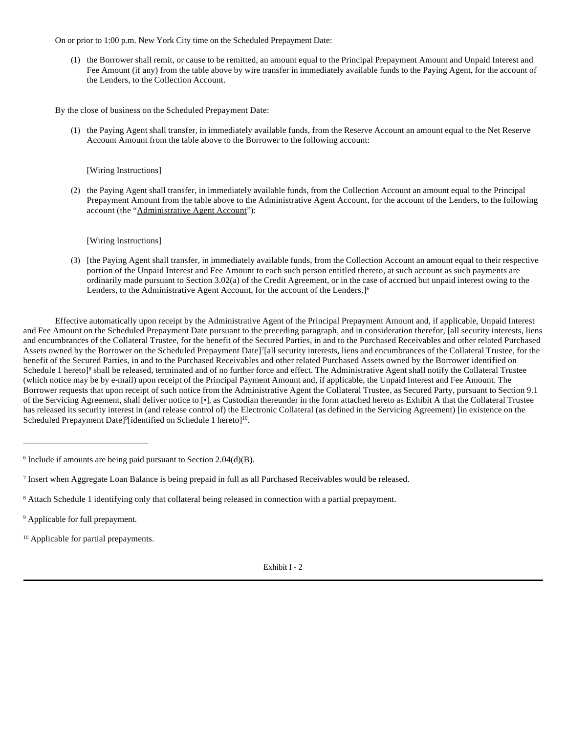On or prior to 1:00 p.m. New York City time on the Scheduled Prepayment Date:

(1) the Borrower shall remit, or cause to be remitted, an amount equal to the Principal Prepayment Amount and Unpaid Interest and Fee Amount (if any) from the table above by wire transfer in immediately available funds to the Paying Agent, for the account of the Lenders, to the Collection Account.

By the close of business on the Scheduled Prepayment Date:

(1) the Paying Agent shall transfer, in immediately available funds, from the Reserve Account an amount equal to the Net Reserve Account Amount from the table above to the Borrower to the following account:

### [Wiring Instructions]

(2) the Paying Agent shall transfer, in immediately available funds, from the Collection Account an amount equal to the Principal Prepayment Amount from the table above to the Administrative Agent Account, for the account of the Lenders, to the following account (the "Administrative Agent Account"):

[Wiring Instructions]

(3) [the Paying Agent shall transfer, in immediately available funds, from the Collection Account an amount equal to their respective portion of the Unpaid Interest and Fee Amount to each such person entitled thereto, at such account as such payments are ordinarily made pursuant to Section 3.02(a) of the Credit Agreement, or in the case of accrued but unpaid interest owing to the Lenders, to the Administrative Agent Account, for the account of the Lenders.<sup>[6]</sup>

Effective automatically upon receipt by the Administrative Agent of the Principal Prepayment Amount and, if applicable, Unpaid Interest and Fee Amount on the Scheduled Prepayment Date pursuant to the preceding paragraph, and in consideration therefor, [all security interests, liens and encumbrances of the Collateral Trustee, for the benefit of the Secured Parties, in and to the Purchased Receivables and other related Purchased Assets owned by the Borrower on the Scheduled Prepayment Date]<sup>7</sup>[all security interests, liens and encumbrances of the Collateral Trustee, for the benefit of the Secured Parties, in and to the Purchased Receivables and other related Purchased Assets owned by the Borrower identified on Schedule 1 hereto]<sup>8</sup> shall be released, terminated and of no further force and effect. The Administrative Agent shall notify the Collateral Trustee (which notice may be by e-mail) upon receipt of the Principal Payment Amount and, if applicable, the Unpaid Interest and Fee Amount. The Borrower requests that upon receipt of such notice from the Administrative Agent the Collateral Trustee, as Secured Party, pursuant to Section 9.1 of the Servicing Agreement, shall deliver notice to [•], as Custodian thereunder in the form attached hereto as Exhibit A that the Collateral Trustee has released its security interest in (and release control of) the Electronic Collateral (as defined in the Servicing Agreement) [in existence on the Scheduled Prepayment Date]<sup>9</sup>[identified on Schedule 1 hereto]<sup>10</sup>.

\_\_\_\_\_\_\_\_\_\_\_\_\_\_\_\_\_\_\_\_\_\_\_\_\_\_\_

<sup>10</sup> Applicable for partial prepayments.

<sup>6</sup> Include if amounts are being paid pursuant to Section 2.04(d)(B).

<sup>7</sup> Insert when Aggregate Loan Balance is being prepaid in full as all Purchased Receivables would be released.

<sup>&</sup>lt;sup>8</sup> Attach Schedule 1 identifying only that collateral being released in connection with a partial prepayment.

<sup>&</sup>lt;sup>9</sup> Applicable for full prepayment.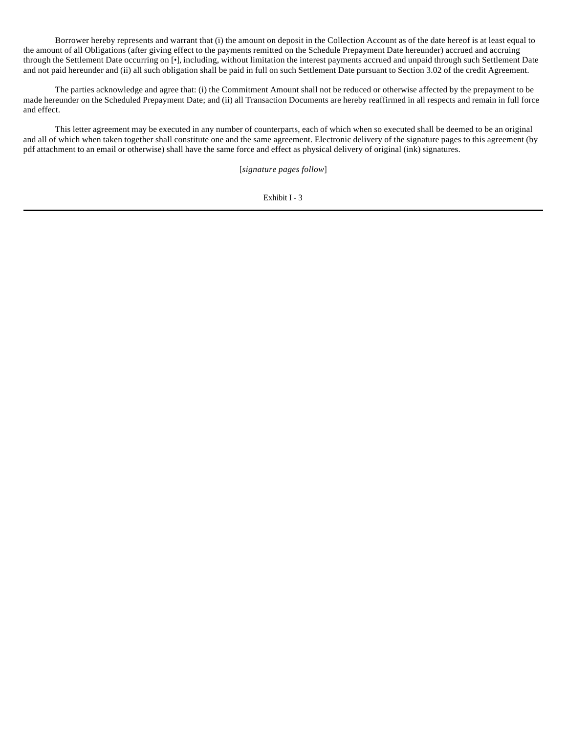Borrower hereby represents and warrant that (i) the amount on deposit in the Collection Account as of the date hereof is at least equal to the amount of all Obligations (after giving effect to the payments remitted on the Schedule Prepayment Date hereunder) accrued and accruing through the Settlement Date occurring on [•], including, without limitation the interest payments accrued and unpaid through such Settlement Date and not paid hereunder and (ii) all such obligation shall be paid in full on such Settlement Date pursuant to Section 3.02 of the credit Agreement.

The parties acknowledge and agree that: (i) the Commitment Amount shall not be reduced or otherwise affected by the prepayment to be made hereunder on the Scheduled Prepayment Date; and (ii) all Transaction Documents are hereby reaffirmed in all respects and remain in full force and effect.

This letter agreement may be executed in any number of counterparts, each of which when so executed shall be deemed to be an original and all of which when taken together shall constitute one and the same agreement. Electronic delivery of the signature pages to this agreement (by pdf attachment to an email or otherwise) shall have the same force and effect as physical delivery of original (ink) signatures.

[*signature pages follow*]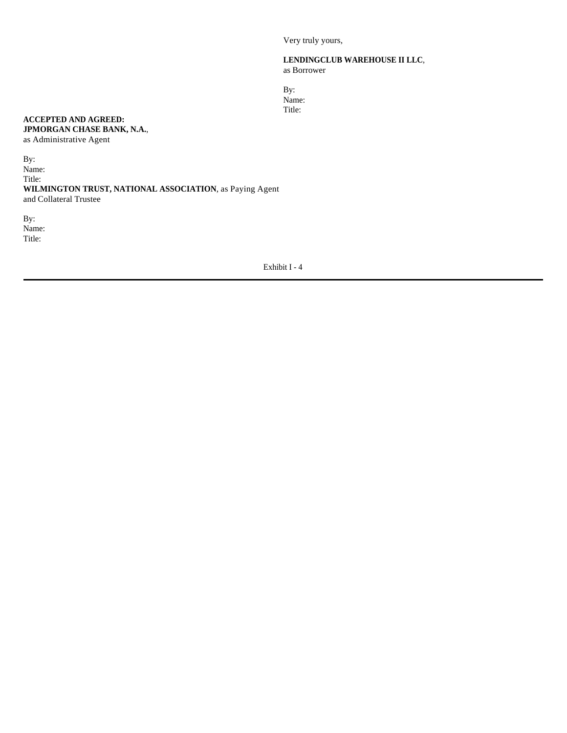Very truly yours,

### **LENDINGCLUB WAREHOUSE II LLC**, as Borrower

By: Name: Title:

# **ACCEPTED AND AGREED: JPMORGAN CHASE BANK, N.A.**,

as Administrative Agent

By: Name: Title: **WILMINGTON TRUST, NATIONAL ASSOCIATION**, as Paying Agent and Collateral Trustee

By: Name: Title: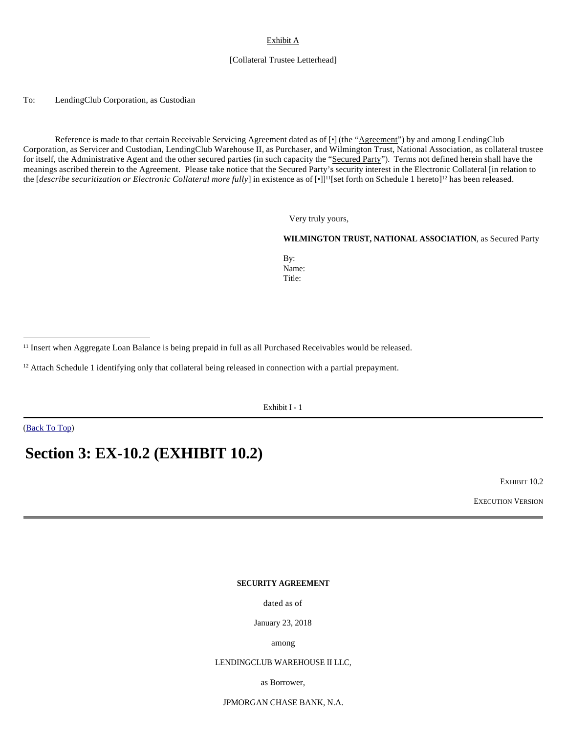# Exhibit A

### [Collateral Trustee Letterhead]

To: LendingClub Corporation, as Custodian

Reference is made to that certain Receivable Servicing Agreement dated as of [•] (the "Agreement") by and among LendingClub Corporation, as Servicer and Custodian, LendingClub Warehouse II, as Purchaser, and Wilmington Trust, National Association, as collateral trustee for itself, the Administrative Agent and the other secured parties (in such capacity the "Secured Party"). Terms not defined herein shall have the meanings ascribed therein to the Agreement. Please take notice that the Secured Party's security interest in the Electronic Collateral [in relation to the [*describe securitization or Electronic Collateral more fully*] in existence as of [•]]<sup>11</sup>[set forth on Schedule 1 hereto]<sup>12</sup> has been released.

Very truly yours,

#### **WILMINGTON TRUST, NATIONAL ASSOCIATION**, as Secured Party

By: Name: Title:

<sup>12</sup> Attach Schedule 1 identifying only that collateral being released in connection with a partial prepayment.

Exhibit I - 1

(Back To Top)

# **Section 3: EX-10.2 (EXHIBIT 10.2)**

EXHIBIT 10.2

EXECUTION VERSION

# **SECURITY AGREEMENT**

dated as of

January 23, 2018

among

### LENDINGCLUB WAREHOUSE II LLC,

as Borrower,

JPMORGAN CHASE BANK, N.A.

<sup>11</sup> Insert when Aggregate Loan Balance is being prepaid in full as all Purchased Receivables would be released.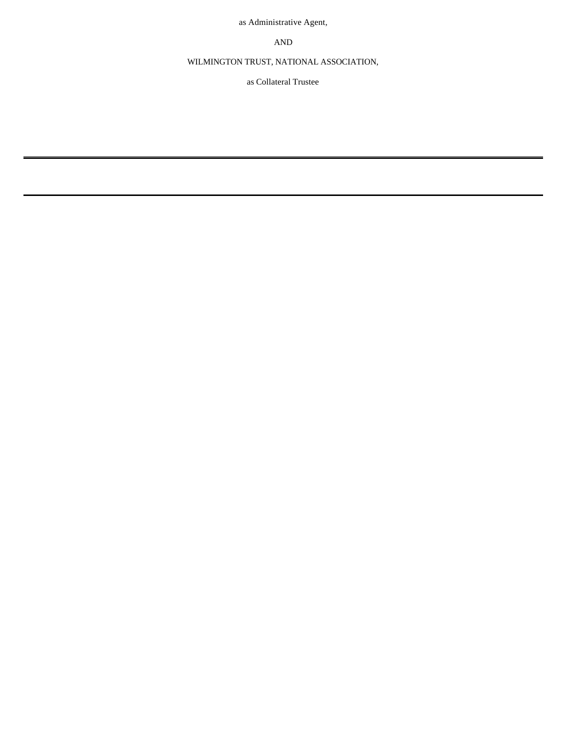as Administrative Agent,

AND

WILMINGTON TRUST, NATIONAL ASSOCIATION,

as Collateral Trustee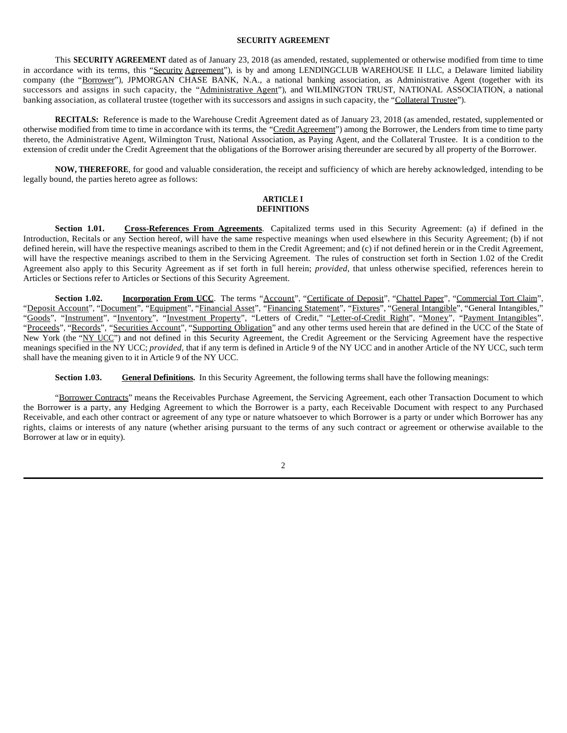### **SECURITY AGREEMENT**

This **SECURITY AGREEMENT** dated as of January 23, 2018 (as amended, restated, supplemented or otherwise modified from time to time in accordance with its terms, this "Security Agreement"), is by and among LENDINGCLUB WAREHOUSE II LLC, a Delaware limited liability company (the "Borrower"), JPMORGAN CHASE BANK, N.A., a national banking association, as Administrative Agent (together with its successors and assigns in such capacity, the "Administrative Agent"), and WILMINGTON TRUST, NATIONAL ASSOCIATION, a national banking association, as collateral trustee (together with its successors and assigns in such capacity, the "Collateral Trustee").

**RECITALS:** Reference is made to the Warehouse Credit Agreement dated as of January 23, 2018 (as amended, restated, supplemented or otherwise modified from time to time in accordance with its terms, the "Credit Agreement") among the Borrower, the Lenders from time to time party thereto, the Administrative Agent, Wilmington Trust, National Association, as Paying Agent, and the Collateral Trustee. It is a condition to the extension of credit under the Credit Agreement that the obligations of the Borrower arising thereunder are secured by all property of the Borrower.

**NOW, THEREFORE**, for good and valuable consideration, the receipt and sufficiency of which are hereby acknowledged, intending to be legally bound, the parties hereto agree as follows:

### **ARTICLE I DEFINITIONS**

**Section 1.01. Cross-References From Agreements**. Capitalized terms used in this Security Agreement: (a) if defined in the Introduction, Recitals or any Section hereof, will have the same respective meanings when used elsewhere in this Security Agreement; (b) if not defined herein, will have the respective meanings ascribed to them in the Credit Agreement; and (c) if not defined herein or in the Credit Agreement, will have the respective meanings ascribed to them in the Servicing Agreement. The rules of construction set forth in Section 1.02 of the Credit Agreement also apply to this Security Agreement as if set forth in full herein; *provided*, that unless otherwise specified, references herein to Articles or Sections refer to Articles or Sections of this Security Agreement.

**Section 1.02. Incorporation From UCC**. The terms "Account", "Certificate of Deposit", "Chattel Paper", "Commercial Tort Claim", "Deposit Account", "Document", "Equipment", "Financial Asset", "Financing Statement", "Fixtures", "General Intangible", "General Intangibles," "Goods", "Instrument", "Inventory", "Investment Property", "Letters of Credit," "Letter-of-Credit Right", "Money", "Payment Intangibles", "Proceeds", "Records", "Securities Account", "Supporting Obligation" and any other terms used herein that are defined in the UCC of the State of New York (the "NY UCC") and not defined in this Security Agreement, the Credit Agreement or the Servicing Agreement have the respective meanings specified in the NY UCC; *provided,* that if any term is defined in Article 9 of the NY UCC and in another Article of the NY UCC, such term shall have the meaning given to it in Article 9 of the NY UCC.

**Section 1.03. General Definitions.** In this Security Agreement, the following terms shall have the following meanings:

"Borrower Contracts" means the Receivables Purchase Agreement, the Servicing Agreement, each other Transaction Document to which the Borrower is a party, any Hedging Agreement to which the Borrower is a party, each Receivable Document with respect to any Purchased Receivable, and each other contract or agreement of any type or nature whatsoever to which Borrower is a party or under which Borrower has any rights, claims or interests of any nature (whether arising pursuant to the terms of any such contract or agreement or otherwise available to the Borrower at law or in equity).

2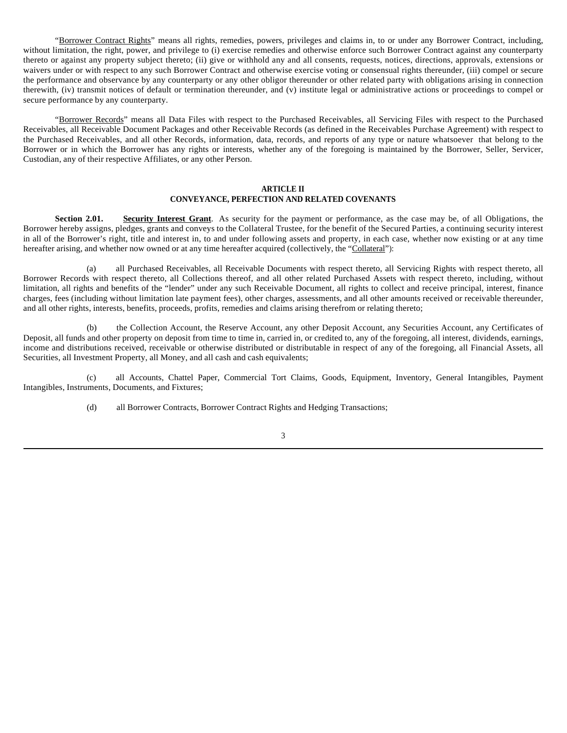"Borrower Contract Rights" means all rights, remedies, powers, privileges and claims in, to or under any Borrower Contract, including, without limitation, the right, power, and privilege to (i) exercise remedies and otherwise enforce such Borrower Contract against any counterparty thereto or against any property subject thereto; (ii) give or withhold any and all consents, requests, notices, directions, approvals, extensions or waivers under or with respect to any such Borrower Contract and otherwise exercise voting or consensual rights thereunder, (iii) compel or secure the performance and observance by any counterparty or any other obligor thereunder or other related party with obligations arising in connection therewith, (iv) transmit notices of default or termination thereunder, and (v) institute legal or administrative actions or proceedings to compel or secure performance by any counterparty.

"Borrower Records" means all Data Files with respect to the Purchased Receivables, all Servicing Files with respect to the Purchased Receivables, all Receivable Document Packages and other Receivable Records (as defined in the Receivables Purchase Agreement) with respect to the Purchased Receivables, and all other Records, information, data, records, and reports of any type or nature whatsoever that belong to the Borrower or in which the Borrower has any rights or interests, whether any of the foregoing is maintained by the Borrower, Seller, Servicer, Custodian, any of their respective Affiliates, or any other Person.

### **ARTICLE II CONVEYANCE, PERFECTION AND RELATED COVENANTS**

**Section 2.01. Security Interest Grant**. As security for the payment or performance, as the case may be, of all Obligations, the Borrower hereby assigns, pledges, grants and conveys to the Collateral Trustee, for the benefit of the Secured Parties, a continuing security interest in all of the Borrower's right, title and interest in, to and under following assets and property, in each case, whether now existing or at any time hereafter arising, and whether now owned or at any time hereafter acquired (collectively, the "Collateral"):

(a) all Purchased Receivables, all Receivable Documents with respect thereto, all Servicing Rights with respect thereto, all Borrower Records with respect thereto, all Collections thereof, and all other related Purchased Assets with respect thereto, including, without limitation, all rights and benefits of the "lender" under any such Receivable Document, all rights to collect and receive principal, interest, finance charges, fees (including without limitation late payment fees), other charges, assessments, and all other amounts received or receivable thereunder, and all other rights, interests, benefits, proceeds, profits, remedies and claims arising therefrom or relating thereto;

(b) the Collection Account, the Reserve Account, any other Deposit Account, any Securities Account, any Certificates of Deposit, all funds and other property on deposit from time to time in, carried in, or credited to, any of the foregoing, all interest, dividends, earnings, income and distributions received, receivable or otherwise distributed or distributable in respect of any of the foregoing, all Financial Assets, all Securities, all Investment Property, all Money, and all cash and cash equivalents;

(c) all Accounts, Chattel Paper, Commercial Tort Claims, Goods, Equipment, Inventory, General Intangibles, Payment Intangibles, Instruments, Documents, and Fixtures;

(d) all Borrower Contracts, Borrower Contract Rights and Hedging Transactions;

3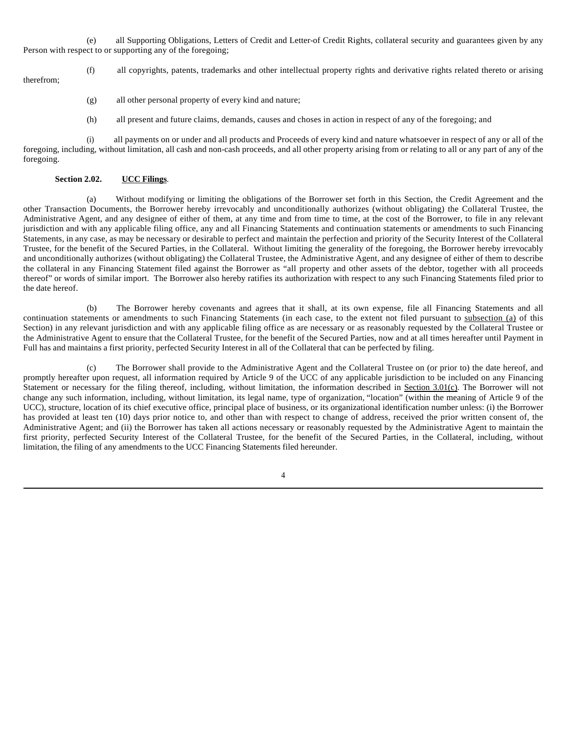(e) all Supporting Obligations, Letters of Credit and Letter-of Credit Rights, collateral security and guarantees given by any Person with respect to or supporting any of the foregoing;

(f) all copyrights, patents, trademarks and other intellectual property rights and derivative rights related thereto or arising therefrom;

- (g) all other personal property of every kind and nature;
- (h) all present and future claims, demands, causes and choses in action in respect of any of the foregoing; and

(i) all payments on or under and all products and Proceeds of every kind and nature whatsoever in respect of any or all of the foregoing, including, without limitation, all cash and non-cash proceeds, and all other property arising from or relating to all or any part of any of the foregoing.

### **Section 2.02. UCC Filings**.

(a) Without modifying or limiting the obligations of the Borrower set forth in this Section, the Credit Agreement and the other Transaction Documents, the Borrower hereby irrevocably and unconditionally authorizes (without obligating) the Collateral Trustee, the Administrative Agent, and any designee of either of them, at any time and from time to time, at the cost of the Borrower, to file in any relevant jurisdiction and with any applicable filing office, any and all Financing Statements and continuation statements or amendments to such Financing Statements, in any case, as may be necessary or desirable to perfect and maintain the perfection and priority of the Security Interest of the Collateral Trustee, for the benefit of the Secured Parties, in the Collateral. Without limiting the generality of the foregoing, the Borrower hereby irrevocably and unconditionally authorizes (without obligating) the Collateral Trustee, the Administrative Agent, and any designee of either of them to describe the collateral in any Financing Statement filed against the Borrower as "all property and other assets of the debtor, together with all proceeds thereof" or words of similar import. The Borrower also hereby ratifies its authorization with respect to any such Financing Statements filed prior to the date hereof.

(b) The Borrower hereby covenants and agrees that it shall, at its own expense, file all Financing Statements and all continuation statements or amendments to such Financing Statements (in each case, to the extent not filed pursuant to subsection (a) of this Section) in any relevant jurisdiction and with any applicable filing office as are necessary or as reasonably requested by the Collateral Trustee or the Administrative Agent to ensure that the Collateral Trustee, for the benefit of the Secured Parties, now and at all times hereafter until Payment in Full has and maintains a first priority, perfected Security Interest in all of the Collateral that can be perfected by filing.

(c) The Borrower shall provide to the Administrative Agent and the Collateral Trustee on (or prior to) the date hereof, and promptly hereafter upon request, all information required by Article 9 of the UCC of any applicable jurisdiction to be included on any Financing Statement or necessary for the filing thereof, including, without limitation, the information described in Section 3.01(c). The Borrower will not change any such information, including, without limitation, its legal name, type of organization, "location" (within the meaning of Article 9 of the UCC), structure, location of its chief executive office, principal place of business, or its organizational identification number unless: (i) the Borrower has provided at least ten (10) days prior notice to, and other than with respect to change of address, received the prior written consent of, the Administrative Agent; and (ii) the Borrower has taken all actions necessary or reasonably requested by the Administrative Agent to maintain the first priority, perfected Security Interest of the Collateral Trustee, for the benefit of the Secured Parties, in the Collateral, including, without limitation, the filing of any amendments to the UCC Financing Statements filed hereunder.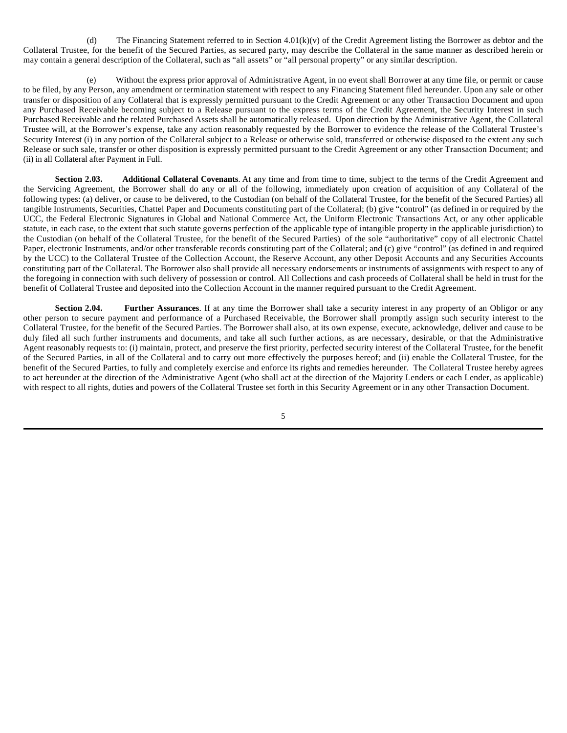(d) The Financing Statement referred to in Section  $4.01(k)(v)$  of the Credit Agreement listing the Borrower as debtor and the Collateral Trustee, for the benefit of the Secured Parties, as secured party, may describe the Collateral in the same manner as described herein or may contain a general description of the Collateral, such as "all assets" or "all personal property" or any similar description.

(e) Without the express prior approval of Administrative Agent, in no event shall Borrower at any time file, or permit or cause to be filed, by any Person, any amendment or termination statement with respect to any Financing Statement filed hereunder. Upon any sale or other transfer or disposition of any Collateral that is expressly permitted pursuant to the Credit Agreement or any other Transaction Document and upon any Purchased Receivable becoming subject to a Release pursuant to the express terms of the Credit Agreement, the Security Interest in such Purchased Receivable and the related Purchased Assets shall be automatically released. Upon direction by the Administrative Agent, the Collateral Trustee will, at the Borrower's expense, take any action reasonably requested by the Borrower to evidence the release of the Collateral Trustee's Security Interest (i) in any portion of the Collateral subject to a Release or otherwise sold, transferred or otherwise disposed to the extent any such Release or such sale, transfer or other disposition is expressly permitted pursuant to the Credit Agreement or any other Transaction Document; and (ii) in all Collateral after Payment in Full.

**Section 2.03. Additional Collateral Covenants**. At any time and from time to time, subject to the terms of the Credit Agreement and the Servicing Agreement, the Borrower shall do any or all of the following, immediately upon creation of acquisition of any Collateral of the following types: (a) deliver, or cause to be delivered, to the Custodian (on behalf of the Collateral Trustee, for the benefit of the Secured Parties) all tangible Instruments, Securities, Chattel Paper and Documents constituting part of the Collateral; (b) give "control" (as defined in or required by the UCC, the Federal Electronic Signatures in Global and National Commerce Act, the Uniform Electronic Transactions Act, or any other applicable statute, in each case, to the extent that such statute governs perfection of the applicable type of intangible property in the applicable jurisdiction) to the Custodian (on behalf of the Collateral Trustee, for the benefit of the Secured Parties) of the sole "authoritative" copy of all electronic Chattel Paper, electronic Instruments, and/or other transferable records constituting part of the Collateral; and (c) give "control" (as defined in and required by the UCC) to the Collateral Trustee of the Collection Account, the Reserve Account, any other Deposit Accounts and any Securities Accounts constituting part of the Collateral. The Borrower also shall provide all necessary endorsements or instruments of assignments with respect to any of the foregoing in connection with such delivery of possession or control. All Collections and cash proceeds of Collateral shall be held in trust for the benefit of Collateral Trustee and deposited into the Collection Account in the manner required pursuant to the Credit Agreement.

**Section 2.04. Further Assurances**. If at any time the Borrower shall take a security interest in any property of an Obligor or any other person to secure payment and performance of a Purchased Receivable, the Borrower shall promptly assign such security interest to the Collateral Trustee, for the benefit of the Secured Parties. The Borrower shall also, at its own expense, execute, acknowledge, deliver and cause to be duly filed all such further instruments and documents, and take all such further actions, as are necessary, desirable, or that the Administrative Agent reasonably requests to: (i) maintain, protect, and preserve the first priority, perfected security interest of the Collateral Trustee, for the benefit of the Secured Parties, in all of the Collateral and to carry out more effectively the purposes hereof; and (ii) enable the Collateral Trustee, for the benefit of the Secured Parties, to fully and completely exercise and enforce its rights and remedies hereunder. The Collateral Trustee hereby agrees to act hereunder at the direction of the Administrative Agent (who shall act at the direction of the Majority Lenders or each Lender, as applicable) with respect to all rights, duties and powers of the Collateral Trustee set forth in this Security Agreement or in any other Transaction Document.

5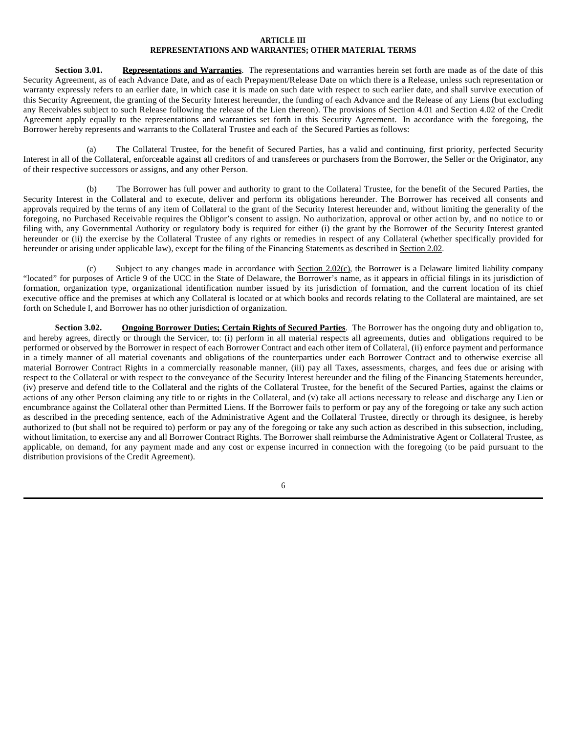## **ARTICLE III REPRESENTATIONS AND WARRANTIES; OTHER MATERIAL TERMS**

**Section 3.01. Representations and Warranties**. The representations and warranties herein set forth are made as of the date of this Security Agreement, as of each Advance Date, and as of each Prepayment/Release Date on which there is a Release, unless such representation or warranty expressly refers to an earlier date, in which case it is made on such date with respect to such earlier date, and shall survive execution of this Security Agreement, the granting of the Security Interest hereunder, the funding of each Advance and the Release of any Liens (but excluding any Receivables subject to such Release following the release of the Lien thereon). The provisions of Section 4.01 and Section 4.02 of the Credit Agreement apply equally to the representations and warranties set forth in this Security Agreement. In accordance with the foregoing, the Borrower hereby represents and warrants to the Collateral Trustee and each of the Secured Parties as follows:

(a) The Collateral Trustee, for the benefit of Secured Parties, has a valid and continuing, first priority, perfected Security Interest in all of the Collateral, enforceable against all creditors of and transferees or purchasers from the Borrower, the Seller or the Originator, any of their respective successors or assigns, and any other Person.

(b) The Borrower has full power and authority to grant to the Collateral Trustee, for the benefit of the Secured Parties, the Security Interest in the Collateral and to execute, deliver and perform its obligations hereunder. The Borrower has received all consents and approvals required by the terms of any item of Collateral to the grant of the Security Interest hereunder and, without limiting the generality of the foregoing, no Purchased Receivable requires the Obligor's consent to assign. No authorization, approval or other action by, and no notice to or filing with, any Governmental Authority or regulatory body is required for either (i) the grant by the Borrower of the Security Interest granted hereunder or (ii) the exercise by the Collateral Trustee of any rights or remedies in respect of any Collateral (whether specifically provided for hereunder or arising under applicable law), except for the filing of the Financing Statements as described in Section 2.02.

(c) Subject to any changes made in accordance with Section 2.02(c), the Borrower is a Delaware limited liability company "located" for purposes of Article 9 of the UCC in the State of Delaware, the Borrower's name, as it appears in official filings in its jurisdiction of formation, organization type, organizational identification number issued by its jurisdiction of formation, and the current location of its chief executive office and the premises at which any Collateral is located or at which books and records relating to the Collateral are maintained, are set forth on Schedule I, and Borrower has no other jurisdiction of organization.

**Section 3.02. Ongoing Borrower Duties; Certain Rights of Secured Parties**. The Borrower has the ongoing duty and obligation to, and hereby agrees, directly or through the Servicer, to: (i) perform in all material respects all agreements, duties and obligations required to be performed or observed by the Borrower in respect of each Borrower Contract and each other item of Collateral, (ii) enforce payment and performance in a timely manner of all material covenants and obligations of the counterparties under each Borrower Contract and to otherwise exercise all material Borrower Contract Rights in a commercially reasonable manner, (iii) pay all Taxes, assessments, charges, and fees due or arising with respect to the Collateral or with respect to the conveyance of the Security Interest hereunder and the filing of the Financing Statements hereunder, (iv) preserve and defend title to the Collateral and the rights of the Collateral Trustee, for the benefit of the Secured Parties, against the claims or actions of any other Person claiming any title to or rights in the Collateral, and (v) take all actions necessary to release and discharge any Lien or encumbrance against the Collateral other than Permitted Liens. If the Borrower fails to perform or pay any of the foregoing or take any such action as described in the preceding sentence, each of the Administrative Agent and the Collateral Trustee, directly or through its designee, is hereby authorized to (but shall not be required to) perform or pay any of the foregoing or take any such action as described in this subsection, including, without limitation, to exercise any and all Borrower Contract Rights. The Borrower shall reimburse the Administrative Agent or Collateral Trustee, as applicable, on demand, for any payment made and any cost or expense incurred in connection with the foregoing (to be paid pursuant to the distribution provisions of the Credit Agreement).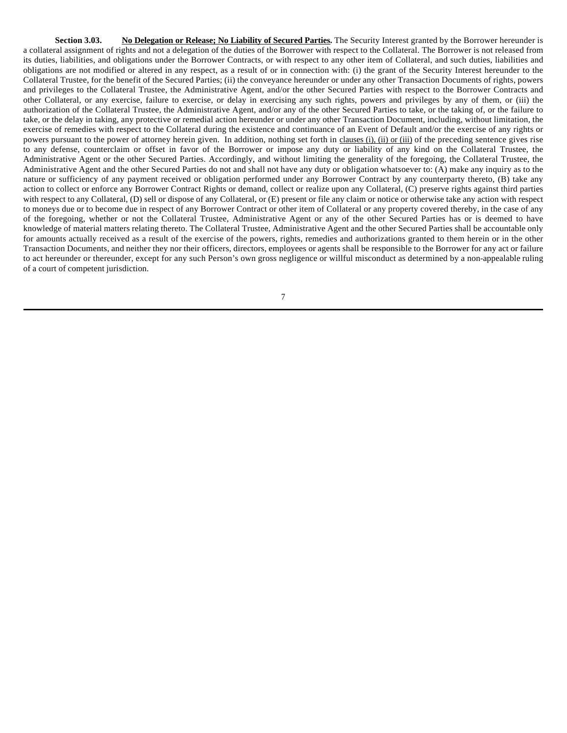**Section 3.03.** No Delegation or Release; No Liability of Secured Parties. The Security Interest granted by the Borrower hereunder is a collateral assignment of rights and not a delegation of the duties of the Borrower with respect to the Collateral. The Borrower is not released from its duties, liabilities, and obligations under the Borrower Contracts, or with respect to any other item of Collateral, and such duties, liabilities and obligations are not modified or altered in any respect, as a result of or in connection with: (i) the grant of the Security Interest hereunder to the Collateral Trustee, for the benefit of the Secured Parties; (ii) the conveyance hereunder or under any other Transaction Documents of rights, powers and privileges to the Collateral Trustee, the Administrative Agent, and/or the other Secured Parties with respect to the Borrower Contracts and other Collateral, or any exercise, failure to exercise, or delay in exercising any such rights, powers and privileges by any of them, or (iii) the authorization of the Collateral Trustee, the Administrative Agent, and/or any of the other Secured Parties to take, or the taking of, or the failure to take, or the delay in taking, any protective or remedial action hereunder or under any other Transaction Document, including, without limitation, the exercise of remedies with respect to the Collateral during the existence and continuance of an Event of Default and/or the exercise of any rights or powers pursuant to the power of attorney herein given. In addition, nothing set forth in clauses (i), (ii) or (iii) of the preceding sentence gives rise to any defense, counterclaim or offset in favor of the Borrower or impose any duty or liability of any kind on the Collateral Trustee, the Administrative Agent or the other Secured Parties. Accordingly, and without limiting the generality of the foregoing, the Collateral Trustee, the Administrative Agent and the other Secured Parties do not and shall not have any duty or obligation whatsoever to: (A) make any inquiry as to the nature or sufficiency of any payment received or obligation performed under any Borrower Contract by any counterparty thereto, (B) take any action to collect or enforce any Borrower Contract Rights or demand, collect or realize upon any Collateral, (C) preserve rights against third parties with respect to any Collateral, (D) sell or dispose of any Collateral, or (E) present or file any claim or notice or otherwise take any action with respect to moneys due or to become due in respect of any Borrower Contract or other item of Collateral or any property covered thereby, in the case of any of the foregoing, whether or not the Collateral Trustee, Administrative Agent or any of the other Secured Parties has or is deemed to have knowledge of material matters relating thereto. The Collateral Trustee, Administrative Agent and the other Secured Parties shall be accountable only for amounts actually received as a result of the exercise of the powers, rights, remedies and authorizations granted to them herein or in the other Transaction Documents, and neither they nor their officers, directors, employees or agents shall be responsible to the Borrower for any act or failure to act hereunder or thereunder, except for any such Person's own gross negligence or willful misconduct as determined by a non-appealable ruling of a court of competent jurisdiction.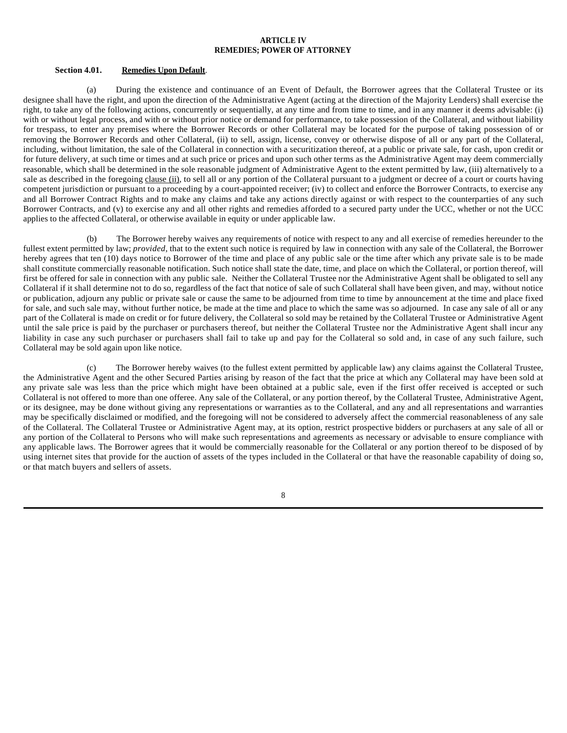## **ARTICLE IV REMEDIES; POWER OF ATTORNEY**

#### **Section 4.01. Remedies Upon Default**.

(a) During the existence and continuance of an Event of Default, the Borrower agrees that the Collateral Trustee or its designee shall have the right, and upon the direction of the Administrative Agent (acting at the direction of the Majority Lenders) shall exercise the right, to take any of the following actions, concurrently or sequentially, at any time and from time to time, and in any manner it deems advisable: (i) with or without legal process, and with or without prior notice or demand for performance, to take possession of the Collateral, and without liability for trespass, to enter any premises where the Borrower Records or other Collateral may be located for the purpose of taking possession of or removing the Borrower Records and other Collateral, (ii) to sell, assign, license, convey or otherwise dispose of all or any part of the Collateral, including, without limitation, the sale of the Collateral in connection with a securitization thereof, at a public or private sale, for cash, upon credit or for future delivery, at such time or times and at such price or prices and upon such other terms as the Administrative Agent may deem commercially reasonable, which shall be determined in the sole reasonable judgment of Administrative Agent to the extent permitted by law, (iii) alternatively to a sale as described in the foregoing clause (ii), to sell all or any portion of the Collateral pursuant to a judgment or decree of a court or courts having competent jurisdiction or pursuant to a proceeding by a court-appointed receiver; (iv) to collect and enforce the Borrower Contracts, to exercise any and all Borrower Contract Rights and to make any claims and take any actions directly against or with respect to the counterparties of any such Borrower Contracts, and (v) to exercise any and all other rights and remedies afforded to a secured party under the UCC, whether or not the UCC applies to the affected Collateral, or otherwise available in equity or under applicable law.

(b) The Borrower hereby waives any requirements of notice with respect to any and all exercise of remedies hereunder to the fullest extent permitted by law; *provided*, that to the extent such notice is required by law in connection with any sale of the Collateral, the Borrower hereby agrees that ten (10) days notice to Borrower of the time and place of any public sale or the time after which any private sale is to be made shall constitute commercially reasonable notification. Such notice shall state the date, time, and place on which the Collateral, or portion thereof, will first be offered for sale in connection with any public sale. Neither the Collateral Trustee nor the Administrative Agent shall be obligated to sell any Collateral if it shall determine not to do so, regardless of the fact that notice of sale of such Collateral shall have been given, and may, without notice or publication, adjourn any public or private sale or cause the same to be adjourned from time to time by announcement at the time and place fixed for sale, and such sale may, without further notice, be made at the time and place to which the same was so adjourned. In case any sale of all or any part of the Collateral is made on credit or for future delivery, the Collateral so sold may be retained by the Collateral Trustee or Administrative Agent until the sale price is paid by the purchaser or purchasers thereof, but neither the Collateral Trustee nor the Administrative Agent shall incur any liability in case any such purchaser or purchasers shall fail to take up and pay for the Collateral so sold and, in case of any such failure, such Collateral may be sold again upon like notice.

(c) The Borrower hereby waives (to the fullest extent permitted by applicable law) any claims against the Collateral Trustee, the Administrative Agent and the other Secured Parties arising by reason of the fact that the price at which any Collateral may have been sold at any private sale was less than the price which might have been obtained at a public sale, even if the first offer received is accepted or such Collateral is not offered to more than one offeree. Any sale of the Collateral, or any portion thereof, by the Collateral Trustee, Administrative Agent, or its designee, may be done without giving any representations or warranties as to the Collateral, and any and all representations and warranties may be specifically disclaimed or modified, and the foregoing will not be considered to adversely affect the commercial reasonableness of any sale of the Collateral. The Collateral Trustee or Administrative Agent may, at its option, restrict prospective bidders or purchasers at any sale of all or any portion of the Collateral to Persons who will make such representations and agreements as necessary or advisable to ensure compliance with any applicable laws. The Borrower agrees that it would be commercially reasonable for the Collateral or any portion thereof to be disposed of by using internet sites that provide for the auction of assets of the types included in the Collateral or that have the reasonable capability of doing so, or that match buyers and sellers of assets.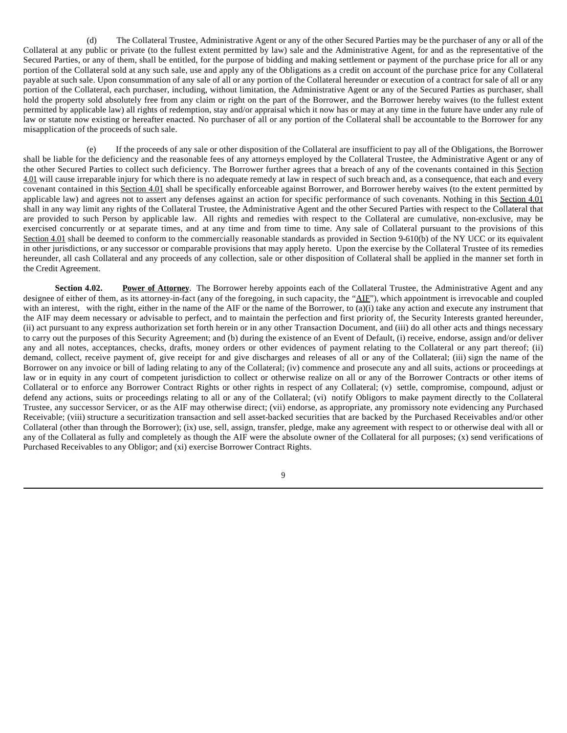(d) The Collateral Trustee, Administrative Agent or any of the other Secured Parties may be the purchaser of any or all of the Collateral at any public or private (to the fullest extent permitted by law) sale and the Administrative Agent, for and as the representative of the Secured Parties, or any of them, shall be entitled, for the purpose of bidding and making settlement or payment of the purchase price for all or any portion of the Collateral sold at any such sale, use and apply any of the Obligations as a credit on account of the purchase price for any Collateral payable at such sale. Upon consummation of any sale of all or any portion of the Collateral hereunder or execution of a contract for sale of all or any portion of the Collateral, each purchaser, including, without limitation, the Administrative Agent or any of the Secured Parties as purchaser, shall hold the property sold absolutely free from any claim or right on the part of the Borrower, and the Borrower hereby waives (to the fullest extent permitted by applicable law) all rights of redemption, stay and/or appraisal which it now has or may at any time in the future have under any rule of law or statute now existing or hereafter enacted. No purchaser of all or any portion of the Collateral shall be accountable to the Borrower for any misapplication of the proceeds of such sale.

(e) If the proceeds of any sale or other disposition of the Collateral are insufficient to pay all of the Obligations, the Borrower shall be liable for the deficiency and the reasonable fees of any attorneys employed by the Collateral Trustee, the Administrative Agent or any of the other Secured Parties to collect such deficiency. The Borrower further agrees that a breach of any of the covenants contained in this Section 4.01 will cause irreparable injury for which there is no adequate remedy at law in respect of such breach and, as a consequence, that each and every covenant contained in this Section 4.01 shall be specifically enforceable against Borrower, and Borrower hereby waives (to the extent permitted by applicable law) and agrees not to assert any defenses against an action for specific performance of such covenants. Nothing in this Section 4.01 shall in any way limit any rights of the Collateral Trustee, the Administrative Agent and the other Secured Parties with respect to the Collateral that are provided to such Person by applicable law. All rights and remedies with respect to the Collateral are cumulative, non-exclusive, may be exercised concurrently or at separate times, and at any time and from time to time. Any sale of Collateral pursuant to the provisions of this Section 4.01 shall be deemed to conform to the commercially reasonable standards as provided in Section 9-610(b) of the NY UCC or its equivalent in other jurisdictions, or any successor or comparable provisions that may apply hereto. Upon the exercise by the Collateral Trustee of its remedies hereunder, all cash Collateral and any proceeds of any collection, sale or other disposition of Collateral shall be applied in the manner set forth in the Credit Agreement.

**Section 4.02.** Power of Attorney. The Borrower hereby appoints each of the Collateral Trustee, the Administrative Agent and any designee of either of them, as its attorney-in-fact (any of the foregoing, in such capacity, the "AIF"), which appointment is irrevocable and coupled with an interest, with the right, either in the name of the AIF or the name of the Borrower, to (a)(i) take any action and execute any instrument that the AIF may deem necessary or advisable to perfect, and to maintain the perfection and first priority of, the Security Interests granted hereunder, (ii) act pursuant to any express authorization set forth herein or in any other Transaction Document, and (iii) do all other acts and things necessary to carry out the purposes of this Security Agreement; and (b) during the existence of an Event of Default, (i) receive, endorse, assign and/or deliver any and all notes, acceptances, checks, drafts, money orders or other evidences of payment relating to the Collateral or any part thereof; (ii) demand, collect, receive payment of, give receipt for and give discharges and releases of all or any of the Collateral; (iii) sign the name of the Borrower on any invoice or bill of lading relating to any of the Collateral; (iv) commence and prosecute any and all suits, actions or proceedings at law or in equity in any court of competent jurisdiction to collect or otherwise realize on all or any of the Borrower Contracts or other items of Collateral or to enforce any Borrower Contract Rights or other rights in respect of any Collateral; (v) settle, compromise, compound, adjust or defend any actions, suits or proceedings relating to all or any of the Collateral; (vi) notify Obligors to make payment directly to the Collateral Trustee, any successor Servicer, or as the AIF may otherwise direct; (vii) endorse, as appropriate, any promissory note evidencing any Purchased Receivable; (viii) structure a securitization transaction and sell asset-backed securities that are backed by the Purchased Receivables and/or other Collateral (other than through the Borrower); (ix) use, sell, assign, transfer, pledge, make any agreement with respect to or otherwise deal with all or any of the Collateral as fully and completely as though the AIF were the absolute owner of the Collateral for all purposes; (x) send verifications of Purchased Receivables to any Obligor; and (xi) exercise Borrower Contract Rights.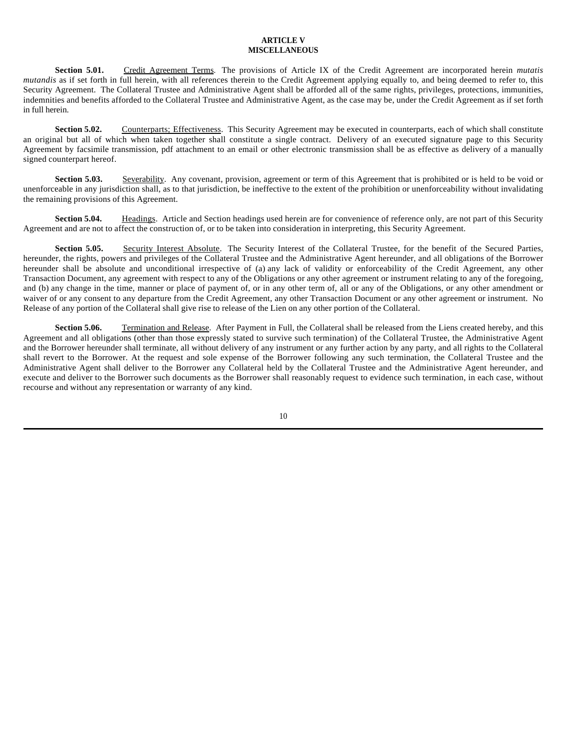## **ARTICLE V MISCELLANEOUS**

Section 5.01. Credit Agreement Terms. The provisions of Article IX of the Credit Agreement are incorporated herein *mutatis mutandis* as if set forth in full herein, with all references therein to the Credit Agreement applying equally to, and being deemed to refer to, this Security Agreement. The Collateral Trustee and Administrative Agent shall be afforded all of the same rights, privileges, protections, immunities, indemnities and benefits afforded to the Collateral Trustee and Administrative Agent, as the case may be, under the Credit Agreement as if set forth in full herein.

**Section 5.02.** Counterparts; Effectiveness. This Security Agreement may be executed in counterparts, each of which shall constitute an original but all of which when taken together shall constitute a single contract. Delivery of an executed signature page to this Security Agreement by facsimile transmission, pdf attachment to an email or other electronic transmission shall be as effective as delivery of a manually signed counterpart hereof.

**Section 5.03.** Severability. Any covenant, provision, agreement or term of this Agreement that is prohibited or is held to be void or unenforceable in any jurisdiction shall, as to that jurisdiction, be ineffective to the extent of the prohibition or unenforceability without invalidating the remaining provisions of this Agreement.

**Section 5.04.** Headings. Article and Section headings used herein are for convenience of reference only, are not part of this Security Agreement and are not to affect the construction of, or to be taken into consideration in interpreting, this Security Agreement.

Section 5.05. Security Interest Absolute. The Security Interest of the Collateral Trustee, for the benefit of the Secured Parties, hereunder, the rights, powers and privileges of the Collateral Trustee and the Administrative Agent hereunder, and all obligations of the Borrower hereunder shall be absolute and unconditional irrespective of (a) any lack of validity or enforceability of the Credit Agreement, any other Transaction Document, any agreement with respect to any of the Obligations or any other agreement or instrument relating to any of the foregoing, and (b) any change in the time, manner or place of payment of, or in any other term of, all or any of the Obligations, or any other amendment or waiver of or any consent to any departure from the Credit Agreement, any other Transaction Document or any other agreement or instrument. No Release of any portion of the Collateral shall give rise to release of the Lien on any other portion of the Collateral.

Section 5.06. Termination and Release. After Payment in Full, the Collateral shall be released from the Liens created hereby, and this Agreement and all obligations (other than those expressly stated to survive such termination) of the Collateral Trustee, the Administrative Agent and the Borrower hereunder shall terminate, all without delivery of any instrument or any further action by any party, and all rights to the Collateral shall revert to the Borrower. At the request and sole expense of the Borrower following any such termination, the Collateral Trustee and the Administrative Agent shall deliver to the Borrower any Collateral held by the Collateral Trustee and the Administrative Agent hereunder, and execute and deliver to the Borrower such documents as the Borrower shall reasonably request to evidence such termination, in each case, without recourse and without any representation or warranty of any kind.

<sup>10</sup>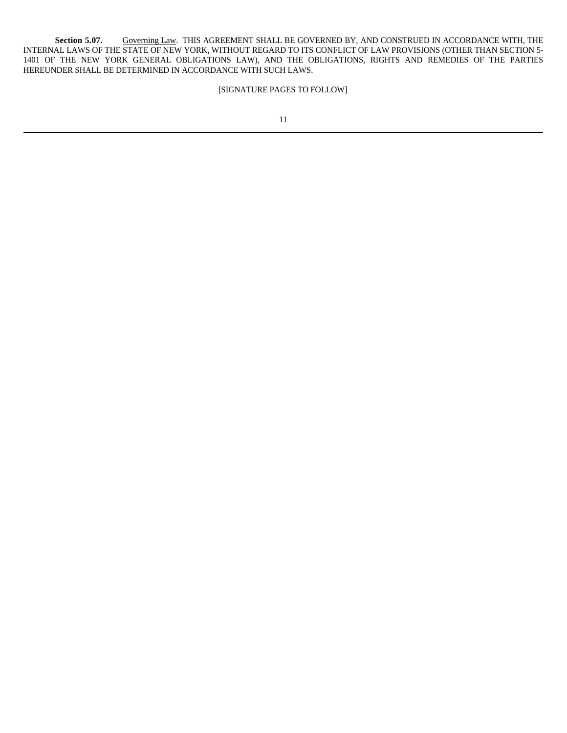Section 5.07. Governing Law. THIS AGREEMENT SHALL BE GOVERNED BY, AND CONSTRUED IN ACCORDANCE WITH, THE INTERNAL LAWS OF THE STATE OF NEW YORK, WITHOUT REGARD TO ITS CONFLICT OF LAW PROVISIONS (OTHER THAN SECTION 5- 1401 OF THE NEW YORK GENERAL OBLIGATIONS LAW), AND THE OBLIGATIONS, RIGHTS AND REMEDIES OF THE PARTIES HEREUNDER SHALL BE DETERMINED IN ACCORDANCE WITH SUCH LAWS.

# [SIGNATURE PAGES TO FOLLOW]